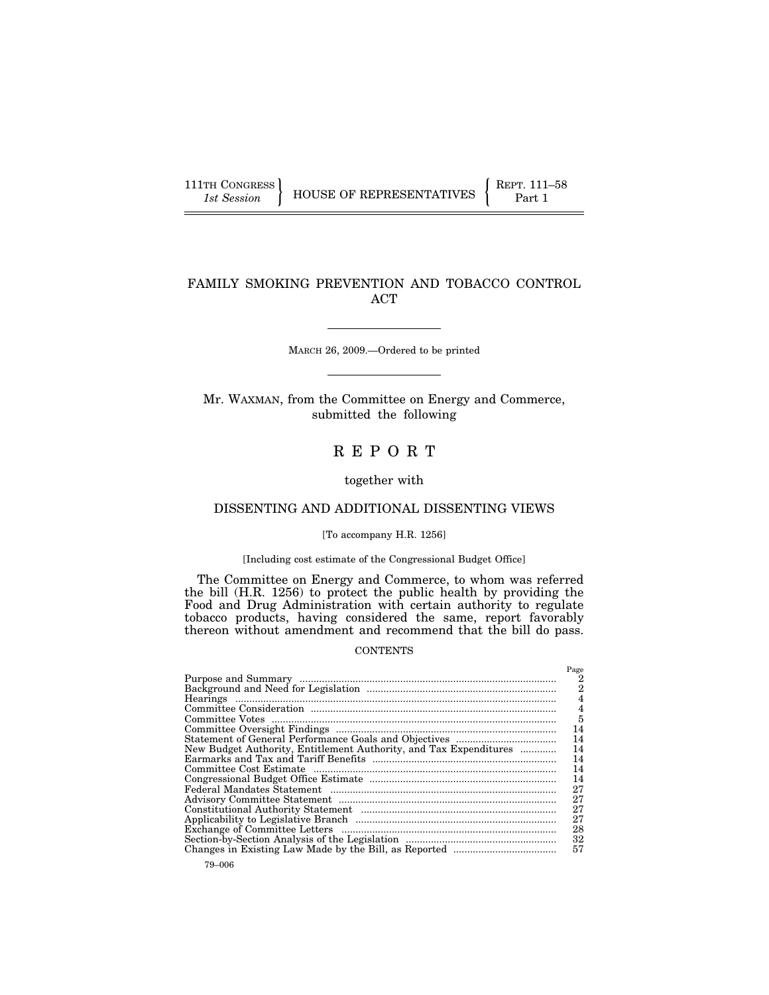| 111TH CONGRESS |  |
|----------------|--|
| 1st Session    |  |

### FAMILY SMOKING PREVENTION AND TOBACCO CONTROL ACT

MARCH 26, 2009.—Ordered to be printed

Mr. WAXMAN, from the Committee on Energy and Commerce, submitted the following

### R E P O R T

#### together with

### DISSENTING AND ADDITIONAL DISSENTING VIEWS

#### [To accompany H.R. 1256]

### [Including cost estimate of the Congressional Budget Office]

The Committee on Energy and Commerce, to whom was referred the bill (H.R. 1256) to protect the public health by providing the Food and Drug Administration with certain authority to regulate tobacco products, having considered the same, report favorably thereon without amendment and recommend that the bill do pass.

#### CONTENTS

|                                                                                                                                                                                                                                                                                                                                                                                                                             | Page |
|-----------------------------------------------------------------------------------------------------------------------------------------------------------------------------------------------------------------------------------------------------------------------------------------------------------------------------------------------------------------------------------------------------------------------------|------|
|                                                                                                                                                                                                                                                                                                                                                                                                                             | 2    |
|                                                                                                                                                                                                                                                                                                                                                                                                                             | 2    |
| $Hearings  \  \, \ldots \  \, \ldots \  \, \ldots \  \, \ldots \  \, \ldots \  \, \ldots \  \, \ldots \  \, \ldots \  \, \ldots \  \, \ldots \  \, \ldots \  \, \ldots \  \, \ldots \  \, \ldots \  \, \ldots \  \, \ldots \  \, \ldots \  \, \ldots \  \, \ldots \  \, \ldots \  \, \ldots \  \, \ldots \  \, \ldots \  \, \ldots \  \, \ldots \  \, \ldots \  \, \ldots \  \, \ldots \  \, \ldots \  \, \ldots \  \, \ld$ | 4    |
|                                                                                                                                                                                                                                                                                                                                                                                                                             | 4    |
|                                                                                                                                                                                                                                                                                                                                                                                                                             | 5    |
|                                                                                                                                                                                                                                                                                                                                                                                                                             | 14   |
|                                                                                                                                                                                                                                                                                                                                                                                                                             | 14   |
| New Budget Authority, Entitlement Authority, and Tax Expenditures                                                                                                                                                                                                                                                                                                                                                           | 14   |
|                                                                                                                                                                                                                                                                                                                                                                                                                             | 14   |
|                                                                                                                                                                                                                                                                                                                                                                                                                             | 14   |
|                                                                                                                                                                                                                                                                                                                                                                                                                             | 14   |
|                                                                                                                                                                                                                                                                                                                                                                                                                             | 27   |
|                                                                                                                                                                                                                                                                                                                                                                                                                             | 27   |
|                                                                                                                                                                                                                                                                                                                                                                                                                             | 27   |
|                                                                                                                                                                                                                                                                                                                                                                                                                             | 27   |
|                                                                                                                                                                                                                                                                                                                                                                                                                             | 28   |
|                                                                                                                                                                                                                                                                                                                                                                                                                             | 32   |
|                                                                                                                                                                                                                                                                                                                                                                                                                             | 57   |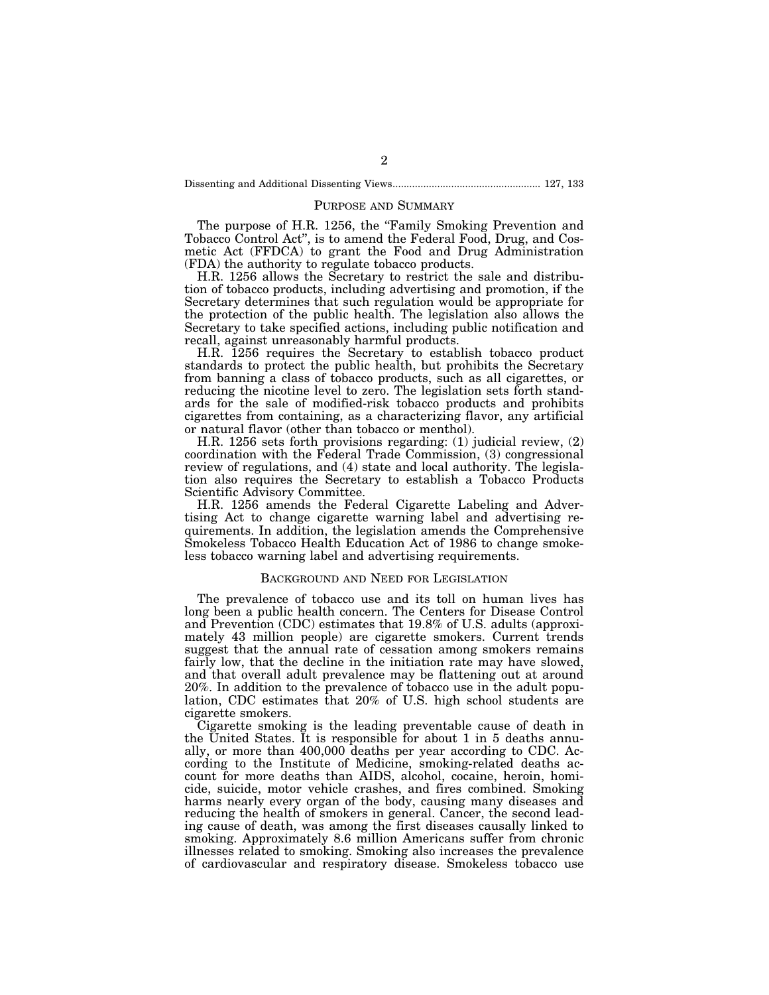### PURPOSE AND SUMMARY

The purpose of H.R. 1256, the ''Family Smoking Prevention and Tobacco Control Act'', is to amend the Federal Food, Drug, and Cosmetic Act (FFDCA) to grant the Food and Drug Administration (FDA) the authority to regulate tobacco products.

H.R. 1256 allows the Secretary to restrict the sale and distribution of tobacco products, including advertising and promotion, if the Secretary determines that such regulation would be appropriate for the protection of the public health. The legislation also allows the Secretary to take specified actions, including public notification and recall, against unreasonably harmful products.

H.R. 1256 requires the Secretary to establish tobacco product standards to protect the public health, but prohibits the Secretary from banning a class of tobacco products, such as all cigarettes, or reducing the nicotine level to zero. The legislation sets forth standards for the sale of modified-risk tobacco products and prohibits cigarettes from containing, as a characterizing flavor, any artificial or natural flavor (other than tobacco or menthol).

H.R. 1256 sets forth provisions regarding: (1) judicial review, (2) coordination with the Federal Trade Commission, (3) congressional review of regulations, and (4) state and local authority. The legislation also requires the Secretary to establish a Tobacco Products Scientific Advisory Committee.

H.R. 1256 amends the Federal Cigarette Labeling and Advertising Act to change cigarette warning label and advertising requirements. In addition, the legislation amends the Comprehensive Smokeless Tobacco Health Education Act of 1986 to change smokeless tobacco warning label and advertising requirements.

#### BACKGROUND AND NEED FOR LEGISLATION

The prevalence of tobacco use and its toll on human lives has long been a public health concern. The Centers for Disease Control and Prevention (CDC) estimates that 19.8% of U.S. adults (approximately 43 million people) are cigarette smokers. Current trends suggest that the annual rate of cessation among smokers remains fairly low, that the decline in the initiation rate may have slowed, and that overall adult prevalence may be flattening out at around 20%. In addition to the prevalence of tobacco use in the adult population, CDC estimates that 20% of U.S. high school students are cigarette smokers.

Cigarette smoking is the leading preventable cause of death in the United States. It is responsible for about 1 in 5 deaths annually, or more than 400,000 deaths per year according to CDC. According to the Institute of Medicine, smoking-related deaths account for more deaths than AIDS, alcohol, cocaine, heroin, homicide, suicide, motor vehicle crashes, and fires combined. Smoking harms nearly every organ of the body, causing many diseases and reducing the health of smokers in general. Cancer, the second leading cause of death, was among the first diseases causally linked to smoking. Approximately 8.6 million Americans suffer from chronic illnesses related to smoking. Smoking also increases the prevalence of cardiovascular and respiratory disease. Smokeless tobacco use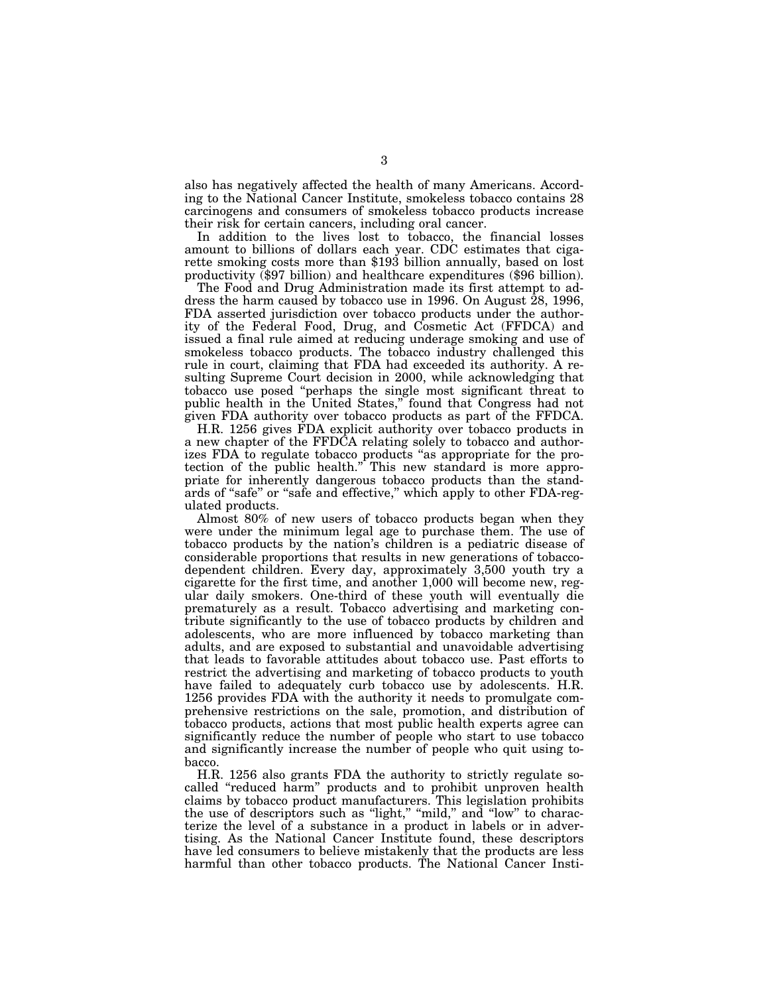also has negatively affected the health of many Americans. According to the National Cancer Institute, smokeless tobacco contains 28 carcinogens and consumers of smokeless tobacco products increase their risk for certain cancers, including oral cancer.

In addition to the lives lost to tobacco, the financial losses amount to billions of dollars each year. CDC estimates that cigarette smoking costs more than \$193 billion annually, based on lost productivity (\$97 billion) and healthcare expenditures (\$96 billion).

The Food and Drug Administration made its first attempt to address the harm caused by tobacco use in 1996. On August 28, 1996, FDA asserted jurisdiction over tobacco products under the authority of the Federal Food, Drug, and Cosmetic Act (FFDCA) and issued a final rule aimed at reducing underage smoking and use of smokeless tobacco products. The tobacco industry challenged this rule in court, claiming that FDA had exceeded its authority. A resulting Supreme Court decision in 2000, while acknowledging that tobacco use posed ''perhaps the single most significant threat to public health in the United States,'' found that Congress had not given FDA authority over tobacco products as part of the FFDCA.

H.R. 1256 gives FDA explicit authority over tobacco products in a new chapter of the FFDCA relating solely to tobacco and authorizes FDA to regulate tobacco products ''as appropriate for the protection of the public health.'' This new standard is more appropriate for inherently dangerous tobacco products than the standards of ''safe'' or ''safe and effective,'' which apply to other FDA-regulated products.

Almost 80% of new users of tobacco products began when they were under the minimum legal age to purchase them. The use of tobacco products by the nation's children is a pediatric disease of considerable proportions that results in new generations of tobaccodependent children. Every day, approximately 3,500 youth try a cigarette for the first time, and another 1,000 will become new, regular daily smokers. One-third of these youth will eventually die prematurely as a result. Tobacco advertising and marketing contribute significantly to the use of tobacco products by children and adolescents, who are more influenced by tobacco marketing than adults, and are exposed to substantial and unavoidable advertising that leads to favorable attitudes about tobacco use. Past efforts to restrict the advertising and marketing of tobacco products to youth have failed to adequately curb tobacco use by adolescents. H.R. 1256 provides FDA with the authority it needs to promulgate comprehensive restrictions on the sale, promotion, and distribution of tobacco products, actions that most public health experts agree can significantly reduce the number of people who start to use tobacco and significantly increase the number of people who quit using tobacco.

H.R. 1256 also grants FDA the authority to strictly regulate socalled ''reduced harm'' products and to prohibit unproven health claims by tobacco product manufacturers. This legislation prohibits the use of descriptors such as "light," "mild," and "low" to characterize the level of a substance in a product in labels or in advertising. As the National Cancer Institute found, these descriptors have led consumers to believe mistakenly that the products are less harmful than other tobacco products. The National Cancer Insti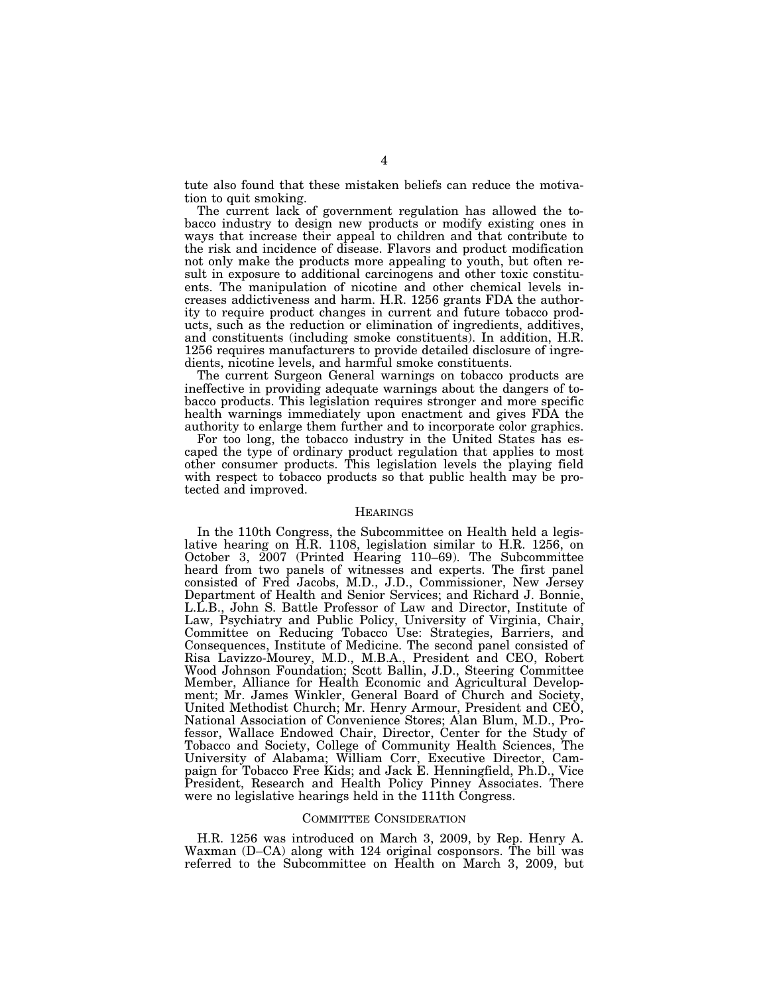tute also found that these mistaken beliefs can reduce the motivation to quit smoking.

The current lack of government regulation has allowed the tobacco industry to design new products or modify existing ones in ways that increase their appeal to children and that contribute to the risk and incidence of disease. Flavors and product modification not only make the products more appealing to youth, but often result in exposure to additional carcinogens and other toxic constituents. The manipulation of nicotine and other chemical levels increases addictiveness and harm. H.R. 1256 grants FDA the authority to require product changes in current and future tobacco products, such as the reduction or elimination of ingredients, additives, and constituents (including smoke constituents). In addition, H.R. 1256 requires manufacturers to provide detailed disclosure of ingredients, nicotine levels, and harmful smoke constituents.

The current Surgeon General warnings on tobacco products are ineffective in providing adequate warnings about the dangers of tobacco products. This legislation requires stronger and more specific health warnings immediately upon enactment and gives FDA the authority to enlarge them further and to incorporate color graphics.

For too long, the tobacco industry in the United States has escaped the type of ordinary product regulation that applies to most other consumer products. This legislation levels the playing field with respect to tobacco products so that public health may be protected and improved.

#### **HEARINGS**

In the 110th Congress, the Subcommittee on Health held a legislative hearing on H.R. 1108, legislation similar to H.R. 1256, on October 3, 2007 (Printed Hearing 110–69). The Subcommittee heard from two panels of witnesses and experts. The first panel consisted of Fred Jacobs, M.D., J.D., Commissioner, New Jersey Department of Health and Senior Services; and Richard J. Bonnie, L.L.B., John S. Battle Professor of Law and Director, Institute of Law, Psychiatry and Public Policy, University of Virginia, Chair, Committee on Reducing Tobacco Use: Strategies, Barriers, and Consequences, Institute of Medicine. The second panel consisted of Risa Lavizzo-Mourey, M.D., M.B.A., President and CEO, Robert Wood Johnson Foundation; Scott Ballin, J.D., Steering Committee Member, Alliance for Health Economic and Agricultural Development; Mr. James Winkler, General Board of Church and Society, United Methodist Church; Mr. Henry Armour, President and CEO, National Association of Convenience Stores; Alan Blum, M.D., Professor, Wallace Endowed Chair, Director, Center for the Study of Tobacco and Society, College of Community Health Sciences, The University of Alabama; William Corr, Executive Director, Campaign for Tobacco Free Kids; and Jack E. Henningfield, Ph.D., Vice President, Research and Health Policy Pinney Associates. There were no legislative hearings held in the 111th Congress.

#### COMMITTEE CONSIDERATION

H.R. 1256 was introduced on March 3, 2009, by Rep. Henry A. Waxman (D–CA) along with 124 original cosponsors. The bill was referred to the Subcommittee on Health on March 3, 2009, but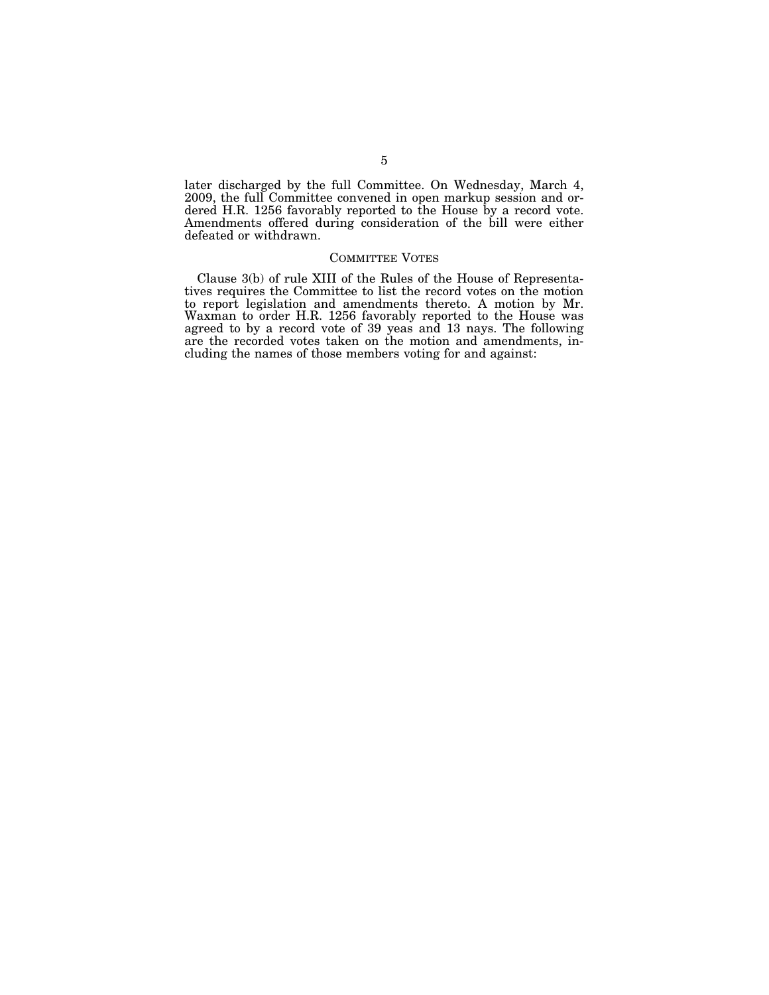later discharged by the full Committee. On Wednesday, March 4, 2009, the full Committee convened in open markup session and ordered H.R. 1256 favorably reported to the House by a record vote. Amendments offered during consideration of the bill were either defeated or withdrawn.

#### COMMITTEE VOTES

Clause 3(b) of rule XIII of the Rules of the House of Representatives requires the Committee to list the record votes on the motion to report legislation and amendments thereto. A motion by Mr. Waxman to order H.R. 1256 favorably reported to the House was agreed to by a record vote of 39 yeas and 13 nays. The following are the recorded votes taken on the motion and amendments, including the names of those members voting for and against: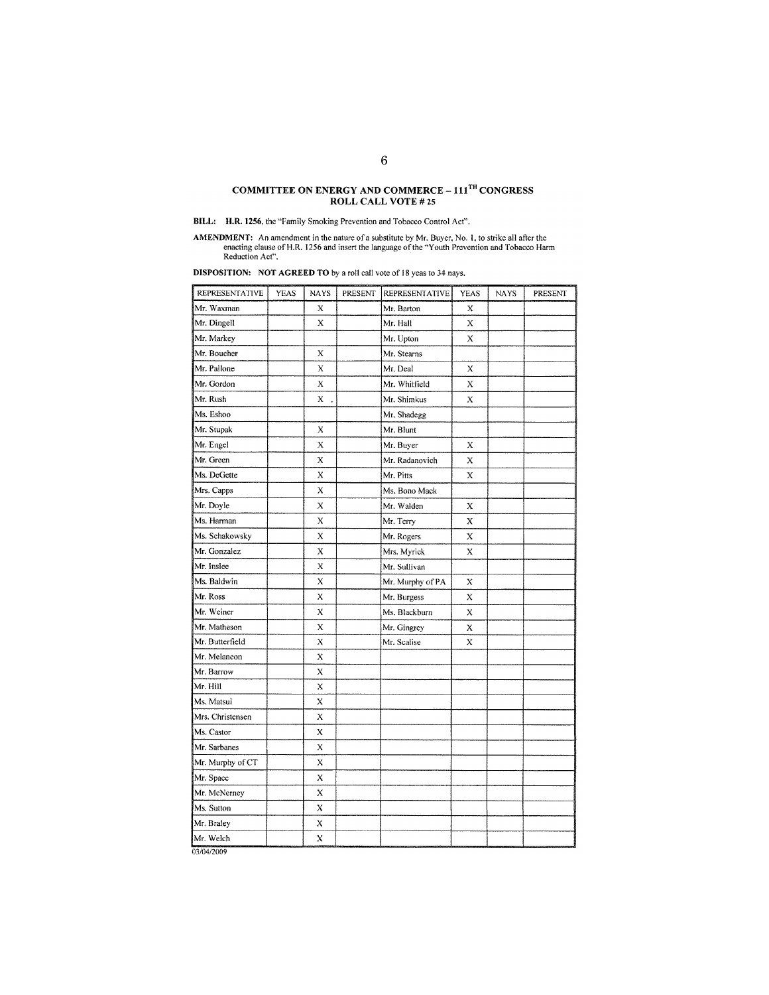BILL: H.R. 1256, the "Family Smoking Prevention and Tobacco Control Act".

**AMENDMENT:** An amendment in the nature of a substitute by Mr. Buyer, No. 1, to strike all after the enacting clause of H.R. 1256 and insert the language of the "Youth Prevention and Tobacco Harm Reduction Act".

**DISPOSITION:** NOT AGREED TO by a roll call vote of 18 yeas to 34 nays.

| <b>REPRESENTATIVE</b> | <b>YEAS</b> | <b>NAYS</b> | PRESENT | <b>REPRESENTATIVE</b> | YEAS | <b>NAYS</b> | PRESENT |
|-----------------------|-------------|-------------|---------|-----------------------|------|-------------|---------|
| Mr. Waxman            |             | X           |         | Mr. Barton            | x    |             |         |
| Mr. Dingell           |             | $\mathbf x$ |         | Mr. Hall              | X    |             |         |
| Mr. Markey            |             |             |         | Mr. Upton             | X    |             |         |
| Mr. Boucher           |             | X           |         | Mr. Stearns           |      |             |         |
| Mr. Pallone           |             | X           |         | Mr. Deal              | X    |             |         |
| Mr. Gordon            |             | X           |         | Mr. Whitfield         | X    |             |         |
| Mr. Rush              |             | X           |         | Mr. Shimkus           | X    |             |         |
| Ms. Eshoo             |             |             |         | Mr. Shadegg           |      |             |         |
| Mr. Stupak            |             | X           |         | Mr. Blunt             |      |             |         |
| Mr. Engel             |             | X           |         | Mr. Buyer             | Х    |             |         |
| Mr. Green             |             | X           |         | Mr. Radanovich        | X    |             |         |
| Ms. DeGette           |             | X           |         | Mr. Pitts             | X    |             |         |
| Mrs. Capps            |             | X           |         | Ms. Bono Mack         |      |             |         |
| Mr. Doyle             |             | х           |         | Mr. Walden            | X    |             |         |
| Ms. Harman            |             | X           |         | Mr. Terry             | X    |             |         |
| Ms. Schakowsky        |             | x           |         | Mr. Rogers            | X    |             |         |
| Mr. Gonzalez          |             | Χ           |         | Mrs. Myrick           | X    |             |         |
| Mr. Inslee            |             | X           |         | Mr. Sullivan          |      |             |         |
| Ms. Baldwin           |             | X           |         | Mr. Murphy of PA      | X    |             |         |
| Mr. Ross              |             | X           |         | Mr. Burgess           | X    |             |         |
| Mr. Weiner            |             | X           |         | Ms. Blackburn         | X    |             |         |
| Mr. Matheson          |             | X           |         | Mr. Gingrey           | X    |             |         |
| Mr. Butterfield       |             | X           |         | Mr. Scalise           | X    |             |         |
| Mr. Melancon          |             | X           |         |                       |      |             |         |
| Mr. Barrow            |             | X           |         |                       |      |             |         |
| Mr. Hill              |             | X           |         |                       |      |             |         |
| Ms. Matsui            |             | х           |         |                       |      |             |         |
| Mrs. Christensen      |             | х           |         |                       |      |             |         |
| Ms. Castor            |             | X           |         |                       |      |             |         |
| Mr. Sarbanes          |             | X           |         |                       |      |             |         |
| Mr. Murphy of CT      |             | X           |         |                       |      |             |         |
| Mr. Space             |             | X           |         |                       |      |             |         |
| Mr. McNerney          |             | X           |         |                       |      |             |         |
| Ms. Sutton            |             | X           |         |                       |      |             |         |
| Mr. Brałey            |             | X           |         |                       |      |             |         |
| Mr. Welch             |             | X           |         |                       |      |             |         |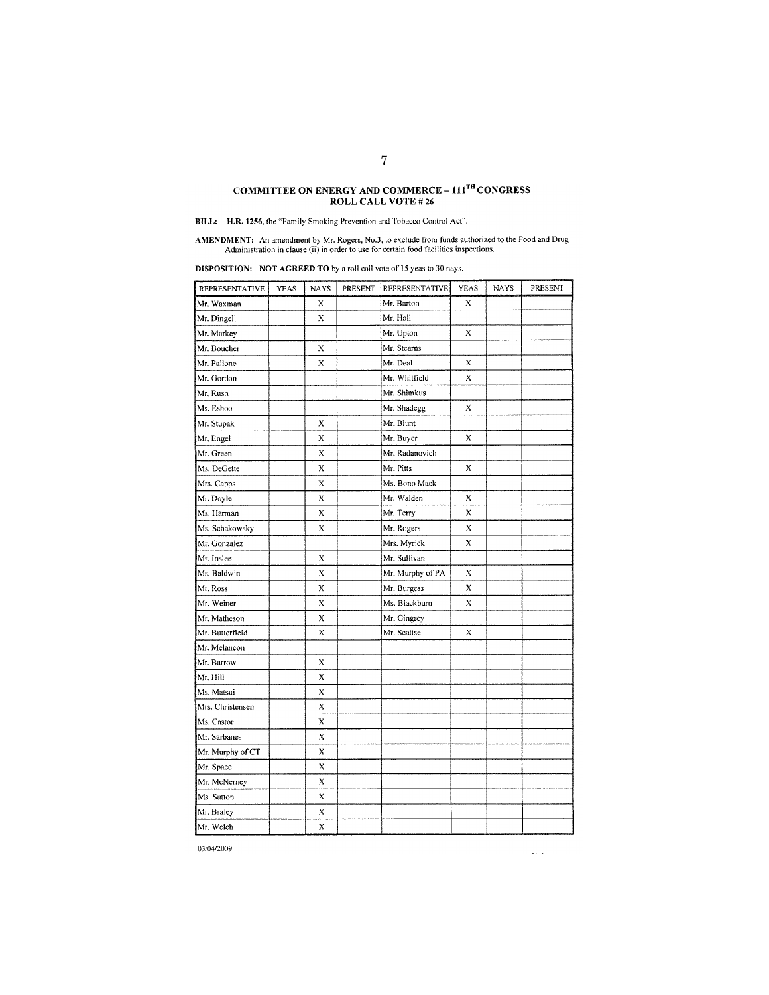BILL: H.R. 1256, the "Family Smoking Prevention and Tobacco Control Act".

AMENDMENT: An amendment by Mr. Rogers, No.3, to exclude from funds authorized to the Food and Drug Administration in clause (ii) in order to use for certain food facilities inspections.

PRESENT REPRESENTATIVE **YEAS NAYS** PRESENT REPRESENTATIVE **YEAS NAYS** Mr. Waxman  $\overline{\mathbf{x}}$ Mr. Barton  $\overline{\mathbf{x}}$ Mr. Hall Mr. Dingell  $\mathbf X$ Mr. Upton  $\overline{\mathbf{x}}$ Mr. Markey Mr. Boucher  $\mathbf x$ Mr. Stearns Mr. Pallone  $\overline{\mathbf{x}}$ Mr. Deal  $\overline{\mathbf{x}}$ Mr. Gordon Mr. Whitfield  $\mathbf X$ Mr. Rush Mr. Shimkus Ms. Eshoo Mr. Shadegg  $\mathbf x$  $\overline{\mathbf{x}}$ Mr. Blunt Mr. Stupak Mr. Engel  $\bar{\mathbf{X}}$ Mr. Buyer  $\mathbf X$  $\overline{\mathbf{x}}$ Mr. Radanovich Mr. Green Ms. DeGette  $\mathbf X$ Mr. Pitts  $\mathbf X$ Ms. Bono Mack Mrs. Capps  $\overline{\mathbf{x}}$ Mr. Doyle  $\mathbf X$ Mr. Walden  $\bar{\mathbf{x}}$ Ms. Harman  $\mathbf x$ Mr. Terry  $\bar{\mathbf{X}}$ Ms. Schakowsky  $\bar{X}$ Mr. Rogers  $\bar{\mathbf{x}}$  $\overline{\mathbf{x}}$ Mr. Gonzalez Mrs. Myrick Mr. Inslee  $\bar{\mathbf{x}}$ Mr. Sullivan Mr. Murphy of PA Ms. Baldwin  $\mathbf x$  $\mathbf X$ Mr. Ross  $\overline{x}$  $\overline{\mathbf{x}}$ Mr. Burgess Mr. Weiner  $\mathbf X$ Ms. Blackburn  $\overline{\mathbf{x}}$ Mr. Matheson  $\mathbf X$ Mr. Gingrey Mr. Butterfield  $\mathbf x$ Mr. Scalise  $\mathbf X$ Mr. Melancon Mr. Barrow  $\mathbf X$ Mr. Hill  $\bar{X}$  $\overline{\mathbf{x}}$ Ms. Matsui Mrs. Christensen  $\bar{\mathbf{X}}$  $\overline{\mathbf{x}}$ Ms. Castor Mr. Sarbanes  $\mathbf x$ Mr. Murphy of CT  $\mathbf X$ Mr. Space  $\overline{\mathbf{x}}$ Mr. McNerney  $\bar{\mathbf{X}}$  $\bar{X}$ Ms. Sutton Mr. Braley  $\mathbf X$ Mr. Welch  $\mathbf{x}$ 

**DISPOSITION:** NOT AGREED TO by a roll call vote of 15 yeas to 30 nays.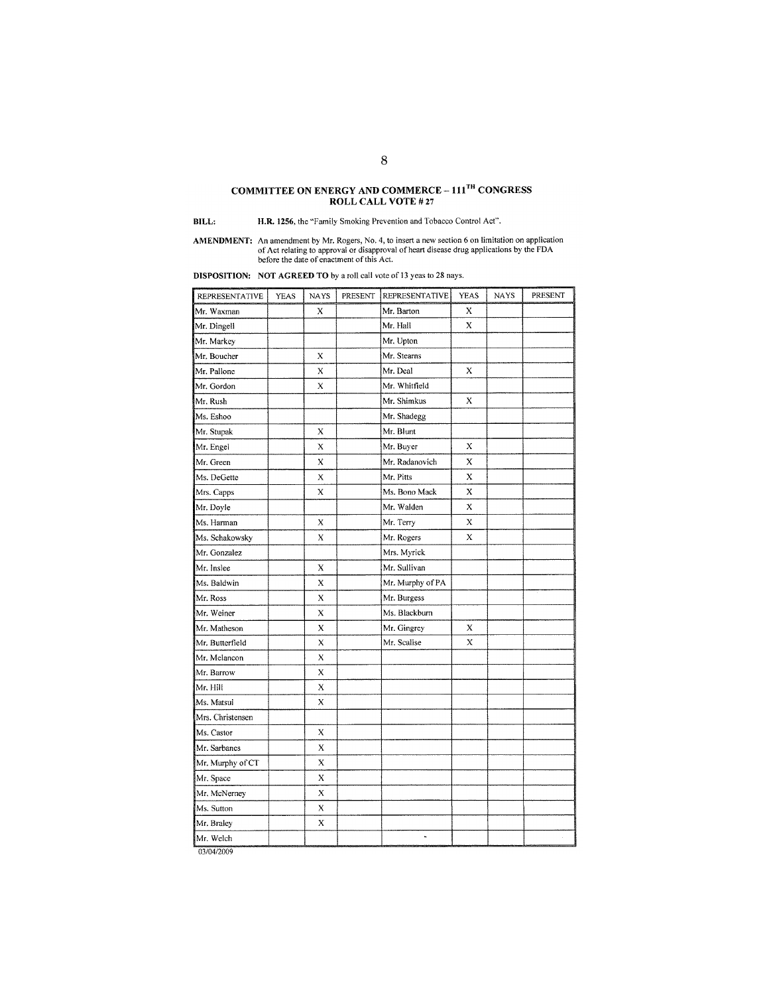BILL: H.R. 1256, the "Family Smoking Prevention and Tobacco Control Act".

**AMENDMENT:** An amendment by Mr. Rogers, No. 4, to insert a new section 6 on limitation on application of Act relating to approval or disapproval of heart disease drug applications by the FDA before the date of enactment o

**DISPOSITION:** NOT AGREED TO by a roll call vote of 13 yeas to 28 nays.

| <b>REPRESENTATIVE</b> | <b>YEAS</b> | <b>NAYS</b> | PRESENT | <b>REPRESENTATIVE</b> | <b>YEAS</b> | <b>NAYS</b> | <b>PRESENT</b> |
|-----------------------|-------------|-------------|---------|-----------------------|-------------|-------------|----------------|
| Mr. Waxman            |             | X           |         | Mr. Barton            | X           |             |                |
| Mr. Dingell           |             |             |         | Mr. Hall              | х           |             |                |
| Mr. Markey            |             |             |         | Mr. Upton             |             |             |                |
| Mr. Boucher           |             | X           |         | Mr. Stearns           |             |             |                |
| Mr. Pallone           |             | X           |         | Mr. Deal              | X           |             |                |
| Mr. Gordon            |             | X           |         | Mr. Whitfield         |             |             |                |
| Mr. Rush              |             |             |         | Mr. Shimkus           | X           |             |                |
| Ms. Eshoo             |             |             |         | Mr. Shadegg           |             |             |                |
| Mr. Stupak            |             | X           |         | Mr. Blunt             |             |             |                |
| Mr. Engel             |             | X           |         | Mr. Buyer             | Х           |             |                |
| Mr. Green             |             | X           |         | Mr. Radanovich        | X           |             |                |
| Ms. DeGette           |             | X           |         | Mr. Pitts             | X           |             |                |
| Mrs. Capps            |             | X           |         | Ms. Bono Mack         | X           |             |                |
| Mr. Doyle             |             |             |         | Mr. Walden            | X           |             |                |
| Ms. Harman            |             | X           |         | Mr. Terry             | X           |             |                |
| Ms. Schakowsky        |             | X           |         | Mr. Rogers            | X           |             |                |
| Mr. Gonzalez          |             |             |         | Mrs. Myrick           |             |             |                |
| Mr. Inslee            |             | х           |         | Mr. Sullivan          |             |             |                |
| Ms. Baldwin           |             | X           |         | Mr. Murphy of PA      |             |             |                |
| Mr. Ross              |             | X           |         | Mr. Burgess           |             |             |                |
| Mr. Weiner            |             | Х           |         | Ms. Blackburn         |             |             |                |
| Mr. Matheson          |             | X           |         | Mr. Gingrey           | Х           |             |                |
| Mr. Butterfield       |             | X           |         | Mr. Scalise           | X           |             |                |
| Mr. Melancon          |             | X           |         |                       |             |             |                |
| Mr. Barrow            |             | х           |         |                       |             |             |                |
| Mr. Hill              |             | X           |         |                       |             |             |                |
| Ms. Matsui            |             | X           |         |                       |             |             |                |
| Mrs. Christensen      |             |             |         |                       |             |             |                |
| Ms. Castor            |             | X           |         |                       |             |             |                |
| Mr. Sarbanes          |             | Χ           |         |                       |             |             |                |
| Mr. Murphy of CT      |             | X           |         |                       |             |             |                |
| Mr. Space             |             | X           |         |                       |             |             |                |
| Mr. McNerney          |             | X           |         |                       |             |             |                |
| Ms. Sutton            |             | X           |         |                       |             |             |                |
| Mr. Braley            |             | X           |         |                       |             |             |                |
| Mr. Welch             |             |             |         | $\cdot$               |             |             |                |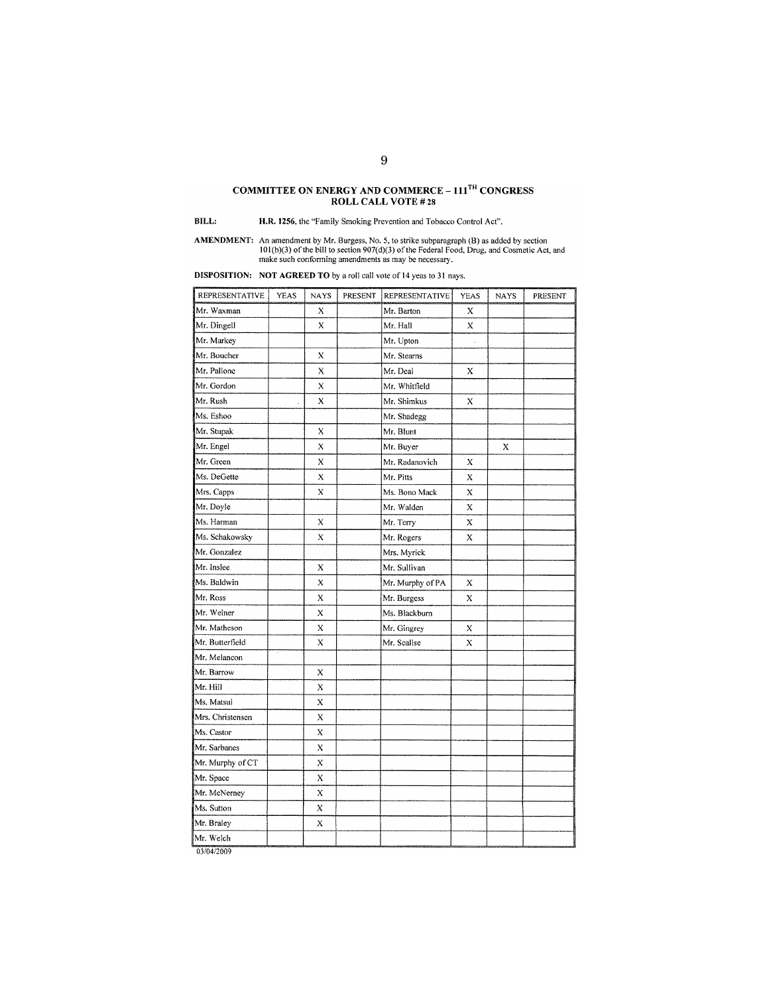**BILL:** H.R. 1256, the "Family Smoking Prevention and Tobacco Control Act".

**AMENDMENT:** An amendment by Mr. Burgess, No. 5, to strike subparagraph (B) as added by section  $101(b)(3)$  of the bill to section  $907(d)(3)$  of the Federal Food, Drug, and Cosmetic Act, and make such conforming amendments a

**DISPOSITION:** NOT AGREED TO by a roll call vote of 14 yeas to 31 nays.

| <b>REPRESENTATIVE</b> | YEAS | <b>NAYS</b> | PRESENT | <b>REPRESENTATIVE</b> | <b>YEAS</b> | <b>NAYS</b> | PRESENT |
|-----------------------|------|-------------|---------|-----------------------|-------------|-------------|---------|
| Mr. Waxman            |      | X           |         | Mr. Barton            | X           |             |         |
| Mr. Dingell           |      | X           |         | Mr. Hall              | X           |             |         |
| Mr. Markey            |      |             |         | Mr. Upton             | $\epsilon$  |             |         |
| Mr. Boucher           |      | х           |         | Mr. Stearns           |             |             |         |
| Mr. Pallone           |      | Х           |         | Mr. Deal              | x           |             |         |
| Mr. Gordon            |      | X           |         | Mr. Whitfield         |             |             |         |
| Mr. Rush              |      | X           |         | Mr. Shimkus           | X           |             |         |
| Ms. Eshoo             |      |             |         | Mr. Shadegg           |             |             |         |
| Mr. Stupak            |      | Х           |         | Mr. Blunt             |             |             |         |
| Mr. Engel             |      | X           |         | Mr. Buyer             |             | X           |         |
| Mr. Green             |      | X           |         | Mr. Radanovich        | X           |             |         |
| Ms. DeGette           |      | Х           |         | Mr. Pitts             | x           |             |         |
| Mrs. Capps            |      | X           |         | Ms. Bono Mack         | $\bf{x}$    |             |         |
| Mr. Doyle             |      |             |         | Mr. Walden            | X           |             |         |
| Ms. Harman            |      | X           |         | Mr. Terry             | X           |             |         |
| Ms. Schakowsky        |      | X           |         | Mr. Rogers            | X           |             |         |
| Mr. Gonzalez          |      |             |         | Mrs. Myrick           |             |             |         |
| Mr. Inslee            |      | x           |         | Mr. Sullivan          |             |             |         |
| Ms. Baldwin           |      | X           |         | Mr. Murphy of PA      | X           |             |         |
| Mr. Ross              |      | X           |         | Mr. Burgess           | X           |             |         |
| Mr. Weiner            |      | X           |         | Ms. Blackburn         |             |             |         |
| Mr. Matheson          |      | X           |         | Mr. Gingrey           | X           |             |         |
| Mr. Butterfield       |      | X           |         | Mr. Scalise           | X           |             |         |
| Mr. Melancon          |      |             |         |                       |             |             |         |
| Mr. Barrow            |      | x           |         |                       |             |             |         |
| Mr. Hill              |      | X           |         |                       |             |             |         |
| Ms. Matsui            |      | X           |         |                       |             |             |         |
| Mrs. Christensen      |      | X           |         |                       |             |             |         |
| Ms. Castor            |      | X           |         |                       |             |             |         |
| Mr. Sarbanes          |      | Х           |         |                       |             |             |         |
| Mr. Murphy of CT      |      | X           |         |                       |             |             |         |
| Mr. Space             |      | X           |         |                       |             |             |         |
| Mr. McNerney          |      | X           |         |                       |             |             |         |
| Ms. Sutton            |      | X           |         |                       |             |             |         |
| Mr. Braley            |      | X           |         |                       |             |             |         |
| Mr. Welch             |      |             |         |                       |             |             |         |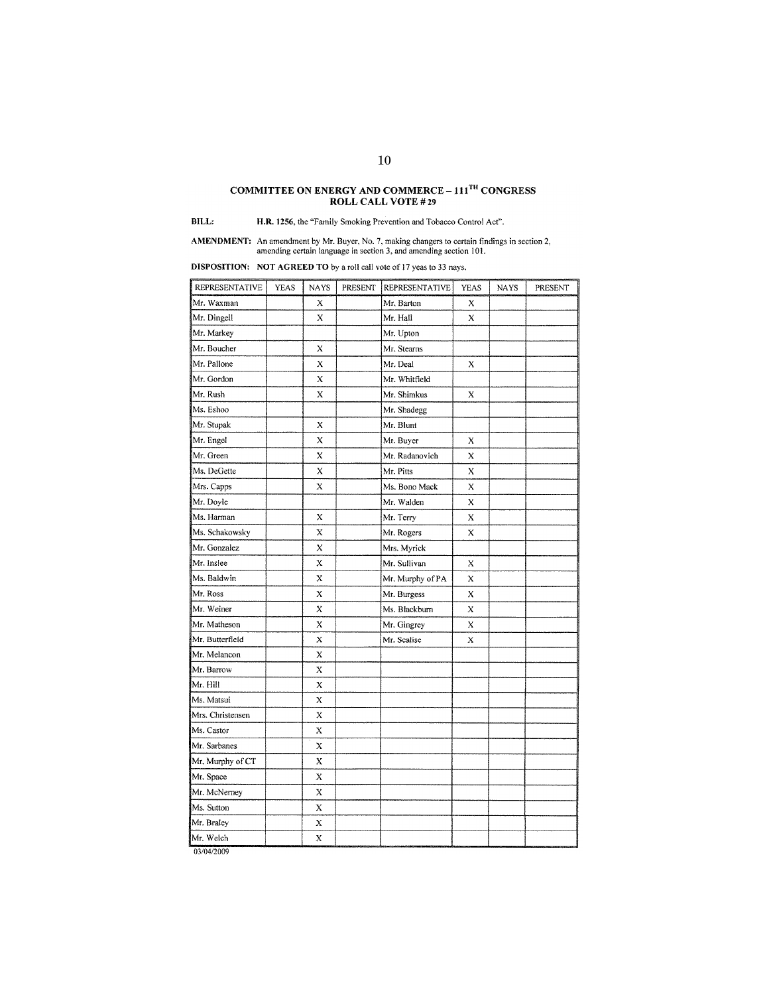BILL: H.R. 1256, the "Family Smoking Prevention and Tobacco Control Act".

**AMENDMENT:** An amendment by Mr. Buyer, No. 7, making changers to certain findings in section 2, amending certain language in section 3, and amending section  $101$ .

**DISPOSITION:** NOT AGREED TO by a roll call vote of 17 yeas to 33 nays.

| REPRESENTATIVE   | <b>YEAS</b> | NAYS | PRESENT | <b>REPRESENTATIVE</b> | <b>YEAS</b> | <b>NAYS</b> | PRESENT |
|------------------|-------------|------|---------|-----------------------|-------------|-------------|---------|
| Mr. Waxman       |             | x    |         | Mr. Barton            | X           |             |         |
| Mr. Dingell      |             | X    |         | Mr. Hall              | X           |             |         |
| Mr. Markey       |             |      |         | Mr. Upton             |             |             |         |
| Mr. Boucher      |             | X    |         | Mr. Stearns           |             |             |         |
| Mr. Pallone      |             | X    |         | Mr. Deal              | X           |             |         |
| Mr. Gordon       |             | X    |         | Mr. Whitfield         |             |             |         |
| Mr. Rush         |             | X    |         | Mr. Shimkus           | x           |             |         |
| Ms. Eshoo        |             |      |         | Mr. Shadegg           |             |             |         |
| Mr. Stupak       |             | х    |         | Mr. Blunt             |             |             |         |
| Mr. Engel        |             | X    |         | Mr. Buyer             | X           |             |         |
| Mr. Green        |             | X    |         | Mr. Radanovich        | X           |             |         |
| Ms. DeGette      |             | X    |         | Mr. Pitts             | X           |             |         |
| Mrs. Capps       |             | X    |         | Ms. Bono Mack         | х           |             |         |
| Mr. Doyle        |             |      |         | Mr. Walden            | X           |             |         |
| Ms. Harman       |             | X    |         | Mr. Terry             | X           |             |         |
| Ms. Schakowsky   |             | Х    |         | Mr. Rogers            | Х           |             |         |
| Mr. Gonzalez     |             | X    |         | Mrs. Myrick           |             |             |         |
| Mr. Inslee       |             | X    |         | Mr. Sullivan          | X           |             |         |
| Ms. Baldwin      |             | X    |         | Mr. Murphy of PA      | X           |             |         |
| Mr. Ross         |             | x    |         | Mr. Burgess           | x           |             |         |
| Mr. Weiner       |             | X    |         | Ms. Blackburn         | X           |             |         |
| Mr. Matheson     |             | X    |         | Mr. Gingrey           | X           |             |         |
| Mr. Butterfield  |             | X    |         | Mr. Scalise           | X           |             |         |
| Mr. Melancon     |             | X    |         |                       |             |             |         |
| Mr. Barrow       |             | X    |         |                       |             |             |         |
| Mr. Hill         |             | X    |         |                       |             |             |         |
| Ms. Matsui       |             | X    |         |                       |             |             |         |
| Mrs. Christensen |             | х    |         |                       |             |             |         |
| Ms. Castor       |             | X    |         |                       |             |             |         |
| Mr. Sarbanes     |             | X    |         |                       |             |             |         |
| Mr. Murphy of CT |             | X    |         |                       |             |             |         |
| Mr. Space        |             | X    |         |                       |             |             |         |
| Mr. McNerney     |             | X    |         |                       |             |             |         |
| Ms. Sutton       |             | X    |         |                       |             |             |         |
| Mr. Braley       |             | X    |         |                       |             |             |         |
| Mr. Welch        |             | X    |         |                       |             |             |         |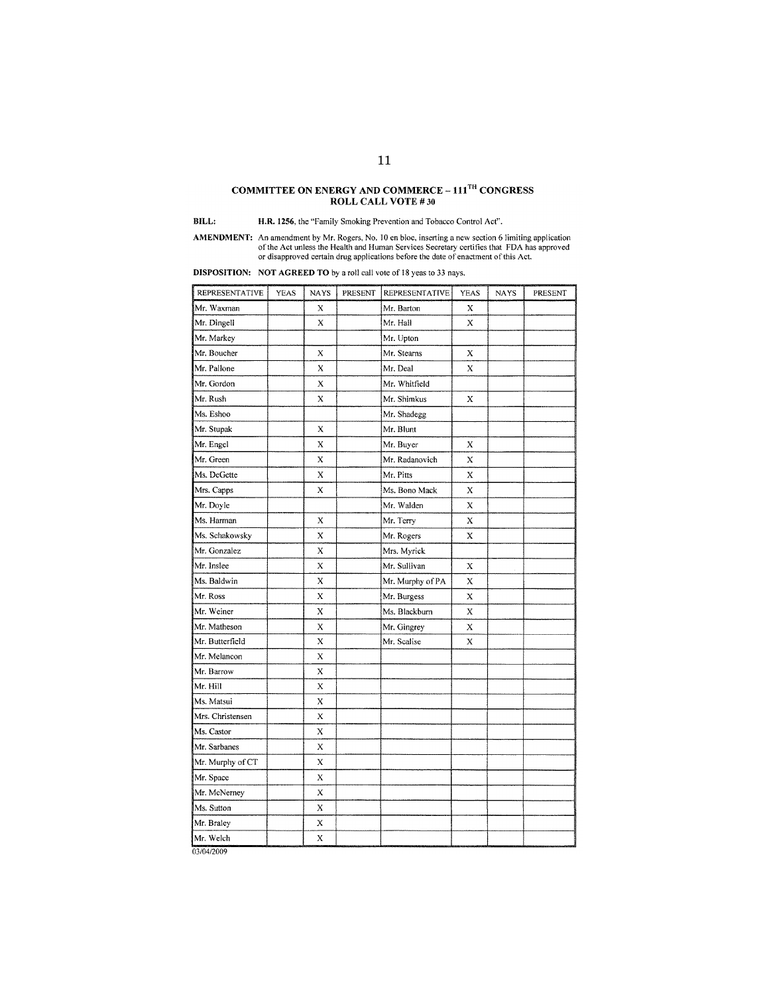H.R. 1256, the "Family Smoking Prevention and Tobacco Control Act". BILL:

**AMENDMENT:** An amendment by Mr. Rogers, No. 10 en bloc, inserting a new section 6 limiting application of the Act unless the Health and Human Services Secretary certifies that FDA has approved or disapproved certain drug

**DISPOSITION:** NOT AGREED TO by a roll call vote of 18 yeas to 33 nays.

| <b>REPRESENTATIVE</b> | YEAS | <b>NAYS</b> | PRESENT | <b>REPRESENTATIVE</b> | <b>YEAS</b> | <b>NAYS</b> | PRESENT |
|-----------------------|------|-------------|---------|-----------------------|-------------|-------------|---------|
| Mr. Waxman            |      | X           |         | Mr. Barton            | X           |             |         |
| Mr. Dingell           |      | X           |         | Mr. Hall              | X           |             |         |
| Mr. Markey            |      |             |         | Mr. Upton             |             |             |         |
| Mr. Boucher           |      | X           |         | Mr. Stearns           | Х           |             |         |
| Mr. Pallone           |      | X           |         | Mr. Deal              | X           |             |         |
| Mr. Gordon            |      | X           |         | Mr. Whitfield         |             |             |         |
| Mr. Rush              |      | X           |         | Mr. Shimkus           | Х           |             |         |
| Ms. Eshoo             |      |             |         | Mr. Shadegg           |             |             |         |
| Mr. Stupak            |      | X           |         | Mr. Blunt             |             |             |         |
| Mr. Engel             |      | X           |         | Mr. Buyer             | X           |             |         |
| Mr. Green             |      | X           |         | Mr. Radanovich        | Х           |             |         |
| Ms. DeGette           |      | X           |         | Mr. Pitts             | X           |             |         |
| Mrs. Capps            |      | X           |         | Ms. Bono Mack         | X           |             |         |
| Mr. Doyle             |      |             |         | Mr. Walden            | X           |             |         |
| Ms. Harman            |      | X           |         | Mr. Terry             | X           |             |         |
| Ms. Schakowsky        |      | X           |         | Mr. Rogers            | X           |             |         |
| Mr. Gonzalez          |      | X           |         | Mrs. Myrick           |             |             |         |
| Mr. Inslee            |      | х           |         | Mr. Sullivan          | X           |             |         |
| Ms. Baldwin           |      | X           |         | Mr. Murphy of PA      | Х           |             |         |
| Mr. Ross              |      | X           |         | Mr. Burgess           | X           |             |         |
| Mr. Weiner            |      | X           |         | Ms. Blackburn         | X           |             |         |
| Mr. Matheson          |      | X           |         | Mr. Gingrey           | X           |             |         |
| Mr. Butterfield       |      | X           |         | Mr. Scalise           | х           |             |         |
| Mr. Melancon          |      | X           |         |                       |             |             |         |
| Mr. Barrow            |      | X           |         |                       |             |             |         |
| Mr. Hill              |      | X           |         |                       |             |             |         |
| Ms. Matsui            |      | X           |         |                       |             |             |         |
| Mrs. Christensen      |      | X           |         |                       |             |             |         |
| Ms. Castor            |      | X           |         |                       |             |             |         |
| Mr. Sarbanes          |      | Х           |         |                       |             |             |         |
| Mr. Murphy of CT      |      | X           |         |                       |             |             |         |
| Mr. Space             |      | X           |         |                       |             |             |         |
| Mr. McNerney          |      | X           |         |                       |             |             |         |
| Ms. Sutton            |      | х           |         |                       |             |             |         |
| Mr. Braley            |      | X           |         |                       |             |             |         |
| Mr. Welch             |      | Х           |         |                       |             |             |         |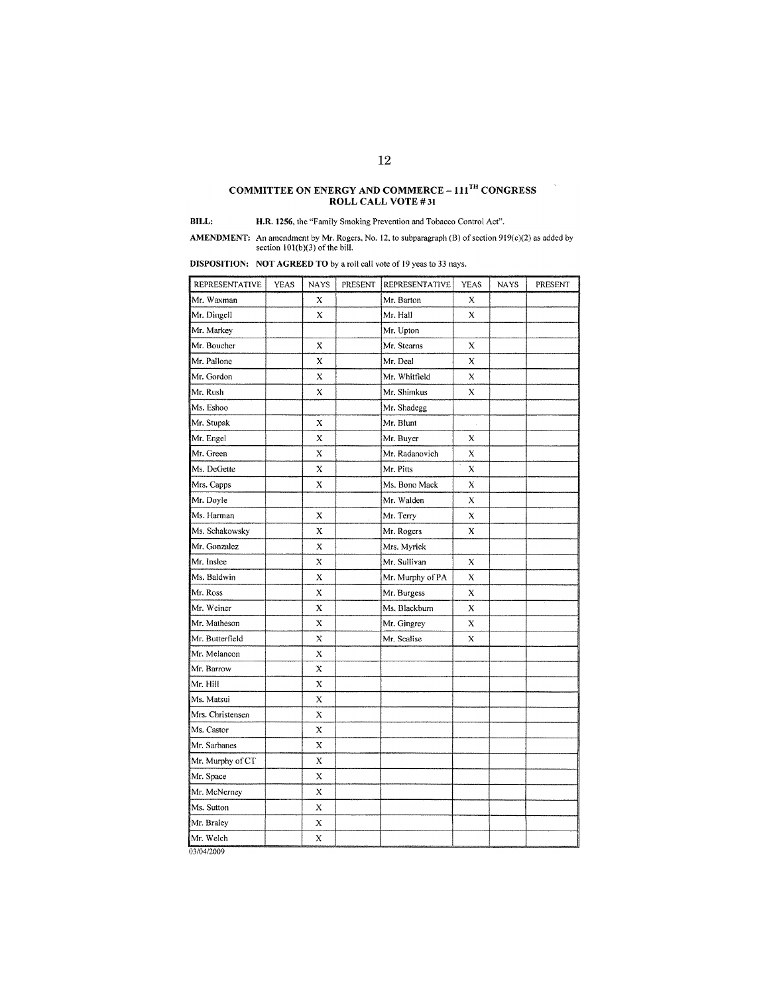H.R. 1256, the "Family Smoking Prevention and Tobacco Control Act". BILL:

**AMENDMENT:** An amendment by Mr. Rogers, No. 12, to subparagraph (B) of section  $919(c)(2)$  as added by section  $101(b)(3)$  of the bill.

**DISPOSITION:** NOT AGREED TO by a roll call vote of 19 yeas to 33 nays.

| REPRESENTATIVE   | YEAS | <b>NAYS</b> | <b>PRESENT</b> | <b>REPRESENTATIVE</b> | <b>YEAS</b>        | NAYS | PRESENT |
|------------------|------|-------------|----------------|-----------------------|--------------------|------|---------|
| Mr. Waxman       |      | X           |                | Mr. Barton            | x                  |      |         |
| Mr. Dingell      |      | $\bf{x}$    |                | Mr. Hall              | X                  |      |         |
| Mr. Markey       |      |             |                | Mr. Upton             |                    |      |         |
| Mr. Boucher      |      | X           |                | Mr. Stearns           | X                  |      |         |
| Mr. Pallone      |      | X           |                | Mr. Deal              | X                  |      |         |
| Mr. Gordon       |      | X           |                | Mr. Whitfield         | X                  |      |         |
| Mr. Rush         |      | X           |                | Mr. Shimkus           | X                  |      |         |
| Ms. Eshoo        |      |             |                | Mr. Shadegg           |                    |      |         |
| Mr. Stupak       |      | X           |                | Mr. Blunt             | $\hat{\mathbf{v}}$ |      |         |
| Mr. Engel        |      | X           |                | Mr. Buyer             | X                  |      |         |
| Mr. Green        |      | X           |                | Mr. Radanovich        | X                  |      |         |
| Ms. DeGette      |      | X           |                | Mr. Pitts             | X                  |      |         |
| Mrs. Capps       |      | Х           |                | Ms. Bono Mack         | X                  |      |         |
| Mr. Doyle        |      |             |                | Mr. Walden            | X                  |      |         |
| Ms. Harman       |      | х           |                | Mr. Terry             | X                  |      |         |
| Ms. Schakowsky   |      | X           |                | Mr. Rogers            | X                  |      |         |
| Mr. Gonzalez     |      | X           |                | Mrs. Myrick           |                    |      |         |
| Mr. Inslee       |      | X           |                | Mr. Sullivan          | Х                  |      |         |
| Ms. Baldwin      |      | Х           |                | Mr. Murphy of PA      | X                  |      |         |
| Mr. Ross         |      | X           |                | Mr. Burgess           | X                  |      |         |
| Mr. Weiner       |      | X           |                | Ms. Blackburn         | X                  |      |         |
| Mr. Matheson     |      | Х           |                | Mr. Gingrey           | X                  |      |         |
| Mr. Butterfield  |      | x           |                | Mr. Scalise           | х                  |      |         |
| Mr. Melancon     |      | X           |                |                       |                    |      |         |
| Mr. Barrow       |      | X           |                |                       |                    |      |         |
| Mr. Hill         |      | x           |                |                       |                    |      |         |
| Ms. Matsui       |      | x           |                |                       |                    |      |         |
| Mrs. Christensen |      | Х           |                |                       |                    |      |         |
| Ms. Castor       |      | X           |                |                       |                    |      |         |
| Mr. Sarbanes     |      | X           |                |                       |                    |      |         |
| Mr. Murphy of CT |      | X           |                |                       |                    |      |         |
| Mr. Space        |      | X           |                |                       |                    |      |         |
| Mr. McNerney     |      | X           |                |                       |                    |      |         |
| Ms. Sutton       |      | X           |                |                       |                    |      |         |
| Mr. Braley       |      | X           |                |                       |                    |      |         |
| Mr. Welch        |      | X           |                |                       |                    |      |         |

03/04/2009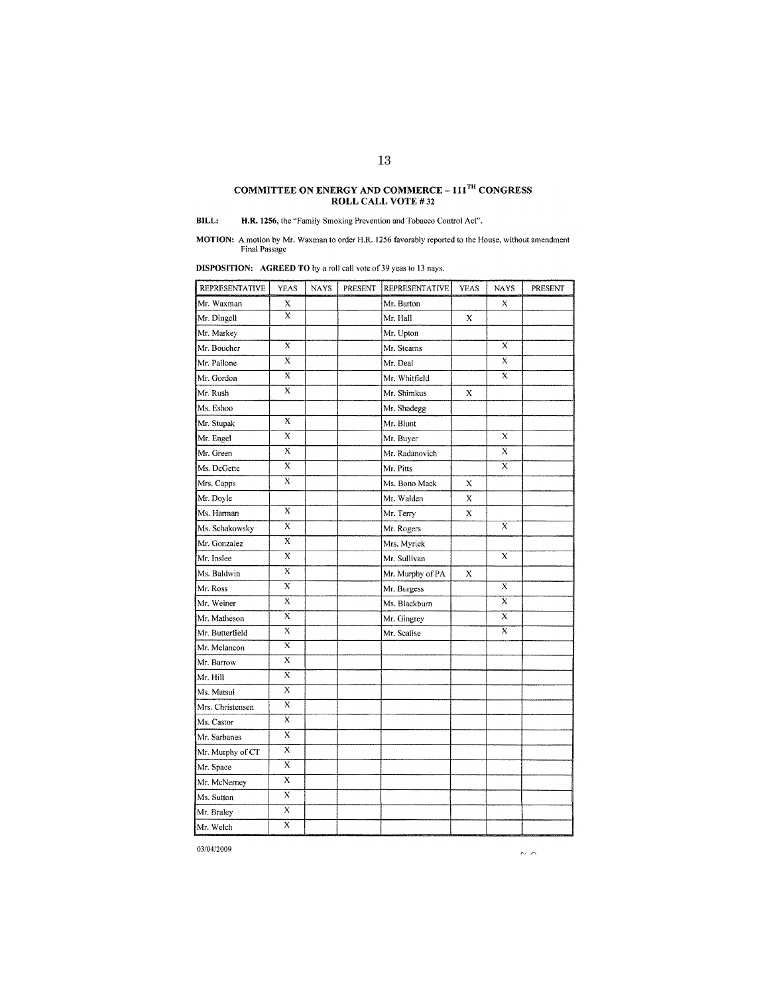BILL: H.R. 1256, the "Family Smoking Prevention and Tobacco Control Act".

MOTION: A motion by Mr. Waxman to order H.R. 1256 favorably reported to the House, without amendment Final Passage

**DISPOSITION:** AGREED TO by a roll call vote of 39 yeas to 13 nays.

| <b>REPRESENTATIVE</b> | YEAS                    | <b>NAYS</b> | PRESENT | <b>REPRESENTATIVE</b> | <b>YEAS</b> | <b>NAYS</b>             | PRESENT |
|-----------------------|-------------------------|-------------|---------|-----------------------|-------------|-------------------------|---------|
| Mr. Waxman            | X                       |             |         | Mr. Barton            |             | X                       |         |
| Mr. Dingell           | $\overline{\mathbf{x}}$ |             |         | Mr. Hall              | X           |                         |         |
| Mr. Markey            |                         |             |         | Mr. Upton             |             |                         |         |
| Mr. Boucher           | X                       |             |         | Mr. Stearns           |             | X                       |         |
| Mr. Pallone           | X                       |             |         | Mr. Deal              |             | X                       |         |
| Mr. Gordon            | X                       |             |         | Mr. Whitfield         |             | $\overline{\mathbf{x}}$ |         |
| Mr. Rush              | x                       |             |         | Mr. Shimkus           | X           |                         |         |
| Ms. Eshoo             |                         |             |         | Mr. Shadegg           |             |                         |         |
| Mr. Stupak            | X                       |             |         | Mr. Blunt             |             |                         |         |
| Mr. Engel             | X                       |             |         | Mr. Buyer             |             | X                       |         |
| Mr. Green             | X                       |             |         | Mr. Radanovich        |             | X                       |         |
| Ms. DeGette           | X                       |             |         | Mr. Pitts             |             | X                       |         |
| Mrs. Capps            | $\overline{\mathbf{x}}$ |             |         | Ms. Bono Mack         | X           |                         |         |
| Mr. Doyle             |                         |             |         | Mr. Walden            | X           |                         |         |
| Ms. Harman            | X                       |             |         | Mr. Terry             | X           |                         |         |
| Ms. Schakowsky        | X                       |             |         | Mr. Rogers            |             | X                       |         |
| Mr. Gonzalez          | X                       |             |         | Mrs. Myrick           |             |                         |         |
| Mr. Inslee            | X                       |             |         | Mr. Sullivan          |             | X                       |         |
| Ms. Baldwin           | $\overline{\mathbf{x}}$ |             |         | Mr. Murphy of PA      | X           |                         |         |
| Mr. Ross              | X                       |             |         | Mr. Burgess           |             | X                       |         |
| Mr. Weiner            | X                       |             |         | Ms. Blackburn         |             | $\mathbf x$             |         |
| Mr. Matheson          | X                       |             |         | Mr. Gingrey           |             | X                       |         |
| Mr. Butterfield       | X                       |             |         | Mr. Scalise           |             | $\overline{\mathbf{x}}$ |         |
| Mr. Melancon          | X                       |             |         |                       |             |                         |         |
| Mr. Barrow            | X                       |             |         |                       |             |                         |         |
| Mr. Hill              | $\overline{\mathbf{x}}$ |             |         |                       |             |                         |         |
| Ms. Matsui            | Х                       |             |         |                       |             |                         |         |
| Mrs. Christensen      | $\overline{\mathbf{x}}$ |             |         |                       |             |                         |         |
| Ms. Castor            | X                       |             |         |                       |             |                         |         |
| Mr. Sarbanes          | X                       |             |         |                       |             |                         |         |
| Mr. Murphy of CT      | $\overline{\mathbf{x}}$ |             |         |                       |             |                         |         |
| Mr. Space             | $\overline{\mathbf{x}}$ |             |         |                       |             |                         |         |
| Mr. McNerney          | X                       |             |         |                       |             |                         |         |
| Ms. Sutton            | $\overline{\textbf{x}}$ |             |         |                       |             |                         |         |
| Mr. Braley            | X                       |             |         |                       |             |                         |         |
| Mr. Welch             | $\overline{\mathbf{x}}$ |             |         |                       |             |                         |         |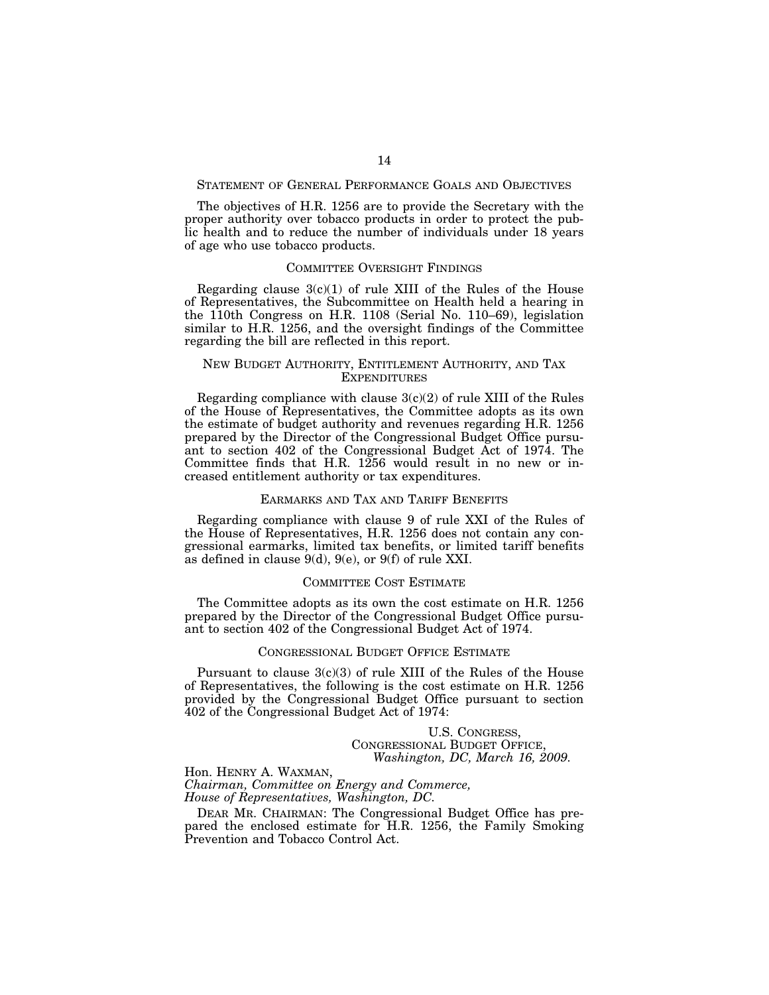STATEMENT OF GENERAL PERFORMANCE GOALS AND OBJECTIVES

The objectives of H.R. 1256 are to provide the Secretary with the proper authority over tobacco products in order to protect the public health and to reduce the number of individuals under 18 years of age who use tobacco products.

#### COMMITTEE OVERSIGHT FINDINGS

Regarding clause  $3(c)(1)$  of rule XIII of the Rules of the House of Representatives, the Subcommittee on Health held a hearing in the 110th Congress on H.R. 1108 (Serial No. 110–69), legislation similar to H.R. 1256, and the oversight findings of the Committee regarding the bill are reflected in this report.

#### NEW BUDGET AUTHORITY, ENTITLEMENT AUTHORITY, AND TAX **EXPENDITURES**

Regarding compliance with clause  $3(c)(2)$  of rule XIII of the Rules of the House of Representatives, the Committee adopts as its own the estimate of budget authority and revenues regarding H.R. 1256 prepared by the Director of the Congressional Budget Office pursuant to section 402 of the Congressional Budget Act of 1974. The Committee finds that H.R. 1256 would result in no new or increased entitlement authority or tax expenditures.

#### EARMARKS AND TAX AND TARIFF BENEFITS

Regarding compliance with clause 9 of rule XXI of the Rules of the House of Representatives, H.R. 1256 does not contain any congressional earmarks, limited tax benefits, or limited tariff benefits as defined in clause 9(d), 9(e), or 9(f) of rule XXI.

#### COMMITTEE COST ESTIMATE

The Committee adopts as its own the cost estimate on H.R. 1256 prepared by the Director of the Congressional Budget Office pursuant to section 402 of the Congressional Budget Act of 1974.

#### CONGRESSIONAL BUDGET OFFICE ESTIMATE

Pursuant to clause  $3(c)(3)$  of rule XIII of the Rules of the House of Representatives, the following is the cost estimate on H.R. 1256 provided by the Congressional Budget Office pursuant to section 402 of the Congressional Budget Act of 1974:

U.S. CONGRESS, CONGRESSIONAL BUDGET OFFICE, *Washington, DC, March 16, 2009.* 

Hon. HENRY A. WAXMAN, *Chairman, Committee on Energy and Commerce, House of Representatives, Washington, DC.* 

DEAR MR. CHAIRMAN: The Congressional Budget Office has prepared the enclosed estimate for H.R. 1256, the Family Smoking Prevention and Tobacco Control Act.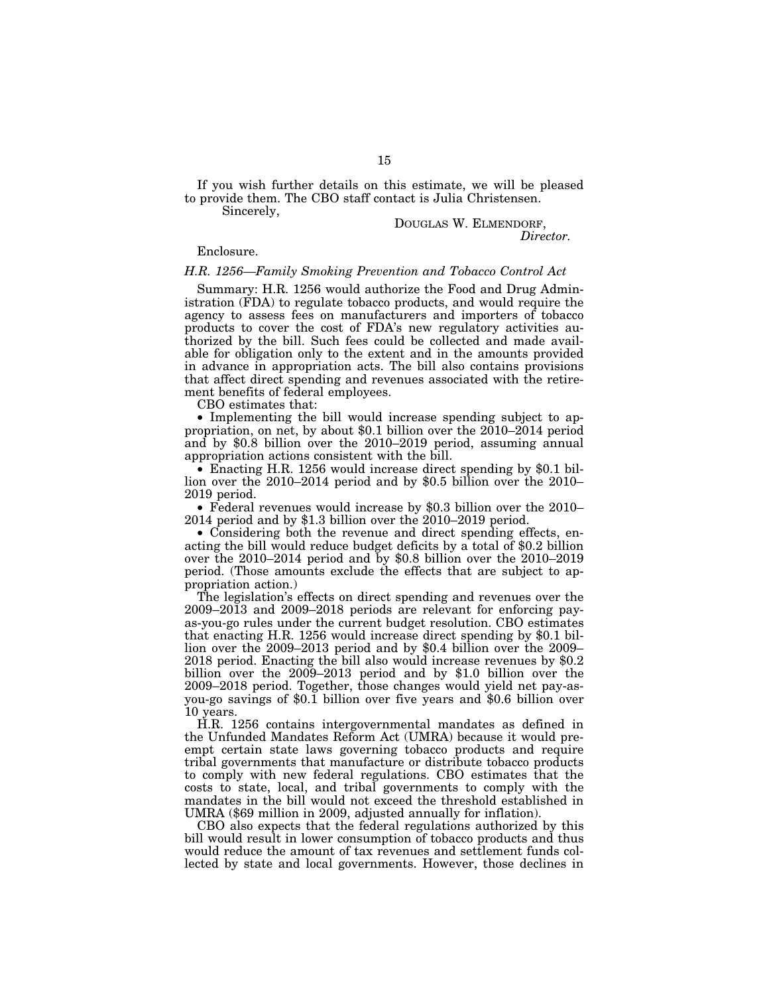If you wish further details on this estimate, we will be pleased to provide them. The CBO staff contact is Julia Christensen.

Sincerely,

DOUGLAS W. ELMENDORF, *Director.* 

Enclosure.

#### *H.R. 1256—Family Smoking Prevention and Tobacco Control Act*

Summary: H.R. 1256 would authorize the Food and Drug Administration (FDA) to regulate tobacco products, and would require the agency to assess fees on manufacturers and importers of tobacco products to cover the cost of FDA's new regulatory activities authorized by the bill. Such fees could be collected and made available for obligation only to the extent and in the amounts provided in advance in appropriation acts. The bill also contains provisions that affect direct spending and revenues associated with the retirement benefits of federal employees.

CBO estimates that:

• Implementing the bill would increase spending subject to appropriation, on net, by about \$0.1 billion over the 2010–2014 period and by \$0.8 billion over the 2010–2019 period, assuming annual appropriation actions consistent with the bill.

• Enacting H.R. 1256 would increase direct spending by \$0.1 billion over the 2010–2014 period and by \$0.5 billion over the 2010– 2019 period.

• Federal revenues would increase by \$0.3 billion over the 2010– 2014 period and by \$1.3 billion over the 2010–2019 period.

• Considering both the revenue and direct spending effects, enacting the bill would reduce budget deficits by a total of \$0.2 billion over the 2010–2014 period and by \$0.8 billion over the 2010–2019 period. (Those amounts exclude the effects that are subject to appropriation action.)

The legislation's effects on direct spending and revenues over the 2009–2013 and 2009–2018 periods are relevant for enforcing payas-you-go rules under the current budget resolution. CBO estimates that enacting H.R. 1256 would increase direct spending by \$0.1 billion over the 2009–2013 period and by \$0.4 billion over the 2009– 2018 period. Enacting the bill also would increase revenues by \$0.2 billion over the 2009–2013 period and by \$1.0 billion over the 2009–2018 period. Together, those changes would yield net pay-asyou-go savings of \$0.1 billion over five years and \$0.6 billion over 10 years.

H.R. 1256 contains intergovernmental mandates as defined in the Unfunded Mandates Reform Act (UMRA) because it would preempt certain state laws governing tobacco products and require tribal governments that manufacture or distribute tobacco products to comply with new federal regulations. CBO estimates that the costs to state, local, and tribal governments to comply with the mandates in the bill would not exceed the threshold established in UMRA (\$69 million in 2009, adjusted annually for inflation).

CBO also expects that the federal regulations authorized by this bill would result in lower consumption of tobacco products and thus would reduce the amount of tax revenues and settlement funds collected by state and local governments. However, those declines in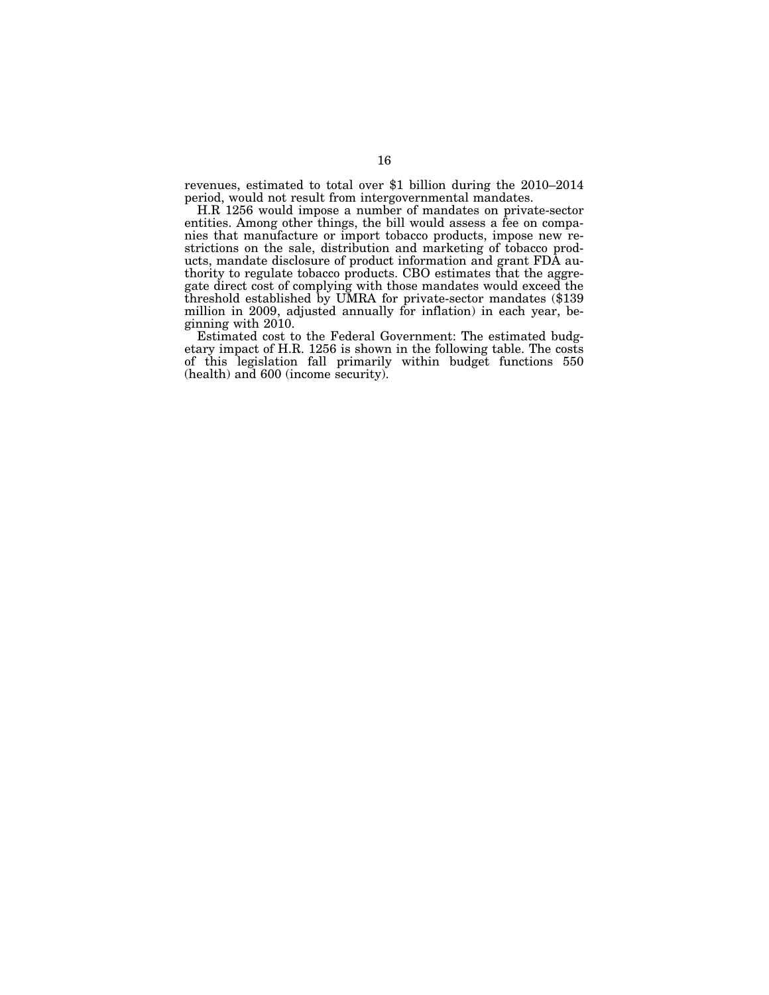revenues, estimated to total over \$1 billion during the 2010–2014 period, would not result from intergovernmental mandates.

H.R 1256 would impose a number of mandates on private-sector entities. Among other things, the bill would assess a fee on companies that manufacture or import tobacco products, impose new restrictions on the sale, distribution and marketing of tobacco products, mandate disclosure of product information and grant FDA authority to regulate tobacco products. CBO estimates that the aggregate direct cost of complying with those mandates would exceed the threshold established by UMRA for private-sector mandates (\$139 million in 2009, adjusted annually for inflation) in each year, beginning with 2010.

Estimated cost to the Federal Government: The estimated budgetary impact of H.R. 1256 is shown in the following table. The costs of this legislation fall primarily within budget functions 550 (health) and 600 (income security).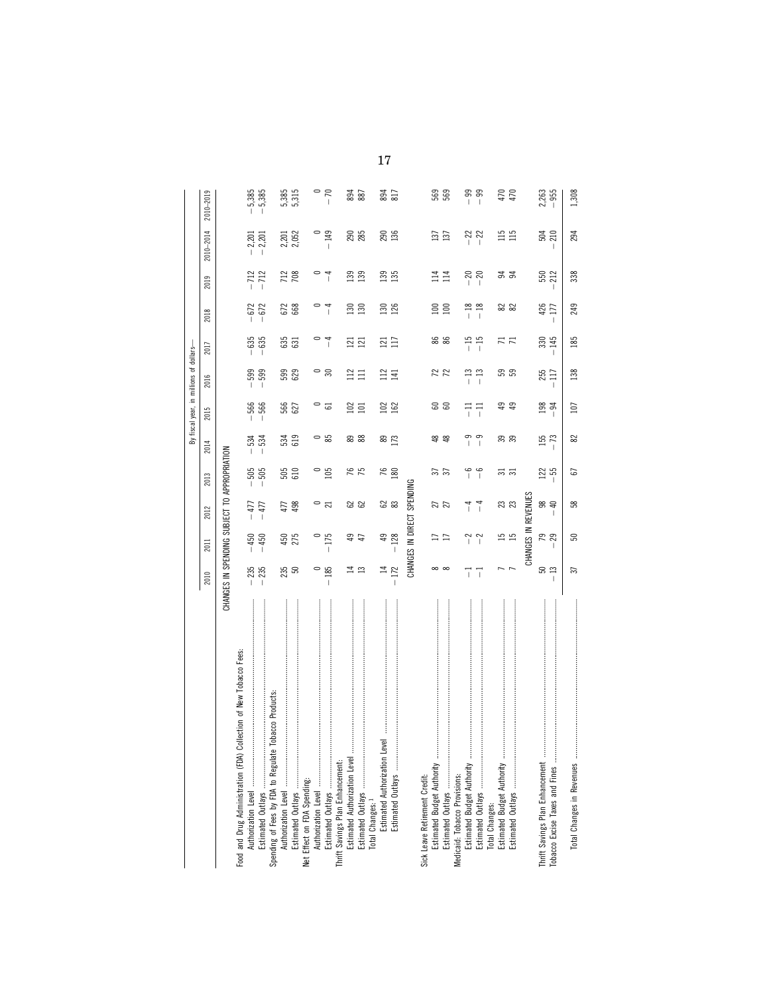|                                                                       |                                              |                 |                            |                  |                          |                       | By fiscal year, in millions of dollars- |                               |               |                  |                |                                   |
|-----------------------------------------------------------------------|----------------------------------------------|-----------------|----------------------------|------------------|--------------------------|-----------------------|-----------------------------------------|-------------------------------|---------------|------------------|----------------|-----------------------------------|
|                                                                       | 2010                                         | 2011            | 2012                       | 2013             | 2014                     | 2015                  | 2016                                    | 2017                          | 2018          | 2019             | 2010-2014      | $2010 - 2019$                     |
|                                                                       | CHANGES IN SPENDING SUBJECT TO APPROPRIATION |                 |                            |                  |                          |                       |                                         |                               |               |                  |                |                                   |
| Collection of New Tobacco Fees:<br>Food and Drug Administration (FDA) |                                              |                 |                            |                  |                          |                       |                                         |                               |               |                  |                |                                   |
|                                                                       | $-235$                                       | $-450$          | $-477$                     | 505              | $-534$                   | $-566$                | 599                                     | $-635$                        | 672           |                  | $-2,201$       | $-5,385$                          |
|                                                                       | $-235$                                       | $-450$          | $-477$                     | 505              | $-534$                   | 566<br>$\overline{1}$ | 599<br>$\mathbf{I}$                     | $-635$                        | $-672$        | $-712$<br>$-712$ | $-2,201$       | $-5,385$                          |
| Tobacco Products:                                                     |                                              |                 |                            |                  |                          |                       |                                         |                               |               |                  |                |                                   |
| Authorization Level                                                   | 235                                          | 450             | 477                        |                  |                          | 566                   |                                         |                               | 672           |                  |                | 5,385                             |
|                                                                       | 50                                           | 275             | 498                        | 505              | 534<br>619               | 627                   | 59<br>629                               | 635<br>631                    | 668           | 712<br>708       | 2,201<br>2,052 | 5,315                             |
| Net Effect on FDA Spending:<br>Authorization Level                    |                                              |                 |                            |                  |                          |                       |                                         |                               |               |                  |                |                                   |
|                                                                       |                                              |                 | $\circ$                    | $\circ$          |                          |                       |                                         |                               |               |                  |                |                                   |
| Estimated Outlays                                                     | $-185$                                       |                 | $\overline{\mathcal{N}}$   | 105              | ಜ                        | ದ                     | $\circ$ $\approx$                       | $\bar{1}$                     | $\frac{4}{1}$ | $\bar{1}$        | $-149$         | $\circ$ $\approx$<br>$\mathbf{I}$ |
| Thrift Savings Plan Enhancement:                                      |                                              |                 |                            |                  |                          |                       |                                         |                               |               |                  |                |                                   |
|                                                                       | ⋣                                            | \$              |                            |                  |                          | 102                   | $\geq$                                  |                               | 130           | 139              |                | 894                               |
|                                                                       | ≌                                            | $47$            | <u>ន</u> ន                 | 75               | జ జ                      | $\Xi$                 | 目                                       | $\frac{21}{21}$               | 130           | 139              | 290<br>285     | 887                               |
| Total Changes: 1                                                      |                                              |                 |                            |                  |                          |                       |                                         |                               |               |                  |                |                                   |
| Estimated Authorization Level                                         | $\overline{a}$                               | $\overline{a}$  |                            |                  |                          | 102                   | 112                                     | 121                           |               | 139              |                | 894                               |
| <br>Estimated Outlays                                                 | $-172$                                       | $-128$          | $rac{2}{8}$                | <b>76</b><br>180 | 89<br>173                | 162                   | Ξ                                       | $\Xi$                         | 130<br>126    | 135              | 290<br>136     | 817                               |
|                                                                       |                                              |                 | CHANGES IN DIRECT SPENDING |                  |                          |                       |                                         |                               |               |                  |                |                                   |
| Sick Leave Retirement Credit:                                         |                                              |                 |                            |                  |                          |                       |                                         |                               |               |                  |                |                                   |
| Estimated Budget Authority                                            | $\infty$ $\infty$                            |                 | 27<br>27                   |                  | ≌                        | $\frac{60}{60}$       |                                         |                               | $\approx$     |                  | 137            | 569                               |
|                                                                       |                                              | Ξ               |                            | 37<br>37         | $\frac{8}{3}$            |                       | 72<br>72                                | ಹಿ ಜ                          | 100           | $\Xi$            | 137            | 569                               |
| Medicaid: Tobacco Provisions:<br>Estimated Budget Authority           |                                              |                 |                            |                  |                          |                       |                                         |                               |               |                  |                |                                   |
|                                                                       | $\vert$                                      |                 | ₹                          | ه<br>ا           | $\overline{\phantom{0}}$ | 큐                     | $-13$                                   | $-15$                         | $-18$         | $-20$            | $-22$<br>$-22$ | $-99$                             |
|                                                                       | 7                                            | $-2$            | $\bar{1}$                  | $\frac{6}{1}$    | $-9$                     | 류                     | $-13$                                   | $-15$                         | $-18$         |                  |                | $-99$                             |
| Total Changes:<br>Estimated Budget Authority                          |                                              |                 |                            |                  |                          |                       |                                         |                               |               |                  |                |                                   |
|                                                                       |                                              | 15              | 23                         | ನ ನ              | ఐ ఐ                      | ę,                    | ន ន                                     | $\overline{z}$ $\overline{z}$ | $\frac{2}{8}$ | ತ ತ              | 115            | 470                               |
|                                                                       |                                              | $\overline{15}$ |                            |                  |                          | 49                    |                                         |                               |               |                  | 115            | 470                               |
|                                                                       |                                              | CHANGES IN      | REVENUES                   |                  |                          |                       |                                         |                               |               |                  |                |                                   |
| Thrift Savings Plan Enhancement                                       | ິລ                                           | P <sub>9</sub>  | $-40$                      | $122 - 55$       | $\frac{155}{73}$         | 198                   | 255                                     | 330                           | 426           | 550<br>212       | $504$<br>$210$ | $2,263$<br>$-955$                 |
| Tobacco Excise Taxes and Fines                                        | $-13$                                        |                 |                            |                  |                          | $-94$                 | 117                                     | $-145$                        | 177           |                  |                |                                   |
|                                                                       | 57                                           | 50              | 58                         | 67               | 82                       | 107                   | 138                                     | 185                           | 249           | 338              | 294            | 1,308                             |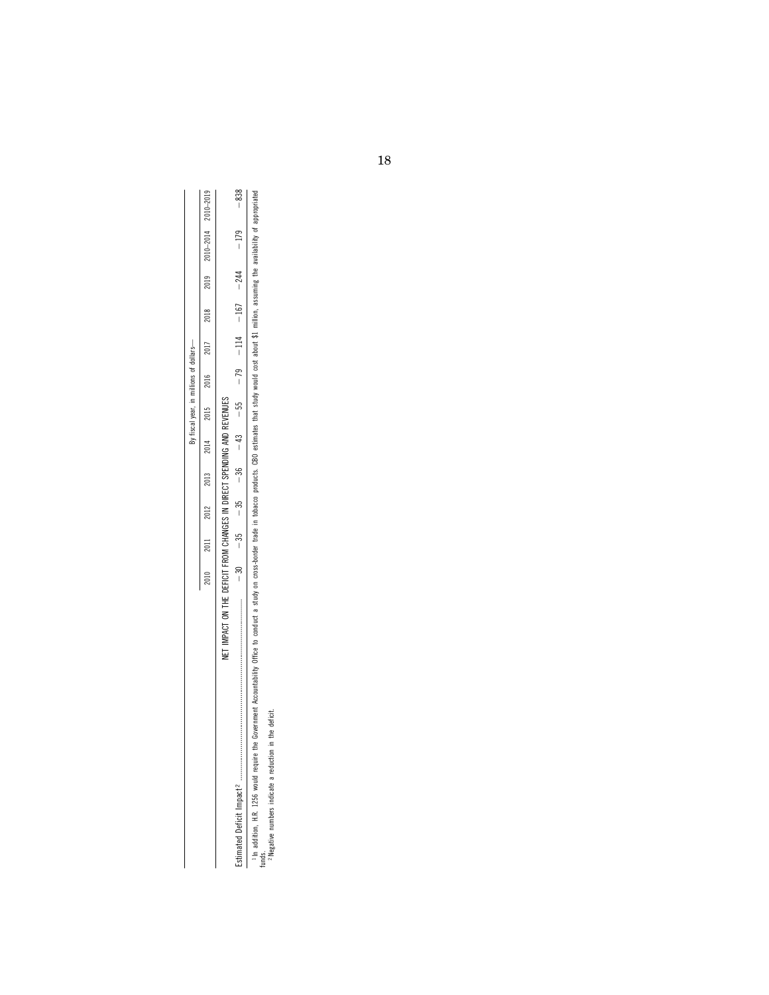|                                                                                                                                                                                                                                             |      |  |  |                          | / fiscal year, in millions of dollars- |  |                                                                 |        |
|---------------------------------------------------------------------------------------------------------------------------------------------------------------------------------------------------------------------------------------------|------|--|--|--------------------------|----------------------------------------|--|-----------------------------------------------------------------|--------|
|                                                                                                                                                                                                                                             | 2010 |  |  | 2011 2012 2013 2014 2015 |                                        |  | $2016$ $2017$ $2018$ $2010-2010-2010-2010-2010$                 |        |
| IET IMPACT ON THE DEFICIT FROM CHANGES IN DIRECT SPENDING AND REVENUES                                                                                                                                                                      |      |  |  |                          |                                        |  |                                                                 |        |
| stimated Deficit Impact                                                                                                                                                                                                                     |      |  |  |                          |                                        |  | $-30$ $-35$ $-35$ $-36$ $-43$ $-45$ $-114$ $-114$ $-167$ $-244$ | $-838$ |
| the Government Accountability Office to conduct a study on cross-border trade in tobacco products. CBO estimates that study would cost about \$1 million, assuming the availability of appropriated<br>In addition, H.R. 1256 would require |      |  |  |                          |                                        |  |                                                                 |        |

<sup>1</sup> In addition, H.R. 1256 would require the Government A<br>funds.<br><sup>2</sup> Negative numbers indicate a reduction in the deficit. funds. 2 Negative numbers indicate a reduction in the deficit.

18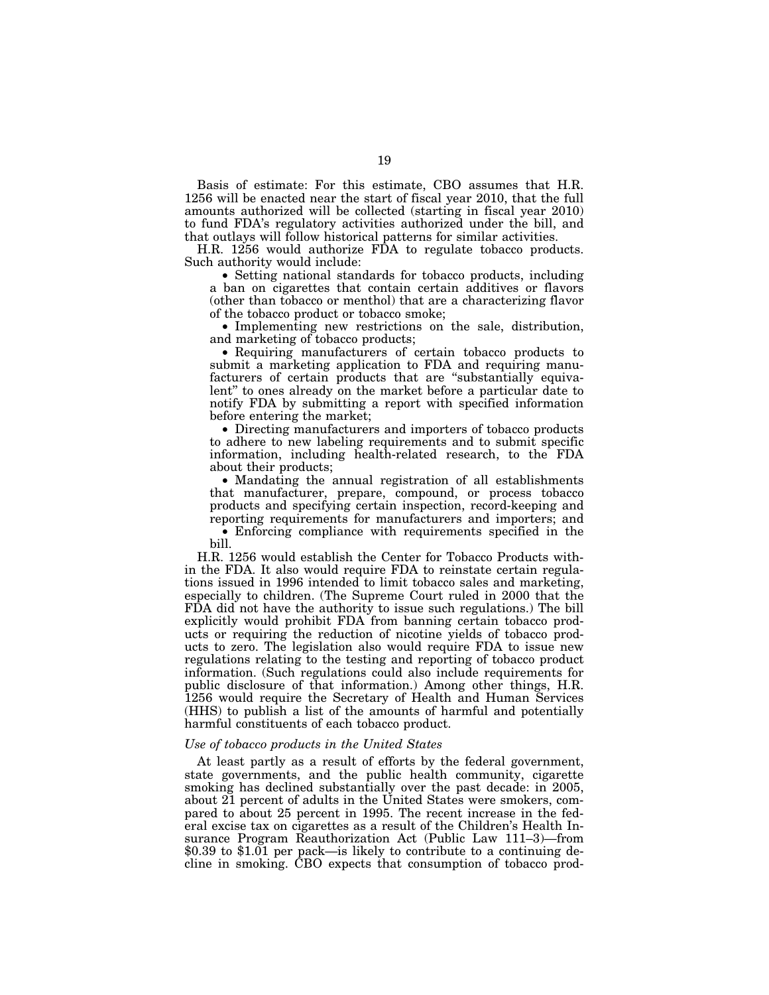Basis of estimate: For this estimate, CBO assumes that H.R. 1256 will be enacted near the start of fiscal year 2010, that the full amounts authorized will be collected (starting in fiscal year 2010) to fund FDA's regulatory activities authorized under the bill, and that outlays will follow historical patterns for similar activities.

H.R. 1256 would authorize FDA to regulate tobacco products. Such authority would include:

• Setting national standards for tobacco products, including a ban on cigarettes that contain certain additives or flavors (other than tobacco or menthol) that are a characterizing flavor of the tobacco product or tobacco smoke;

• Implementing new restrictions on the sale, distribution, and marketing of tobacco products;

• Requiring manufacturers of certain tobacco products to submit a marketing application to FDA and requiring manufacturers of certain products that are ''substantially equivalent'' to ones already on the market before a particular date to notify FDA by submitting a report with specified information before entering the market;

• Directing manufacturers and importers of tobacco products to adhere to new labeling requirements and to submit specific information, including health-related research, to the FDA about their products;

• Mandating the annual registration of all establishments that manufacturer, prepare, compound, or process tobacco products and specifying certain inspection, record-keeping and reporting requirements for manufacturers and importers; and

• Enforcing compliance with requirements specified in the bill.

H.R. 1256 would establish the Center for Tobacco Products within the FDA. It also would require FDA to reinstate certain regulations issued in 1996 intended to limit tobacco sales and marketing, especially to children. (The Supreme Court ruled in 2000 that the FDA did not have the authority to issue such regulations.) The bill explicitly would prohibit FDA from banning certain tobacco products or requiring the reduction of nicotine yields of tobacco products to zero. The legislation also would require FDA to issue new regulations relating to the testing and reporting of tobacco product information. (Such regulations could also include requirements for public disclosure of that information.) Among other things, H.R. 1256 would require the Secretary of Health and Human Services (HHS) to publish a list of the amounts of harmful and potentially harmful constituents of each tobacco product.

#### *Use of tobacco products in the United States*

At least partly as a result of efforts by the federal government, state governments, and the public health community, cigarette smoking has declined substantially over the past decade: in 2005, about 21 percent of adults in the United States were smokers, compared to about 25 percent in 1995. The recent increase in the federal excise tax on cigarettes as a result of the Children's Health Insurance Program Reauthorization Act (Public Law 111–3)—from \$0.39 to \$1.01 per pack—is likely to contribute to a continuing decline in smoking. CBO expects that consumption of tobacco prod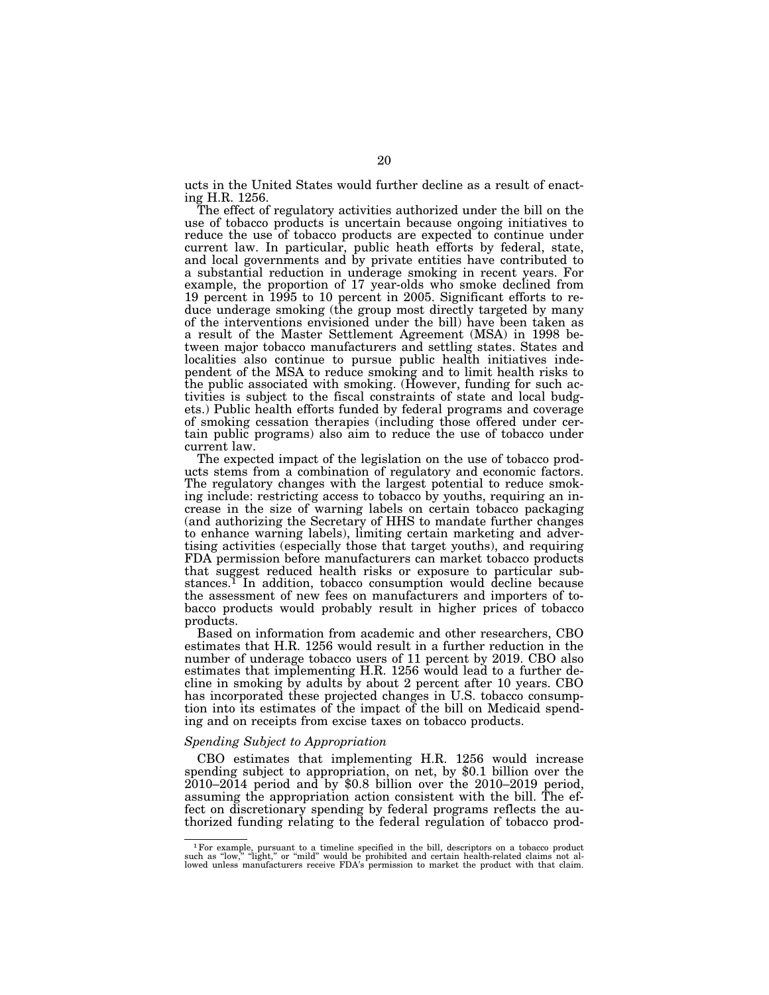ucts in the United States would further decline as a result of enacting H.R. 1256.

The effect of regulatory activities authorized under the bill on the use of tobacco products is uncertain because ongoing initiatives to reduce the use of tobacco products are expected to continue under current law. In particular, public heath efforts by federal, state, and local governments and by private entities have contributed to a substantial reduction in underage smoking in recent years. For example, the proportion of 17 year-olds who smoke declined from 19 percent in 1995 to 10 percent in 2005. Significant efforts to reduce underage smoking (the group most directly targeted by many of the interventions envisioned under the bill) have been taken as a result of the Master Settlement Agreement (MSA) in 1998 between major tobacco manufacturers and settling states. States and localities also continue to pursue public health initiatives independent of the MSA to reduce smoking and to limit health risks to the public associated with smoking. (However, funding for such activities is subject to the fiscal constraints of state and local budgets.) Public health efforts funded by federal programs and coverage of smoking cessation therapies (including those offered under certain public programs) also aim to reduce the use of tobacco under current law.

The expected impact of the legislation on the use of tobacco products stems from a combination of regulatory and economic factors. The regulatory changes with the largest potential to reduce smoking include: restricting access to tobacco by youths, requiring an increase in the size of warning labels on certain tobacco packaging (and authorizing the Secretary of HHS to mandate further changes to enhance warning labels), limiting certain marketing and advertising activities (especially those that target youths), and requiring FDA permission before manufacturers can market tobacco products that suggest reduced health risks or exposure to particular substances.1 In addition, tobacco consumption would decline because the assessment of new fees on manufacturers and importers of tobacco products would probably result in higher prices of tobacco products.

Based on information from academic and other researchers, CBO estimates that H.R. 1256 would result in a further reduction in the number of underage tobacco users of 11 percent by 2019. CBO also estimates that implementing H.R. 1256 would lead to a further decline in smoking by adults by about 2 percent after 10 years. CBO has incorporated these projected changes in U.S. tobacco consumption into its estimates of the impact of the bill on Medicaid spending and on receipts from excise taxes on tobacco products.

#### *Spending Subject to Appropriation*

CBO estimates that implementing H.R. 1256 would increase spending subject to appropriation, on net, by \$0.1 billion over the 2010–2014 period and by \$0.8 billion over the 2010–2019 period, assuming the appropriation action consistent with the bill. The effect on discretionary spending by federal programs reflects the authorized funding relating to the federal regulation of tobacco prod-

 $1$  For example, pursuant to a timeline specified in the bill, descriptors on a tobacco product such as "low," "light," or "mild" would be prohibited and certain health-related claims not allowed unless manufacturers rece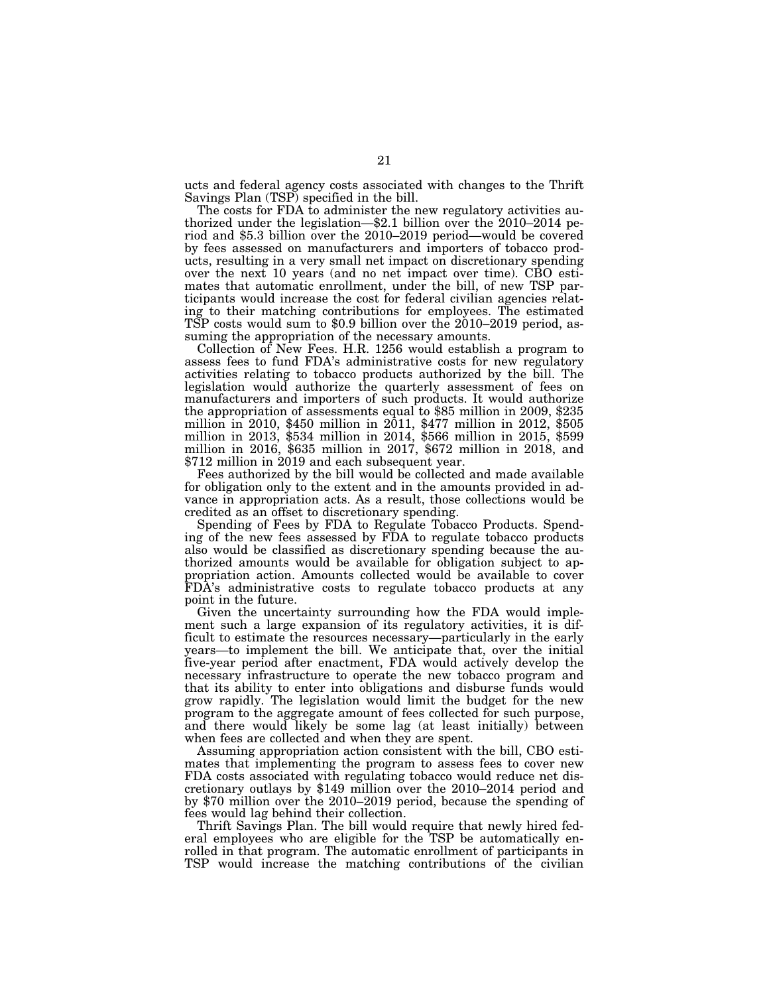ucts and federal agency costs associated with changes to the Thrift Savings Plan (TSP) specified in the bill.<br>The costs for FDA to administer the new regulatory activities au-

thorized under the legislation— $$2.1$  billion over the 2010–2014 period and \$5.3 billion over the 2010-2019 period—would be covered by fees assessed on manufacturers and importers of tobacco products, resulting in a very small net impact on discretionary spending over the next 10 years (and no net impact over time). CBO estimates that automatic enrollment, under the bill, of new TSP participants would increase the cost for federal civilian agencies relating to their matching contributions for employees. The estimated TSP costs would sum to \$0.9 billion over the  $2010-2019$  period, assuming the appropriation of the necessary amounts.

Collection of New Fees. H.R. 1256 would establish a program to assess fees to fund FDA's administrative costs for new regulatory activities relating to tobacco products authorized by the bill. The legislation would authorize the quarterly assessment of fees on manufacturers and importers of such products. It would authorize the appropriation of assessments equal to \$85 million in 2009, \$235 million in 2010, \$450 million in 2011, \$477 million in 2012, \$505 million in 2013, \$534 million in 2014, \$566 million in 2015, \$599 million in 2016, \$635 million in 2017, \$672 million in 2018, and \$712 million in 2019 and each subsequent year.

Fees authorized by the bill would be collected and made available for obligation only to the extent and in the amounts provided in advance in appropriation acts. As a result, those collections would be credited as an offset to discretionary spending.

Spending of Fees by FDA to Regulate Tobacco Products. Spending of the new fees assessed by FDA to regulate tobacco products also would be classified as discretionary spending because the authorized amounts would be available for obligation subject to appropriation action. Amounts collected would be available to cover FDA's administrative costs to regulate tobacco products at any point in the future.

Given the uncertainty surrounding how the FDA would implement such a large expansion of its regulatory activities, it is difficult to estimate the resources necessary—particularly in the early years—to implement the bill. We anticipate that, over the initial five-year period after enactment, FDA would actively develop the necessary infrastructure to operate the new tobacco program and that its ability to enter into obligations and disburse funds would grow rapidly. The legislation would limit the budget for the new program to the aggregate amount of fees collected for such purpose, and there would likely be some lag (at least initially) between when fees are collected and when they are spent.

Assuming appropriation action consistent with the bill, CBO estimates that implementing the program to assess fees to cover new FDA costs associated with regulating tobacco would reduce net discretionary outlays by \$149 million over the 2010–2014 period and by \$70 million over the 2010–2019 period, because the spending of fees would lag behind their collection.

Thrift Savings Plan. The bill would require that newly hired federal employees who are eligible for the TSP be automatically enrolled in that program. The automatic enrollment of participants in TSP would increase the matching contributions of the civilian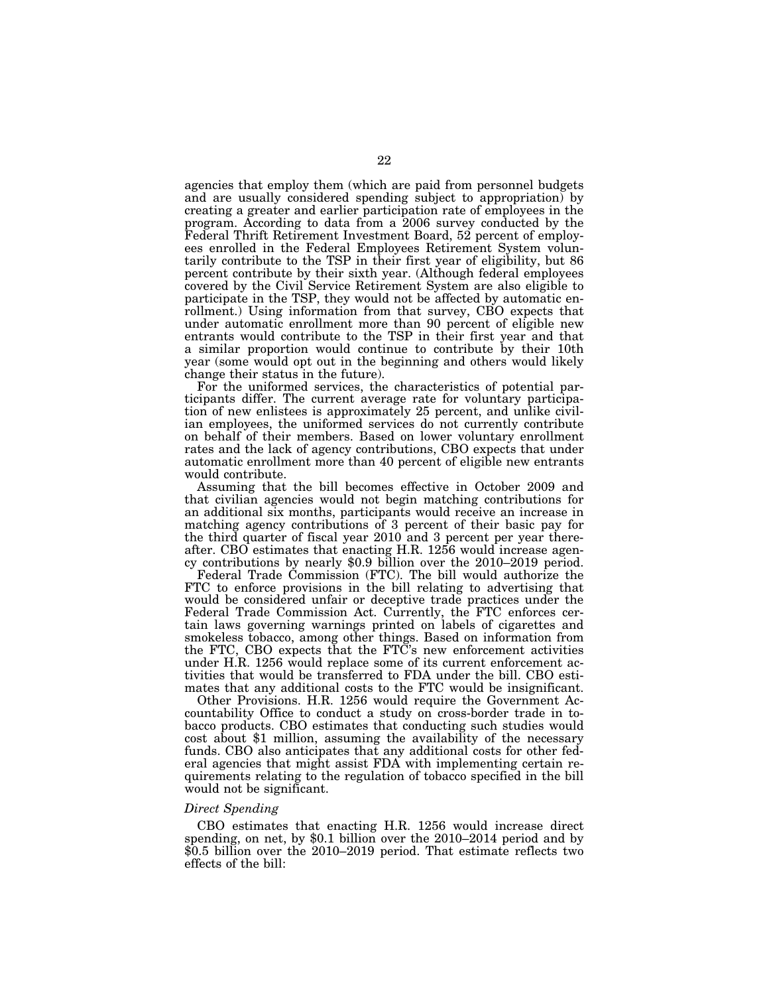agencies that employ them (which are paid from personnel budgets and are usually considered spending subject to appropriation) by creating a greater and earlier participation rate of employees in the program. According to data from a 2006 survey conducted by the Federal Thrift Retirement Investment Board, 52 percent of employees enrolled in the Federal Employees Retirement System voluntarily contribute to the TSP in their first year of eligibility, but 86 percent contribute by their sixth year. (Although federal employees covered by the Civil Service Retirement System are also eligible to participate in the TSP, they would not be affected by automatic enrollment.) Using information from that survey, CBO expects that under automatic enrollment more than 90 percent of eligible new entrants would contribute to the TSP in their first year and that a similar proportion would continue to contribute by their 10th year (some would opt out in the beginning and others would likely change their status in the future).

For the uniformed services, the characteristics of potential participants differ. The current average rate for voluntary participation of new enlistees is approximately 25 percent, and unlike civilian employees, the uniformed services do not currently contribute on behalf of their members. Based on lower voluntary enrollment rates and the lack of agency contributions, CBO expects that under automatic enrollment more than 40 percent of eligible new entrants would contribute.

Assuming that the bill becomes effective in October 2009 and that civilian agencies would not begin matching contributions for an additional six months, participants would receive an increase in matching agency contributions of 3 percent of their basic pay for the third quarter of fiscal year 2010 and 3 percent per year thereafter. CBO estimates that enacting H.R. 1256 would increase agency contributions by nearly \$0.9 billion over the 2010–2019 period.

Federal Trade Commission (FTC). The bill would authorize the FTC to enforce provisions in the bill relating to advertising that would be considered unfair or deceptive trade practices under the Federal Trade Commission Act. Currently, the FTC enforces certain laws governing warnings printed on labels of cigarettes and smokeless tobacco, among other things. Based on information from the FTC, CBO expects that the FTC's new enforcement activities under H.R. 1256 would replace some of its current enforcement activities that would be transferred to FDA under the bill. CBO estimates that any additional costs to the FTC would be insignificant.

Other Provisions. H.R. 1256 would require the Government Accountability Office to conduct a study on cross-border trade in tobacco products. CBO estimates that conducting such studies would cost about \$1 million, assuming the availability of the necessary funds. CBO also anticipates that any additional costs for other federal agencies that might assist FDA with implementing certain requirements relating to the regulation of tobacco specified in the bill would not be significant.

#### *Direct Spending*

CBO estimates that enacting H.R. 1256 would increase direct spending, on net, by \$0.1 billion over the 2010–2014 period and by \$0.5 billion over the 2010–2019 period. That estimate reflects two effects of the bill: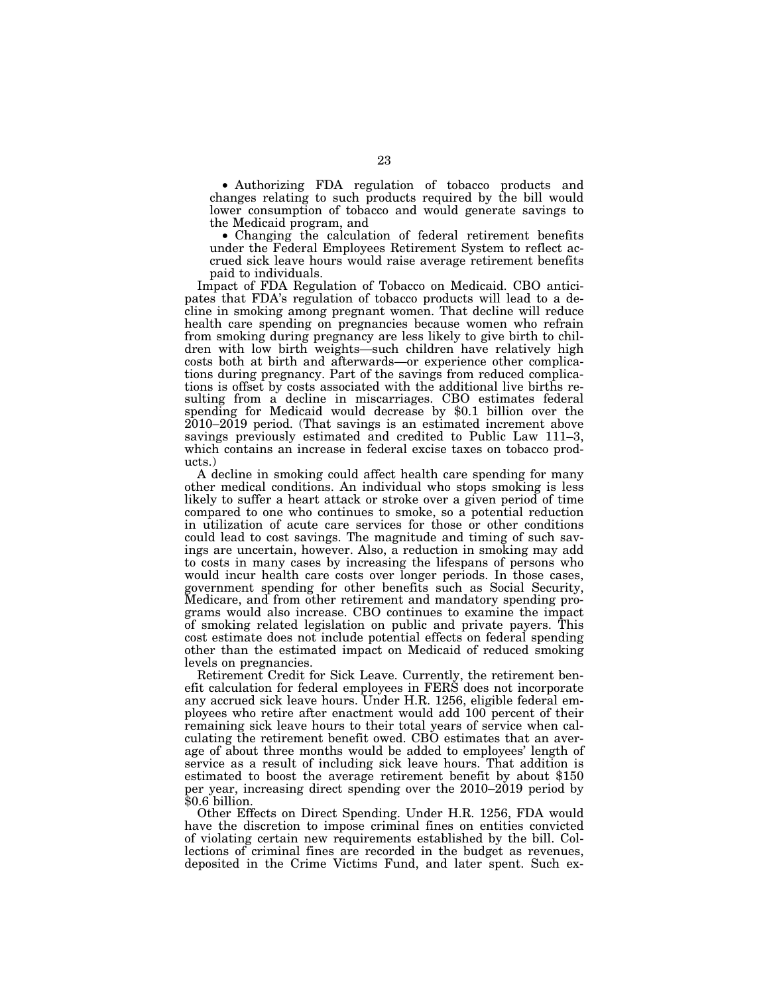• Authorizing FDA regulation of tobacco products and changes relating to such products required by the bill would lower consumption of tobacco and would generate savings to the Medicaid program, and

• Changing the calculation of federal retirement benefits under the Federal Employees Retirement System to reflect accrued sick leave hours would raise average retirement benefits paid to individuals.

Impact of FDA Regulation of Tobacco on Medicaid. CBO anticipates that FDA's regulation of tobacco products will lead to a decline in smoking among pregnant women. That decline will reduce health care spending on pregnancies because women who refrain from smoking during pregnancy are less likely to give birth to children with low birth weights—such children have relatively high costs both at birth and afterwards—or experience other complications during pregnancy. Part of the savings from reduced complications is offset by costs associated with the additional live births resulting from a decline in miscarriages. CBO estimates federal spending for Medicaid would decrease by \$0.1 billion over the 2010–2019 period. (That savings is an estimated increment above savings previously estimated and credited to Public Law 111–3, which contains an increase in federal excise taxes on tobacco products.)

A decline in smoking could affect health care spending for many other medical conditions. An individual who stops smoking is less likely to suffer a heart attack or stroke over a given period of time compared to one who continues to smoke, so a potential reduction in utilization of acute care services for those or other conditions could lead to cost savings. The magnitude and timing of such savings are uncertain, however. Also, a reduction in smoking may add to costs in many cases by increasing the lifespans of persons who would incur health care costs over longer periods. In those cases, government spending for other benefits such as Social Security, Medicare, and from other retirement and mandatory spending programs would also increase. CBO continues to examine the impact of smoking related legislation on public and private payers. This cost estimate does not include potential effects on federal spending other than the estimated impact on Medicaid of reduced smoking levels on pregnancies.

Retirement Credit for Sick Leave. Currently, the retirement benefit calculation for federal employees in FERS does not incorporate any accrued sick leave hours. Under H.R. 1256, eligible federal employees who retire after enactment would add 100 percent of their remaining sick leave hours to their total years of service when calculating the retirement benefit owed. CBO estimates that an average of about three months would be added to employees' length of service as a result of including sick leave hours. That addition is estimated to boost the average retirement benefit by about \$150 per year, increasing direct spending over the 2010–2019 period by \$0.6 billion.

Other Effects on Direct Spending. Under H.R. 1256, FDA would have the discretion to impose criminal fines on entities convicted of violating certain new requirements established by the bill. Collections of criminal fines are recorded in the budget as revenues, deposited in the Crime Victims Fund, and later spent. Such ex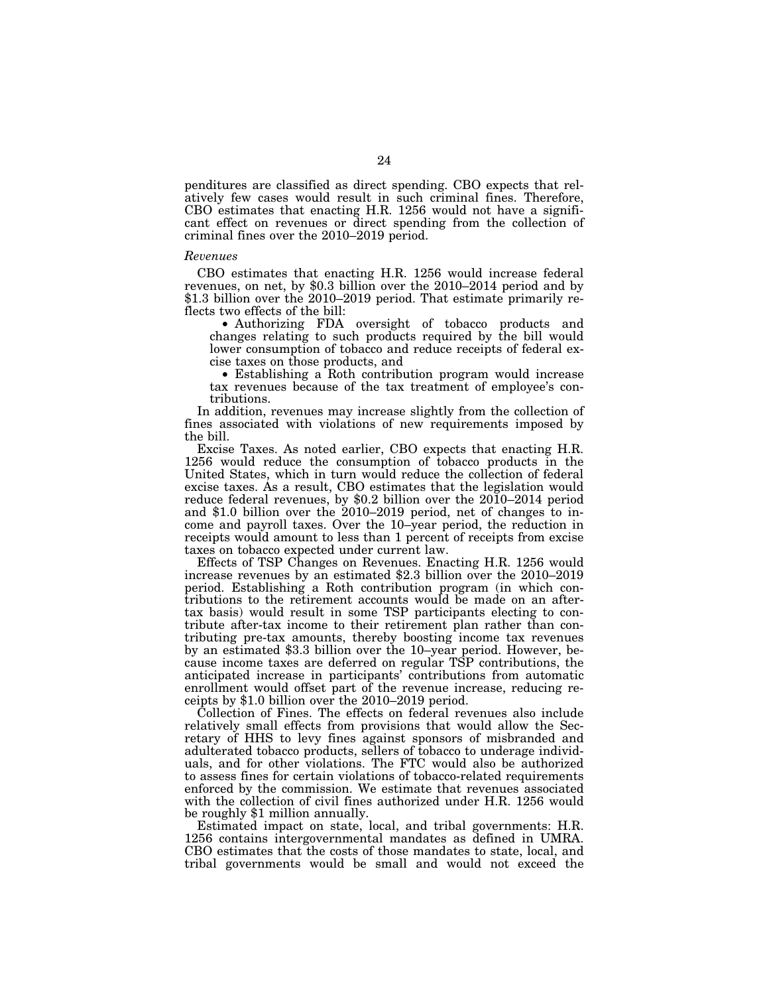penditures are classified as direct spending. CBO expects that relatively few cases would result in such criminal fines. Therefore, CBO estimates that enacting H.R. 1256 would not have a significant effect on revenues or direct spending from the collection of criminal fines over the 2010–2019 period.

#### *Revenues*

CBO estimates that enacting H.R. 1256 would increase federal revenues, on net, by \$0.3 billion over the 2010–2014 period and by \$1.3 billion over the 2010–2019 period. That estimate primarily reflects two effects of the bill:

• Authorizing FDA oversight of tobacco products and changes relating to such products required by the bill would lower consumption of tobacco and reduce receipts of federal excise taxes on those products, and

• Establishing a Roth contribution program would increase tax revenues because of the tax treatment of employee's contributions.

In addition, revenues may increase slightly from the collection of fines associated with violations of new requirements imposed by the bill.

Excise Taxes. As noted earlier, CBO expects that enacting H.R. 1256 would reduce the consumption of tobacco products in the United States, which in turn would reduce the collection of federal excise taxes. As a result, CBO estimates that the legislation would reduce federal revenues, by \$0.2 billion over the 2010–2014 period and \$1.0 billion over the 2010–2019 period, net of changes to income and payroll taxes. Over the 10–year period, the reduction in receipts would amount to less than 1 percent of receipts from excise

taxes on tobacco expected under current law.<br>Effects of TSP Changes on Revenues. Enacting H.R. 1256 would increase revenues by an estimated  $$2.3$  billion over the 2010–2019 period. Establishing a Roth contribution program (in which contributions to the retirement accounts would be made on an aftertax basis) would result in some TSP participants electing to contribute after-tax income to their retirement plan rather than contributing pre-tax amounts, thereby boosting income tax revenues by an estimated \$3.3 billion over the 10–year period. However, because income taxes are deferred on regular TSP contributions, the anticipated increase in participants' contributions from automatic enrollment would offset part of the revenue increase, reducing receipts by \$1.0 billion over the 2010–2019 period.

Collection of Fines. The effects on federal revenues also include relatively small effects from provisions that would allow the Secretary of HHS to levy fines against sponsors of misbranded and adulterated tobacco products, sellers of tobacco to underage individuals, and for other violations. The FTC would also be authorized to assess fines for certain violations of tobacco-related requirements enforced by the commission. We estimate that revenues associated with the collection of civil fines authorized under H.R. 1256 would be roughly \$1 million annually.

Estimated impact on state, local, and tribal governments: H.R. 1256 contains intergovernmental mandates as defined in UMRA. CBO estimates that the costs of those mandates to state, local, and tribal governments would be small and would not exceed the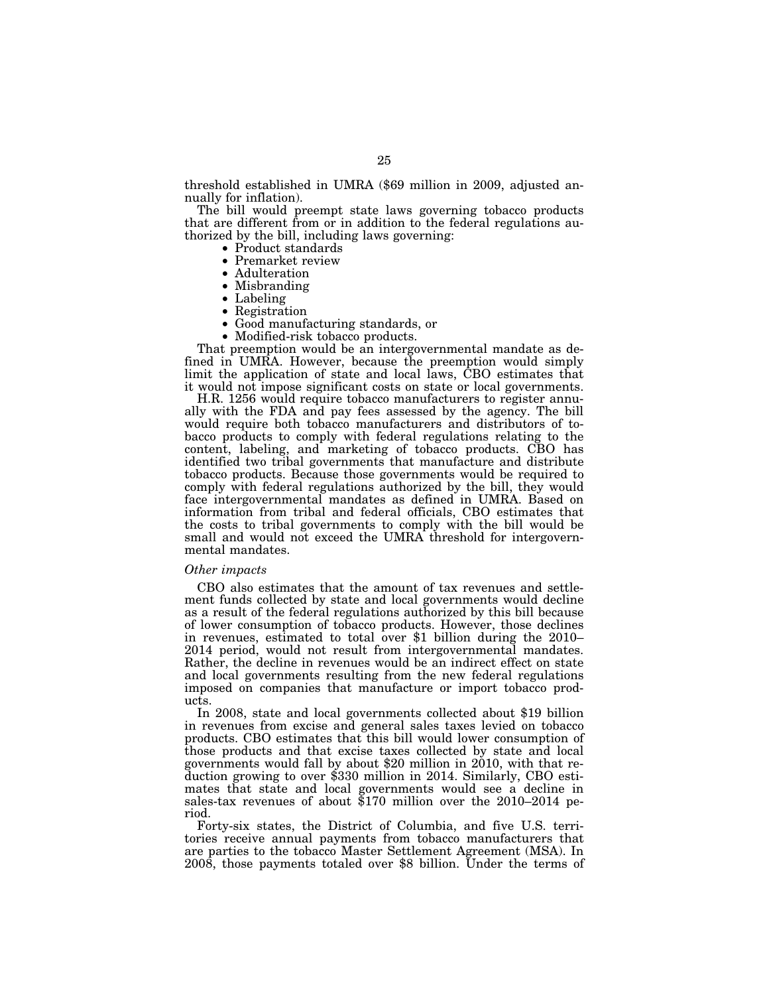threshold established in UMRA (\$69 million in 2009, adjusted annually for inflation).

The bill would preempt state laws governing tobacco products that are different from or in addition to the federal regulations authorized by the bill, including laws governing:

- 
- 
- 
- 
- 
- 
- Premarket review<br>• Adulteration<br>• Misbranding<br>• Labeling<br>• Good manufacturing standards, or<br>• Modified-risk tobacco products.
- 

That preemption would be an intergovernmental mandate as defined in UMRA. However, because the preemption would simply limit the application of state and local laws, CBO estimates that it would not impose significant costs on state or local governments.

H.R. 1256 would require tobacco manufacturers to register annually with the FDA and pay fees assessed by the agency. The bill would require both tobacco manufacturers and distributors of tobacco products to comply with federal regulations relating to the content, labeling, and marketing of tobacco products. CBO has identified two tribal governments that manufacture and distribute tobacco products. Because those governments would be required to comply with federal regulations authorized by the bill, they would face intergovernmental mandates as defined in UMRA. Based on information from tribal and federal officials, CBO estimates that the costs to tribal governments to comply with the bill would be small and would not exceed the UMRA threshold for intergovernmental mandates.

#### *Other impacts*

CBO also estimates that the amount of tax revenues and settlement funds collected by state and local governments would decline as a result of the federal regulations authorized by this bill because of lower consumption of tobacco products. However, those declines in revenues, estimated to total over \$1 billion during the 2010– 2014 period, would not result from intergovernmental mandates. Rather, the decline in revenues would be an indirect effect on state and local governments resulting from the new federal regulations imposed on companies that manufacture or import tobacco products.

In 2008, state and local governments collected about \$19 billion in revenues from excise and general sales taxes levied on tobacco products. CBO estimates that this bill would lower consumption of those products and that excise taxes collected by state and local governments would fall by about \$20 million in 2010, with that reduction growing to over \$330 million in 2014. Similarly, CBO estimates that state and local governments would see a decline in sales-tax revenues of about \$170 million over the 2010–2014 period.

Forty-six states, the District of Columbia, and five U.S. territories receive annual payments from tobacco manufacturers that are parties to the tobacco Master Settlement Agreement (MSA). In 2008, those payments totaled over \$8 billion. Under the terms of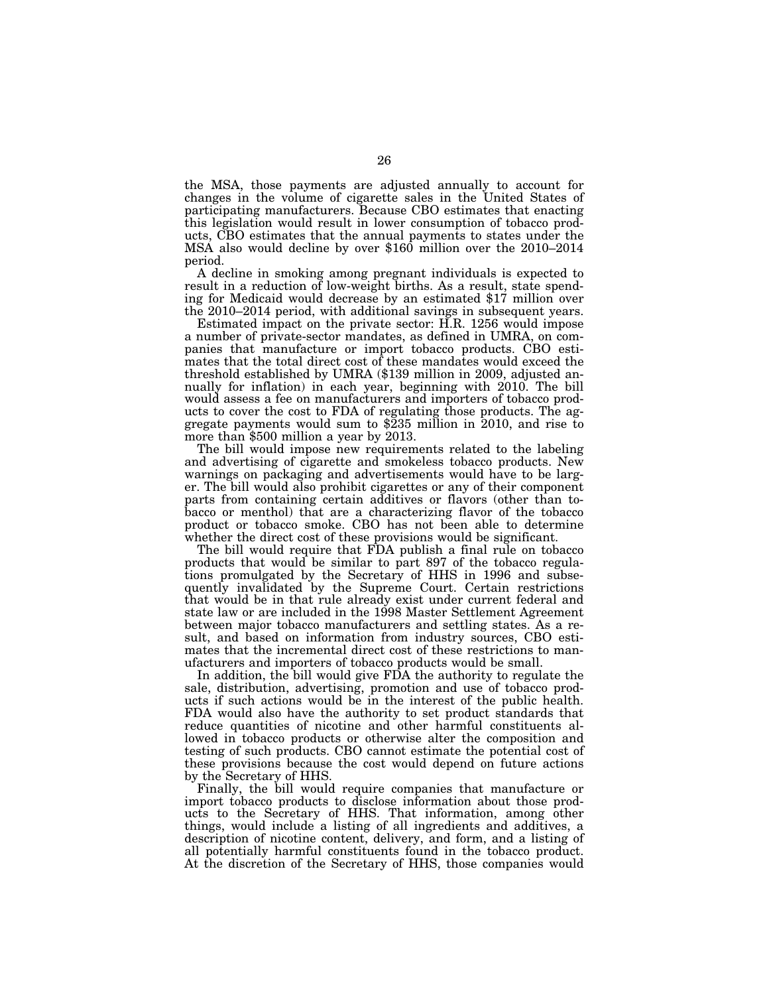the MSA, those payments are adjusted annually to account for changes in the volume of cigarette sales in the United States of participating manufacturers. Because CBO estimates that enacting this legislation would result in lower consumption of tobacco products, CBO estimates that the annual payments to states under the MSA also would decline by over \$160 million over the 2010–2014 period.

A decline in smoking among pregnant individuals is expected to result in a reduction of low-weight births. As a result, state spending for Medicaid would decrease by an estimated \$17 million over the 2010–2014 period, with additional savings in subsequent years.

Estimated impact on the private sector: H.R. 1256 would impose a number of private-sector mandates, as defined in UMRA, on companies that manufacture or import tobacco products. CBO estimates that the total direct cost of these mandates would exceed the threshold established by UMRA (\$139 million in 2009, adjusted annually for inflation) in each year, beginning with 2010. The bill would assess a fee on manufacturers and importers of tobacco products to cover the cost to FDA of regulating those products. The aggregate payments would sum to \$235 million in 2010, and rise to more than \$500 million a year by 2013.

The bill would impose new requirements related to the labeling and advertising of cigarette and smokeless tobacco products. New warnings on packaging and advertisements would have to be larger. The bill would also prohibit cigarettes or any of their component parts from containing certain additives or flavors (other than tobacco or menthol) that are a characterizing flavor of the tobacco product or tobacco smoke. CBO has not been able to determine whether the direct cost of these provisions would be significant.

The bill would require that FDA publish a final rule on tobacco products that would be similar to part 897 of the tobacco regulations promulgated by the Secretary of HHS in 1996 and subsequently invalidated by the Supreme Court. Certain restrictions that would be in that rule already exist under current federal and state law or are included in the 1998 Master Settlement Agreement between major tobacco manufacturers and settling states. As a result, and based on information from industry sources, CBO estimates that the incremental direct cost of these restrictions to manufacturers and importers of tobacco products would be small.

In addition, the bill would give FDA the authority to regulate the sale, distribution, advertising, promotion and use of tobacco products if such actions would be in the interest of the public health. FDA would also have the authority to set product standards that reduce quantities of nicotine and other harmful constituents allowed in tobacco products or otherwise alter the composition and testing of such products. CBO cannot estimate the potential cost of these provisions because the cost would depend on future actions by the Secretary of HHS.

Finally, the bill would require companies that manufacture or import tobacco products to disclose information about those products to the Secretary of HHS. That information, among other things, would include a listing of all ingredients and additives, a description of nicotine content, delivery, and form, and a listing of all potentially harmful constituents found in the tobacco product. At the discretion of the Secretary of HHS, those companies would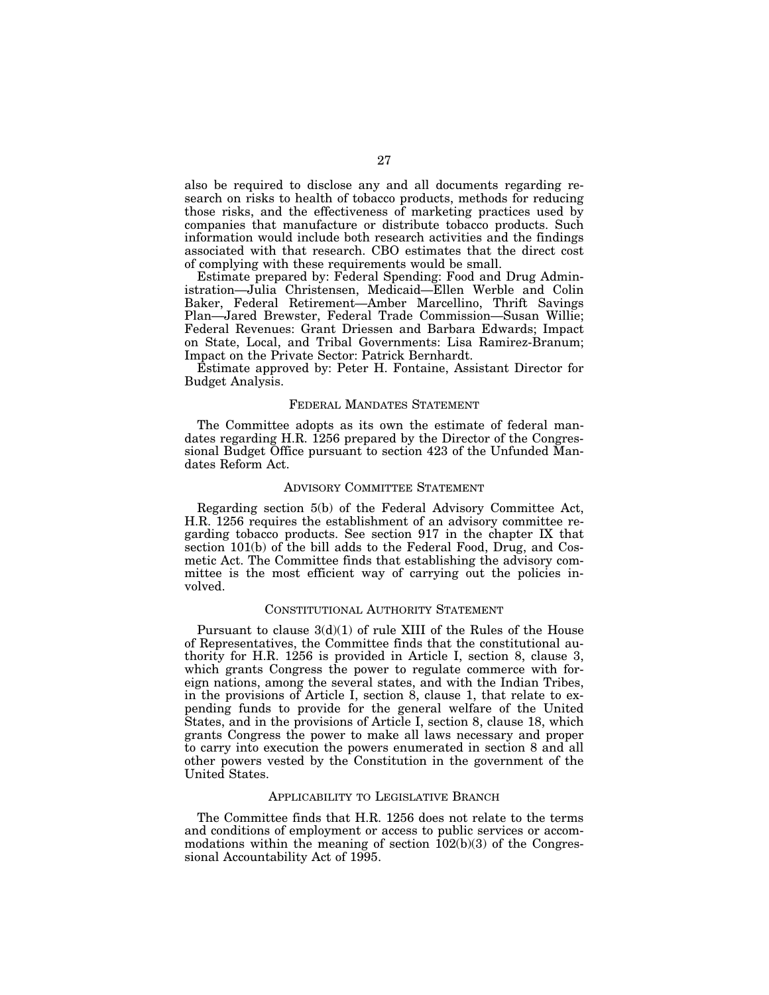also be required to disclose any and all documents regarding research on risks to health of tobacco products, methods for reducing those risks, and the effectiveness of marketing practices used by companies that manufacture or distribute tobacco products. Such information would include both research activities and the findings associated with that research. CBO estimates that the direct cost of complying with these requirements would be small.

Estimate prepared by: Federal Spending: Food and Drug Administration—Julia Christensen, Medicaid—Ellen Werble and Colin Baker, Federal Retirement—Amber Marcellino, Thrift Savings Plan—Jared Brewster, Federal Trade Commission—Susan Willie; Federal Revenues: Grant Driessen and Barbara Edwards; Impact on State, Local, and Tribal Governments: Lisa Ramirez-Branum; Impact on the Private Sector: Patrick Bernhardt.

Estimate approved by: Peter H. Fontaine, Assistant Director for Budget Analysis.

#### FEDERAL MANDATES STATEMENT

The Committee adopts as its own the estimate of federal mandates regarding H.R. 1256 prepared by the Director of the Congressional Budget Office pursuant to section 423 of the Unfunded Mandates Reform Act.

#### ADVISORY COMMITTEE STATEMENT

Regarding section 5(b) of the Federal Advisory Committee Act, H.R. 1256 requires the establishment of an advisory committee regarding tobacco products. See section 917 in the chapter IX that section 101(b) of the bill adds to the Federal Food, Drug, and Cosmetic Act. The Committee finds that establishing the advisory committee is the most efficient way of carrying out the policies involved.

#### CONSTITUTIONAL AUTHORITY STATEMENT

Pursuant to clause  $3(d)(1)$  of rule XIII of the Rules of the House of Representatives, the Committee finds that the constitutional authority for H.R. 1256 is provided in Article I, section 8, clause 3, which grants Congress the power to regulate commerce with foreign nations, among the several states, and with the Indian Tribes, in the provisions of Article I, section 8, clause 1, that relate to expending funds to provide for the general welfare of the United States, and in the provisions of Article I, section 8, clause 18, which grants Congress the power to make all laws necessary and proper to carry into execution the powers enumerated in section 8 and all other powers vested by the Constitution in the government of the United States.

#### APPLICABILITY TO LEGISLATIVE BRANCH

The Committee finds that H.R. 1256 does not relate to the terms and conditions of employment or access to public services or accommodations within the meaning of section  $102(b)(3)$  of the Congressional Accountability Act of 1995.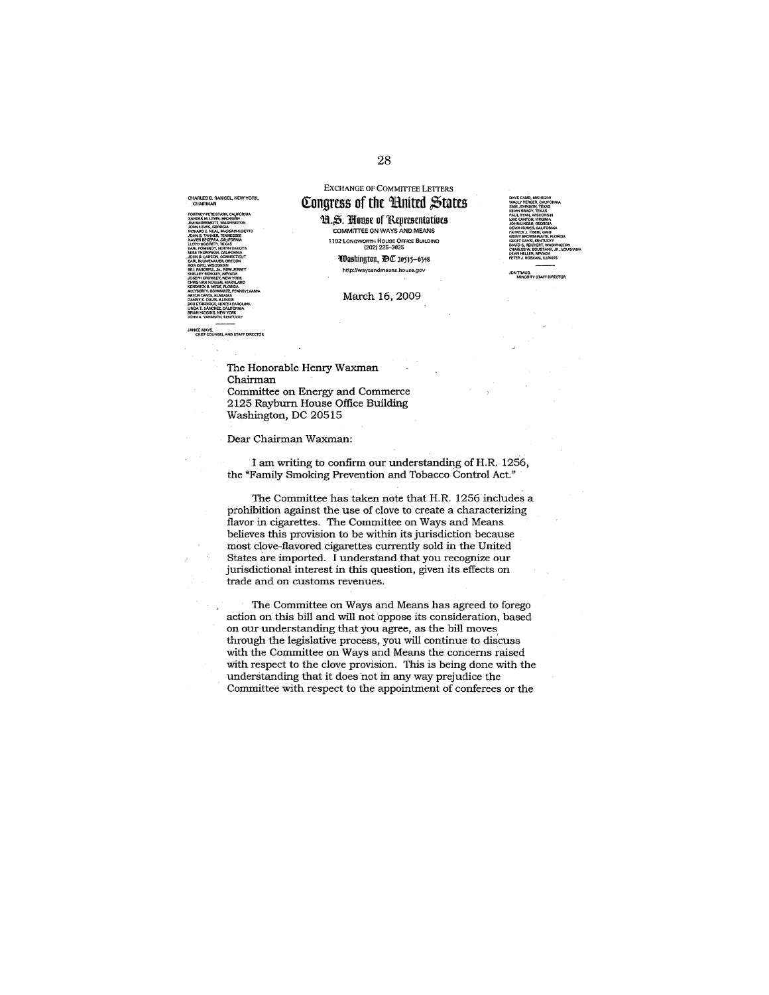CHARLES B. RANGEL, NEW YOR



### EXCHANGE OF COMMITTEE LETTERS Congress of the Huited States

H.S. House of Representatives COMMITTEE ON WAYS AND MEANS 1102 LONGWORTH HOUSE OFFICE BUILDING<br>(202) 225-3625 Washington, DC 20515-6348 http://waysandmeans.house.gov

March 16, 2009



The Honorable Henry Waxman Chairman Committee on Energy and Commerce 2125 Rayburn House Office Building Washington, DC 20515

Dear Chairman Waxman:

I am writing to confirm our understanding of H.R. 1256, the "Family Smoking Prevention and Tobacco Control Act."

The Committee has taken note that H.R. 1256 includes a prohibition against the use of clove to create a characterizing flavor in cigarettes. The Committee on Ways and Means. believes this provision to be within its jurisdiction because most clove-flavored cigarettes currently sold in the United States are imported. I understand that you recognize our jurisdictional interest in this question, given its effects on trade and on customs revenues.

The Committee on Ways and Means has agreed to forego action on this bill and will not oppose its consideration, based on our understanding that you agree, as the bill moves through the legislative process, you will continue to discuss with the Committee on Ways and Means the concerns raised with respect to the clove provision. This is being done with the understanding that it does not in any way prejudice the Committee with respect to the appointment of conferees or the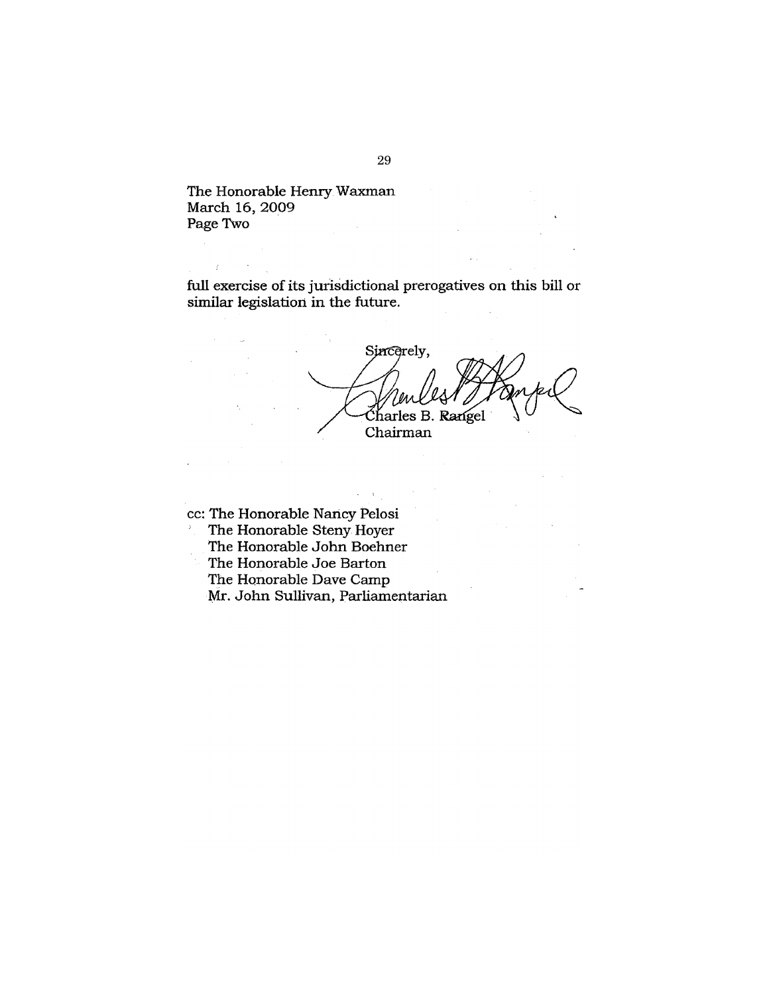The Honorable Henry Waxman March 16, 2009 Page Two

 $\mathcal{L}^{\pm}$ 

 $\mathbb{R}_+$ 

 $\frac{1}{2}$ 

full exercise of its jurisdictional prerogatives on this bill or similar legislation in the future.

Sincerely, Charles B. Rangel Chairman

cc: The Honorable Nancy Pelosi

The Honorable Steny Hoyer

The Honorable John Boehner

The Honorable Joe Barton

The Honorable Dave Camp

Mr. John Sullivan, Parliamentarian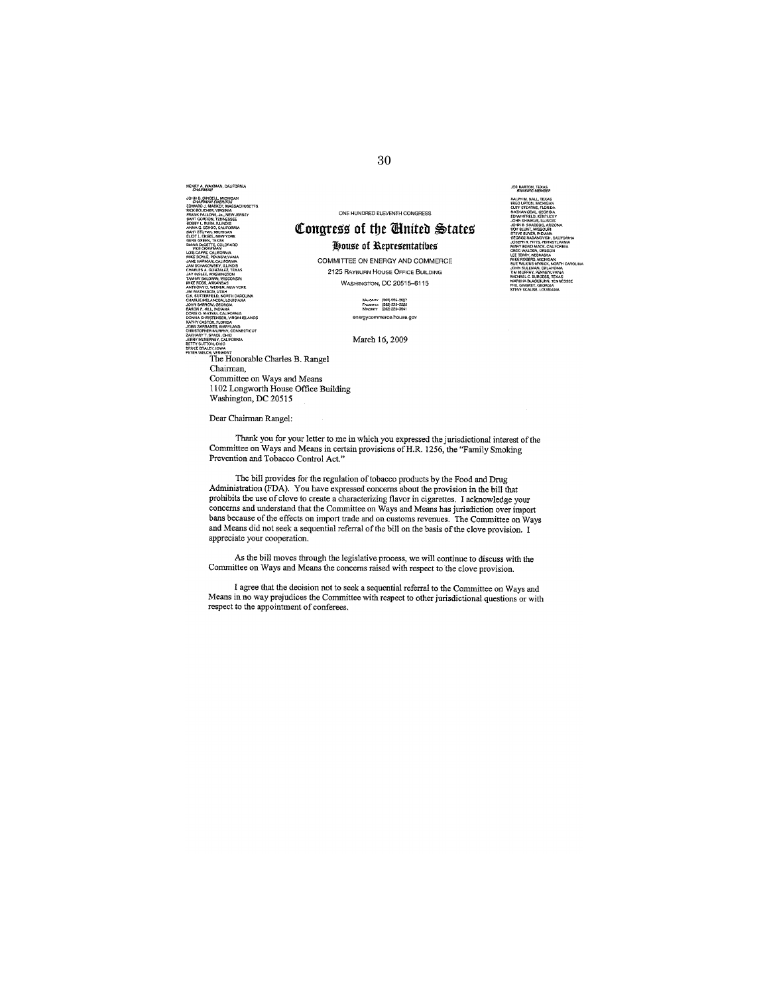#### .<br>ENRY A. WAXMAN, CALIFO<br>*CHAIRMAN* JOHN D. DINGELL, MICHIGAN<br>CHAIRMAN EMERITUS

i<br>22aru : MARKEY, MASSACHUS!<br>HER, VIRGINIA<br>JLONE, JR., NEW JERSEY<br>OON: TENNESSEE

ORADO

ONE HUNDRED ELEVENTH CONGRESS

### Congress of the United States

House of Representatives

COMMITTEE ON ENERGY AND COMMERCE 2125 RAYBURN HOUSE OFFICE BUILDING **WASHINGTON, DC 20515-6115** 

MAUCRITY (202) 225-2927<br>FACSIMILE (202) 225-2525<br>MINONITY (202) 225-3641

energycommerce.house.gov

#### March 16, 2009

H VERMONT<br>The Honorable Charles B. Rangel Chairman, Committee on Ways and Means 1102 Longworth House Office Building Washington, DC 20515

**JOE BARTON, TEXAS RALPH M. HALL, TEXA** 

Dear Chairman Rangel:

Thank you for your letter to me in which you expressed the jurisdictional interest of the Committee on Ways and Means in certain provisions of H.R. 1256, the "Family Smoking Prevention and Tobacco Control Act."

The bill provides for the regulation of tobacco products by the Food and Drug Administration (FDA). You have expressed concerns about the provision in the bill that prohibits the use of clove to create a characterizing flavor in cigarettes. I acknowledge your concerns and understand that the Committee on Ways and Means has jurisdiction over import bans because of the effects on import trade and on customs revenues. The Committee on Ways and Means did not seek a sequential referral of the bill on the basis of the clove provision. I appreciate your cooperation.

As the bill moves through the legislative process, we will continue to discuss with the Committee on Ways and Means the concerns raised with respect to the clove provision.

I agree that the decision not to seek a sequential referral to the Committee on Ways and Means in no way prejudices the Committee with respect to other jurisdictional questions or with respect to the appointment of conferees.

#### $30\,$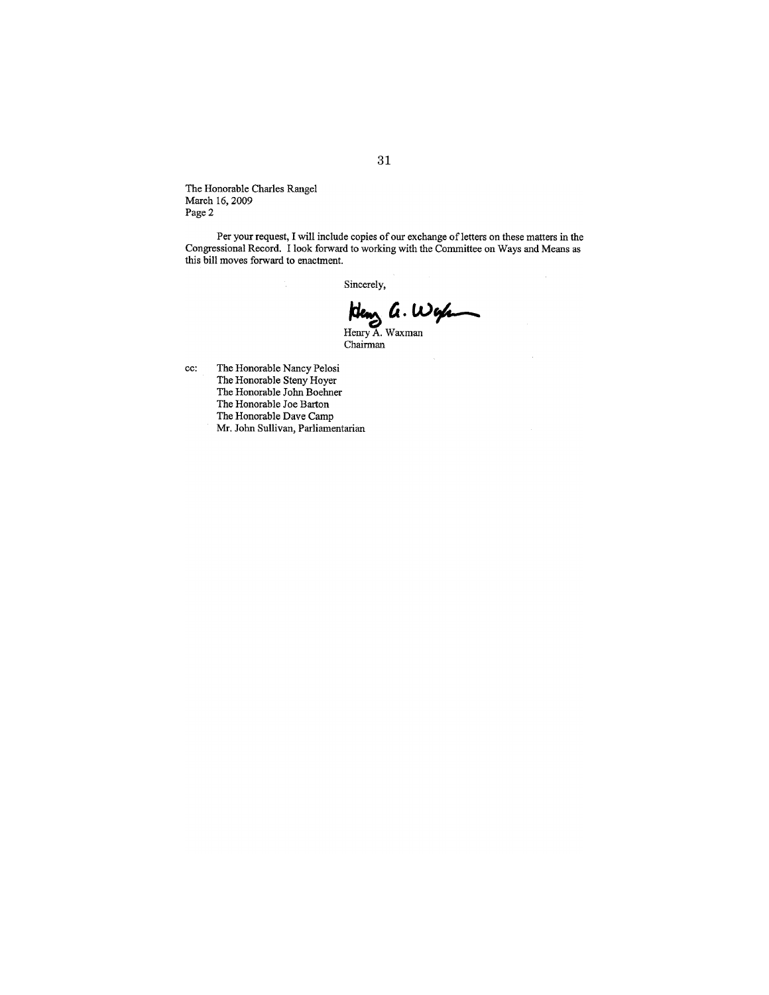The Honorable Charles Rangel March 16, 2009 Page 2

Per your request, I will include copies of our exchange of letters on these matters in the Congressional Record. I look forward to working with the Committee on Ways and Means as this bill moves forward to enactment.

Sincerely,

 $\frac{d}{d}$   $\frac{d}{d}$ .  $\frac{d}{d}$ 

The Honorable Nancy Pelosi cc: The Honorable Steny Hoyer The Honorable John Boehner The Honorable Joe Barton The Honorable Dave Camp Mr. John Sullivan, Parliamentarian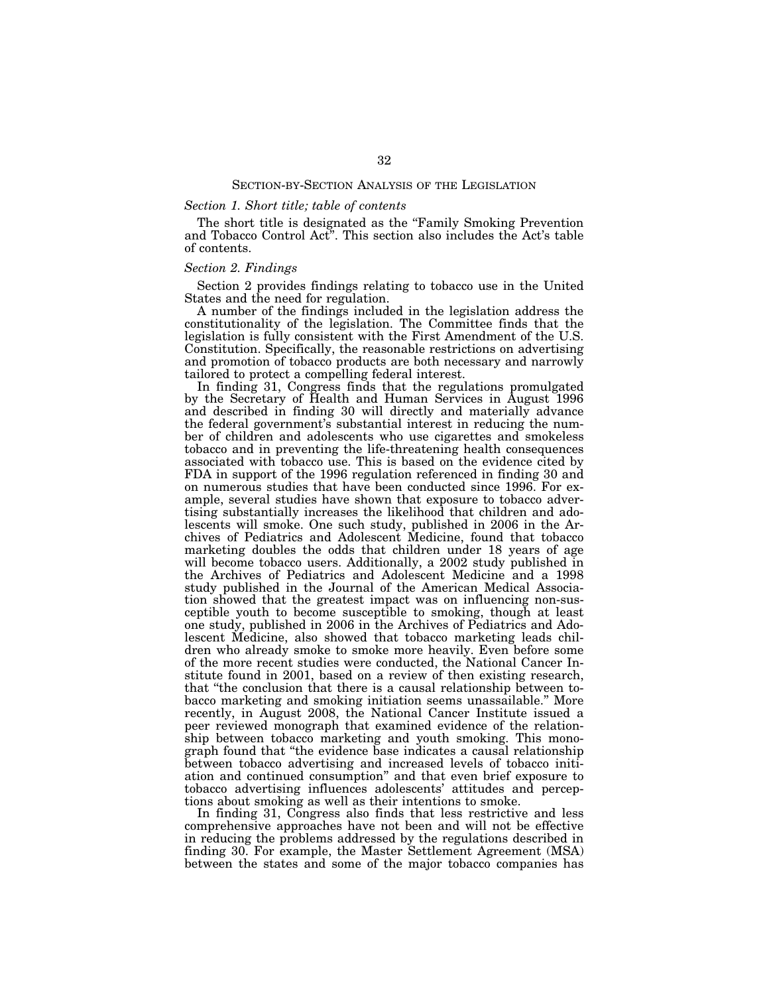#### SECTION-BY-SECTION ANALYSIS OF THE LEGISLATION

#### *Section 1. Short title; table of contents*

The short title is designated as the "Family Smoking Prevention" and Tobacco Control Act''. This section also includes the Act's table of contents.

#### *Section 2. Findings*

Section 2 provides findings relating to tobacco use in the United States and the need for regulation.

A number of the findings included in the legislation address the constitutionality of the legislation. The Committee finds that the legislation is fully consistent with the First Amendment of the U.S. Constitution. Specifically, the reasonable restrictions on advertising and promotion of tobacco products are both necessary and narrowly tailored to protect a compelling federal interest.

In finding 31, Congress finds that the regulations promulgated by the Secretary of Health and Human Services in August 1996 and described in finding 30 will directly and materially advance the federal government's substantial interest in reducing the number of children and adolescents who use cigarettes and smokeless tobacco and in preventing the life-threatening health consequences associated with tobacco use. This is based on the evidence cited by FDA in support of the 1996 regulation referenced in finding 30 and on numerous studies that have been conducted since 1996. For example, several studies have shown that exposure to tobacco advertising substantially increases the likelihood that children and adolescents will smoke. One such study, published in 2006 in the Archives of Pediatrics and Adolescent Medicine, found that tobacco marketing doubles the odds that children under 18 years of age will become tobacco users. Additionally, a 2002 study published in the Archives of Pediatrics and Adolescent Medicine and a 1998 study published in the Journal of the American Medical Association showed that the greatest impact was on influencing non-susceptible youth to become susceptible to smoking, though at least one study, published in 2006 in the Archives of Pediatrics and Adolescent Medicine, also showed that tobacco marketing leads children who already smoke to smoke more heavily. Even before some of the more recent studies were conducted, the National Cancer Institute found in 2001, based on a review of then existing research, that ''the conclusion that there is a causal relationship between tobacco marketing and smoking initiation seems unassailable.'' More recently, in August 2008, the National Cancer Institute issued a peer reviewed monograph that examined evidence of the relationship between tobacco marketing and youth smoking. This monograph found that ''the evidence base indicates a causal relationship between tobacco advertising and increased levels of tobacco initiation and continued consumption'' and that even brief exposure to tobacco advertising influences adolescents' attitudes and perceptions about smoking as well as their intentions to smoke.

In finding 31, Congress also finds that less restrictive and less comprehensive approaches have not been and will not be effective in reducing the problems addressed by the regulations described in finding 30. For example, the Master Settlement Agreement (MSA) between the states and some of the major tobacco companies has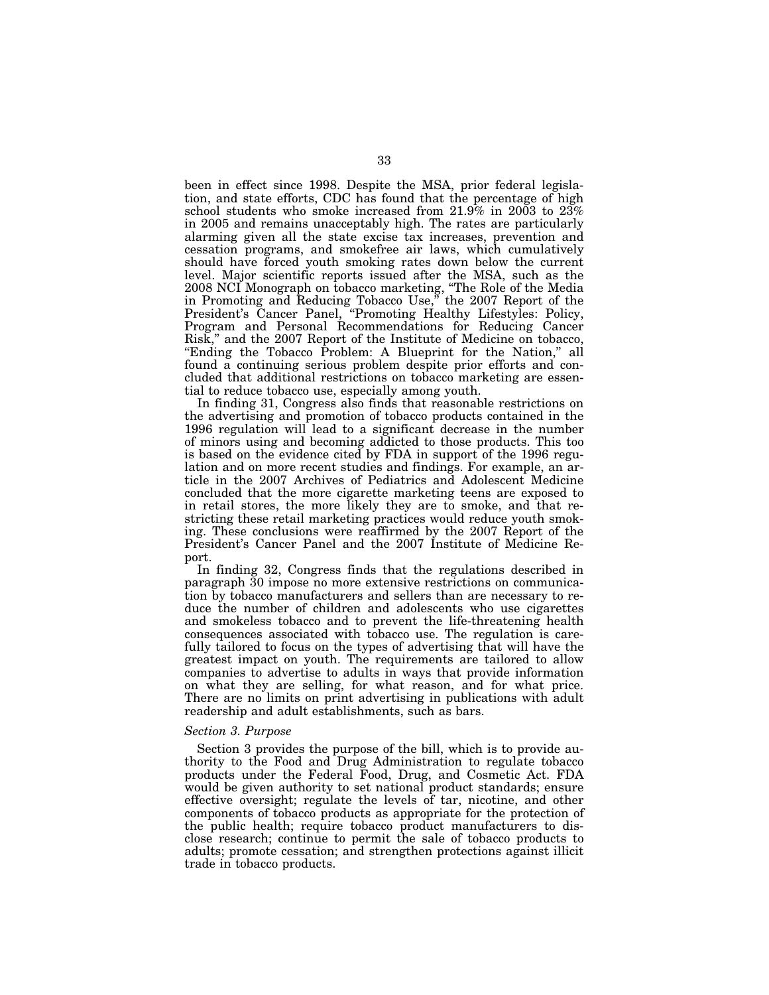been in effect since 1998. Despite the MSA, prior federal legislation, and state efforts, CDC has found that the percentage of high school students who smoke increased from 21.9% in 2003 to 23% in 2005 and remains unacceptably high. The rates are particularly alarming given all the state excise tax increases, prevention and cessation programs, and smokefree air laws, which cumulatively should have forced youth smoking rates down below the current level. Major scientific reports issued after the MSA, such as the 2008 NCI Monograph on tobacco marketing, ''The Role of the Media in Promoting and Reducing Tobacco Use,'' the 2007 Report of the President's Cancer Panel, "Promoting Healthy Lifestyles: Policy, Program and Personal Recommendations for Reducing Cancer Risk,'' and the 2007 Report of the Institute of Medicine on tobacco, "Ending the Tobacco Problem: A Blueprint for the Nation," all found a continuing serious problem despite prior efforts and concluded that additional restrictions on tobacco marketing are essential to reduce tobacco use, especially among youth.

In finding 31, Congress also finds that reasonable restrictions on the advertising and promotion of tobacco products contained in the 1996 regulation will lead to a significant decrease in the number of minors using and becoming addicted to those products. This too is based on the evidence cited by FDA in support of the 1996 regulation and on more recent studies and findings. For example, an article in the 2007 Archives of Pediatrics and Adolescent Medicine concluded that the more cigarette marketing teens are exposed to in retail stores, the more likely they are to smoke, and that restricting these retail marketing practices would reduce youth smoking. These conclusions were reaffirmed by the 2007 Report of the President's Cancer Panel and the 2007 Institute of Medicine Report.

In finding 32, Congress finds that the regulations described in paragraph 30 impose no more extensive restrictions on communication by tobacco manufacturers and sellers than are necessary to reduce the number of children and adolescents who use cigarettes and smokeless tobacco and to prevent the life-threatening health consequences associated with tobacco use. The regulation is carefully tailored to focus on the types of advertising that will have the greatest impact on youth. The requirements are tailored to allow companies to advertise to adults in ways that provide information on what they are selling, for what reason, and for what price. There are no limits on print advertising in publications with adult readership and adult establishments, such as bars.

#### *Section 3. Purpose*

Section 3 provides the purpose of the bill, which is to provide authority to the Food and Drug Administration to regulate tobacco products under the Federal Food, Drug, and Cosmetic Act. FDA would be given authority to set national product standards; ensure effective oversight; regulate the levels of tar, nicotine, and other components of tobacco products as appropriate for the protection of the public health; require tobacco product manufacturers to disclose research; continue to permit the sale of tobacco products to adults; promote cessation; and strengthen protections against illicit trade in tobacco products.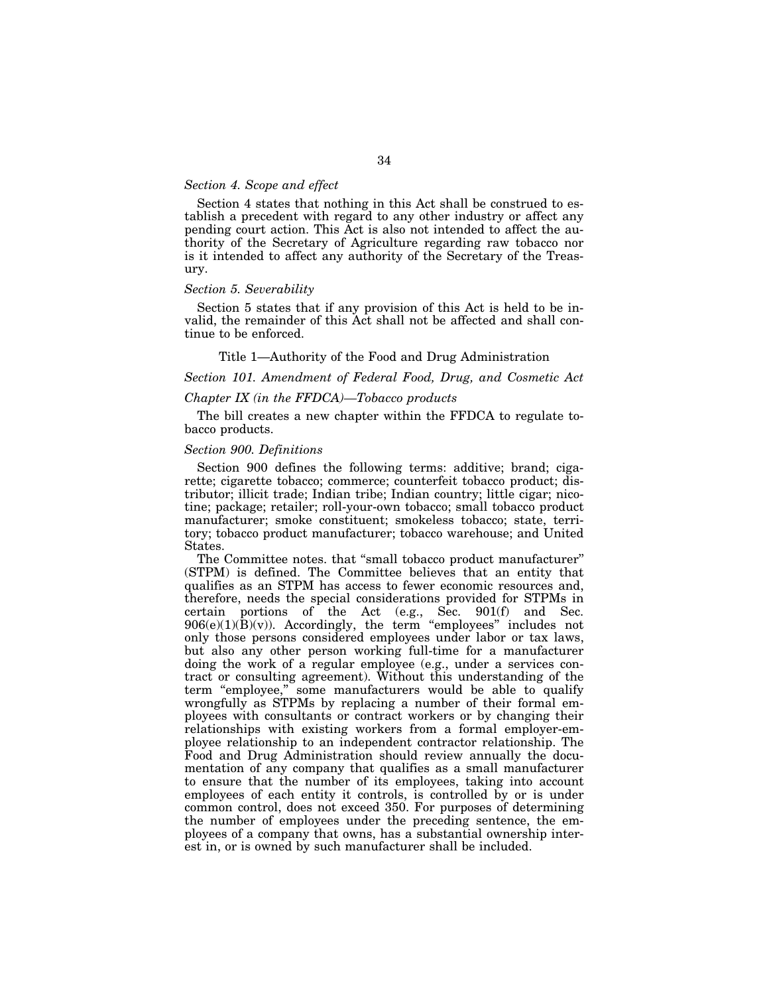#### *Section 4. Scope and effect*

Section 4 states that nothing in this Act shall be construed to establish a precedent with regard to any other industry or affect any pending court action. This Act is also not intended to affect the authority of the Secretary of Agriculture regarding raw tobacco nor is it intended to affect any authority of the Secretary of the Treasury.

#### *Section 5. Severability*

Section 5 states that if any provision of this Act is held to be invalid, the remainder of this Act shall not be affected and shall continue to be enforced.

Title 1—Authority of the Food and Drug Administration

#### *Section 101. Amendment of Federal Food, Drug, and Cosmetic Act*

#### *Chapter IX (in the FFDCA)—Tobacco products*

The bill creates a new chapter within the FFDCA to regulate tobacco products.

#### *Section 900. Definitions*

Section 900 defines the following terms: additive; brand; cigarette; cigarette tobacco; commerce; counterfeit tobacco product; distributor; illicit trade; Indian tribe; Indian country; little cigar; nicotine; package; retailer; roll-your-own tobacco; small tobacco product manufacturer; smoke constituent; smokeless tobacco; state, territory; tobacco product manufacturer; tobacco warehouse; and United States.

The Committee notes. that "small tobacco product manufacturer" (STPM) is defined. The Committee believes that an entity that qualifies as an STPM has access to fewer economic resources and, therefore, needs the special considerations provided for STPMs in certain portions of the Act (e.g., Sec. 901(f) and Sec.  $906(e)(1)(B)(v)$ . Accordingly, the term "employees" includes not only those persons considered employees under labor or tax laws, but also any other person working full-time for a manufacturer doing the work of a regular employee (e.g., under a services contract or consulting agreement). Without this understanding of the term "employee," some manufacturers would be able to qualify wrongfully as STPMs by replacing a number of their formal employees with consultants or contract workers or by changing their relationships with existing workers from a formal employer-employee relationship to an independent contractor relationship. The Food and Drug Administration should review annually the documentation of any company that qualifies as a small manufacturer to ensure that the number of its employees, taking into account employees of each entity it controls, is controlled by or is under common control, does not exceed 350. For purposes of determining the number of employees under the preceding sentence, the employees of a company that owns, has a substantial ownership interest in, or is owned by such manufacturer shall be included.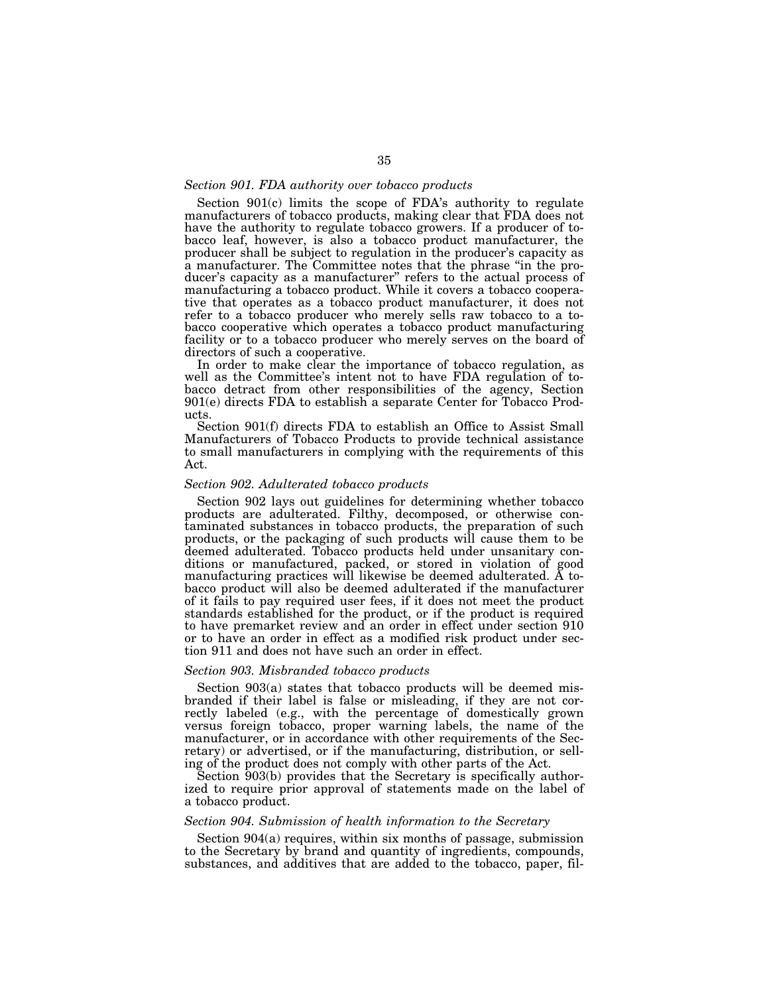#### *Section 901. FDA authority over tobacco products*

Section 901(c) limits the scope of FDA's authority to regulate manufacturers of tobacco products, making clear that FDA does not have the authority to regulate tobacco growers. If a producer of tobacco leaf, however, is also a tobacco product manufacturer, the producer shall be subject to regulation in the producer's capacity as a manufacturer. The Committee notes that the phrase ''in the producer's capacity as a manufacturer'' refers to the actual process of manufacturing a tobacco product. While it covers a tobacco cooperative that operates as a tobacco product manufacturer, it does not refer to a tobacco producer who merely sells raw tobacco to a tobacco cooperative which operates a tobacco product manufacturing facility or to a tobacco producer who merely serves on the board of directors of such a cooperative.

In order to make clear the importance of tobacco regulation, as well as the Committee's intent not to have FDA regulation of tobacco detract from other responsibilities of the agency, Section 901(e) directs FDA to establish a separate Center for Tobacco Products.

Section 901(f) directs FDA to establish an Office to Assist Small Manufacturers of Tobacco Products to provide technical assistance to small manufacturers in complying with the requirements of this Act.

#### *Section 902. Adulterated tobacco products*

Section 902 lays out guidelines for determining whether tobacco products are adulterated. Filthy, decomposed, or otherwise contaminated substances in tobacco products, the preparation of such products, or the packaging of such products will cause them to be deemed adulterated. Tobacco products held under unsanitary conditions or manufactured, packed, or stored in violation of good manufacturing practices will likewise be deemed adulterated. A tobacco product will also be deemed adulterated if the manufacturer of it fails to pay required user fees, if it does not meet the product standards established for the product, or if the product is required to have premarket review and an order in effect under section 910 or to have an order in effect as a modified risk product under section 911 and does not have such an order in effect.

#### *Section 903. Misbranded tobacco products*

Section 903(a) states that tobacco products will be deemed misbranded if their label is false or misleading, if they are not correctly labeled (e.g., with the percentage of domestically grown versus foreign tobacco, proper warning labels, the name of the manufacturer, or in accordance with other requirements of the Secretary) or advertised, or if the manufacturing, distribution, or selling of the product does not comply with other parts of the Act.

Section 903(b) provides that the Secretary is specifically authorized to require prior approval of statements made on the label of a tobacco product.

#### *Section 904. Submission of health information to the Secretary*

Section 904(a) requires, within six months of passage, submission to the Secretary by brand and quantity of ingredients, compounds, substances, and additives that are added to the tobacco, paper, fil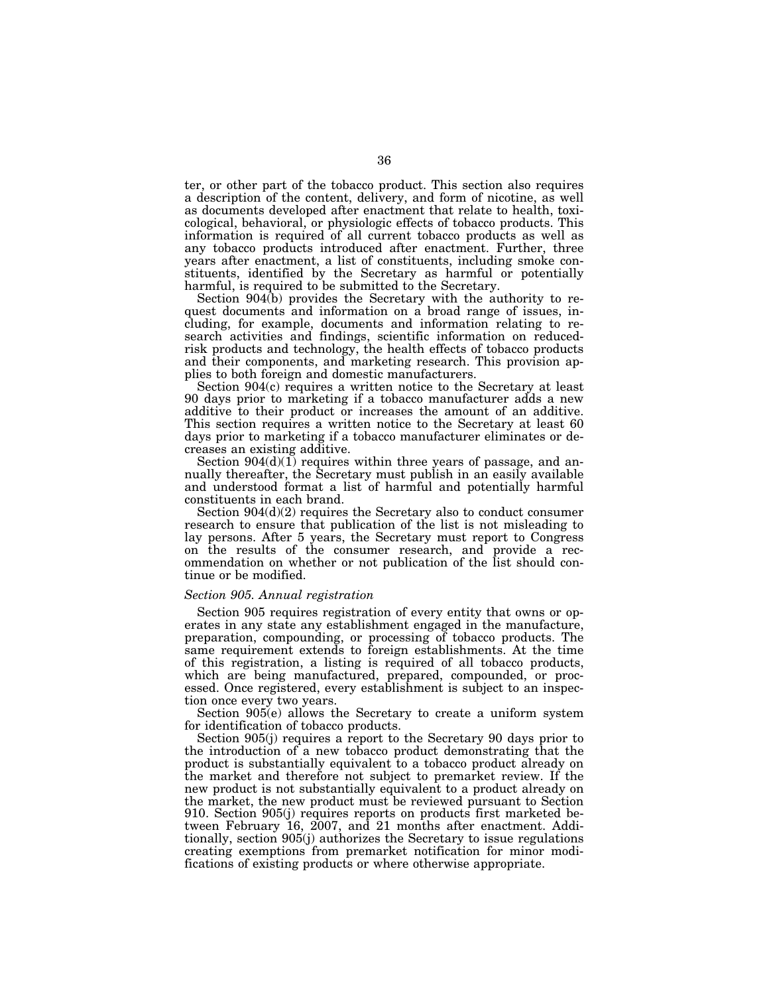ter, or other part of the tobacco product. This section also requires a description of the content, delivery, and form of nicotine, as well as documents developed after enactment that relate to health, toxicological, behavioral, or physiologic effects of tobacco products. This information is required of all current tobacco products as well as any tobacco products introduced after enactment. Further, three years after enactment, a list of constituents, including smoke constituents, identified by the Secretary as harmful or potentially harmful, is required to be submitted to the Secretary.

Section 904(b) provides the Secretary with the authority to request documents and information on a broad range of issues, including, for example, documents and information relating to research activities and findings, scientific information on reducedrisk products and technology, the health effects of tobacco products and their components, and marketing research. This provision applies to both foreign and domestic manufacturers.

Section 904(c) requires a written notice to the Secretary at least 90 days prior to marketing if a tobacco manufacturer adds a new additive to their product or increases the amount of an additive. This section requires a written notice to the Secretary at least 60 days prior to marketing if a tobacco manufacturer eliminates or decreases an existing additive.

Section  $904(d)(1)$  requires within three years of passage, and annually thereafter, the Secretary must publish in an easily available and understood format a list of harmful and potentially harmful constituents in each brand.

Section 904(d)(2) requires the Secretary also to conduct consumer research to ensure that publication of the list is not misleading to lay persons. After 5 years, the Secretary must report to Congress on the results of the consumer research, and provide a recommendation on whether or not publication of the list should continue or be modified.

#### *Section 905. Annual registration*

Section 905 requires registration of every entity that owns or operates in any state any establishment engaged in the manufacture, preparation, compounding, or processing of tobacco products. The same requirement extends to foreign establishments. At the time of this registration, a listing is required of all tobacco products, which are being manufactured, prepared, compounded, or processed. Once registered, every establishment is subject to an inspection once every two years.

Section 905(e) allows the Secretary to create a uniform system for identification of tobacco products.

Section 905(j) requires a report to the Secretary 90 days prior to the introduction of a new tobacco product demonstrating that the product is substantially equivalent to a tobacco product already on the market and therefore not subject to premarket review. If the new product is not substantially equivalent to a product already on the market, the new product must be reviewed pursuant to Section 910. Section 905(j) requires reports on products first marketed between February 16, 2007, and 21 months after enactment. Additionally, section 905(j) authorizes the Secretary to issue regulations creating exemptions from premarket notification for minor modifications of existing products or where otherwise appropriate.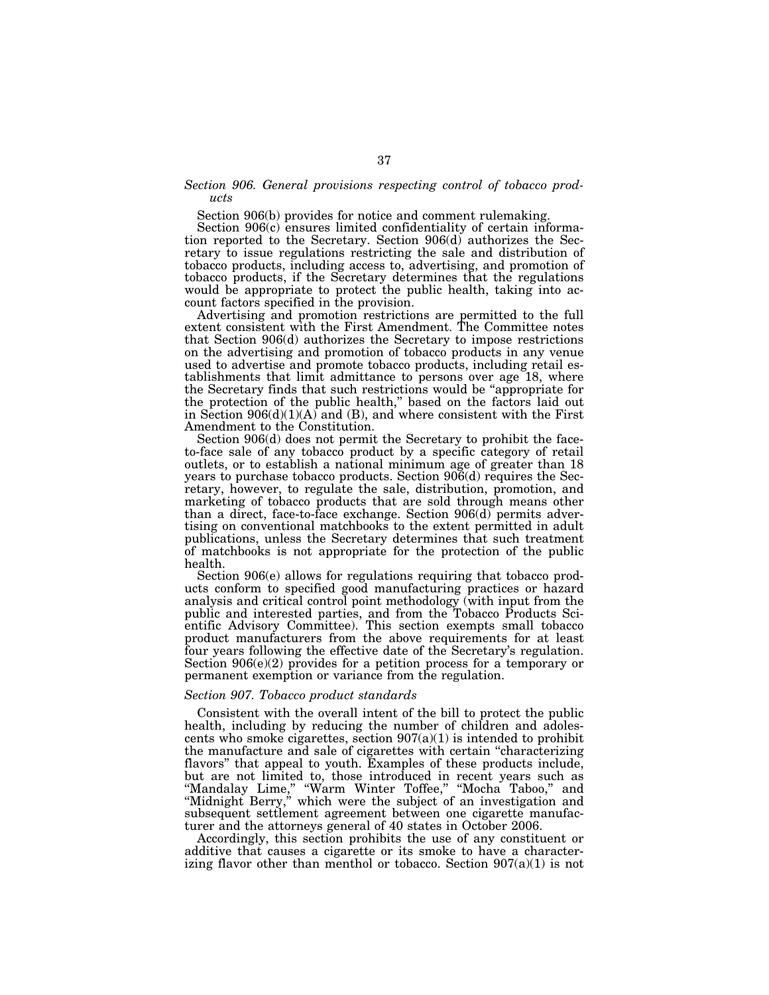# *Section 906. General provisions respecting control of tobacco products*

Section 906(b) provides for notice and comment rulemaking.

Section 906(c) ensures limited confidentiality of certain information reported to the Secretary. Section 906(d) authorizes the Secretary to issue regulations restricting the sale and distribution of tobacco products, including access to, advertising, and promotion of tobacco products, if the Secretary determines that the regulations would be appropriate to protect the public health, taking into account factors specified in the provision.

Advertising and promotion restrictions are permitted to the full extent consistent with the First Amendment. The Committee notes that Section 906(d) authorizes the Secretary to impose restrictions on the advertising and promotion of tobacco products in any venue used to advertise and promote tobacco products, including retail establishments that limit admittance to persons over age 18, where the Secretary finds that such restrictions would be ''appropriate for the protection of the public health,'' based on the factors laid out in Section  $906(d)(1)(A)$  and (B), and where consistent with the First Amendment to the Constitution.

Section 906(d) does not permit the Secretary to prohibit the faceto-face sale of any tobacco product by a specific category of retail outlets, or to establish a national minimum age of greater than 18 years to purchase tobacco products. Section 906(d) requires the Secretary, however, to regulate the sale, distribution, promotion, and marketing of tobacco products that are sold through means other than a direct, face-to-face exchange. Section 906(d) permits advertising on conventional matchbooks to the extent permitted in adult publications, unless the Secretary determines that such treatment of matchbooks is not appropriate for the protection of the public health.

Section 906(e) allows for regulations requiring that tobacco products conform to specified good manufacturing practices or hazard analysis and critical control point methodology (with input from the public and interested parties, and from the Tobacco Products Scientific Advisory Committee). This section exempts small tobacco product manufacturers from the above requirements for at least four years following the effective date of the Secretary's regulation. Section 906(e)(2) provides for a petition process for a temporary or permanent exemption or variance from the regulation.

### *Section 907. Tobacco product standards*

Consistent with the overall intent of the bill to protect the public health, including by reducing the number of children and adolescents who smoke cigarettes, section  $907(a)(1)$  is intended to prohibit the manufacture and sale of cigarettes with certain ''characterizing flavors'' that appeal to youth. Examples of these products include, but are not limited to, those introduced in recent years such as ''Mandalay Lime,'' ''Warm Winter Toffee,'' ''Mocha Taboo,'' and ''Midnight Berry,'' which were the subject of an investigation and subsequent settlement agreement between one cigarette manufacturer and the attorneys general of 40 states in October 2006.

Accordingly, this section prohibits the use of any constituent or additive that causes a cigarette or its smoke to have a characterizing flavor other than menthol or tobacco. Section  $907(a)(1)$  is not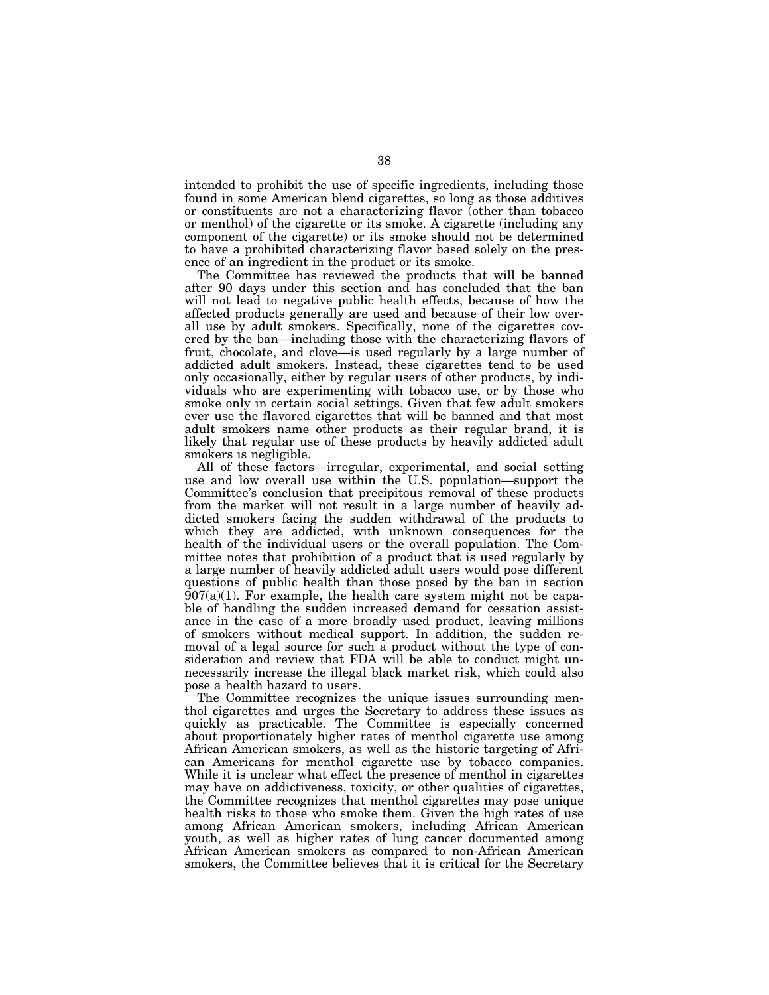intended to prohibit the use of specific ingredients, including those found in some American blend cigarettes, so long as those additives or constituents are not a characterizing flavor (other than tobacco or menthol) of the cigarette or its smoke. A cigarette (including any component of the cigarette) or its smoke should not be determined to have a prohibited characterizing flavor based solely on the presence of an ingredient in the product or its smoke.

The Committee has reviewed the products that will be banned after 90 days under this section and has concluded that the ban will not lead to negative public health effects, because of how the affected products generally are used and because of their low overall use by adult smokers. Specifically, none of the cigarettes covered by the ban—including those with the characterizing flavors of fruit, chocolate, and clove—is used regularly by a large number of addicted adult smokers. Instead, these cigarettes tend to be used only occasionally, either by regular users of other products, by individuals who are experimenting with tobacco use, or by those who smoke only in certain social settings. Given that few adult smokers ever use the flavored cigarettes that will be banned and that most adult smokers name other products as their regular brand, it is likely that regular use of these products by heavily addicted adult smokers is negligible.

All of these factors—irregular, experimental, and social setting use and low overall use within the U.S. population—support the Committee's conclusion that precipitous removal of these products from the market will not result in a large number of heavily addicted smokers facing the sudden withdrawal of the products to which they are addicted, with unknown consequences for the health of the individual users or the overall population. The Committee notes that prohibition of a product that is used regularly by a large number of heavily addicted adult users would pose different questions of public health than those posed by the ban in section  $907(a)(1)$ . For example, the health care system might not be capable of handling the sudden increased demand for cessation assistance in the case of a more broadly used product, leaving millions of smokers without medical support. In addition, the sudden removal of a legal source for such a product without the type of consideration and review that FDA will be able to conduct might unnecessarily increase the illegal black market risk, which could also pose a health hazard to users.

The Committee recognizes the unique issues surrounding menthol cigarettes and urges the Secretary to address these issues as quickly as practicable. The Committee is especially concerned about proportionately higher rates of menthol cigarette use among African American smokers, as well as the historic targeting of African Americans for menthol cigarette use by tobacco companies. While it is unclear what effect the presence of menthol in cigarettes may have on addictiveness, toxicity, or other qualities of cigarettes, the Committee recognizes that menthol cigarettes may pose unique health risks to those who smoke them. Given the high rates of use among African American smokers, including African American youth, as well as higher rates of lung cancer documented among African American smokers as compared to non-African American smokers, the Committee believes that it is critical for the Secretary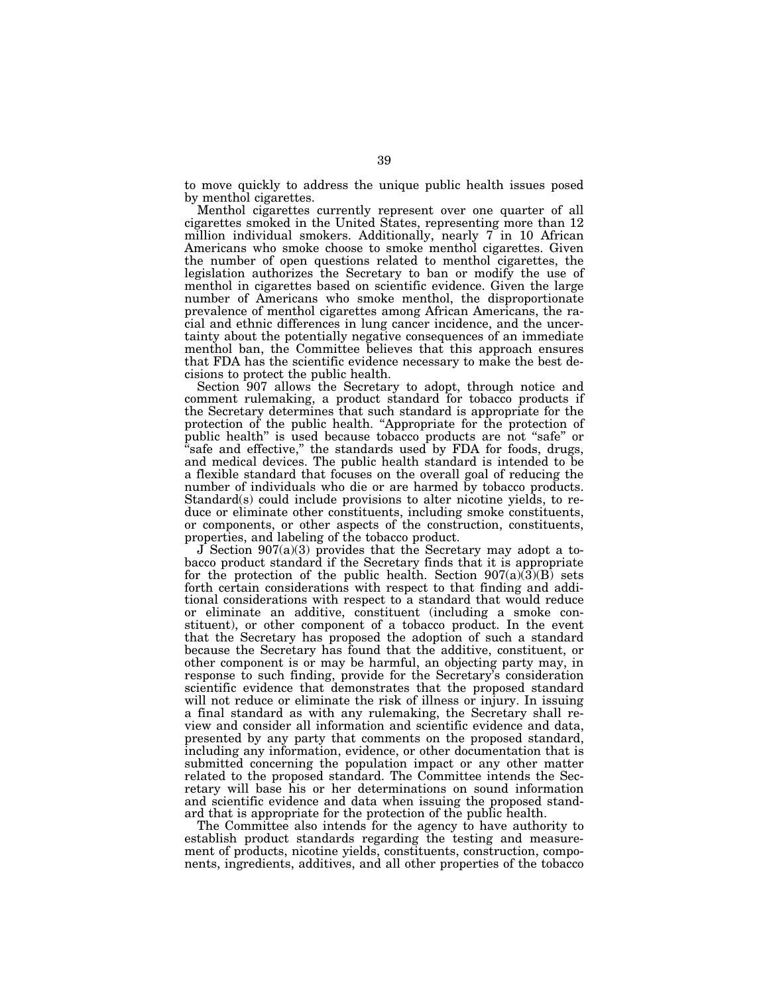to move quickly to address the unique public health issues posed by menthol cigarettes.

Menthol cigarettes currently represent over one quarter of all cigarettes smoked in the United States, representing more than 12 million individual smokers. Additionally, nearly  $\overline{7}$  in 10 African Americans who smoke choose to smoke menthol cigarettes. Given the number of open questions related to menthol cigarettes, the legislation authorizes the Secretary to ban or modify the use of menthol in cigarettes based on scientific evidence. Given the large number of Americans who smoke menthol, the disproportionate prevalence of menthol cigarettes among African Americans, the racial and ethnic differences in lung cancer incidence, and the uncertainty about the potentially negative consequences of an immediate menthol ban, the Committee believes that this approach ensures that FDA has the scientific evidence necessary to make the best decisions to protect the public health.

Section 907 allows the Secretary to adopt, through notice and comment rulemaking, a product standard for tobacco products if the Secretary determines that such standard is appropriate for the protection of the public health. ''Appropriate for the protection of public health'' is used because tobacco products are not ''safe'' or safe and effective," the standards used by FDA for foods, drugs, and medical devices. The public health standard is intended to be a flexible standard that focuses on the overall goal of reducing the number of individuals who die or are harmed by tobacco products. Standard(s) could include provisions to alter nicotine yields, to reduce or eliminate other constituents, including smoke constituents, or components, or other aspects of the construction, constituents, properties, and labeling of the tobacco product.

J Section 907(a)(3) provides that the Secretary may adopt a tobacco product standard if the Secretary finds that it is appropriate for the protection of the public health. Section  $907(a)(3)(B)$  sets forth certain considerations with respect to that finding and additional considerations with respect to a standard that would reduce or eliminate an additive, constituent (including a smoke constituent), or other component of a tobacco product. In the event that the Secretary has proposed the adoption of such a standard because the Secretary has found that the additive, constituent, or other component is or may be harmful, an objecting party may, in response to such finding, provide for the Secretary's consideration scientific evidence that demonstrates that the proposed standard will not reduce or eliminate the risk of illness or injury. In issuing a final standard as with any rulemaking, the Secretary shall review and consider all information and scientific evidence and data, presented by any party that comments on the proposed standard, including any information, evidence, or other documentation that is submitted concerning the population impact or any other matter related to the proposed standard. The Committee intends the Secretary will base his or her determinations on sound information and scientific evidence and data when issuing the proposed standard that is appropriate for the protection of the public health.

The Committee also intends for the agency to have authority to establish product standards regarding the testing and measurement of products, nicotine yields, constituents, construction, components, ingredients, additives, and all other properties of the tobacco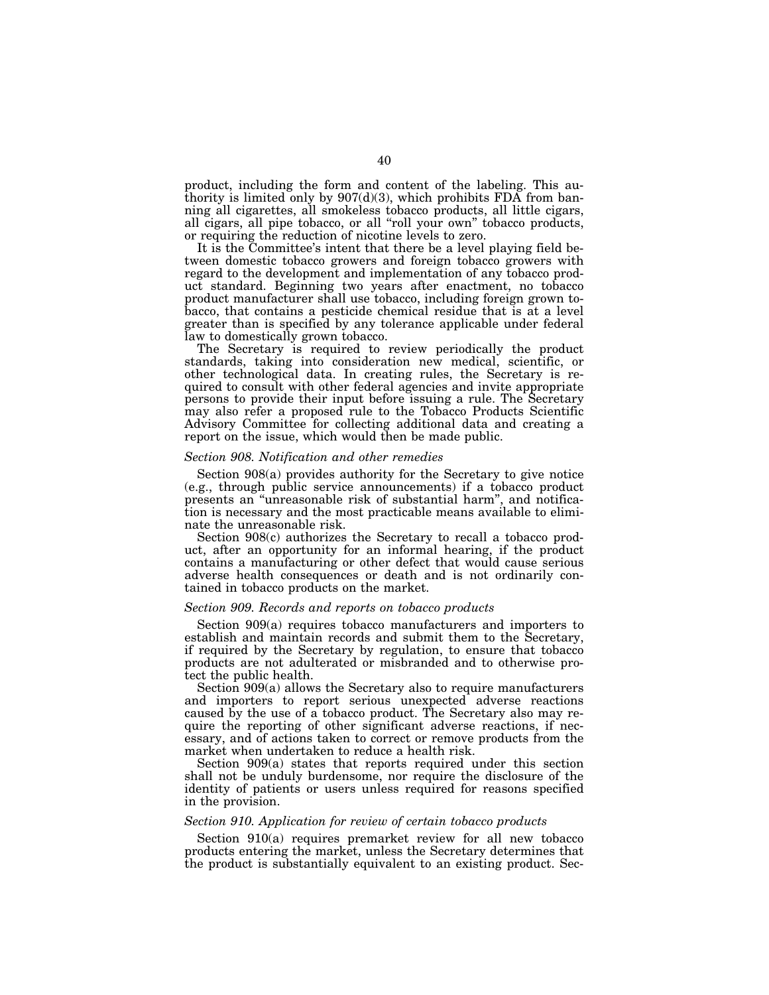product, including the form and content of the labeling. This authority is limited only by  $907(d)(3)$ , which prohibits FDA from banning all cigarettes, all smokeless tobacco products, all little cigars, all cigars, all pipe tobacco, or all ''roll your own'' tobacco products, or requiring the reduction of nicotine levels to zero.

It is the Committee's intent that there be a level playing field between domestic tobacco growers and foreign tobacco growers with regard to the development and implementation of any tobacco product standard. Beginning two years after enactment, no tobacco product manufacturer shall use tobacco, including foreign grown tobacco, that contains a pesticide chemical residue that is at a level greater than is specified by any tolerance applicable under federal law to domestically grown tobacco.

The Secretary is required to review periodically the product standards, taking into consideration new medical, scientific, or other technological data. In creating rules, the Secretary is required to consult with other federal agencies and invite appropriate persons to provide their input before issuing a rule. The Secretary may also refer a proposed rule to the Tobacco Products Scientific Advisory Committee for collecting additional data and creating a report on the issue, which would then be made public.

### *Section 908. Notification and other remedies*

Section 908(a) provides authority for the Secretary to give notice (e.g., through public service announcements) if a tobacco product presents an ''unreasonable risk of substantial harm'', and notification is necessary and the most practicable means available to eliminate the unreasonable risk.

Section 908(c) authorizes the Secretary to recall a tobacco product, after an opportunity for an informal hearing, if the product contains a manufacturing or other defect that would cause serious adverse health consequences or death and is not ordinarily contained in tobacco products on the market.

### *Section 909. Records and reports on tobacco products*

Section 909(a) requires tobacco manufacturers and importers to establish and maintain records and submit them to the Secretary, if required by the Secretary by regulation, to ensure that tobacco products are not adulterated or misbranded and to otherwise protect the public health.

Section 909(a) allows the Secretary also to require manufacturers and importers to report serious unexpected adverse reactions caused by the use of a tobacco product. The Secretary also may require the reporting of other significant adverse reactions, if necessary, and of actions taken to correct or remove products from the market when undertaken to reduce a health risk.

Section 909(a) states that reports required under this section shall not be unduly burdensome, nor require the disclosure of the identity of patients or users unless required for reasons specified in the provision.

### *Section 910. Application for review of certain tobacco products*

Section 910(a) requires premarket review for all new tobacco products entering the market, unless the Secretary determines that the product is substantially equivalent to an existing product. Sec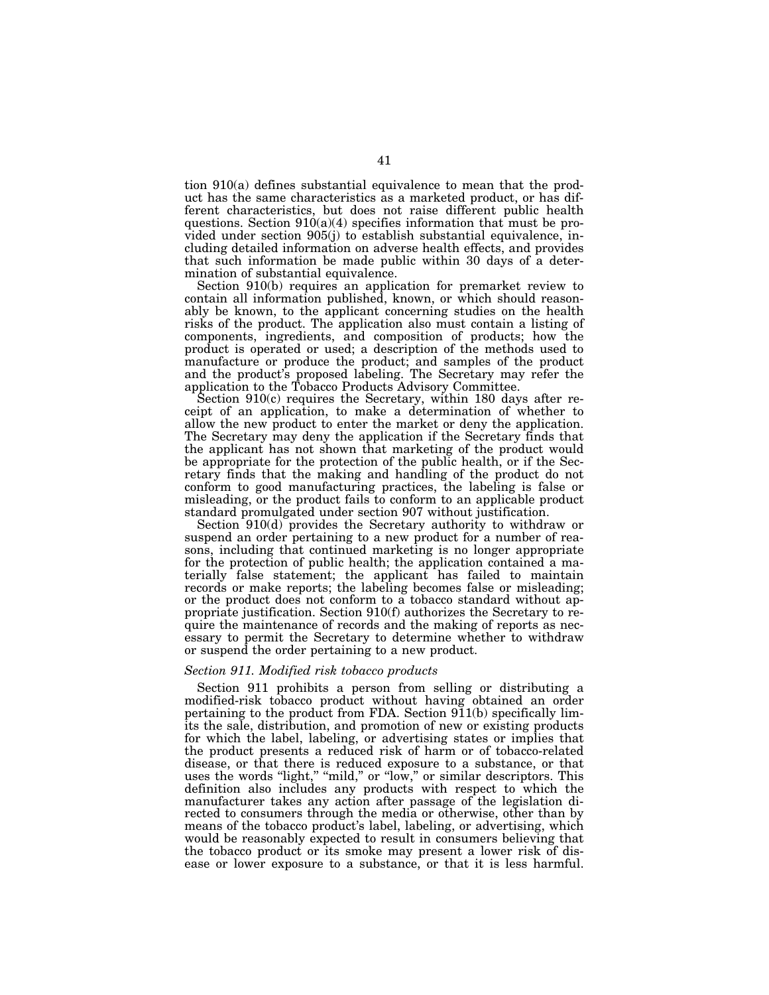tion 910(a) defines substantial equivalence to mean that the product has the same characteristics as a marketed product, or has different characteristics, but does not raise different public health questions. Section  $910(a)(4)$  specifies information that must be provided under section 905(j) to establish substantial equivalence, including detailed information on adverse health effects, and provides that such information be made public within 30 days of a determination of substantial equivalence.

Section 910(b) requires an application for premarket review to contain all information published, known, or which should reasonably be known, to the applicant concerning studies on the health risks of the product. The application also must contain a listing of components, ingredients, and composition of products; how the product is operated or used; a description of the methods used to manufacture or produce the product; and samples of the product and the product's proposed labeling. The Secretary may refer the application to the Tobacco Products Advisory Committee.

Section 910(c) requires the Secretary, within 180 days after receipt of an application, to make a determination of whether to allow the new product to enter the market or deny the application. The Secretary may deny the application if the Secretary finds that the applicant has not shown that marketing of the product would be appropriate for the protection of the public health, or if the Secretary finds that the making and handling of the product do not conform to good manufacturing practices, the labeling is false or misleading, or the product fails to conform to an applicable product standard promulgated under section 907 without justification.

Section 910(d) provides the Secretary authority to withdraw or suspend an order pertaining to a new product for a number of reasons, including that continued marketing is no longer appropriate for the protection of public health; the application contained a materially false statement; the applicant has failed to maintain records or make reports; the labeling becomes false or misleading; or the product does not conform to a tobacco standard without appropriate justification. Section 910(f) authorizes the Secretary to require the maintenance of records and the making of reports as necessary to permit the Secretary to determine whether to withdraw or suspend the order pertaining to a new product.

### *Section 911. Modified risk tobacco products*

Section 911 prohibits a person from selling or distributing a modified-risk tobacco product without having obtained an order pertaining to the product from FDA. Section  $911(b)$  specifically limits the sale, distribution, and promotion of new or existing products for which the label, labeling, or advertising states or implies that the product presents a reduced risk of harm or of tobacco-related disease, or that there is reduced exposure to a substance, or that uses the words "light," "mild," or "low," or similar descriptors. This definition also includes any products with respect to which the manufacturer takes any action after passage of the legislation directed to consumers through the media or otherwise, other than by means of the tobacco product's label, labeling, or advertising, which would be reasonably expected to result in consumers believing that the tobacco product or its smoke may present a lower risk of disease or lower exposure to a substance, or that it is less harmful.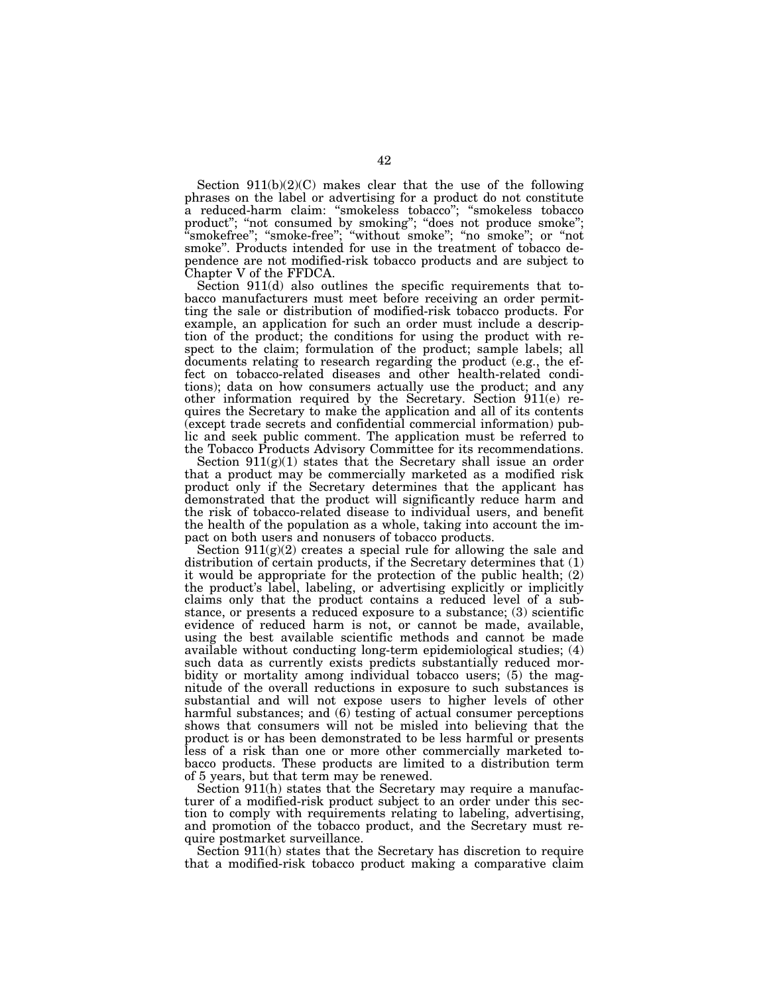Section  $911(b)(2)(C)$  makes clear that the use of the following phrases on the label or advertising for a product do not constitute a reduced-harm claim: ''smokeless tobacco''; ''smokeless tobacco product"; "not consumed by smoking"; "does not produce smoke"; "smokefree"; "smoke-free"; "without smoke"; "no smoke"; or "not smoke". Products intended for use in the treatment of tobacco dependence are not modified-risk tobacco products and are subject to Chapter V of the FFDCA.

Section 911(d) also outlines the specific requirements that tobacco manufacturers must meet before receiving an order permitting the sale or distribution of modified-risk tobacco products. For example, an application for such an order must include a description of the product; the conditions for using the product with respect to the claim; formulation of the product; sample labels; all documents relating to research regarding the product (e.g., the effect on tobacco-related diseases and other health-related conditions); data on how consumers actually use the product; and any other information required by the Secretary. Section 911(e) requires the Secretary to make the application and all of its contents (except trade secrets and confidential commercial information) public and seek public comment. The application must be referred to the Tobacco Products Advisory Committee for its recommendations.

Section  $911(g)(1)$  states that the Secretary shall issue an order that a product may be commercially marketed as a modified risk product only if the Secretary determines that the applicant has demonstrated that the product will significantly reduce harm and the risk of tobacco-related disease to individual users, and benefit the health of the population as a whole, taking into account the impact on both users and nonusers of tobacco products.

Section  $911(g)(2)$  creates a special rule for allowing the sale and distribution of certain products, if the Secretary determines that (1) it would be appropriate for the protection of the public health; (2) the product's label, labeling, or advertising explicitly or implicitly claims only that the product contains a reduced level of a substance, or presents a reduced exposure to a substance; (3) scientific evidence of reduced harm is not, or cannot be made, available, using the best available scientific methods and cannot be made available without conducting long-term epidemiological studies; (4) such data as currently exists predicts substantially reduced morbidity or mortality among individual tobacco users; (5) the magnitude of the overall reductions in exposure to such substances is substantial and will not expose users to higher levels of other harmful substances; and (6) testing of actual consumer perceptions shows that consumers will not be misled into believing that the product is or has been demonstrated to be less harmful or presents less of a risk than one or more other commercially marketed tobacco products. These products are limited to a distribution term of 5 years, but that term may be renewed.

Section 911(h) states that the Secretary may require a manufacturer of a modified-risk product subject to an order under this section to comply with requirements relating to labeling, advertising, and promotion of the tobacco product, and the Secretary must require postmarket surveillance.

Section 911(h) states that the Secretary has discretion to require that a modified-risk tobacco product making a comparative claim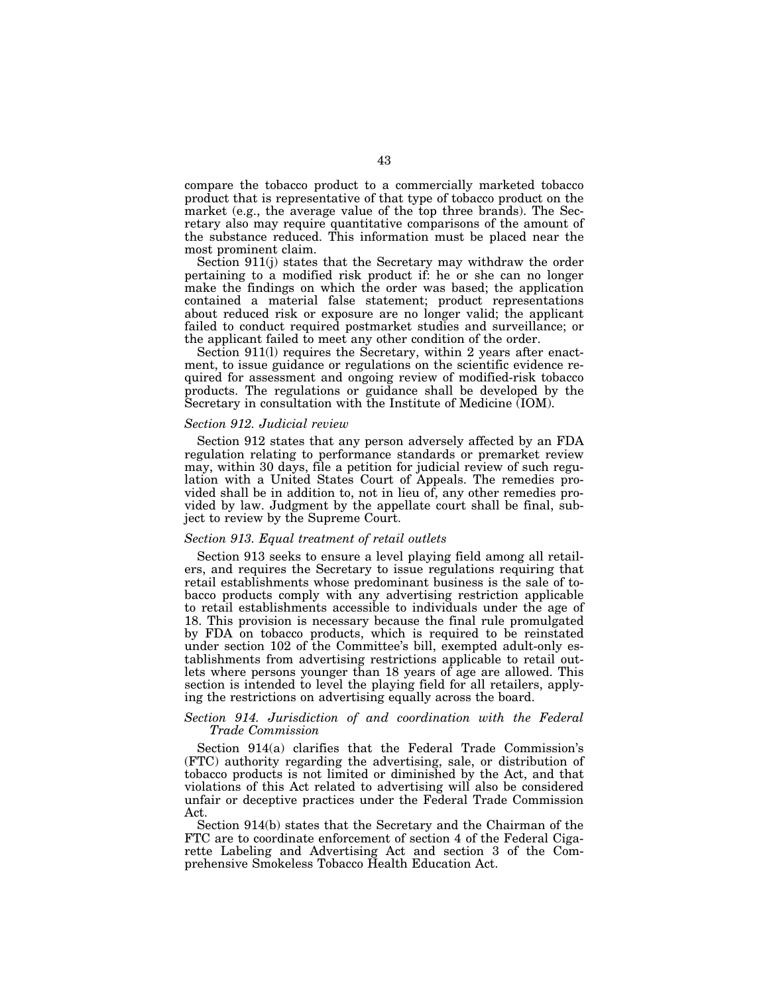compare the tobacco product to a commercially marketed tobacco product that is representative of that type of tobacco product on the market (e.g., the average value of the top three brands). The Secretary also may require quantitative comparisons of the amount of the substance reduced. This information must be placed near the most prominent claim.

Section 911(j) states that the Secretary may withdraw the order pertaining to a modified risk product if: he or she can no longer make the findings on which the order was based; the application contained a material false statement; product representations about reduced risk or exposure are no longer valid; the applicant failed to conduct required postmarket studies and surveillance; or the applicant failed to meet any other condition of the order.

Section 911(l) requires the Secretary, within 2 years after enactment, to issue guidance or regulations on the scientific evidence required for assessment and ongoing review of modified-risk tobacco products. The regulations or guidance shall be developed by the Secretary in consultation with the Institute of Medicine (IOM).

#### *Section 912. Judicial review*

Section 912 states that any person adversely affected by an FDA regulation relating to performance standards or premarket review may, within 30 days, file a petition for judicial review of such regulation with a United States Court of Appeals. The remedies provided shall be in addition to, not in lieu of, any other remedies provided by law. Judgment by the appellate court shall be final, subject to review by the Supreme Court.

### *Section 913. Equal treatment of retail outlets*

Section 913 seeks to ensure a level playing field among all retailers, and requires the Secretary to issue regulations requiring that retail establishments whose predominant business is the sale of tobacco products comply with any advertising restriction applicable to retail establishments accessible to individuals under the age of 18. This provision is necessary because the final rule promulgated by FDA on tobacco products, which is required to be reinstated under section 102 of the Committee's bill, exempted adult-only establishments from advertising restrictions applicable to retail outlets where persons younger than 18 years of age are allowed. This section is intended to level the playing field for all retailers, applying the restrictions on advertising equally across the board.

### *Section 914. Jurisdiction of and coordination with the Federal Trade Commission*

Section 914(a) clarifies that the Federal Trade Commission's (FTC) authority regarding the advertising, sale, or distribution of tobacco products is not limited or diminished by the Act, and that violations of this Act related to advertising will also be considered unfair or deceptive practices under the Federal Trade Commission Act.

Section 914(b) states that the Secretary and the Chairman of the FTC are to coordinate enforcement of section 4 of the Federal Cigarette Labeling and Advertising Act and section 3 of the Comprehensive Smokeless Tobacco Health Education Act.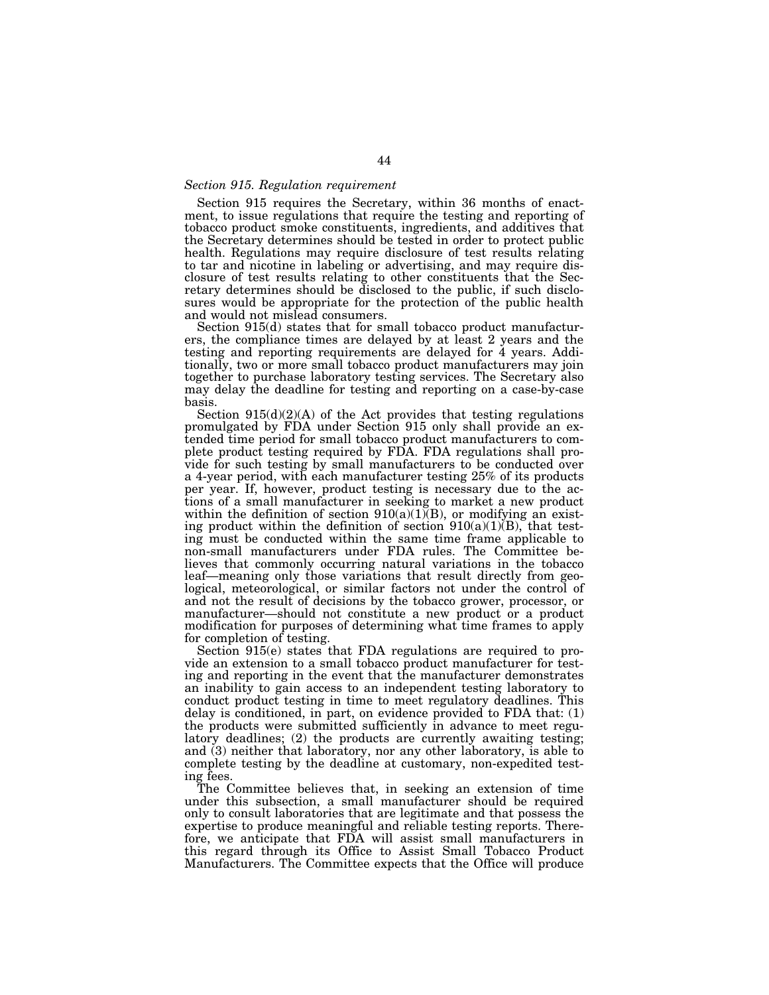### *Section 915. Regulation requirement*

Section 915 requires the Secretary, within 36 months of enactment, to issue regulations that require the testing and reporting of tobacco product smoke constituents, ingredients, and additives that the Secretary determines should be tested in order to protect public health. Regulations may require disclosure of test results relating to tar and nicotine in labeling or advertising, and may require disclosure of test results relating to other constituents that the Secretary determines should be disclosed to the public, if such disclosures would be appropriate for the protection of the public health and would not mislead consumers.

Section 915(d) states that for small tobacco product manufacturers, the compliance times are delayed by at least 2 years and the testing and reporting requirements are delayed for 4 years. Additionally, two or more small tobacco product manufacturers may join together to purchase laboratory testing services. The Secretary also may delay the deadline for testing and reporting on a case-by-case basis.

Section  $915(d)(2)(A)$  of the Act provides that testing regulations promulgated by FDA under Section 915 only shall provide an extended time period for small tobacco product manufacturers to complete product testing required by FDA. FDA regulations shall provide for such testing by small manufacturers to be conducted over a 4-year period, with each manufacturer testing 25% of its products per year. If, however, product testing is necessary due to the actions of a small manufacturer in seeking to market a new product within the definition of section  $910(a)(1)$ (B), or modifying an existing product within the definition of section  $910(a)(1)(B)$ , that testing must be conducted within the same time frame applicable to non-small manufacturers under FDA rules. The Committee believes that commonly occurring natural variations in the tobacco leaf—meaning only those variations that result directly from geological, meteorological, or similar factors not under the control of and not the result of decisions by the tobacco grower, processor, or manufacturer—should not constitute a new product or a product modification for purposes of determining what time frames to apply for completion of testing.

Section 915(e) states that FDA regulations are required to provide an extension to a small tobacco product manufacturer for testing and reporting in the event that the manufacturer demonstrates an inability to gain access to an independent testing laboratory to conduct product testing in time to meet regulatory deadlines. This delay is conditioned, in part, on evidence provided to FDA that: (1) the products were submitted sufficiently in advance to meet regulatory deadlines; (2) the products are currently awaiting testing; and (3) neither that laboratory, nor any other laboratory, is able to complete testing by the deadline at customary, non-expedited testing fees.

The Committee believes that, in seeking an extension of time under this subsection, a small manufacturer should be required only to consult laboratories that are legitimate and that possess the expertise to produce meaningful and reliable testing reports. Therefore, we anticipate that FDA will assist small manufacturers in this regard through its Office to Assist Small Tobacco Product Manufacturers. The Committee expects that the Office will produce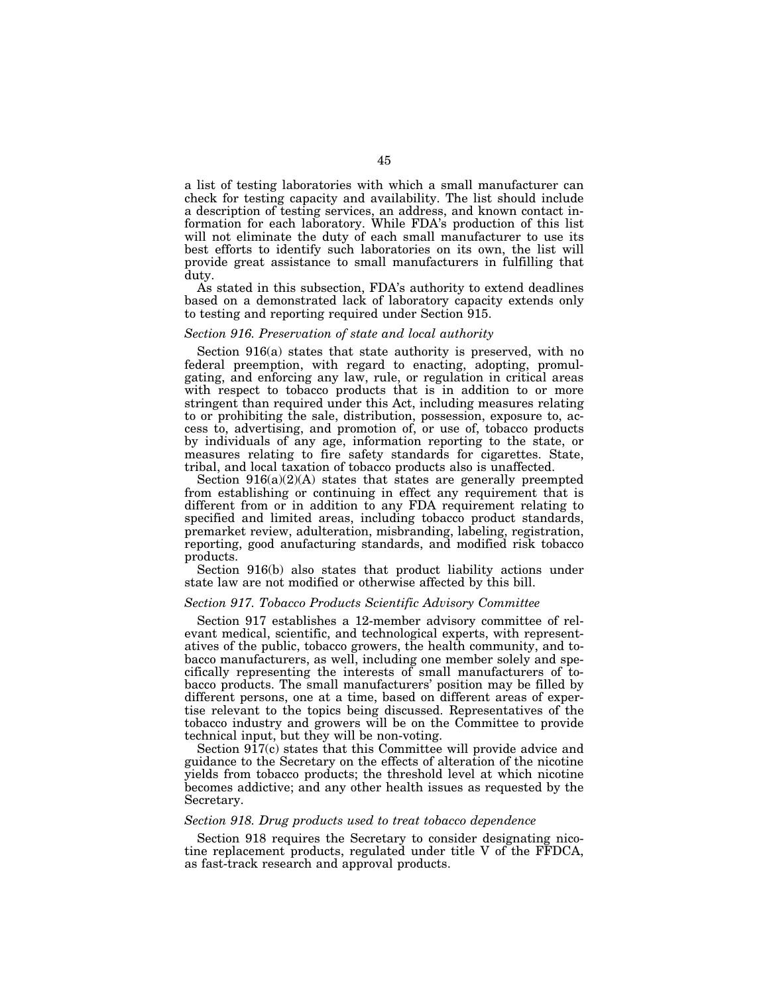a list of testing laboratories with which a small manufacturer can check for testing capacity and availability. The list should include a description of testing services, an address, and known contact information for each laboratory. While FDA's production of this list will not eliminate the duty of each small manufacturer to use its best efforts to identify such laboratories on its own, the list will provide great assistance to small manufacturers in fulfilling that duty.

As stated in this subsection, FDA's authority to extend deadlines based on a demonstrated lack of laboratory capacity extends only to testing and reporting required under Section 915.

#### *Section 916. Preservation of state and local authority*

Section 916(a) states that state authority is preserved, with no federal preemption, with regard to enacting, adopting, promulgating, and enforcing any law, rule, or regulation in critical areas with respect to tobacco products that is in addition to or more stringent than required under this Act, including measures relating to or prohibiting the sale, distribution, possession, exposure to, access to, advertising, and promotion of, or use of, tobacco products by individuals of any age, information reporting to the state, or measures relating to fire safety standards for cigarettes. State, tribal, and local taxation of tobacco products also is unaffected.

Section  $916(a)(2)(A)$  states that states are generally preempted from establishing or continuing in effect any requirement that is different from or in addition to any FDA requirement relating to specified and limited areas, including tobacco product standards, premarket review, adulteration, misbranding, labeling, registration, reporting, good anufacturing standards, and modified risk tobacco products.

Section 916(b) also states that product liability actions under state law are not modified or otherwise affected by this bill.

### *Section 917. Tobacco Products Scientific Advisory Committee*

Section 917 establishes a 12-member advisory committee of relevant medical, scientific, and technological experts, with representatives of the public, tobacco growers, the health community, and tobacco manufacturers, as well, including one member solely and specifically representing the interests of small manufacturers of tobacco products. The small manufacturers' position may be filled by different persons, one at a time, based on different areas of expertise relevant to the topics being discussed. Representatives of the tobacco industry and growers will be on the Committee to provide technical input, but they will be non-voting.

Section 917(c) states that this Committee will provide advice and guidance to the Secretary on the effects of alteration of the nicotine yields from tobacco products; the threshold level at which nicotine becomes addictive; and any other health issues as requested by the Secretary.

### *Section 918. Drug products used to treat tobacco dependence*

Section 918 requires the Secretary to consider designating nicotine replacement products, regulated under title V of the FFDCA, as fast-track research and approval products.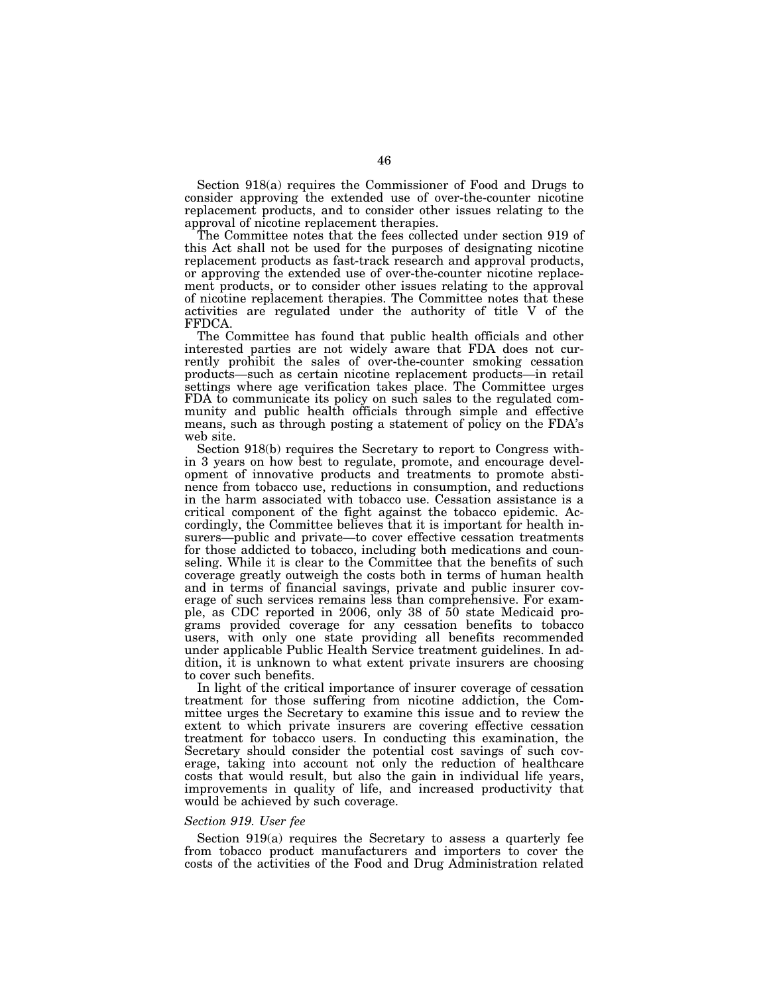Section 918(a) requires the Commissioner of Food and Drugs to consider approving the extended use of over-the-counter nicotine replacement products, and to consider other issues relating to the approval of nicotine replacement therapies.

The Committee notes that the fees collected under section 919 of this Act shall not be used for the purposes of designating nicotine replacement products as fast-track research and approval products, or approving the extended use of over-the-counter nicotine replacement products, or to consider other issues relating to the approval of nicotine replacement therapies. The Committee notes that these activities are regulated under the authority of title V of the FFDCA.

The Committee has found that public health officials and other interested parties are not widely aware that FDA does not currently prohibit the sales of over-the-counter smoking cessation products—such as certain nicotine replacement products—in retail settings where age verification takes place. The Committee urges FDA to communicate its policy on such sales to the regulated community and public health officials through simple and effective means, such as through posting a statement of policy on the FDA's web site.

Section 918(b) requires the Secretary to report to Congress within 3 years on how best to regulate, promote, and encourage development of innovative products and treatments to promote abstinence from tobacco use, reductions in consumption, and reductions in the harm associated with tobacco use. Cessation assistance is a critical component of the fight against the tobacco epidemic. Accordingly, the Committee believes that it is important for health insurers—public and private—to cover effective cessation treatments for those addicted to tobacco, including both medications and counseling. While it is clear to the Committee that the benefits of such coverage greatly outweigh the costs both in terms of human health and in terms of financial savings, private and public insurer coverage of such services remains less than comprehensive. For example, as CDC reported in 2006, only 38 of 50 state Medicaid programs provided coverage for any cessation benefits to tobacco users, with only one state providing all benefits recommended under applicable Public Health Service treatment guidelines. In addition, it is unknown to what extent private insurers are choosing to cover such benefits.

In light of the critical importance of insurer coverage of cessation treatment for those suffering from nicotine addiction, the Committee urges the Secretary to examine this issue and to review the extent to which private insurers are covering effective cessation treatment for tobacco users. In conducting this examination, the Secretary should consider the potential cost savings of such coverage, taking into account not only the reduction of healthcare costs that would result, but also the gain in individual life years, improvements in quality of life, and increased productivity that would be achieved by such coverage.

### *Section 919. User fee*

Section 919(a) requires the Secretary to assess a quarterly fee from tobacco product manufacturers and importers to cover the costs of the activities of the Food and Drug Administration related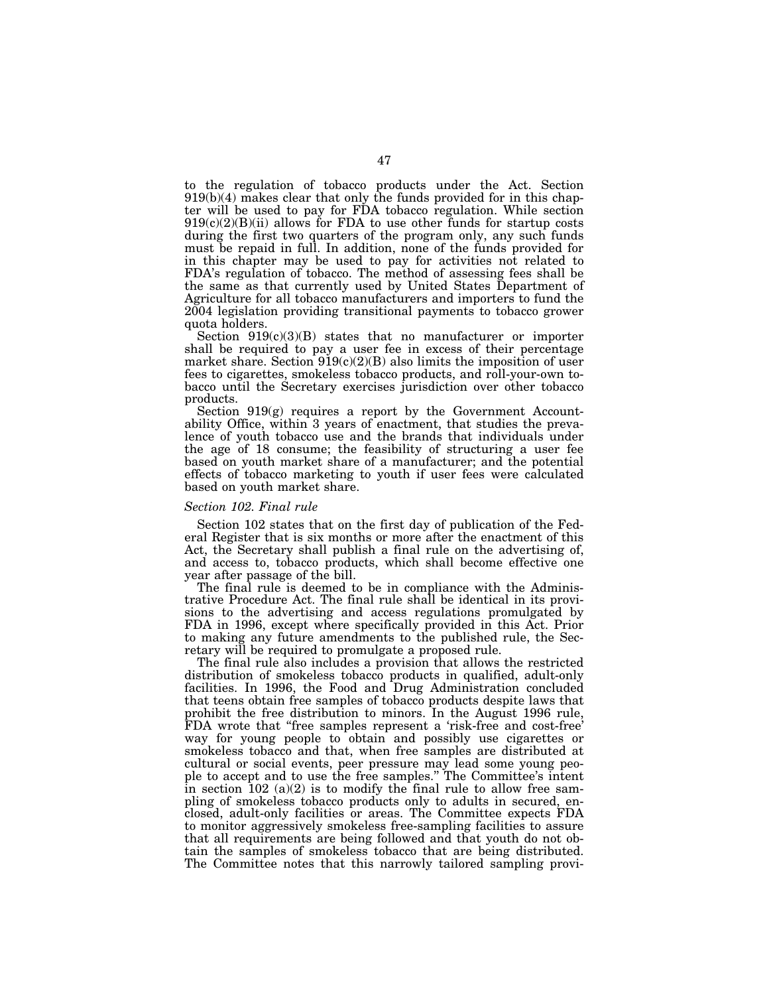to the regulation of tobacco products under the Act. Section  $919(b)(4)$  makes clear that only the funds provided for in this chapter will be used to pay for FDA tobacco regulation. While section  $919(c)(2)(B)(ii)$  allows for FDA to use other funds for startup costs during the first two quarters of the program only, any such funds must be repaid in full. In addition, none of the funds provided for in this chapter may be used to pay for activities not related to FDA's regulation of tobacco. The method of assessing fees shall be the same as that currently used by United States Department of Agriculture for all tobacco manufacturers and importers to fund the 2004 legislation providing transitional payments to tobacco grower quota holders.

Section  $919(c)(3)(B)$  states that no manufacturer or importer shall be required to pay a user fee in excess of their percentage market share. Section  $919(c)(2)(B)$  also limits the imposition of user fees to cigarettes, smokeless tobacco products, and roll-your-own tobacco until the Secretary exercises jurisdiction over other tobacco products.

Section 919(g) requires a report by the Government Accountability Office, within 3 years of enactment, that studies the prevalence of youth tobacco use and the brands that individuals under the age of 18 consume; the feasibility of structuring a user fee based on youth market share of a manufacturer; and the potential effects of tobacco marketing to youth if user fees were calculated based on youth market share.

### *Section 102. Final rule*

Section 102 states that on the first day of publication of the Federal Register that is six months or more after the enactment of this Act, the Secretary shall publish a final rule on the advertising of, and access to, tobacco products, which shall become effective one year after passage of the bill.

The final rule is deemed to be in compliance with the Administrative Procedure Act. The final rule shall be identical in its provisions to the advertising and access regulations promulgated by FDA in 1996, except where specifically provided in this Act. Prior to making any future amendments to the published rule, the Secretary will be required to promulgate a proposed rule.

The final rule also includes a provision that allows the restricted distribution of smokeless tobacco products in qualified, adult-only facilities. In 1996, the Food and Drug Administration concluded that teens obtain free samples of tobacco products despite laws that prohibit the free distribution to minors. In the August 1996 rule, FDA wrote that "free samples represent a 'risk-free and cost-free' way for young people to obtain and possibly use cigarettes or smokeless tobacco and that, when free samples are distributed at cultural or social events, peer pressure may lead some young people to accept and to use the free samples.'' The Committee's intent in section 102 (a)(2) is to modify the final rule to allow free sampling of smokeless tobacco products only to adults in secured, enclosed, adult-only facilities or areas. The Committee expects FDA to monitor aggressively smokeless free-sampling facilities to assure that all requirements are being followed and that youth do not obtain the samples of smokeless tobacco that are being distributed. The Committee notes that this narrowly tailored sampling provi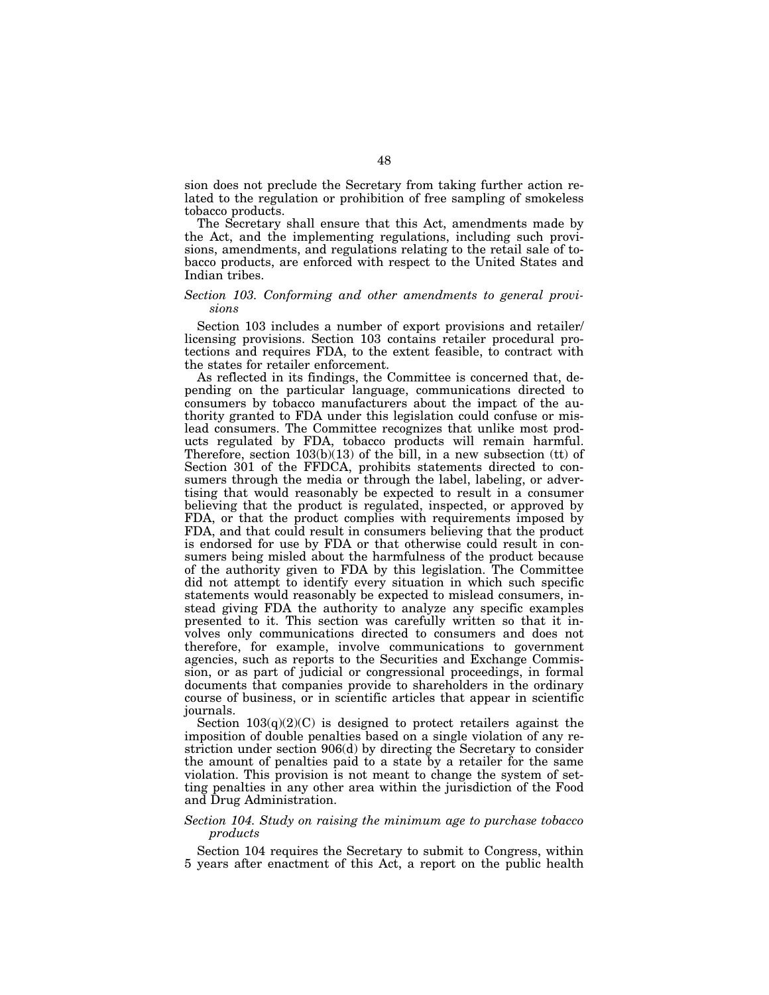sion does not preclude the Secretary from taking further action related to the regulation or prohibition of free sampling of smokeless tobacco products.

The Secretary shall ensure that this Act, amendments made by the Act, and the implementing regulations, including such provisions, amendments, and regulations relating to the retail sale of tobacco products, are enforced with respect to the United States and Indian tribes.

### *Section 103. Conforming and other amendments to general provisions*

Section 103 includes a number of export provisions and retailer/ licensing provisions. Section 103 contains retailer procedural protections and requires FDA, to the extent feasible, to contract with the states for retailer enforcement.

As reflected in its findings, the Committee is concerned that, depending on the particular language, communications directed to consumers by tobacco manufacturers about the impact of the authority granted to FDA under this legislation could confuse or mislead consumers. The Committee recognizes that unlike most products regulated by FDA, tobacco products will remain harmful. Therefore, section  $103(b)(13)$  of the bill, in a new subsection (tt) of Section 301 of the FFDCA, prohibits statements directed to consumers through the media or through the label, labeling, or advertising that would reasonably be expected to result in a consumer believing that the product is regulated, inspected, or approved by FDA, or that the product complies with requirements imposed by FDA, and that could result in consumers believing that the product is endorsed for use by FDA or that otherwise could result in consumers being misled about the harmfulness of the product because of the authority given to FDA by this legislation. The Committee did not attempt to identify every situation in which such specific statements would reasonably be expected to mislead consumers, instead giving FDA the authority to analyze any specific examples presented to it. This section was carefully written so that it involves only communications directed to consumers and does not therefore, for example, involve communications to government agencies, such as reports to the Securities and Exchange Commission, or as part of judicial or congressional proceedings, in formal documents that companies provide to shareholders in the ordinary course of business, or in scientific articles that appear in scientific journals.

Section  $103(q)(2)(C)$  is designed to protect retailers against the imposition of double penalties based on a single violation of any restriction under section 906(d) by directing the Secretary to consider the amount of penalties paid to a state by a retailer for the same violation. This provision is not meant to change the system of setting penalties in any other area within the jurisdiction of the Food and Drug Administration.

# *Section 104. Study on raising the minimum age to purchase tobacco products*

Section 104 requires the Secretary to submit to Congress, within 5 years after enactment of this Act, a report on the public health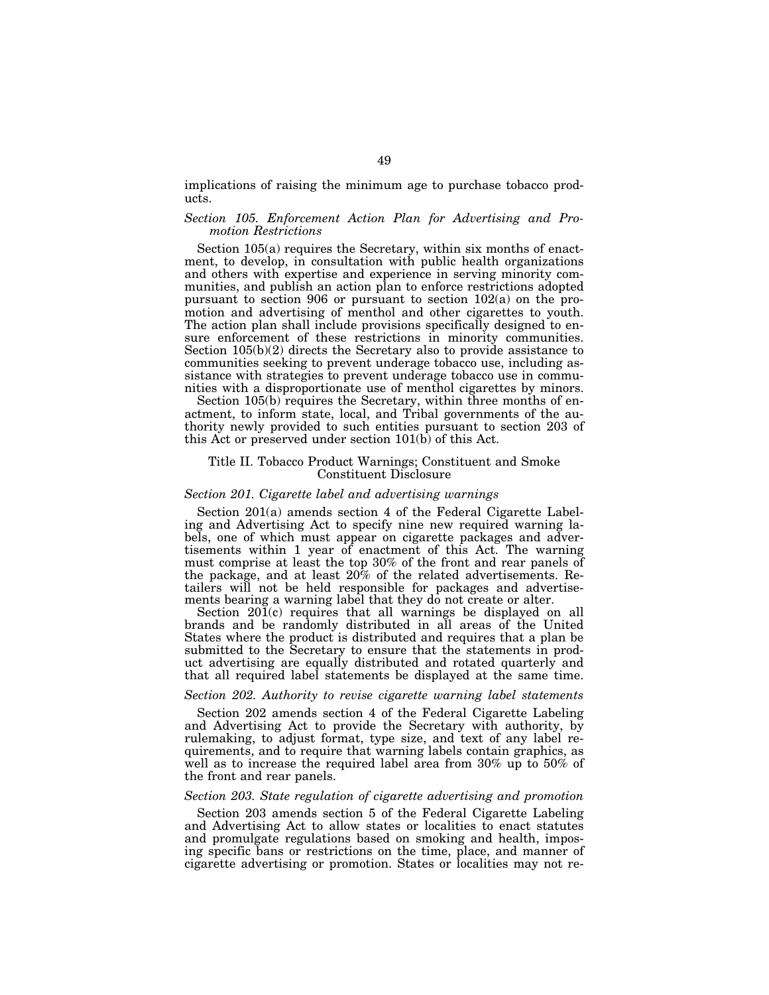implications of raising the minimum age to purchase tobacco products.

### *Section 105. Enforcement Action Plan for Advertising and Promotion Restrictions*

Section 105(a) requires the Secretary, within six months of enactment, to develop, in consultation with public health organizations and others with expertise and experience in serving minority communities, and publish an action plan to enforce restrictions adopted pursuant to section 906 or pursuant to section 102(a) on the promotion and advertising of menthol and other cigarettes to youth. The action plan shall include provisions specifically designed to ensure enforcement of these restrictions in minority communities. Section  $105(b)(2)$  directs the Secretary also to provide assistance to communities seeking to prevent underage tobacco use, including assistance with strategies to prevent underage tobacco use in communities with a disproportionate use of menthol cigarettes by minors.

Section 105(b) requires the Secretary, within three months of enactment, to inform state, local, and Tribal governments of the authority newly provided to such entities pursuant to section 203 of this Act or preserved under section 101(b) of this Act.

# Title II. Tobacco Product Warnings; Constituent and Smoke Constituent Disclosure

### *Section 201. Cigarette label and advertising warnings*

Section 201(a) amends section 4 of the Federal Cigarette Labeling and Advertising Act to specify nine new required warning labels, one of which must appear on cigarette packages and advertisements within 1 year of enactment of this Act. The warning must comprise at least the top 30% of the front and rear panels of the package, and at least 20% of the related advertisements. Retailers will not be held responsible for packages and advertisements bearing a warning label that they do not create or alter.

Section  $201(c)$  requires that all warnings be displayed on all brands and be randomly distributed in all areas of the United States where the product is distributed and requires that a plan be submitted to the Secretary to ensure that the statements in product advertising are equally distributed and rotated quarterly and that all required label statements be displayed at the same time.

# *Section 202. Authority to revise cigarette warning label statements*

Section 202 amends section 4 of the Federal Cigarette Labeling and Advertising Act to provide the Secretary with authority, by rulemaking, to adjust format, type size, and text of any label requirements, and to require that warning labels contain graphics, as well as to increase the required label area from 30% up to 50% of the front and rear panels.

### *Section 203. State regulation of cigarette advertising and promotion*

Section 203 amends section 5 of the Federal Cigarette Labeling and Advertising Act to allow states or localities to enact statutes and promulgate regulations based on smoking and health, imposing specific bans or restrictions on the time, place, and manner of cigarette advertising or promotion. States or localities may not re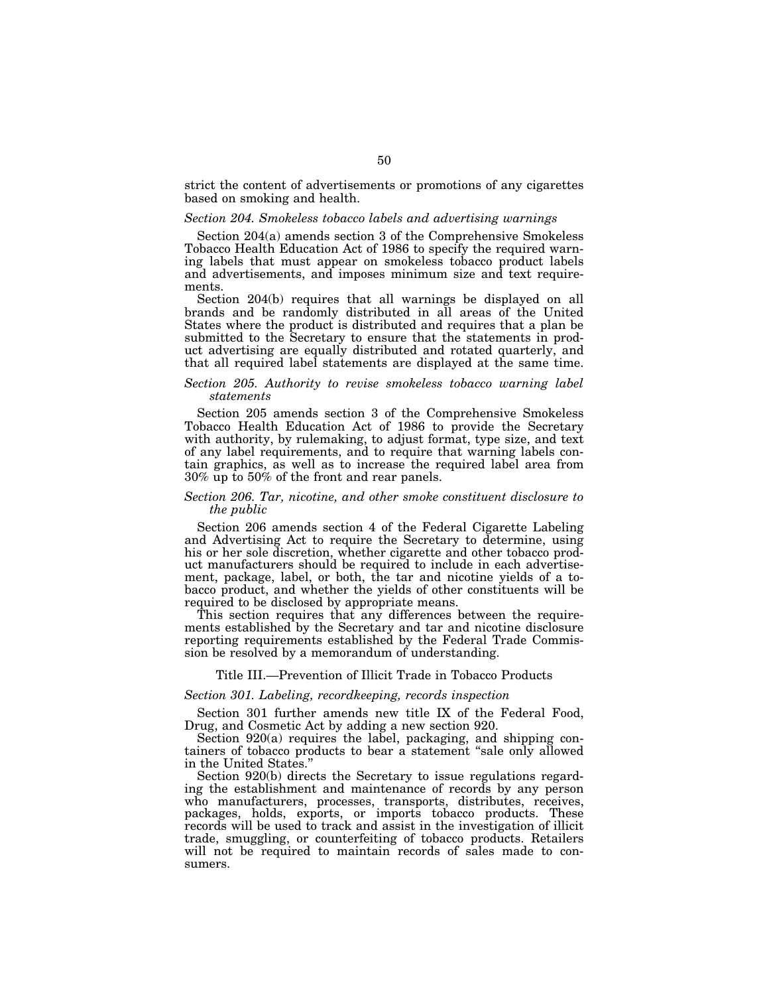strict the content of advertisements or promotions of any cigarettes based on smoking and health.

#### *Section 204. Smokeless tobacco labels and advertising warnings*

Section 204(a) amends section 3 of the Comprehensive Smokeless Tobacco Health Education Act of 1986 to specify the required warning labels that must appear on smokeless tobacco product labels and advertisements, and imposes minimum size and text requirements.

Section 204(b) requires that all warnings be displayed on all brands and be randomly distributed in all areas of the United States where the product is distributed and requires that a plan be submitted to the Secretary to ensure that the statements in product advertising are equally distributed and rotated quarterly, and that all required label statements are displayed at the same time.

### *Section 205. Authority to revise smokeless tobacco warning label statements*

Section 205 amends section 3 of the Comprehensive Smokeless Tobacco Health Education Act of 1986 to provide the Secretary with authority, by rulemaking, to adjust format, type size, and text of any label requirements, and to require that warning labels contain graphics, as well as to increase the required label area from 30% up to 50% of the front and rear panels.

## *Section 206. Tar, nicotine, and other smoke constituent disclosure to the public*

Section 206 amends section 4 of the Federal Cigarette Labeling and Advertising Act to require the Secretary to determine, using his or her sole discretion, whether cigarette and other tobacco product manufacturers should be required to include in each advertisement, package, label, or both, the tar and nicotine yields of a tobacco product, and whether the yields of other constituents will be required to be disclosed by appropriate means.

This section requires that any differences between the requirements established by the Secretary and tar and nicotine disclosure reporting requirements established by the Federal Trade Commission be resolved by a memorandum of understanding.

### Title III.—Prevention of Illicit Trade in Tobacco Products

### *Section 301. Labeling, recordkeeping, records inspection*

Section 301 further amends new title IX of the Federal Food, Drug, and Cosmetic Act by adding a new section 920.

Section 920(a) requires the label, packaging, and shipping containers of tobacco products to bear a statement ''sale only allowed in the United States.''

Section 920(b) directs the Secretary to issue regulations regarding the establishment and maintenance of records by any person who manufacturers, processes, transports, distributes, receives, packages, holds, exports, or imports tobacco products. These records will be used to track and assist in the investigation of illicit trade, smuggling, or counterfeiting of tobacco products. Retailers will not be required to maintain records of sales made to consumers.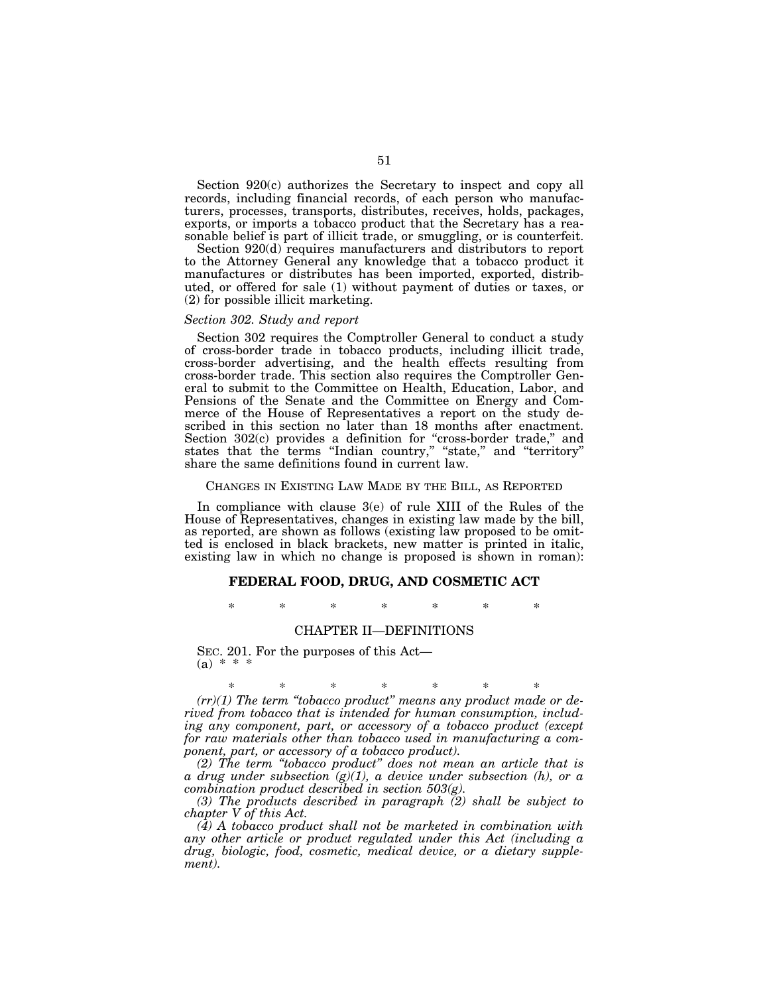Section 920(c) authorizes the Secretary to inspect and copy all records, including financial records, of each person who manufacturers, processes, transports, distributes, receives, holds, packages, exports, or imports a tobacco product that the Secretary has a reasonable belief is part of illicit trade, or smuggling, or is counterfeit.

Section 920(d) requires manufacturers and distributors to report to the Attorney General any knowledge that a tobacco product it manufactures or distributes has been imported, exported, distributed, or offered for sale (1) without payment of duties or taxes, or (2) for possible illicit marketing.

#### *Section 302. Study and report*

Section 302 requires the Comptroller General to conduct a study of cross-border trade in tobacco products, including illicit trade, cross-border advertising, and the health effects resulting from cross-border trade. This section also requires the Comptroller General to submit to the Committee on Health, Education, Labor, and Pensions of the Senate and the Committee on Energy and Commerce of the House of Representatives a report on the study described in this section no later than 18 months after enactment. Section 302(c) provides a definition for "cross-border trade," and states that the terms "Indian country," "state," and "territory" share the same definitions found in current law.

#### CHANGES IN EXISTING LAW MADE BY THE BILL, AS REPORTED

In compliance with clause 3(e) of rule XIII of the Rules of the House of Representatives, changes in existing law made by the bill, as reported, are shown as follows (existing law proposed to be omitted is enclosed in black brackets, new matter is printed in italic, existing law in which no change is proposed is shown in roman):

# **FEDERAL FOOD, DRUG, AND COSMETIC ACT**

\* \* \* \* \* \* \*

### CHAPTER II—DEFINITIONS

SEC. 201. For the purposes of this Act—  $(a) * * * *$ 

\* \* \* \* \* \* \*

*(rr)(1) The term ''tobacco product'' means any product made or derived from tobacco that is intended for human consumption, including any component, part, or accessory of a tobacco product (except for raw materials other than tobacco used in manufacturing a component, part, or accessory of a tobacco product).* 

*(2) The term ''tobacco product'' does not mean an article that is a drug under subsection (g)(1), a device under subsection (h), or a combination product described in section 503(g).* 

*(3) The products described in paragraph (2) shall be subject to chapter V of this Act.* 

*(4) A tobacco product shall not be marketed in combination with any other article or product regulated under this Act (including a drug, biologic, food, cosmetic, medical device, or a dietary supplement).*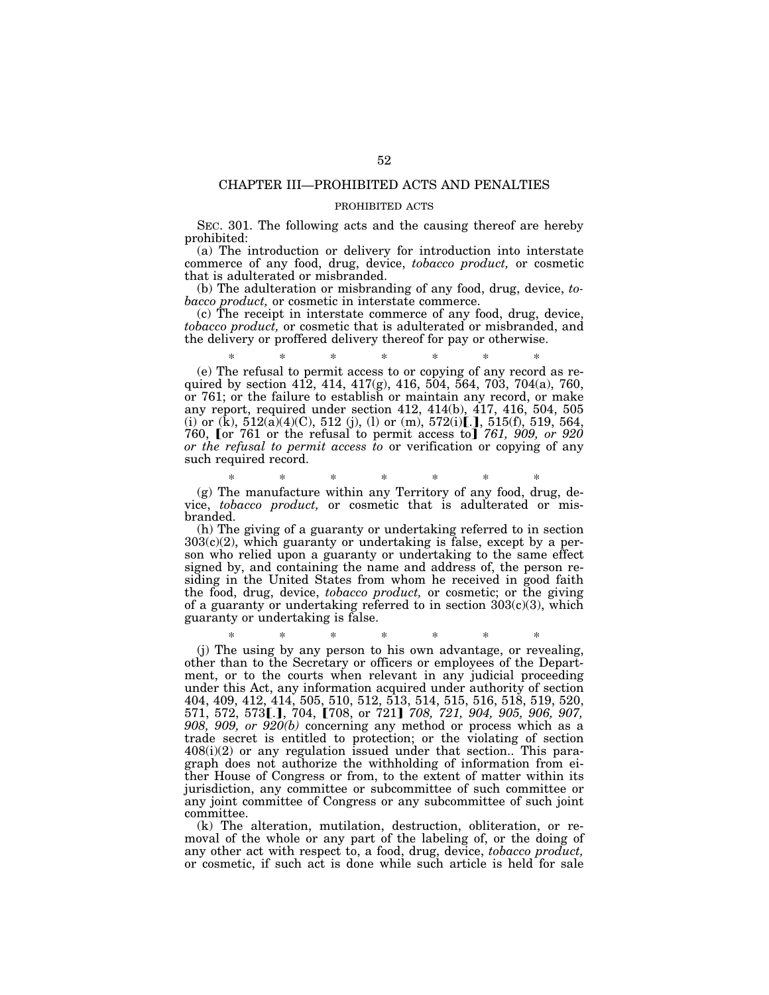# CHAPTER III—PROHIBITED ACTS AND PENALTIES

### PROHIBITED ACTS

SEC. 301. The following acts and the causing thereof are hereby prohibited:

(a) The introduction or delivery for introduction into interstate commerce of any food, drug, device, *tobacco product,* or cosmetic that is adulterated or misbranded.

(b) The adulteration or misbranding of any food, drug, device, *tobacco product,* or cosmetic in interstate commerce.

(c) The receipt in interstate commerce of any food, drug, device, *tobacco product,* or cosmetic that is adulterated or misbranded, and the delivery or proffered delivery thereof for pay or otherwise.

\* \* \* \* \* \* \* (e) The refusal to permit access to or copying of any record as required by section 412, 414, 417(g), 416, 504, 564, 703, 704(a), 760, or 761; or the failure to establish or maintain any record, or make any report, required under section 412, 414(b), 417, 416, 504, 505 (i) or (k),  $512(a)(4)(C)$ ,  $512$  (j), (l) or (m),  $572(i)[1]$ ,  $515(f)$ ,  $519$ ,  $564$ , 760, [or 761 or the refusal to permit access to] 761, 909, or 920 *or the refusal to permit access to* or verification or copying of any such required record.

\* \* \* \* \* \* \* (g) The manufacture within any Territory of any food, drug, device, *tobacco product,* or cosmetic that is adulterated or misbranded.

(h) The giving of a guaranty or undertaking referred to in section  $303(c)(2)$ , which guaranty or undertaking is false, except by a person who relied upon a guaranty or undertaking to the same effect signed by, and containing the name and address of, the person residing in the United States from whom he received in good faith the food, drug, device, *tobacco product,* or cosmetic; or the giving of a guaranty or undertaking referred to in section  $303(c)(3)$ , which guaranty or undertaking is false.

\* \* \* \* \* \* \* (j) The using by any person to his own advantage, or revealing, other than to the Secretary or officers or employees of the Department, or to the courts when relevant in any judicial proceeding under this Act, any information acquired under authority of section 404, 409, 412, 414, 505, 510, 512, 513, 514, 515, 516, 518, 519, 520, 571, 572, 573ø.¿, 704, ø708, or 721¿ *708, 721, 904, 905, 906, 907, 908, 909, or 920(b)* concerning any method or process which as a trade secret is entitled to protection; or the violating of section  $408(i)(2)$  or any regulation issued under that section. This paragraph does not authorize the withholding of information from either House of Congress or from, to the extent of matter within its jurisdiction, any committee or subcommittee of such committee or any joint committee of Congress or any subcommittee of such joint committee.

(k) The alteration, mutilation, destruction, obliteration, or removal of the whole or any part of the labeling of, or the doing of any other act with respect to, a food, drug, device, *tobacco product,*  or cosmetic, if such act is done while such article is held for sale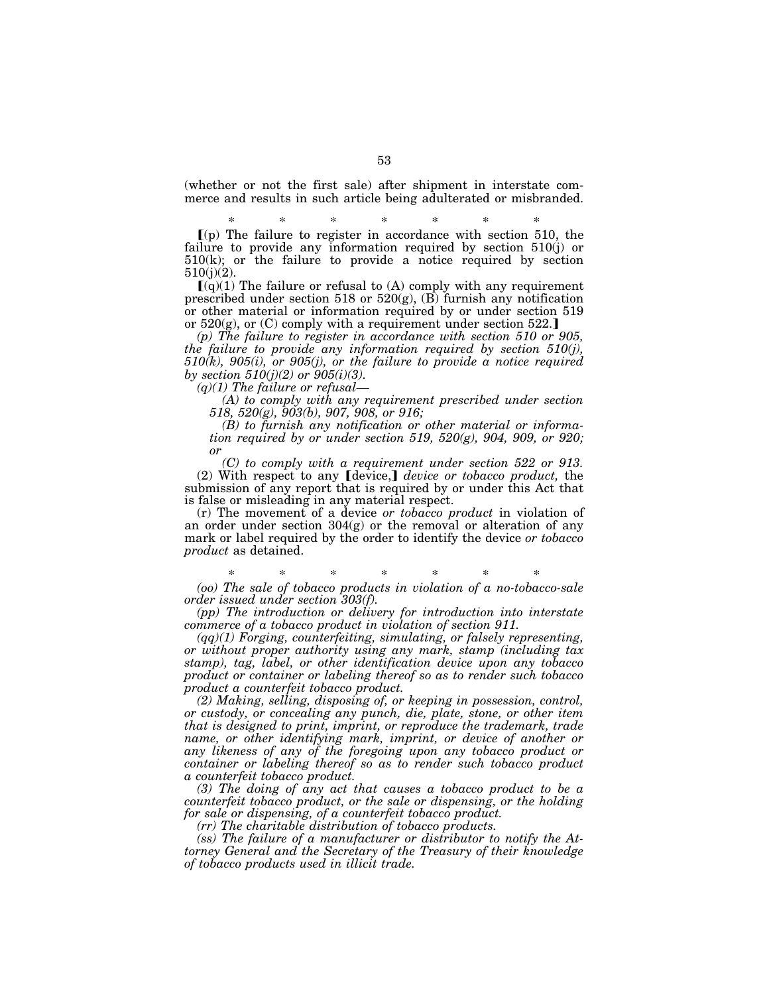(whether or not the first sale) after shipment in interstate commerce and results in such article being adulterated or misbranded.

\* \* \* \* \* \* \*  $(p)$  The failure to register in accordance with section 510, the failure to provide any information required by section 510(j) or  $510(k)$ ; or the failure to provide a notice required by section 510(j)(2).

 $\left[ \left( q\right) (1)$  The failure or refusal to (A) comply with any requirement prescribed under section 518 or  $520(g)$ , (B) furnish any notification or other material or information required by or under section 519 or  $520(g)$ , or  $(C)$  comply with a requirement under section  $522$ .

*(p) The failure to register in accordance with section 510 or 905, the failure to provide any information required by section 510(j), 510(k), 905(i), or 905(j), or the failure to provide a notice required by section 510(j)(2) or 905(i)(3).* 

*(q)(1) The failure or refusal—* 

*(A) to comply with any requirement prescribed under section 518, 520(g), 903(b), 907, 908, or 916;* 

*(B) to furnish any notification or other material or information required by or under section 519, 520(g), 904, 909, or 920; or* 

*(C) to comply with a requirement under section 522 or 913.*  (2) With respect to any *[device,] device or tobacco product*, the submission of any report that is required by or under this Act that is false or misleading in any material respect.

(r) The movement of a device *or tobacco product* in violation of an order under section  $304(g)$  or the removal or alteration of any mark or label required by the order to identify the device *or tobacco product* as detained.

\* \* \* \* \* \* \* *(oo) The sale of tobacco products in violation of a no-tobacco-sale order issued under section 303(f).* 

*(pp) The introduction or delivery for introduction into interstate commerce of a tobacco product in violation of section 911.* 

*(qq)(1) Forging, counterfeiting, simulating, or falsely representing, or without proper authority using any mark, stamp (including tax stamp), tag, label, or other identification device upon any tobacco product or container or labeling thereof so as to render such tobacco product a counterfeit tobacco product.* 

*(2) Making, selling, disposing of, or keeping in possession, control, or custody, or concealing any punch, die, plate, stone, or other item that is designed to print, imprint, or reproduce the trademark, trade name, or other identifying mark, imprint, or device of another or any likeness of any of the foregoing upon any tobacco product or container or labeling thereof so as to render such tobacco product a counterfeit tobacco product.* 

*(3) The doing of any act that causes a tobacco product to be a counterfeit tobacco product, or the sale or dispensing, or the holding for sale or dispensing, of a counterfeit tobacco product.* 

*(rr) The charitable distribution of tobacco products.* 

*(ss) The failure of a manufacturer or distributor to notify the Attorney General and the Secretary of the Treasury of their knowledge of tobacco products used in illicit trade.*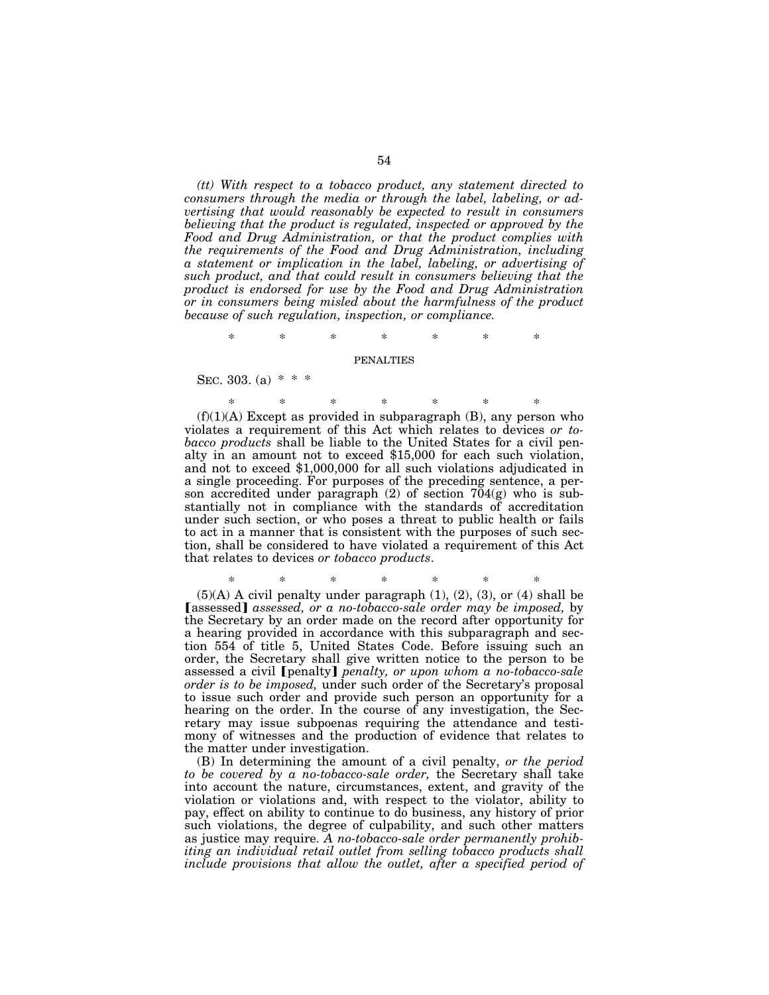*(tt) With respect to a tobacco product, any statement directed to consumers through the media or through the label, labeling, or advertising that would reasonably be expected to result in consumers believing that the product is regulated, inspected or approved by the Food and Drug Administration, or that the product complies with the requirements of the Food and Drug Administration, including a statement or implication in the label, labeling, or advertising of such product, and that could result in consumers believing that the product is endorsed for use by the Food and Drug Administration or in consumers being misled about the harmfulness of the product because of such regulation, inspection, or compliance.* 

\* \* \* \* \* \* \*

#### PENALTIES

SEC. 303. (a)  $*$ 

\* \* \* \* \* \* \*  $(f)(1)(A)$  Except as provided in subparagraph  $(B)$ , any person who violates a requirement of this Act which relates to devices *or tobacco products* shall be liable to the United States for a civil penalty in an amount not to exceed \$15,000 for each such violation, and not to exceed \$1,000,000 for all such violations adjudicated in a single proceeding. For purposes of the preceding sentence, a person accredited under paragraph (2) of section 704(g) who is substantially not in compliance with the standards of accreditation under such section, or who poses a threat to public health or fails to act in a manner that is consistent with the purposes of such section, shall be considered to have violated a requirement of this Act that relates to devices *or tobacco products*.

\* \* \* \* \* \* \*  $(5)(A)$  A civil penalty under paragraph  $(1)$ ,  $(2)$ ,  $(3)$ , or  $(4)$  shall be [assessed] assessed, or a no-tobacco-sale order may be imposed, by the Secretary by an order made on the record after opportunity for a hearing provided in accordance with this subparagraph and section 554 of title 5, United States Code. Before issuing such an order, the Secretary shall give written notice to the person to be assessed a civil **[**penalty] *penalty, or upon whom a no-tobacco-sale order is to be imposed,* under such order of the Secretary's proposal to issue such order and provide such person an opportunity for a hearing on the order. In the course of any investigation, the Secretary may issue subpoenas requiring the attendance and testimony of witnesses and the production of evidence that relates to the matter under investigation.

(B) In determining the amount of a civil penalty, *or the period to be covered by a no-tobacco-sale order,* the Secretary shall take into account the nature, circumstances, extent, and gravity of the violation or violations and, with respect to the violator, ability to pay, effect on ability to continue to do business, any history of prior such violations, the degree of culpability, and such other matters as justice may require. *A no-tobacco-sale order permanently prohibiting an individual retail outlet from selling tobacco products shall include provisions that allow the outlet, after a specified period of*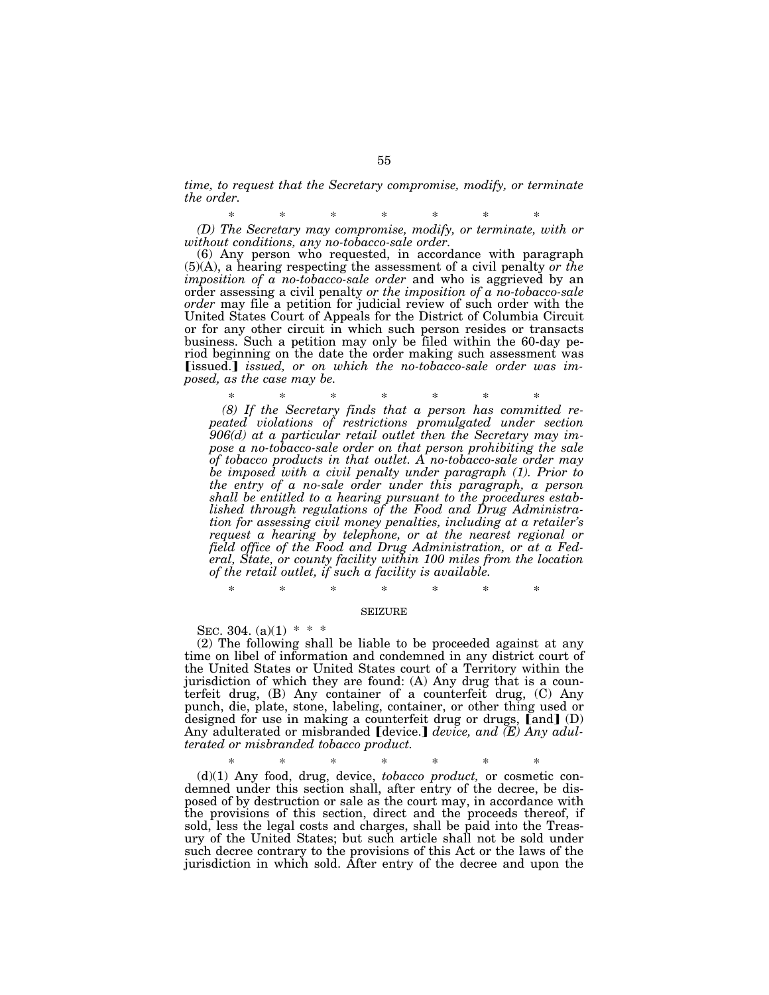*time, to request that the Secretary compromise, modify, or terminate the order.* 

\* \* \* \* \* \* \* *(D) The Secretary may compromise, modify, or terminate, with or without conditions, any no-tobacco-sale order.* 

(6) Any person who requested, in accordance with paragraph (5)(A), a hearing respecting the assessment of a civil penalty *or the imposition of a no-tobacco-sale order* and who is aggrieved by an order assessing a civil penalty *or the imposition of a no-tobacco-sale order* may file a petition for judicial review of such order with the United States Court of Appeals for the District of Columbia Circuit or for any other circuit in which such person resides or transacts business. Such a petition may only be filed within the 60-day period beginning on the date the order making such assessment was [issued.] *issued, or on which the no-tobacco-sale order was imposed, as the case may be.* 

\* \* \* \* \* \* \* *(8) If the Secretary finds that a person has committed repeated violations of restrictions promulgated under section 906(d) at a particular retail outlet then the Secretary may impose a no-tobacco-sale order on that person prohibiting the sale of tobacco products in that outlet. A no-tobacco-sale order may be imposed with a civil penalty under paragraph (1). Prior to the entry of a no-sale order under this paragraph, a person shall be entitled to a hearing pursuant to the procedures established through regulations of the Food and Drug Administration for assessing civil money penalties, including at a retailer's request a hearing by telephone, or at the nearest regional or field office of the Food and Drug Administration, or at a Federal, State, or county facility within 100 miles from the location of the retail outlet, if such a facility is available.* 

\* \* \* \* \* \* \*

#### SEIZURE

SEC. 304. (a)(1)  $* * *$ 

(2) The following shall be liable to be proceeded against at any time on libel of information and condemned in any district court of the United States or United States court of a Territory within the jurisdiction of which they are found: (A) Any drug that is a counterfeit drug, (B) Any container of a counterfeit drug, (C) Any punch, die, plate, stone, labeling, container, or other thing used or designed for use in making a counterfeit drug or drugs,  $[$  and $]$  (D) Any adulterated or misbranded [device.] *device, and (E)* Any adul*terated or misbranded tobacco product.* 

\* \* \* \* \* \* \* (d)(1) Any food, drug, device, *tobacco product,* or cosmetic condemned under this section shall, after entry of the decree, be disposed of by destruction or sale as the court may, in accordance with the provisions of this section, direct and the proceeds thereof, if sold, less the legal costs and charges, shall be paid into the Treasury of the United States; but such article shall not be sold under such decree contrary to the provisions of this Act or the laws of the jurisdiction in which sold. After entry of the decree and upon the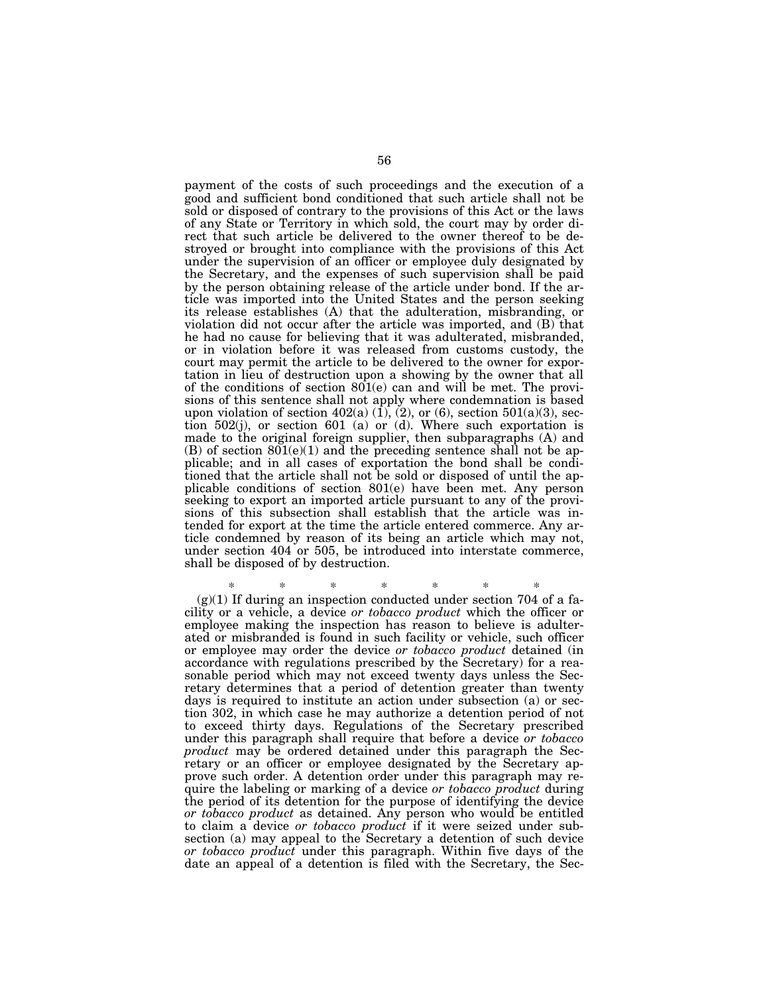payment of the costs of such proceedings and the execution of a good and sufficient bond conditioned that such article shall not be sold or disposed of contrary to the provisions of this Act or the laws of any State or Territory in which sold, the court may by order direct that such article be delivered to the owner thereof to be destroyed or brought into compliance with the provisions of this Act under the supervision of an officer or employee duly designated by the Secretary, and the expenses of such supervision shall be paid by the person obtaining release of the article under bond. If the article was imported into the United States and the person seeking its release establishes (A) that the adulteration, misbranding, or violation did not occur after the article was imported, and (B) that he had no cause for believing that it was adulterated, misbranded, or in violation before it was released from customs custody, the court may permit the article to be delivered to the owner for exportation in lieu of destruction upon a showing by the owner that all of the conditions of section 801(e) can and will be met. The provisions of this sentence shall not apply where condemnation is based upon violation of section  $402(a)$  (1), (2), or (6), section  $501(a)(3)$ , section 502(j), or section 601 (a) or (d). Where such exportation is made to the original foreign supplier, then subparagraphs (A) and  $(B)$  of section  $801(e)(1)$  and the preceding sentence shall not be applicable; and in all cases of exportation the bond shall be conditioned that the article shall not be sold or disposed of until the applicable conditions of section 801(e) have been met. Any person seeking to export an imported article pursuant to any of the provisions of this subsection shall establish that the article was intended for export at the time the article entered commerce. Any article condemned by reason of its being an article which may not, under section 404 or 505, be introduced into interstate commerce, shall be disposed of by destruction.

 $(g)(1)$  If during an inspection conducted under section 704 of a facility or a vehicle, a device *or tobacco product* which the officer or employee making the inspection has reason to believe is adulterated or misbranded is found in such facility or vehicle, such officer or employee may order the device *or tobacco product* detained (in accordance with regulations prescribed by the Secretary) for a reasonable period which may not exceed twenty days unless the Secretary determines that a period of detention greater than twenty days is required to institute an action under subsection (a) or section 302, in which case he may authorize a detention period of not to exceed thirty days. Regulations of the Secretary prescribed under this paragraph shall require that before a device *or tobacco product* may be ordered detained under this paragraph the Secretary or an officer or employee designated by the Secretary approve such order. A detention order under this paragraph may require the labeling or marking of a device *or tobacco product* during the period of its detention for the purpose of identifying the device *or tobacco product* as detained. Any person who would be entitled to claim a device *or tobacco product* if it were seized under subsection (a) may appeal to the Secretary a detention of such device *or tobacco product* under this paragraph. Within five days of the date an appeal of a detention is filed with the Secretary, the Sec-

\* \* \* \* \* \* \*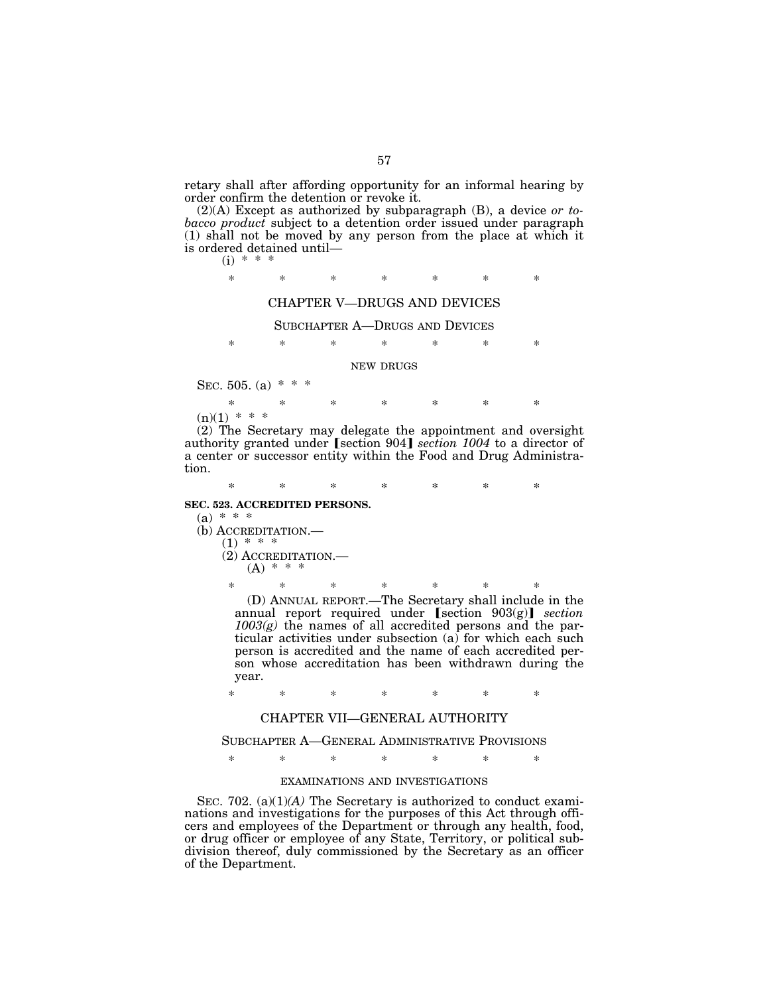retary shall after affording opportunity for an informal hearing by order confirm the detention or revoke it.

(2)(A) Except as authorized by subparagraph (B), a device *or tobacco product* subject to a detention order issued under paragraph (1) shall not be moved by any person from the place at which it is ordered detained until—

 $(i)$  \*

\* \* \* \* \* \* \*

# CHAPTER V—DRUGS AND DEVICES

SUBCHAPTER A—DRUGS AND DEVICES

\* \* \* \* \* \* \*

#### NEW DRUGS

SEC. 505. (a) \* \* \*

\* \* \* \* \* \* \*  $(n)(1) * * * *$ 

(2) The Secretary may delegate the appointment and oversight authority granted under [section 904] *section 1004* to a director of a center or successor entity within the Food and Drug Administration.

\* \* \* \* \* \* \*

**SEC. 523. ACCREDITED PERSONS.** 

 $(a) * * * *$ 

(b) ACCREDITATION.—<br>(1)  $* * *$ (2) ACCREDITATION.—  $(A)$  \* \* \*

\* \* \* \* \* \* \*

(D) ANNUAL REPORT.—The Secretary shall include in the annual report required under [section 903(g)] *section 1003(g)* the names of all accredited persons and the particular activities under subsection (a) for which each such person is accredited and the name of each accredited person whose accreditation has been withdrawn during the year.

\* \* \* \* \* \* \*

### CHAPTER VII—GENERAL AUTHORITY

### SUBCHAPTER A—GENERAL ADMINISTRATIVE PROVISIONS

\* \* \* \* \* \* \*

### EXAMINATIONS AND INVESTIGATIONS

SEC. 702. (a)(1)(A) The Secretary is authorized to conduct examinations and investigations for the purposes of this Act through officers and employees of the Department or through any health, food, or drug officer or employee of any State, Territory, or political subdivision thereof, duly commissioned by the Secretary as an officer of the Department.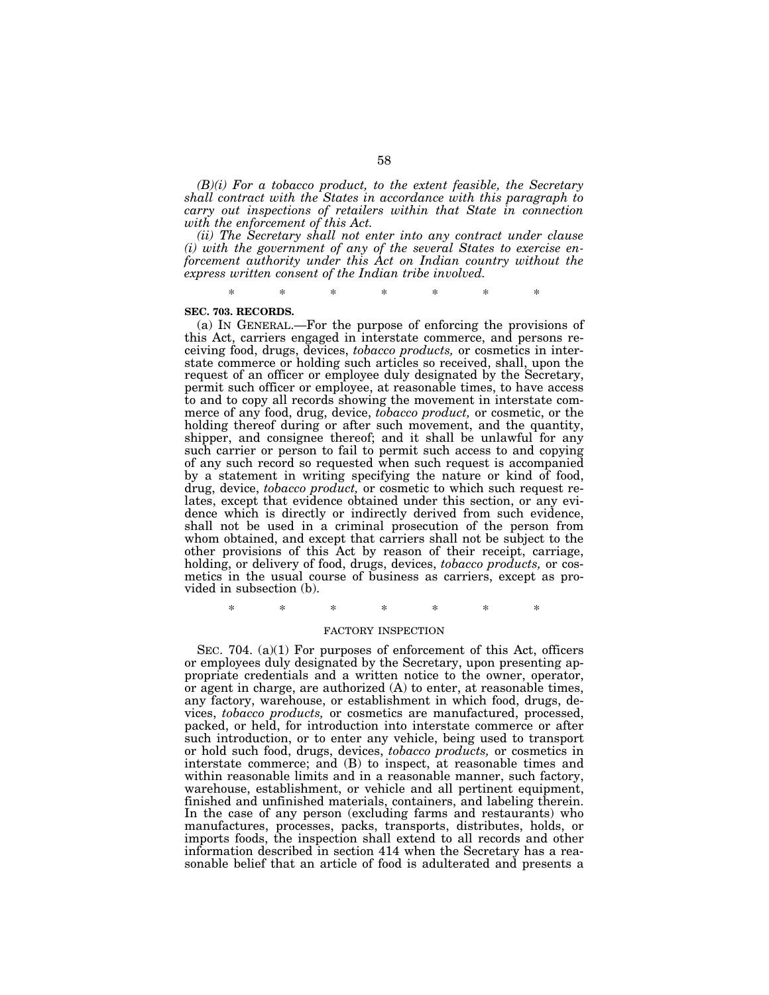*(B)(i) For a tobacco product, to the extent feasible, the Secretary shall contract with the States in accordance with this paragraph to carry out inspections of retailers within that State in connection with the enforcement of this Act.* 

*(ii) The Secretary shall not enter into any contract under clause (i) with the government of any of the several States to exercise enforcement authority under this Act on Indian country without the express written consent of the Indian tribe involved.* 

\* \* \* \* \* \* \*

# **SEC. 703. RECORDS.**

(a) IN GENERAL.—For the purpose of enforcing the provisions of this Act, carriers engaged in interstate commerce, and persons receiving food, drugs, devices, *tobacco products,* or cosmetics in interstate commerce or holding such articles so received, shall, upon the request of an officer or employee duly designated by the Secretary, permit such officer or employee, at reasonable times, to have access to and to copy all records showing the movement in interstate commerce of any food, drug, device, *tobacco product,* or cosmetic, or the holding thereof during or after such movement, and the quantity, shipper, and consignee thereof; and it shall be unlawful for any such carrier or person to fail to permit such access to and copying of any such record so requested when such request is accompanied by a statement in writing specifying the nature or kind of food, drug, device, *tobacco product,* or cosmetic to which such request relates, except that evidence obtained under this section, or any evidence which is directly or indirectly derived from such evidence, shall not be used in a criminal prosecution of the person from whom obtained, and except that carriers shall not be subject to the other provisions of this Act by reason of their receipt, carriage, holding, or delivery of food, drugs, devices, *tobacco products,* or cosmetics in the usual course of business as carriers, except as provided in subsection (b).

\* \* \* \* \* \* \*

### FACTORY INSPECTION

SEC. 704. (a)(1) For purposes of enforcement of this Act, officers or employees duly designated by the Secretary, upon presenting appropriate credentials and a written notice to the owner, operator, or agent in charge, are authorized (A) to enter, at reasonable times, any factory, warehouse, or establishment in which food, drugs, devices, *tobacco products,* or cosmetics are manufactured, processed, packed, or held, for introduction into interstate commerce or after such introduction, or to enter any vehicle, being used to transport or hold such food, drugs, devices, *tobacco products,* or cosmetics in interstate commerce; and (B) to inspect, at reasonable times and within reasonable limits and in a reasonable manner, such factory, warehouse, establishment, or vehicle and all pertinent equipment, finished and unfinished materials, containers, and labeling therein. In the case of any person (excluding farms and restaurants) who manufactures, processes, packs, transports, distributes, holds, or imports foods, the inspection shall extend to all records and other information described in section 414 when the Secretary has a reasonable belief that an article of food is adulterated and presents a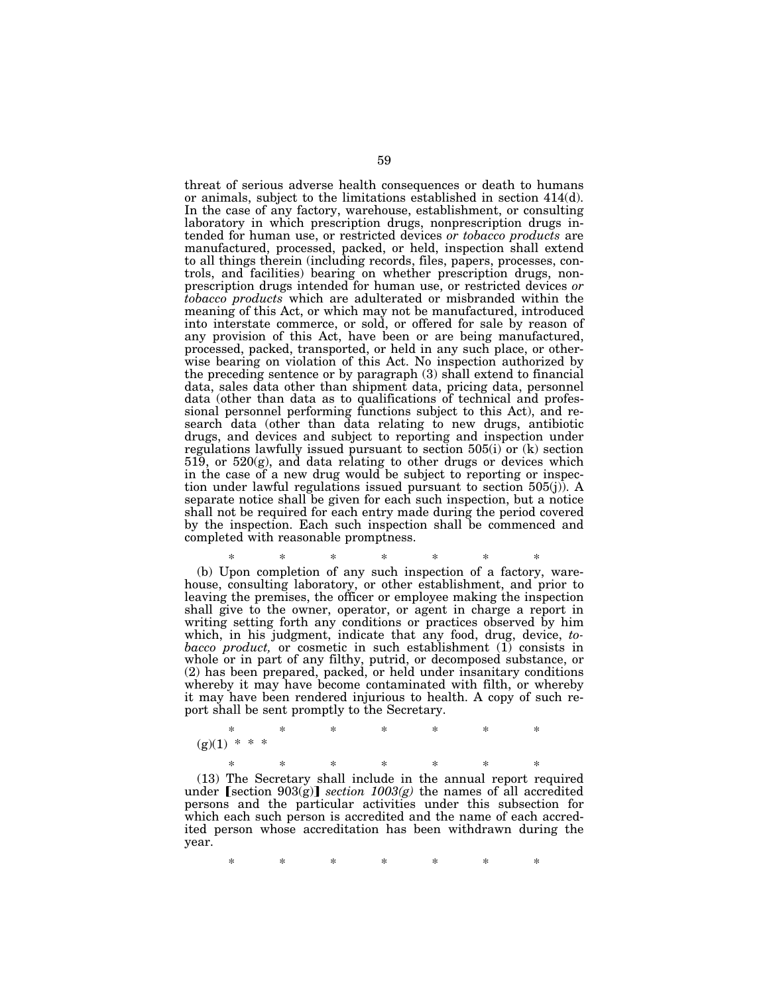threat of serious adverse health consequences or death to humans or animals, subject to the limitations established in section 414(d). In the case of any factory, warehouse, establishment, or consulting laboratory in which prescription drugs, nonprescription drugs intended for human use, or restricted devices *or tobacco products* are manufactured, processed, packed, or held, inspection shall extend to all things therein (including records, files, papers, processes, controls, and facilities) bearing on whether prescription drugs, nonprescription drugs intended for human use, or restricted devices *or tobacco products* which are adulterated or misbranded within the meaning of this Act, or which may not be manufactured, introduced into interstate commerce, or sold, or offered for sale by reason of any provision of this Act, have been or are being manufactured, processed, packed, transported, or held in any such place, or otherwise bearing on violation of this Act. No inspection authorized by the preceding sentence or by paragraph (3) shall extend to financial data, sales data other than shipment data, pricing data, personnel data (other than data as to qualifications of technical and professional personnel performing functions subject to this Act), and research data (other than data relating to new drugs, antibiotic drugs, and devices and subject to reporting and inspection under regulations lawfully issued pursuant to section  $505(i)$  or (k) section 519, or 520(g), and data relating to other drugs or devices which in the case of a new drug would be subject to reporting or inspection under lawful regulations issued pursuant to section 505(j)). A separate notice shall be given for each such inspection, but a notice shall not be required for each entry made during the period covered by the inspection. Each such inspection shall be commenced and completed with reasonable promptness.

\* \* \* \* \* \* \* (b) Upon completion of any such inspection of a factory, warehouse, consulting laboratory, or other establishment, and prior to leaving the premises, the officer or employee making the inspection shall give to the owner, operator, or agent in charge a report in writing setting forth any conditions or practices observed by him which, in his judgment, indicate that any food, drug, device, *tobacco product,* or cosmetic in such establishment (1) consists in whole or in part of any filthy, putrid, or decomposed substance, or (2) has been prepared, packed, or held under insanitary conditions whereby it may have become contaminated with filth, or whereby it may have been rendered injurious to health. A copy of such report shall be sent promptly to the Secretary.

| $*$ *          | $\mathbb{R}$ | $\ast$ | $\rightarrow$ | $ \mathbf{k}$ |  |
|----------------|--------------|--------|---------------|---------------|--|
| $(g)(1) * * *$ |              |        |               |               |  |
|                |              |        |               |               |  |

\* \* \* \* \* \* \* (13) The Secretary shall include in the annual report required under [section  $903(g)$ ] *section 1003(g)* the names of all accredited persons and the particular activities under this subsection for which each such person is accredited and the name of each accredited person whose accreditation has been withdrawn during the year.

\* \* \* \* \* \* \*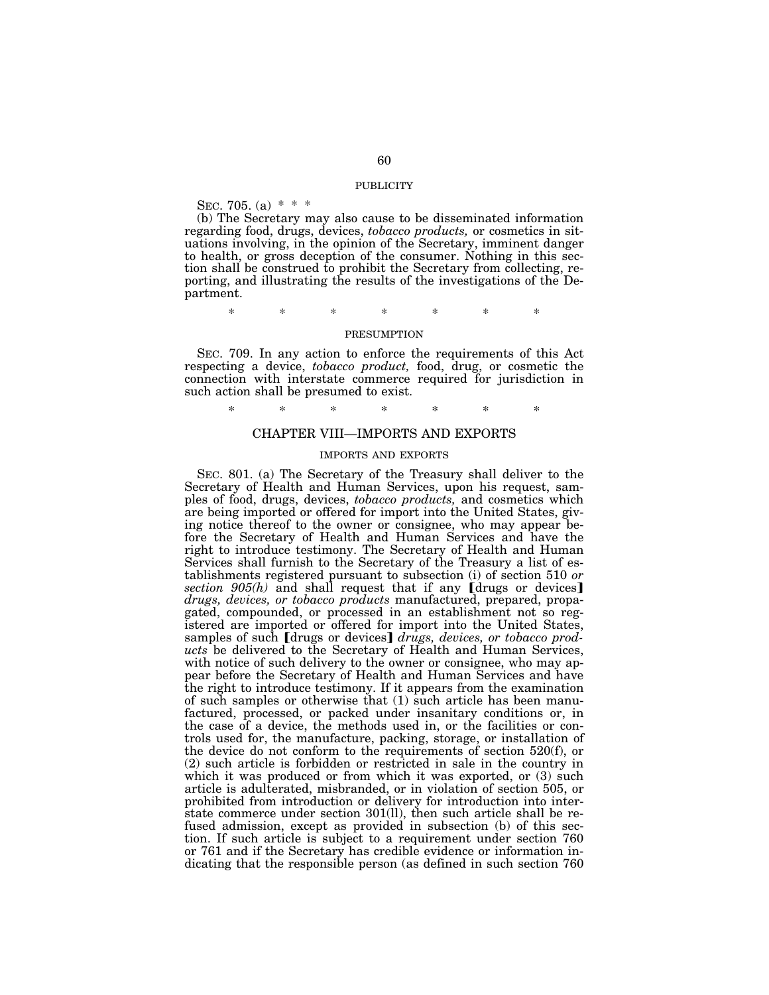### PUBLICITY

SEC. 705. (a)  $* * *$ 

(b) The Secretary may also cause to be disseminated information regarding food, drugs, devices, *tobacco products,* or cosmetics in situations involving, in the opinion of the Secretary, imminent danger to health, or gross deception of the consumer. Nothing in this section shall be construed to prohibit the Secretary from collecting, reporting, and illustrating the results of the investigations of the Department.

\* \* \* \* \* \* \*

#### PRESUMPTION

SEC. 709. In any action to enforce the requirements of this Act respecting a device, *tobacco product,* food, drug, or cosmetic the connection with interstate commerce required for jurisdiction in such action shall be presumed to exist.

\* \* \* \* \* \* \*

# CHAPTER VIII—IMPORTS AND EXPORTS

#### IMPORTS AND EXPORTS

SEC. 801. (a) The Secretary of the Treasury shall deliver to the Secretary of Health and Human Services, upon his request, samples of food, drugs, devices, *tobacco products,* and cosmetics which are being imported or offered for import into the United States, giving notice thereof to the owner or consignee, who may appear before the Secretary of Health and Human Services and have the right to introduce testimony. The Secretary of Health and Human Services shall furnish to the Secretary of the Treasury a list of establishments registered pursuant to subsection (i) of section 510 *or section 905(h)* and shall request that if any *[drugs or devices] drugs, devices, or tobacco products* manufactured, prepared, propagated, compounded, or processed in an establishment not so registered are imported or offered for import into the United States, samples of such [drugs or devices] *drugs, devices, or tobacco products* be delivered to the Secretary of Health and Human Services, with notice of such delivery to the owner or consignee, who may appear before the Secretary of Health and Human Services and have the right to introduce testimony. If it appears from the examination of such samples or otherwise that (1) such article has been manufactured, processed, or packed under insanitary conditions or, in the case of a device, the methods used in, or the facilities or controls used for, the manufacture, packing, storage, or installation of the device do not conform to the requirements of section 520(f), or (2) such article is forbidden or restricted in sale in the country in which it was produced or from which it was exported, or (3) such article is adulterated, misbranded, or in violation of section 505, or prohibited from introduction or delivery for introduction into interstate commerce under section 301(ll), then such article shall be refused admission, except as provided in subsection (b) of this section. If such article is subject to a requirement under section 760 or 761 and if the Secretary has credible evidence or information indicating that the responsible person (as defined in such section 760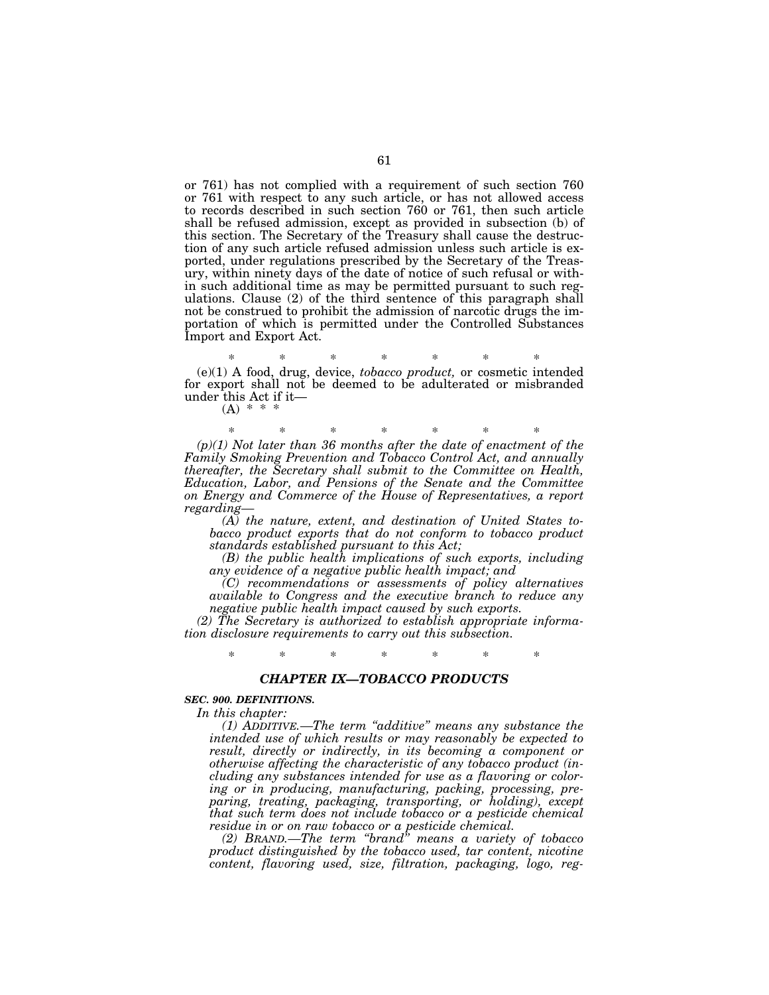or 761) has not complied with a requirement of such section 760 or 761 with respect to any such article, or has not allowed access to records described in such section 760 or 761, then such article shall be refused admission, except as provided in subsection (b) of this section. The Secretary of the Treasury shall cause the destruction of any such article refused admission unless such article is exported, under regulations prescribed by the Secretary of the Treasury, within ninety days of the date of notice of such refusal or within such additional time as may be permitted pursuant to such regulations. Clause (2) of the third sentence of this paragraph shall not be construed to prohibit the admission of narcotic drugs the importation of which is permitted under the Controlled Substances Import and Export Act.

\* \* \* \* \* \* \* (e)(1) A food, drug, device, *tobacco product,* or cosmetic intended for export shall not be deemed to be adulterated or misbranded under this Act if it—  $(A) * * * *$ 

\* \* \* \* \* \* \* *(p)(1) Not later than 36 months after the date of enactment of the Family Smoking Prevention and Tobacco Control Act, and annually thereafter, the Secretary shall submit to the Committee on Health, Education, Labor, and Pensions of the Senate and the Committee on Energy and Commerce of the House of Representatives, a report regarding—* 

*(A) the nature, extent, and destination of United States tobacco product exports that do not conform to tobacco product standards established pursuant to this Act;* 

*(B) the public health implications of such exports, including any evidence of a negative public health impact; and* 

*(C) recommendations or assessments of policy alternatives available to Congress and the executive branch to reduce any negative public health impact caused by such exports.* 

*(2) The Secretary is authorized to establish appropriate information disclosure requirements to carry out this subsection.* 

# \* \* \* \* \* \* \*

# *CHAPTER IX—TOBACCO PRODUCTS*

#### *SEC. 900. DEFINITIONS.*

*In this chapter:* 

*(1) ADDITIVE.—The term ''additive'' means any substance the intended use of which results or may reasonably be expected to result, directly or indirectly, in its becoming a component or otherwise affecting the characteristic of any tobacco product (including any substances intended for use as a flavoring or coloring or in producing, manufacturing, packing, processing, preparing, treating, packaging, transporting, or holding), except that such term does not include tobacco or a pesticide chemical residue in or on raw tobacco or a pesticide chemical.* 

*(2) BRAND.—The term ''brand'' means a variety of tobacco product distinguished by the tobacco used, tar content, nicotine content, flavoring used, size, filtration, packaging, logo, reg-*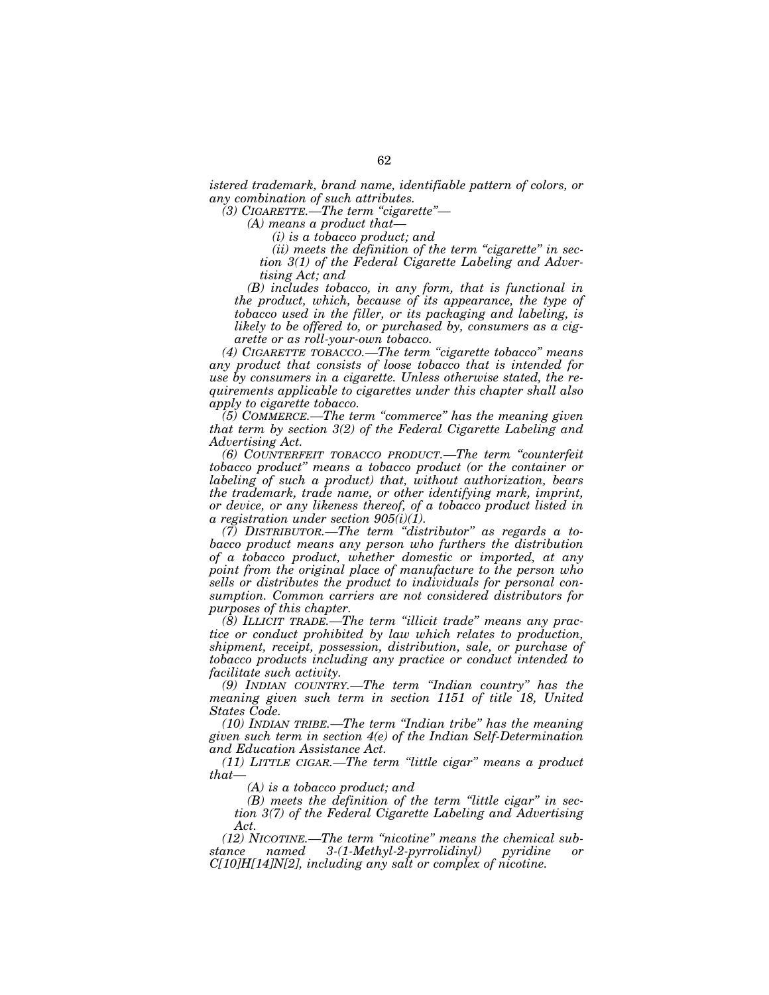*istered trademark, brand name, identifiable pattern of colors, or any combination of such attributes.* 

*(3) CIGARETTE.—The term ''cigarette''—* 

*(A) means a product that—* 

*(i) is a tobacco product; and* 

*(ii) meets the definition of the term ''cigarette'' in section 3(1) of the Federal Cigarette Labeling and Advertising Act; and* 

*(B) includes tobacco, in any form, that is functional in the product, which, because of its appearance, the type of tobacco used in the filler, or its packaging and labeling, is likely to be offered to, or purchased by, consumers as a cigarette or as roll-your-own tobacco.* 

*(4) CIGARETTE TOBACCO.—The term ''cigarette tobacco'' means any product that consists of loose tobacco that is intended for use by consumers in a cigarette. Unless otherwise stated, the requirements applicable to cigarettes under this chapter shall also apply to cigarette tobacco.* 

*(5) COMMERCE.—The term ''commerce'' has the meaning given that term by section 3(2) of the Federal Cigarette Labeling and Advertising Act.* 

*(6) COUNTERFEIT TOBACCO PRODUCT.—The term ''counterfeit tobacco product'' means a tobacco product (or the container or labeling of such a product) that, without authorization, bears the trademark, trade name, or other identifying mark, imprint, or device, or any likeness thereof, of a tobacco product listed in a registration under section 905(i)(1).* 

*(7) DISTRIBUTOR.—The term ''distributor'' as regards a tobacco product means any person who furthers the distribution of a tobacco product, whether domestic or imported, at any point from the original place of manufacture to the person who sells or distributes the product to individuals for personal consumption. Common carriers are not considered distributors for purposes of this chapter.* 

*(8) ILLICIT TRADE.—The term ''illicit trade'' means any practice or conduct prohibited by law which relates to production, shipment, receipt, possession, distribution, sale, or purchase of tobacco products including any practice or conduct intended to facilitate such activity.* 

*(9) INDIAN COUNTRY.—The term ''Indian country'' has the meaning given such term in section 1151 of title 18, United States Code.* 

*(10) INDIAN TRIBE.—The term ''Indian tribe'' has the meaning given such term in section 4(e) of the Indian Self-Determination and Education Assistance Act.* 

*(11) LITTLE CIGAR.—The term ''little cigar'' means a product that—* 

*(A) is a tobacco product; and* 

*(B) meets the definition of the term ''little cigar'' in section 3(7) of the Federal Cigarette Labeling and Advertising Act.* 

*(12) NICOTINE.—The term ''nicotine'' means the chemical substance named 3-(1-Methyl-2-pyrrolidinyl) C[10]H[14]N[2], including any salt or complex of nicotine.*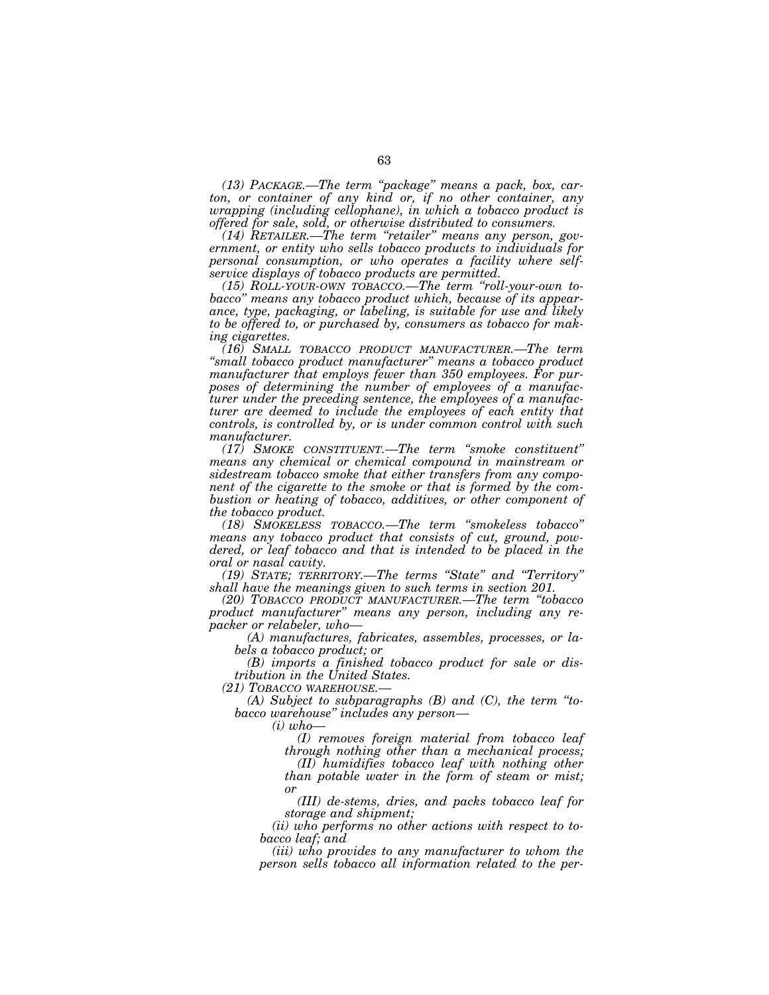*(13) PACKAGE.—The term ''package'' means a pack, box, carton, or container of any kind or, if no other container, any wrapping (including cellophane), in which a tobacco product is offered for sale, sold, or otherwise distributed to consumers.* 

*(14) RETAILER.—The term ''retailer'' means any person, government, or entity who sells tobacco products to individuals for personal consumption, or who operates a facility where selfservice displays of tobacco products are permitted.* 

*(15) ROLL-YOUR-OWN TOBACCO.—The term ''roll-your-own tobacco'' means any tobacco product which, because of its appearance, type, packaging, or labeling, is suitable for use and likely to be offered to, or purchased by, consumers as tobacco for making cigarettes.* 

*(16) SMALL TOBACCO PRODUCT MANUFACTURER.—The term ''small tobacco product manufacturer'' means a tobacco product manufacturer that employs fewer than 350 employees. For purposes of determining the number of employees of a manufacturer under the preceding sentence, the employees of a manufacturer are deemed to include the employees of each entity that controls, is controlled by, or is under common control with such manufacturer.* 

*(17) SMOKE CONSTITUENT.—The term ''smoke constituent'' means any chemical or chemical compound in mainstream or sidestream tobacco smoke that either transfers from any component of the cigarette to the smoke or that is formed by the combustion or heating of tobacco, additives, or other component of the tobacco product.* 

*(18) SMOKELESS TOBACCO.—The term ''smokeless tobacco'' means any tobacco product that consists of cut, ground, pow*dered, or leaf tobacco and that is intended to be placed in the *oral or nasal cavity.* 

*(19) STATE; TERRITORY.—The terms ''State'' and ''Territory'' shall have the meanings given to such terms in section 201.* 

*(20) TOBACCO PRODUCT MANUFACTURER.—The term ''tobacco product manufacturer'' means any person, including any repacker or relabeler, who—* 

*(A) manufactures, fabricates, assembles, processes, or labels a tobacco product; or* 

*(B) imports a finished tobacco product for sale or distribution in the United States.* 

*(21) TOBACCO WAREHOUSE.—* 

*(A) Subject to subparagraphs (B) and (C), the term ''tobacco warehouse'' includes any person—* 

*(i) who—* 

*(I) removes foreign material from tobacco leaf through nothing other than a mechanical process; (II) humidifies tobacco leaf with nothing other than potable water in the form of steam or mist; or* 

*(III) de-stems, dries, and packs tobacco leaf for storage and shipment;* 

*(ii) who performs no other actions with respect to tobacco leaf; and* 

*(iii) who provides to any manufacturer to whom the person sells tobacco all information related to the per-*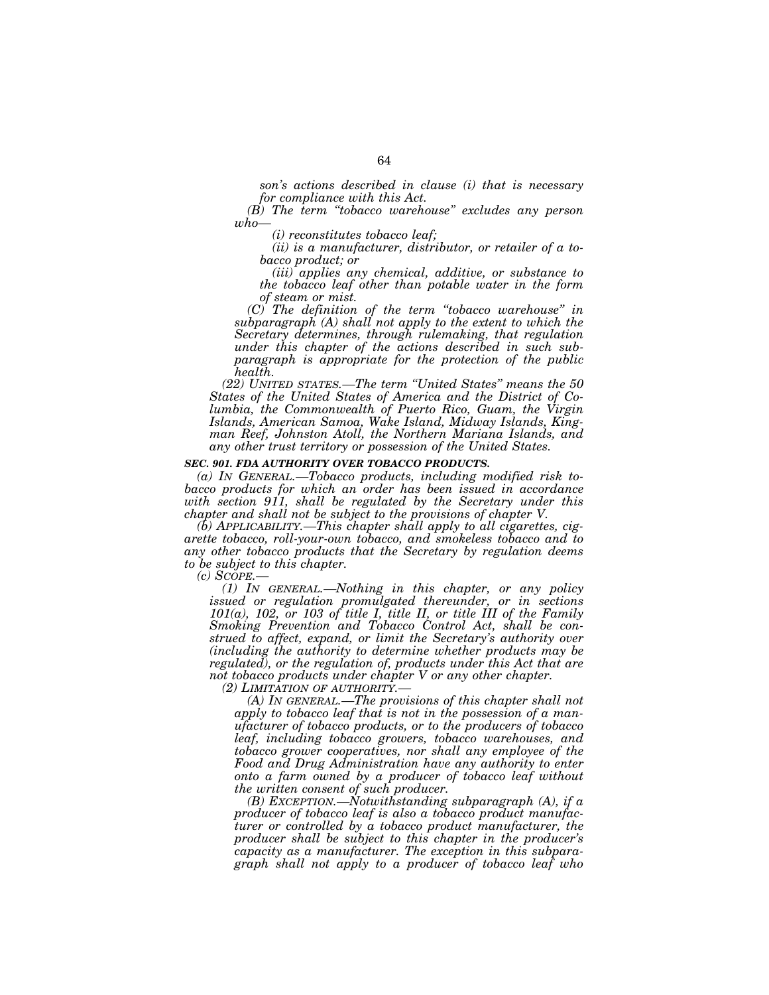*son's actions described in clause (i) that is necessary for compliance with this Act.* 

*(B) The term ''tobacco warehouse'' excludes any person who—* 

*(i) reconstitutes tobacco leaf;* 

*(ii) is a manufacturer, distributor, or retailer of a tobacco product; or* 

*(iii) applies any chemical, additive, or substance to the tobacco leaf other than potable water in the form of steam or mist.* 

*(C) The definition of the term ''tobacco warehouse'' in subparagraph (A) shall not apply to the extent to which the Secretary determines, through rulemaking, that regulation under this chapter of the actions described in such subparagraph is appropriate for the protection of the public health.* 

*(22) UNITED STATES.—The term ''United States'' means the 50 States of the United States of America and the District of Columbia, the Commonwealth of Puerto Rico, Guam, the Virgin Islands, American Samoa, Wake Island, Midway Islands, Kingman Reef, Johnston Atoll, the Northern Mariana Islands, and any other trust territory or possession of the United States.* 

### *SEC. 901. FDA AUTHORITY OVER TOBACCO PRODUCTS.*

*(a) IN GENERAL.—Tobacco products, including modified risk tobacco products for which an order has been issued in accordance with section 911, shall be regulated by the Secretary under this chapter and shall not be subject to the provisions of chapter V.* 

*(b) APPLICABILITY.—This chapter shall apply to all cigarettes, cigarette tobacco, roll-your-own tobacco, and smokeless tobacco and to any other tobacco products that the Secretary by regulation deems to be subject to this chapter.* 

*(c) SCOPE.— (1) IN GENERAL.—Nothing in this chapter, or any policy issued or regulation promulgated thereunder, or in sections 101(a), 102, or 103 of title I, title II, or title III of the Family Smoking Prevention and Tobacco Control Act, shall be construed to affect, expand, or limit the Secretary's authority over (including the authority to determine whether products may be regulated), or the regulation of, products under this Act that are not tobacco products under chapter V or any other chapter.* 

*(2) LIMITATION OF AUTHORITY.—* 

*(A) IN GENERAL.—The provisions of this chapter shall not apply to tobacco leaf that is not in the possession of a manufacturer of tobacco products, or to the producers of tobacco leaf, including tobacco growers, tobacco warehouses, and tobacco grower cooperatives, nor shall any employee of the*  Food and Drug Administration have any authority to enter *onto a farm owned by a producer of tobacco leaf without the written consent of such producer.* 

*(B) EXCEPTION.—Notwithstanding subparagraph (A), if a producer of tobacco leaf is also a tobacco product manufacturer or controlled by a tobacco product manufacturer, the producer shall be subject to this chapter in the producer's capacity as a manufacturer. The exception in this subparagraph shall not apply to a producer of tobacco leaf who*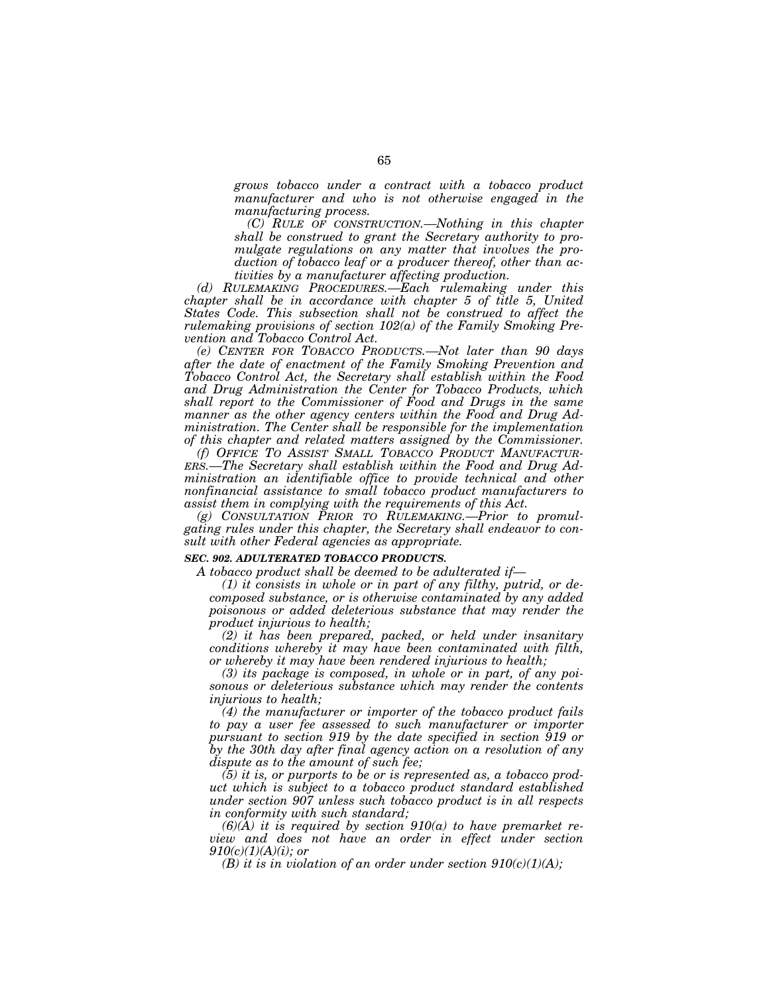*grows tobacco under a contract with a tobacco product manufacturer and who is not otherwise engaged in the manufacturing process.* 

*(C) RULE OF CONSTRUCTION.—Nothing in this chapter shall be construed to grant the Secretary authority to promulgate regulations on any matter that involves the production of tobacco leaf or a producer thereof, other than activities by a manufacturer affecting production.* 

*(d) RULEMAKING PROCEDURES.—Each rulemaking under this chapter shall be in accordance with chapter 5 of title 5, United States Code. This subsection shall not be construed to affect the rulemaking provisions of section 102(a) of the Family Smoking Prevention and Tobacco Control Act.* 

*(e) CENTER FOR TOBACCO PRODUCTS.—Not later than 90 days after the date of enactment of the Family Smoking Prevention and Tobacco Control Act, the Secretary shall establish within the Food and Drug Administration the Center for Tobacco Products, which shall report to the Commissioner of Food and Drugs in the same manner as the other agency centers within the Food and Drug Administration. The Center shall be responsible for the implementation of this chapter and related matters assigned by the Commissioner.* 

*(f) OFFICE TO ASSIST SMALL TOBACCO PRODUCT MANUFACTUR-ERS.—The Secretary shall establish within the Food and Drug Administration an identifiable office to provide technical and other nonfinancial assistance to small tobacco product manufacturers to assist them in complying with the requirements of this Act.* 

*(g) CONSULTATION PRIOR TO RULEMAKING.—Prior to promulgating rules under this chapter, the Secretary shall endeavor to consult with other Federal agencies as appropriate.* 

# *SEC. 902. ADULTERATED TOBACCO PRODUCTS.*

*A tobacco product shall be deemed to be adulterated if—* 

*(1) it consists in whole or in part of any filthy, putrid, or decomposed substance, or is otherwise contaminated by any added poisonous or added deleterious substance that may render the product injurious to health;* 

*(2) it has been prepared, packed, or held under insanitary conditions whereby it may have been contaminated with filth, or whereby it may have been rendered injurious to health;* 

*(3) its package is composed, in whole or in part, of any poisonous or deleterious substance which may render the contents injurious to health;* 

*(4) the manufacturer or importer of the tobacco product fails*  to pay a user fee assessed to such manufacturer or importer *pursuant to section 919 by the date specified in section 919 or by the 30th day after final agency action on a resolution of any dispute as to the amount of such fee;* 

*(5) it is, or purports to be or is represented as, a tobacco product which is subject to a tobacco product standard established under section 907 unless such tobacco product is in all respects in conformity with such standard;* 

*(6)(A) it is required by section 910(a) to have premarket review and does not have an order in effect under section 910(c)(1)(A)(i); or* 

*(B) it is in violation of an order under section 910(c)(1)(A);*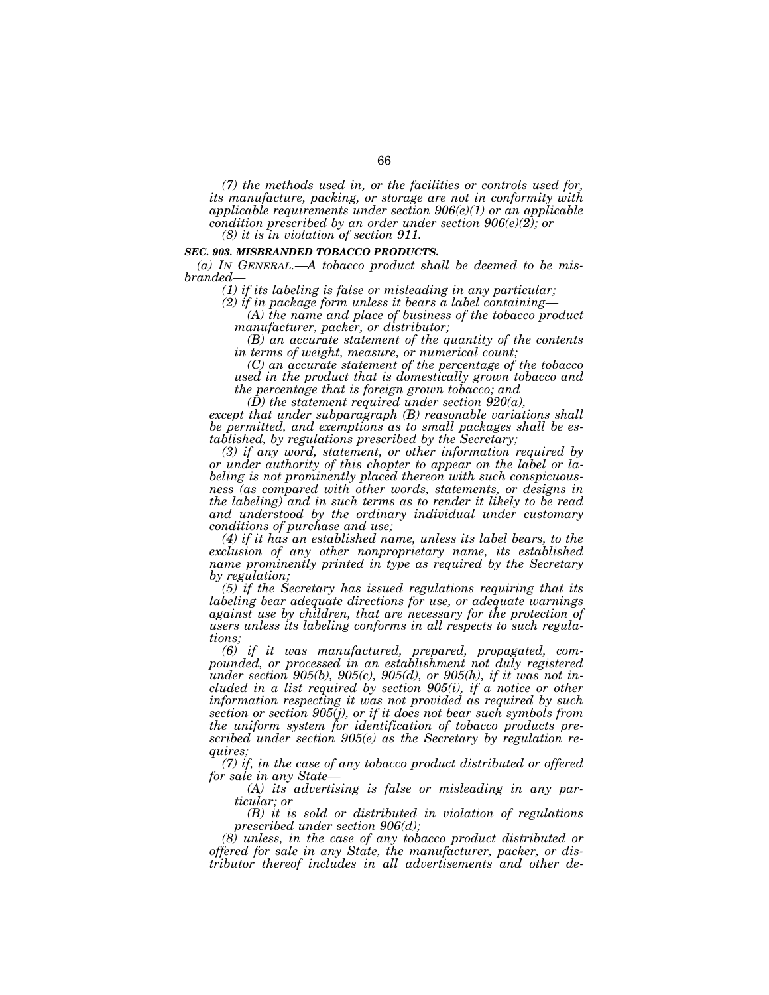*(7) the methods used in, or the facilities or controls used for, its manufacture, packing, or storage are not in conformity with applicable requirements under section 906(e)(1) or an applicable condition prescribed by an order under section 906(e)(2); or (8) it is in violation of section 911.* 

### *SEC. 903. MISBRANDED TOBACCO PRODUCTS.*

*(a) IN GENERAL.—A tobacco product shall be deemed to be misbranded—* 

*(1) if its labeling is false or misleading in any particular;* 

*(2) if in package form unless it bears a label containing—* 

*(A) the name and place of business of the tobacco product manufacturer, packer, or distributor;* 

*(B) an accurate statement of the quantity of the contents in terms of weight, measure, or numerical count;* 

*(C) an accurate statement of the percentage of the tobacco used in the product that is domestically grown tobacco and the percentage that is foreign grown tobacco; and* 

*(D) the statement required under section 920(a),* 

*except that under subparagraph (B) reasonable variations shall be permitted, and exemptions as to small packages shall be established, by regulations prescribed by the Secretary;* 

*(3) if any word, statement, or other information required by or under authority of this chapter to appear on the label or labeling is not prominently placed thereon with such conspicuousness (as compared with other words, statements, or designs in the labeling) and in such terms as to render it likely to be read and understood by the ordinary individual under customary conditions of purchase and use;* 

*(4) if it has an established name, unless its label bears, to the exclusion of any other nonproprietary name, its established name prominently printed in type as required by the Secretary by regulation;* 

*(5) if the Secretary has issued regulations requiring that its labeling bear adequate directions for use, or adequate warnings against use by children, that are necessary for the protection of users unless its labeling conforms in all respects to such regulations;* 

*(6) if it was manufactured, prepared, propagated, compounded, or processed in an establishment not duly registered under section 905(b), 905(c), 905(d), or 905(h), if it was not included in a list required by section 905(i), if a notice or other information respecting it was not provided as required by such section or section 905(j), or if it does not bear such symbols from the uniform system for identification of tobacco products prescribed under section 905(e) as the Secretary by regulation requires;* 

*(7) if, in the case of any tobacco product distributed or offered for sale in any State—* 

*(A) its advertising is false or misleading in any particular; or* 

*(B) it is sold or distributed in violation of regulations prescribed under section 906(d);* 

*(8) unless, in the case of any tobacco product distributed or offered for sale in any State, the manufacturer, packer, or distributor thereof includes in all advertisements and other de-*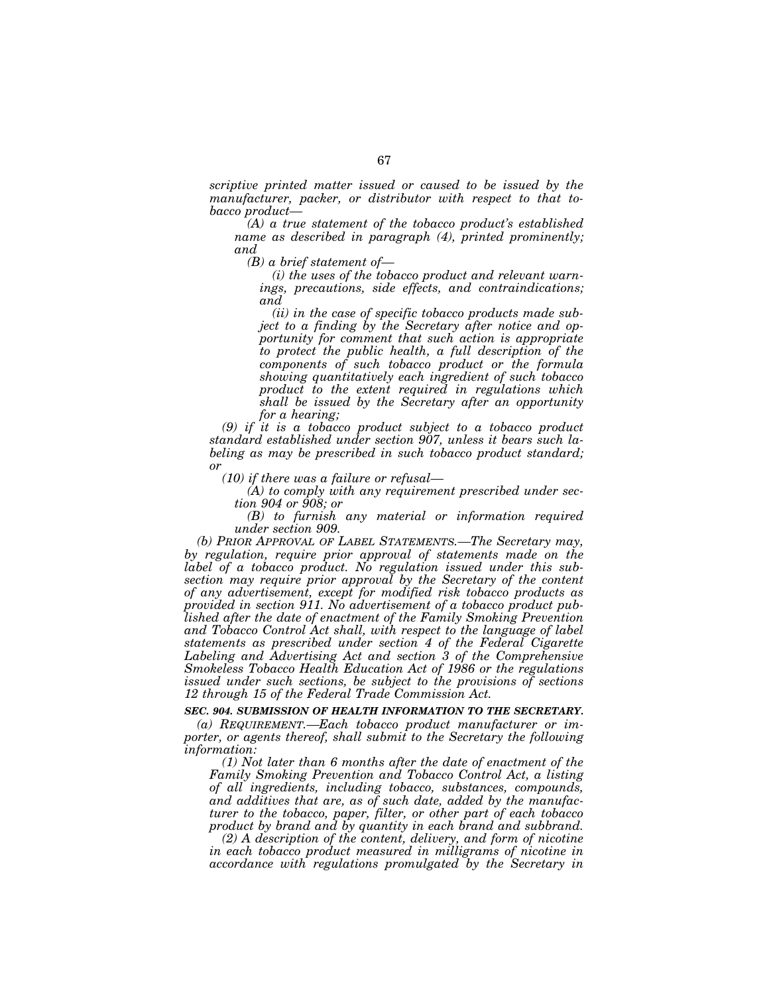*scriptive printed matter issued or caused to be issued by the manufacturer, packer, or distributor with respect to that tobacco product—* 

*(A) a true statement of the tobacco product's established name as described in paragraph (4), printed prominently; and* 

*(B) a brief statement of—* 

*(i) the uses of the tobacco product and relevant warnings, precautions, side effects, and contraindications; and* 

*(ii) in the case of specific tobacco products made subject to a finding by the Secretary after notice and opportunity for comment that such action is appropriate to protect the public health, a full description of the components of such tobacco product or the formula showing quantitatively each ingredient of such tobacco product to the extent required in regulations which shall be issued by the Secretary after an opportunity for a hearing;* 

*(9) if it is a tobacco product subject to a tobacco product standard established under section 907, unless it bears such labeling as may be prescribed in such tobacco product standard; or* 

*(10) if there was a failure or refusal—* 

*(A) to comply with any requirement prescribed under section 904 or 908; or* 

*(B) to furnish any material or information required under section 909.* 

*(b) PRIOR APPROVAL OF LABEL STATEMENTS.—The Secretary may, by regulation, require prior approval of statements made on the label of a tobacco product. No regulation issued under this subsection may require prior approval by the Secretary of the content of any advertisement, except for modified risk tobacco products as provided in section 911. No advertisement of a tobacco product published after the date of enactment of the Family Smoking Prevention and Tobacco Control Act shall, with respect to the language of label statements as prescribed under section 4 of the Federal Cigarette Labeling and Advertising Act and section 3 of the Comprehensive Smokeless Tobacco Health Education Act of 1986 or the regulations issued under such sections, be subject to the provisions of sections 12 through 15 of the Federal Trade Commission Act.* 

# **SEC. 904. SUBMISSION OF HEALTH INFORMATION TO THE SECRETARY.**

*(a) REQUIREMENT.—Each tobacco product manufacturer or importer, or agents thereof, shall submit to the Secretary the following information:* 

*(1) Not later than 6 months after the date of enactment of the Family Smoking Prevention and Tobacco Control Act, a listing of all ingredients, including tobacco, substances, compounds, and additives that are, as of such date, added by the manufacturer to the tobacco, paper, filter, or other part of each tobacco product by brand and by quantity in each brand and subbrand.* 

*(2) A description of the content, delivery, and form of nicotine in each tobacco product measured in milligrams of nicotine in accordance with regulations promulgated by the Secretary in*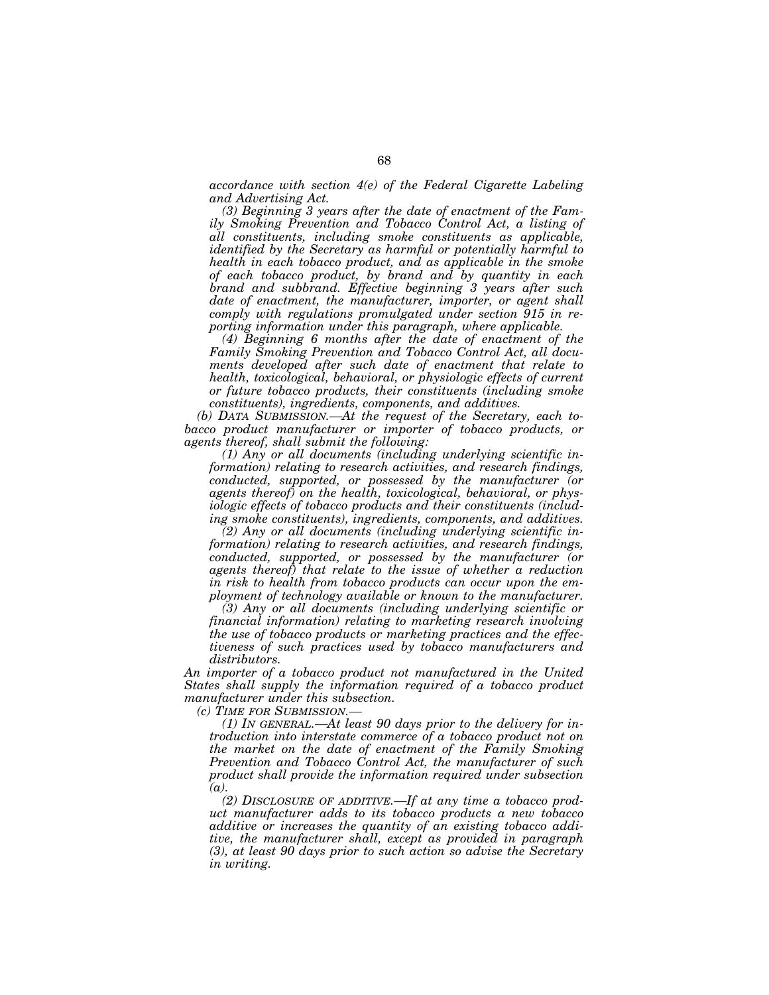*accordance with section 4(e) of the Federal Cigarette Labeling and Advertising Act.* 

*(3) Beginning 3 years after the date of enactment of the Family Smoking Prevention and Tobacco Control Act, a listing of all constituents, including smoke constituents as applicable, identified by the Secretary as harmful or potentially harmful to health in each tobacco product, and as applicable in the smoke of each tobacco product, by brand and by quantity in each brand and subbrand. Effective beginning 3 years after such date of enactment, the manufacturer, importer, or agent shall comply with regulations promulgated under section 915 in reporting information under this paragraph, where applicable.* 

*(4) Beginning 6 months after the date of enactment of the Family Smoking Prevention and Tobacco Control Act, all documents developed after such date of enactment that relate to health, toxicological, behavioral, or physiologic effects of current or future tobacco products, their constituents (including smoke constituents), ingredients, components, and additives.* 

*(b) DATA SUBMISSION.—At the request of the Secretary, each tobacco product manufacturer or importer of tobacco products, or agents thereof, shall submit the following:* 

*(1) Any or all documents (including underlying scientific information) relating to research activities, and research findings, conducted, supported, or possessed by the manufacturer (or agents thereof) on the health, toxicological, behavioral, or physiologic effects of tobacco products and their constituents (including smoke constituents), ingredients, components, and additives.* 

*(2) Any or all documents (including underlying scientific information) relating to research activities, and research findings, conducted, supported, or possessed by the manufacturer (or agents thereof) that relate to the issue of whether a reduction in risk to health from tobacco products can occur upon the employment of technology available or known to the manufacturer.* 

*(3) Any or all documents (including underlying scientific or financial information) relating to marketing research involving the use of tobacco products or marketing practices and the effectiveness of such practices used by tobacco manufacturers and distributors.* 

*An importer of a tobacco product not manufactured in the United States shall supply the information required of a tobacco product manufacturer under this subsection.* 

*(c) TIME FOR SUBMISSION.—* 

*(1) IN GENERAL.—At least 90 days prior to the delivery for introduction into interstate commerce of a tobacco product not on the market on the date of enactment of the Family Smoking Prevention and Tobacco Control Act, the manufacturer of such product shall provide the information required under subsection (a).* 

*(2) DISCLOSURE OF ADDITIVE.—If at any time a tobacco product manufacturer adds to its tobacco products a new tobacco additive or increases the quantity of an existing tobacco additive, the manufacturer shall, except as provided in paragraph (3), at least 90 days prior to such action so advise the Secretary in writing.*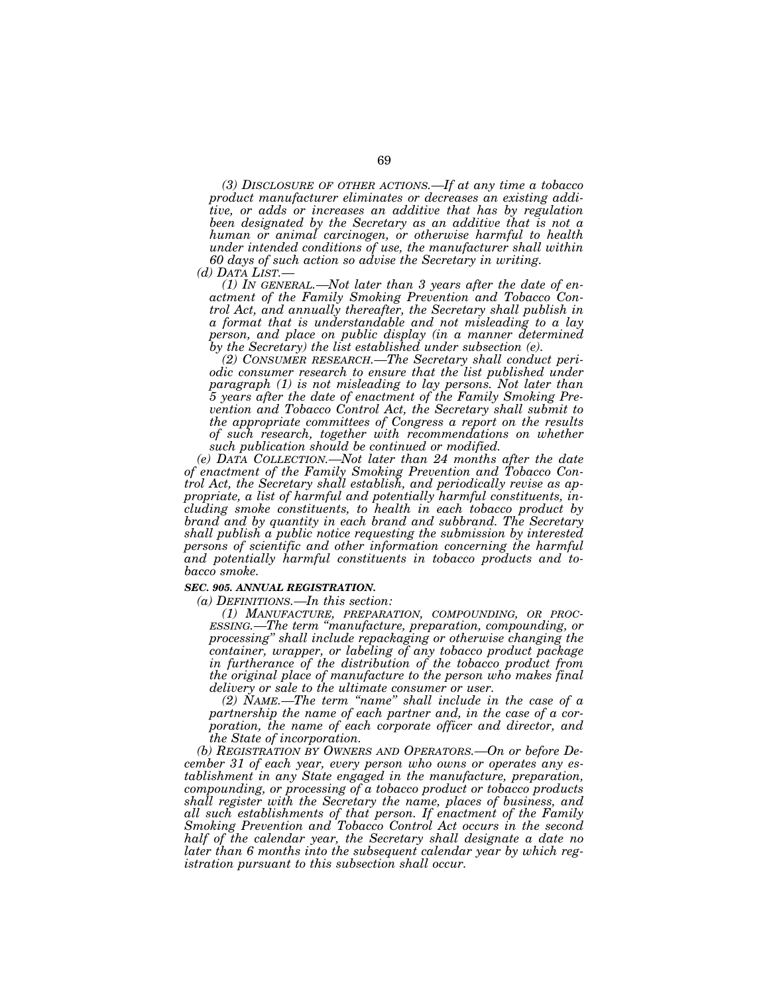*(3) DISCLOSURE OF OTHER ACTIONS.—If at any time a tobacco product manufacturer eliminates or decreases an existing additive, or adds or increases an additive that has by regulation been designated by the Secretary as an additive that is not a human or animal carcinogen, or otherwise harmful to health under intended conditions of use, the manufacturer shall within 60 days of such action so advise the Secretary in writing.* 

*(d) DATA LIST.— (1) IN GENERAL.—Not later than 3 years after the date of enactment of the Family Smoking Prevention and Tobacco Control Act, and annually thereafter, the Secretary shall publish in a format that is understandable and not misleading to a lay person, and place on public display (in a manner determined by the Secretary) the list established under subsection (e).* 

*(2) CONSUMER RESEARCH.—The Secretary shall conduct periodic consumer research to ensure that the list published under paragraph (1) is not misleading to lay persons. Not later than 5 years after the date of enactment of the Family Smoking Prevention and Tobacco Control Act, the Secretary shall submit to the appropriate committees of Congress a report on the results of such research, together with recommendations on whether such publication should be continued or modified.* 

*(e) DATA COLLECTION.—Not later than 24 months after the date of enactment of the Family Smoking Prevention and Tobacco Control Act, the Secretary shall establish, and periodically revise as appropriate, a list of harmful and potentially harmful constituents, including smoke constituents, to health in each tobacco product by brand and by quantity in each brand and subbrand. The Secretary shall publish a public notice requesting the submission by interested persons of scientific and other information concerning the harmful and potentially harmful constituents in tobacco products and tobacco smoke.* 

### *SEC. 905. ANNUAL REGISTRATION.*

*(a) DEFINITIONS.—In this section: (1) MANUFACTURE, PREPARATION, COMPOUNDING, OR PROC- ESSING.—The term ''manufacture, preparation, compounding, or processing'' shall include repackaging or otherwise changing the container, wrapper, or labeling of any tobacco product package in furtherance of the distribution of the tobacco product from the original place of manufacture to the person who makes final delivery or sale to the ultimate consumer or user.* 

*(2) NAME.—The term ''name'' shall include in the case of a partnership the name of each partner and, in the case of a corporation, the name of each corporate officer and director, and the State of incorporation.* 

*(b) REGISTRATION BY OWNERS AND OPERATORS.—On or before December 31 of each year, every person who owns or operates any establishment in any State engaged in the manufacture, preparation, compounding, or processing of a tobacco product or tobacco products shall register with the Secretary the name, places of business, and all such establishments of that person. If enactment of the Family Smoking Prevention and Tobacco Control Act occurs in the second half of the calendar year, the Secretary shall designate a date no later than 6 months into the subsequent calendar year by which registration pursuant to this subsection shall occur.*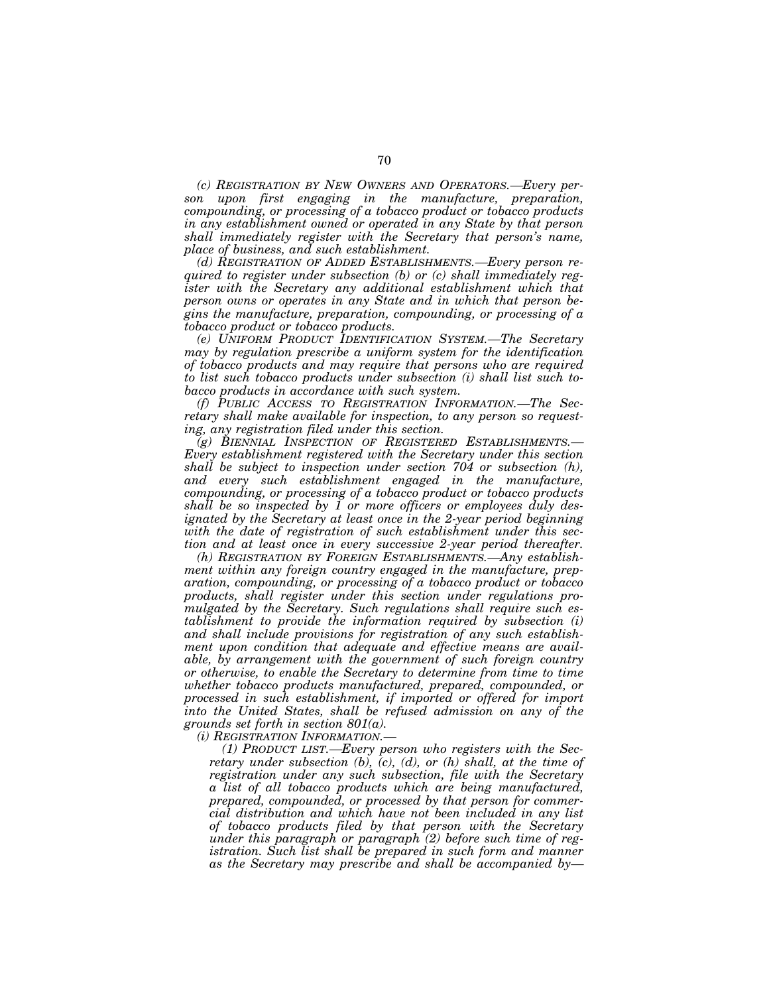*(c) REGISTRATION BY NEW OWNERS AND OPERATORS.—Every person upon first engaging in the manufacture, preparation, compounding, or processing of a tobacco product or tobacco products in any establishment owned or operated in any State by that person shall immediately register with the Secretary that person's name, place of business, and such establishment.* 

*(d) REGISTRATION OF ADDED ESTABLISHMENTS.—Every person required to register under subsection (b) or (c) shall immediately register with the Secretary any additional establishment which that person owns or operates in any State and in which that person begins the manufacture, preparation, compounding, or processing of a tobacco product or tobacco products.* 

*(e) UNIFORM PRODUCT IDENTIFICATION SYSTEM.—The Secretary may by regulation prescribe a uniform system for the identification of tobacco products and may require that persons who are required to list such tobacco products under subsection (i) shall list such tobacco products in accordance with such system.* 

*(f) PUBLIC ACCESS TO REGISTRATION INFORMATION.—The Secretary shall make available for inspection, to any person so requesting, any registration filed under this section.* 

*(g) BIENNIAL INSPECTION OF REGISTERED ESTABLISHMENTS.— Every establishment registered with the Secretary under this section shall be subject to inspection under section 704 or subsection (h), and every such establishment engaged in the manufacture, compounding, or processing of a tobacco product or tobacco products shall be so inspected by 1 or more officers or employees duly designated by the Secretary at least once in the 2-year period beginning with the date of registration of such establishment under this section and at least once in every successive 2-year period thereafter.* 

*(h) REGISTRATION BY FOREIGN ESTABLISHMENTS.—Any establishment within any foreign country engaged in the manufacture, preparation, compounding, or processing of a tobacco product or tobacco products, shall register under this section under regulations promulgated by the Secretary. Such regulations shall require such establishment to provide the information required by subsection (i) and shall include provisions for registration of any such establishment upon condition that adequate and effective means are available, by arrangement with the government of such foreign country or otherwise, to enable the Secretary to determine from time to time whether tobacco products manufactured, prepared, compounded, or processed in such establishment, if imported or offered for import*  into the United States, shall be refused admission on any of the *grounds set forth in section 801(a).* 

*(i) REGISTRATION INFORMATION.—* 

*(1) PRODUCT LIST.—Every person who registers with the Secretary under subsection (b), (c), (d), or (h) shall, at the time of registration under any such subsection, file with the Secretary a list of all tobacco products which are being manufactured, prepared, compounded, or processed by that person for commercial distribution and which have not been included in any list of tobacco products filed by that person with the Secretary under this paragraph or paragraph (2) before such time of registration. Such list shall be prepared in such form and manner as the Secretary may prescribe and shall be accompanied by—*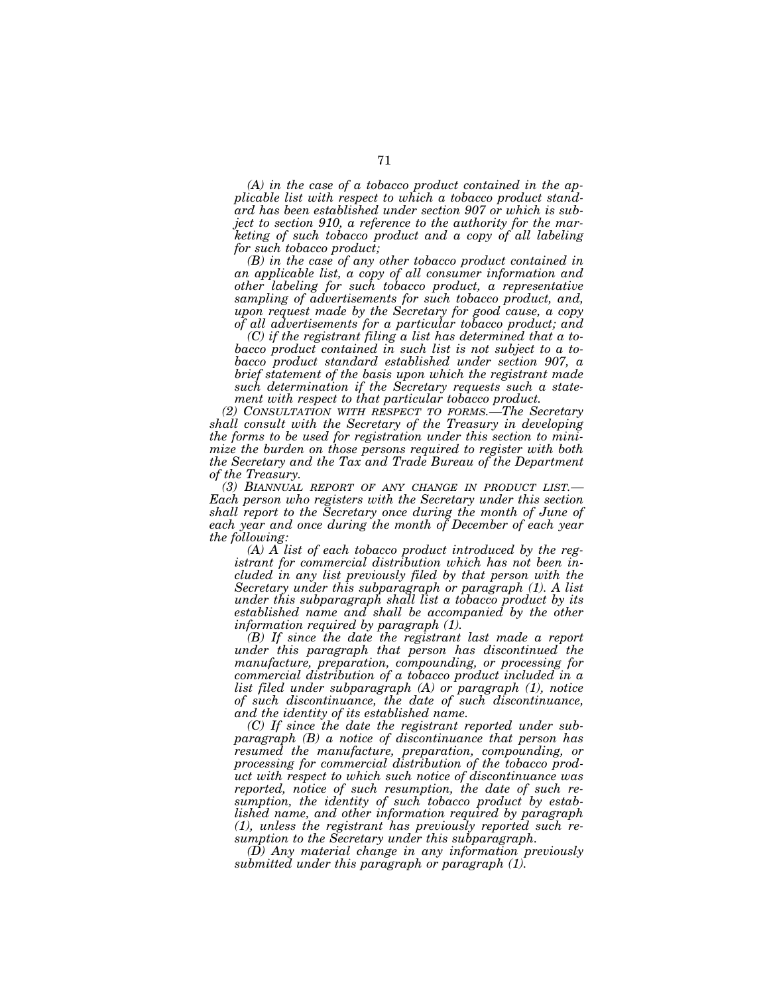*(A) in the case of a tobacco product contained in the applicable list with respect to which a tobacco product standard has been established under section 907 or which is subject to section 910, a reference to the authority for the marketing of such tobacco product and a copy of all labeling for such tobacco product;* 

*(B) in the case of any other tobacco product contained in an applicable list, a copy of all consumer information and other labeling for such tobacco product, a representative sampling of advertisements for such tobacco product, and, upon request made by the Secretary for good cause, a copy of all advertisements for a particular tobacco product; and* 

*(C) if the registrant filing a list has determined that a tobacco product contained in such list is not subject to a tobacco product standard established under section 907, a brief statement of the basis upon which the registrant made such determination if the Secretary requests such a statement with respect to that particular tobacco product.* 

*(2) CONSULTATION WITH RESPECT TO FORMS.—The Secretary shall consult with the Secretary of the Treasury in developing the forms to be used for registration under this section to minimize the burden on those persons required to register with both the Secretary and the Tax and Trade Bureau of the Department of the Treasury.* 

*(3) BIANNUAL REPORT OF ANY CHANGE IN PRODUCT LIST.— Each person who registers with the Secretary under this section shall report to the Secretary once during the month of June of each year and once during the month of December of each year the following:* 

*(A) A list of each tobacco product introduced by the registrant for commercial distribution which has not been included in any list previously filed by that person with the Secretary under this subparagraph or paragraph (1). A list under this subparagraph shall list a tobacco product by its established name and shall be accompanied by the other information required by paragraph (1).* 

*(B) If since the date the registrant last made a report under this paragraph that person has discontinued the manufacture, preparation, compounding, or processing for commercial distribution of a tobacco product included in a list filed under subparagraph (A) or paragraph (1), notice of such discontinuance, the date of such discontinuance, and the identity of its established name.* 

*(C) If since the date the registrant reported under subparagraph (B) a notice of discontinuance that person has resumed the manufacture, preparation, compounding, or processing for commercial distribution of the tobacco product with respect to which such notice of discontinuance was reported, notice of such resumption, the date of such resumption, the identity of such tobacco product by established name, and other information required by paragraph (1), unless the registrant has previously reported such resumption to the Secretary under this subparagraph.* 

*(D) Any material change in any information previously submitted under this paragraph or paragraph (1).*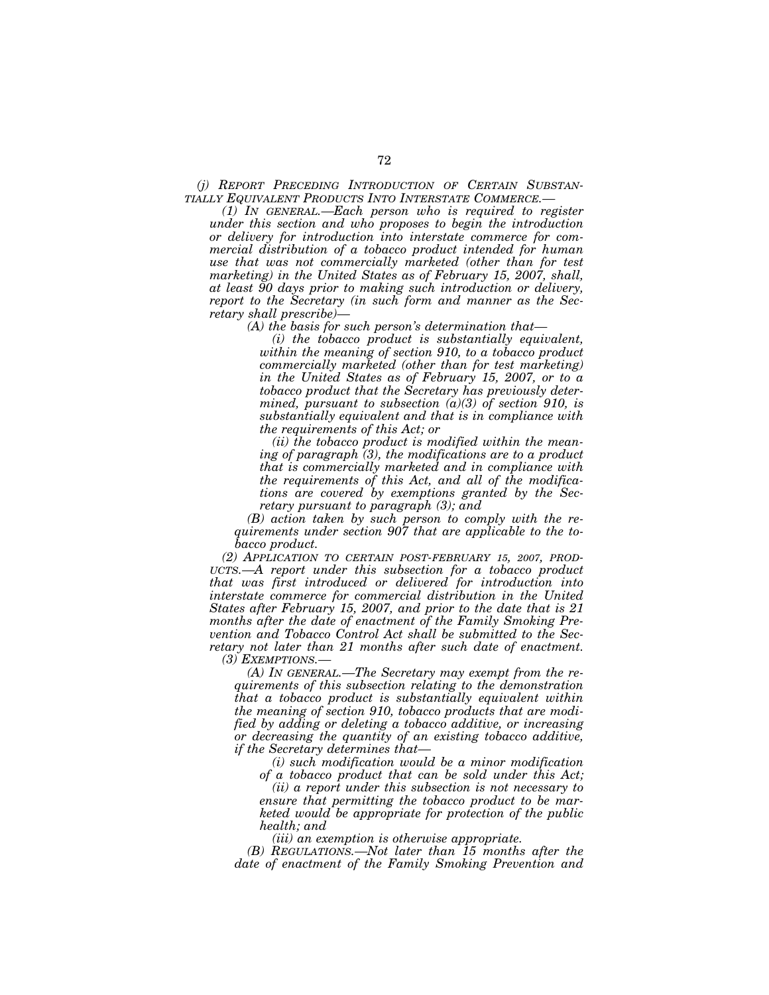*(j) REPORT PRECEDING INTRODUCTION OF CERTAIN SUBSTAN-TIALLY EQUIVALENT PRODUCTS INTO INTERSTATE COMMERCE.—* 

*(1) IN GENERAL.—Each person who is required to register under this section and who proposes to begin the introduction or delivery for introduction into interstate commerce for commercial distribution of a tobacco product intended for human use that was not commercially marketed (other than for test marketing) in the United States as of February 15, 2007, shall, at least 90 days prior to making such introduction or delivery, report to the Secretary (in such form and manner as the Secretary shall prescribe)—* 

*(A) the basis for such person's determination that—* 

*(i) the tobacco product is substantially equivalent, within the meaning of section 910, to a tobacco product commercially marketed (other than for test marketing) in the United States as of February 15, 2007, or to a tobacco product that the Secretary has previously determined, pursuant to subsection (a)(3) of section 910, is substantially equivalent and that is in compliance with the requirements of this Act; or* 

*(ii) the tobacco product is modified within the meaning of paragraph (3), the modifications are to a product that is commercially marketed and in compliance with the requirements of this Act, and all of the modifications are covered by exemptions granted by the Secretary pursuant to paragraph (3); and* 

*(B) action taken by such person to comply with the requirements under section 907 that are applicable to the tobacco product.* 

*(2) APPLICATION TO CERTAIN POST-FEBRUARY 15, 2007, PROD-UCTS.—A report under this subsection for a tobacco product that was first introduced or delivered for introduction into interstate commerce for commercial distribution in the United States after February 15, 2007, and prior to the date that is 21 months after the date of enactment of the Family Smoking Prevention and Tobacco Control Act shall be submitted to the Secretary not later than 21 months after such date of enactment. (3) EXEMPTIONS.—* 

*(A) IN GENERAL.—The Secretary may exempt from the requirements of this subsection relating to the demonstration that a tobacco product is substantially equivalent within the meaning of section 910, tobacco products that are modified by adding or deleting a tobacco additive, or increasing or decreasing the quantity of an existing tobacco additive, if the Secretary determines that—* 

*(i) such modification would be a minor modification of a tobacco product that can be sold under this Act;* 

*(ii) a report under this subsection is not necessary to ensure that permitting the tobacco product to be marketed would be appropriate for protection of the public health; and* 

*(iii) an exemption is otherwise appropriate.* 

*(B) REGULATIONS.—Not later than 15 months after the date of enactment of the Family Smoking Prevention and*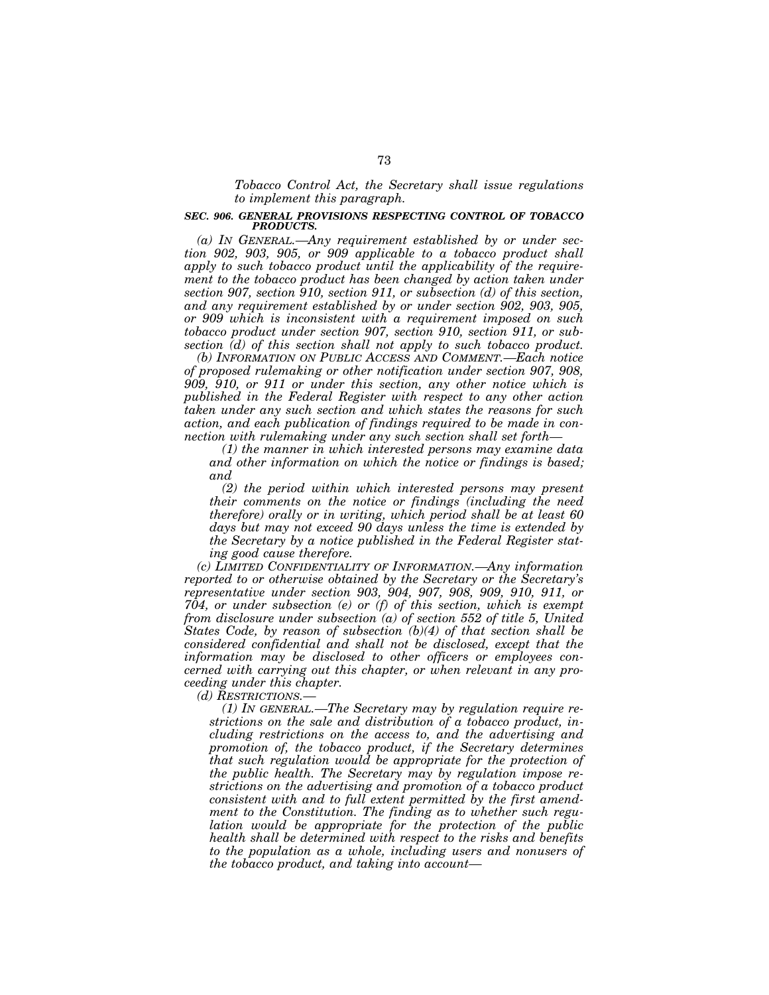*Tobacco Control Act, the Secretary shall issue regulations to implement this paragraph.* 

### *SEC. 906. GENERAL PROVISIONS RESPECTING CONTROL OF TOBACCO PRODUCTS.*

*(a) IN GENERAL.—Any requirement established by or under section 902, 903, 905, or 909 applicable to a tobacco product shall apply to such tobacco product until the applicability of the requirement to the tobacco product has been changed by action taken under section 907, section 910, section 911, or subsection (d) of this section, and any requirement established by or under section 902, 903, 905, or 909 which is inconsistent with a requirement imposed on such tobacco product under section 907, section 910, section 911, or subsection (d) of this section shall not apply to such tobacco product.* 

*(b) INFORMATION ON PUBLIC ACCESS AND COMMENT.—Each notice of proposed rulemaking or other notification under section 907, 908, 909, 910, or 911 or under this section, any other notice which is published in the Federal Register with respect to any other action taken under any such section and which states the reasons for such action, and each publication of findings required to be made in connection with rulemaking under any such section shall set forth—* 

*(1) the manner in which interested persons may examine data and other information on which the notice or findings is based; and* 

*(2) the period within which interested persons may present their comments on the notice or findings (including the need therefore) orally or in writing, which period shall be at least 60 days but may not exceed 90 days unless the time is extended by the Secretary by a notice published in the Federal Register stating good cause therefore.* 

*(c) LIMITED CONFIDENTIALITY OF INFORMATION.—Any information reported to or otherwise obtained by the Secretary or the Secretary's representative under section 903, 904, 907, 908, 909, 910, 911, or 704, or under subsection (e) or (f) of this section, which is exempt from disclosure under subsection (a) of section 552 of title 5, United States Code, by reason of subsection (b)(4) of that section shall be considered confidential and shall not be disclosed, except that the information may be disclosed to other officers or employees concerned with carrying out this chapter, or when relevant in any proceeding under this chapter.* 

*(d) RESTRICTIONS.—* 

*(1) IN GENERAL.—The Secretary may by regulation require restrictions on the sale and distribution of a tobacco product, including restrictions on the access to, and the advertising and promotion of, the tobacco product, if the Secretary determines that such regulation would be appropriate for the protection of the public health. The Secretary may by regulation impose restrictions on the advertising and promotion of a tobacco product consistent with and to full extent permitted by the first amendment to the Constitution. The finding as to whether such regulation would be appropriate for the protection of the public health shall be determined with respect to the risks and benefits to the population as a whole, including users and nonusers of the tobacco product, and taking into account—*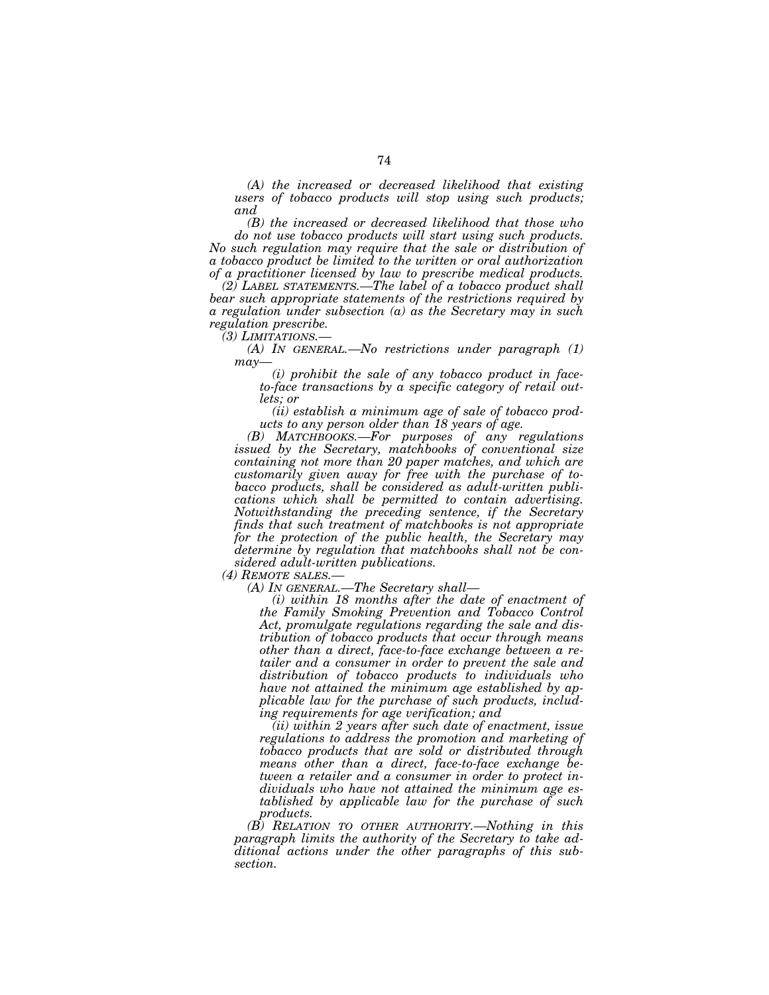*(A) the increased or decreased likelihood that existing users of tobacco products will stop using such products; and* 

*(B) the increased or decreased likelihood that those who do not use tobacco products will start using such products. No such regulation may require that the sale or distribution of a tobacco product be limited to the written or oral authorization of a practitioner licensed by law to prescribe medical products. (2) LABEL STATEMENTS.—The label of a tobacco product shall* 

*bear such appropriate statements of the restrictions required by a regulation under subsection (a) as the Secretary may in such regulation prescribe.* 

*(3) LIMITATIONS.— (A) IN GENERAL.—No restrictions under paragraph (1) may—* 

*(i) prohibit the sale of any tobacco product in faceto-face transactions by a specific category of retail outlets; or* 

*(ii) establish a minimum age of sale of tobacco products to any person older than 18 years of age.* 

*(B) MATCHBOOKS.—For purposes of any regulations issued by the Secretary, matchbooks of conventional size containing not more than 20 paper matches, and which are customarily given away for free with the purchase of tobacco products, shall be considered as adult-written publications which shall be permitted to contain advertising. Notwithstanding the preceding sentence, if the Secretary finds that such treatment of matchbooks is not appropriate for the protection of the public health, the Secretary may determine by regulation that matchbooks shall not be considered adult-written publications.* 

*(4) REMOTE SALES.—* 

*(A) IN GENERAL.—The Secretary shall—* 

*(i) within 18 months after the date of enactment of the Family Smoking Prevention and Tobacco Control Act, promulgate regulations regarding the sale and distribution of tobacco products that occur through means other than a direct, face-to-face exchange between a retailer and a consumer in order to prevent the sale and distribution of tobacco products to individuals who have not attained the minimum age established by applicable law for the purchase of such products, including requirements for age verification; and* 

*(ii) within 2 years after such date of enactment, issue regulations to address the promotion and marketing of tobacco products that are sold or distributed through means other than a direct, face-to-face exchange between a retailer and a consumer in order to protect individuals who have not attained the minimum age established by applicable law for the purchase of such products.* 

*(B) RELATION TO OTHER AUTHORITY.—Nothing in this paragraph limits the authority of the Secretary to take additional actions under the other paragraphs of this subsection.*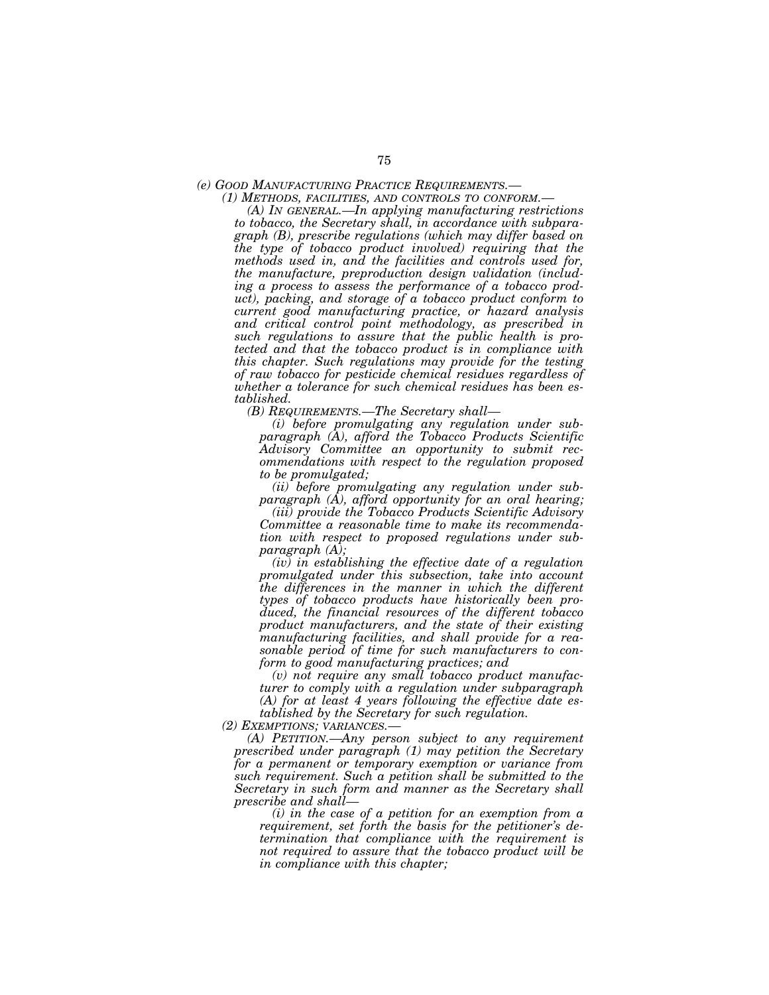*(e) GOOD MANUFACTURING PRACTICE REQUIREMENTS.— (1) METHODS, FACILITIES, AND CONTROLS TO CONFORM.— (A) IN GENERAL.—In applying manufacturing restrictions to tobacco, the Secretary shall, in accordance with subparagraph (B), prescribe regulations (which may differ based on the type of tobacco product involved) requiring that the methods used in, and the facilities and controls used for, the manufacture, preproduction design validation (including a process to assess the performance of a tobacco product), packing, and storage of a tobacco product conform to current good manufacturing practice, or hazard analysis and critical control point methodology, as prescribed in such regulations to assure that the public health is protected and that the tobacco product is in compliance with this chapter. Such regulations may provide for the testing of raw tobacco for pesticide chemical residues regardless of whether a tolerance for such chemical residues has been established.* 

*(B) REQUIREMENTS.—The Secretary shall—* 

*(i) before promulgating any regulation under subparagraph (A), afford the Tobacco Products Scientific Advisory Committee an opportunity to submit recommendations with respect to the regulation proposed to be promulgated;* 

*(ii) before promulgating any regulation under subparagraph (A), afford opportunity for an oral hearing;* 

*(iii) provide the Tobacco Products Scientific Advisory Committee a reasonable time to make its recommendation with respect to proposed regulations under subparagraph (A);* 

*(iv) in establishing the effective date of a regulation promulgated under this subsection, take into account the differences in the manner in which the different types of tobacco products have historically been produced, the financial resources of the different tobacco product manufacturers, and the state of their existing manufacturing facilities, and shall provide for a reasonable period of time for such manufacturers to conform to good manufacturing practices; and* 

*(v) not require any small tobacco product manufacturer to comply with a regulation under subparagraph (A) for at least 4 years following the effective date established by the Secretary for such regulation.* 

*(2) EXEMPTIONS; VARIANCES.—* 

*(A) PETITION.—Any person subject to any requirement prescribed under paragraph (1) may petition the Secretary for a permanent or temporary exemption or variance from such requirement. Such a petition shall be submitted to the Secretary in such form and manner as the Secretary shall prescribe and shall—* 

*(i) in the case of a petition for an exemption from a requirement, set forth the basis for the petitioner's determination that compliance with the requirement is not required to assure that the tobacco product will be in compliance with this chapter;*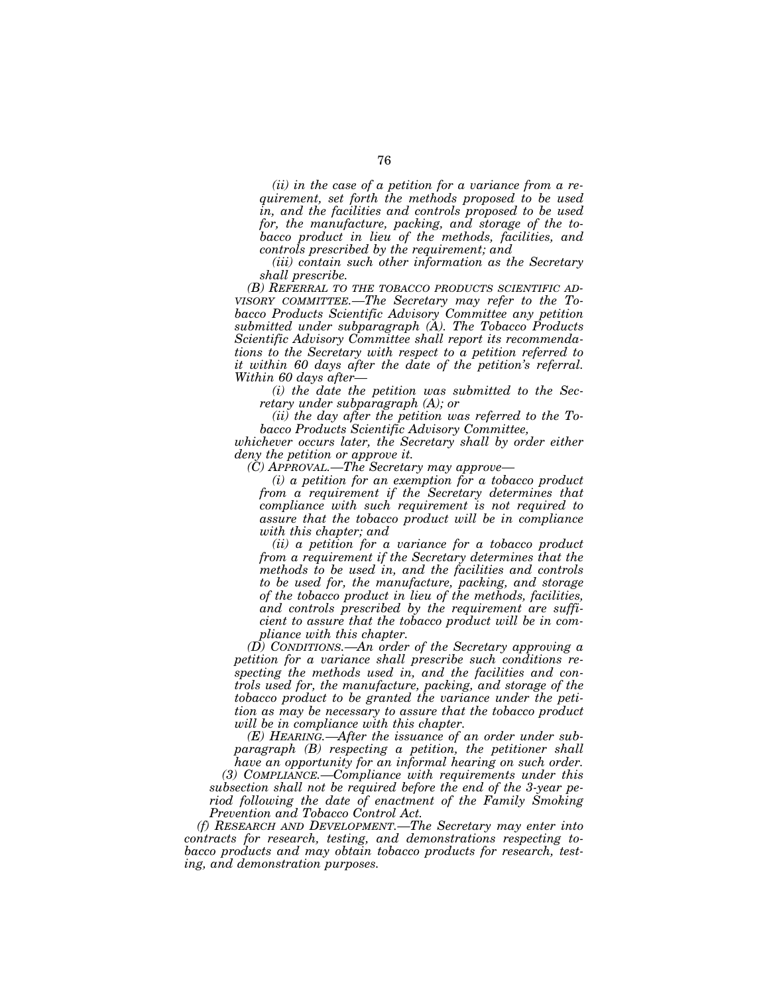*(ii) in the case of a petition for a variance from a requirement, set forth the methods proposed to be used in, and the facilities and controls proposed to be used for, the manufacture, packing, and storage of the tobacco product in lieu of the methods, facilities, and controls prescribed by the requirement; and* 

*(iii) contain such other information as the Secretary shall prescribe.* 

*(B) REFERRAL TO THE TOBACCO PRODUCTS SCIENTIFIC AD-VISORY COMMITTEE.—The Secretary may refer to the Tobacco Products Scientific Advisory Committee any petition submitted under subparagraph (A). The Tobacco Products Scientific Advisory Committee shall report its recommendations to the Secretary with respect to a petition referred to it within 60 days after the date of the petition's referral. Within 60 days after—* 

*(i) the date the petition was submitted to the Secretary under subparagraph (A); or* 

*(ii) the day after the petition was referred to the Tobacco Products Scientific Advisory Committee,* 

*whichever occurs later, the Secretary shall by order either deny the petition or approve it.* 

*(C) APPROVAL.—The Secretary may approve—* 

*(i) a petition for an exemption for a tobacco product from a requirement if the Secretary determines that compliance with such requirement is not required to assure that the tobacco product will be in compliance with this chapter; and* 

*(ii) a petition for a variance for a tobacco product from a requirement if the Secretary determines that the methods to be used in, and the facilities and controls to be used for, the manufacture, packing, and storage of the tobacco product in lieu of the methods, facilities, and controls prescribed by the requirement are sufficient to assure that the tobacco product will be in compliance with this chapter.* 

*(D) CONDITIONS.—An order of the Secretary approving a petition for a variance shall prescribe such conditions respecting the methods used in, and the facilities and controls used for, the manufacture, packing, and storage of the tobacco product to be granted the variance under the petition as may be necessary to assure that the tobacco product will be in compliance with this chapter.* 

*(E) HEARING.—After the issuance of an order under subparagraph (B) respecting a petition, the petitioner shall have an opportunity for an informal hearing on such order.* 

*(3) COMPLIANCE.—Compliance with requirements under this subsection shall not be required before the end of the 3-year period following the date of enactment of the Family Smoking Prevention and Tobacco Control Act.* 

*(f) RESEARCH AND DEVELOPMENT.—The Secretary may enter into contracts for research, testing, and demonstrations respecting tobacco products and may obtain tobacco products for research, testing, and demonstration purposes.*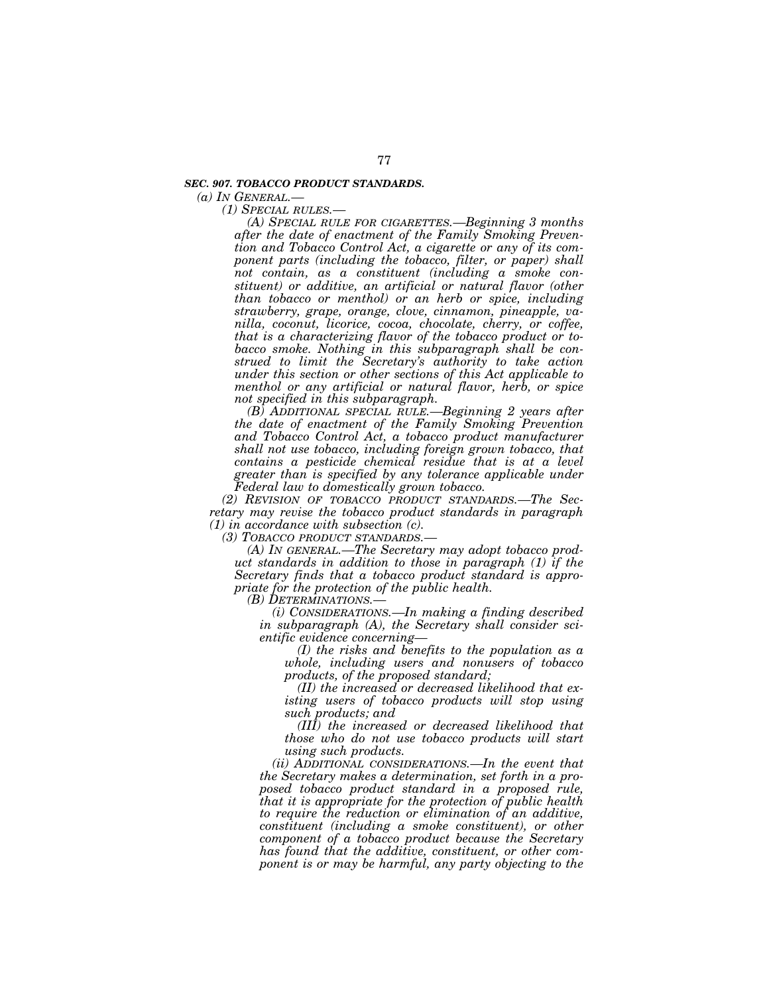# *SEC. 907. TOBACCO PRODUCT STANDARDS.*

*(a) IN GENERAL.—* 

*(1) SPECIAL RULES.—* 

*(A) SPECIAL RULE FOR CIGARETTES.—Beginning 3 months after the date of enactment of the Family Smoking Prevention and Tobacco Control Act, a cigarette or any of its component parts (including the tobacco, filter, or paper) shall not contain, as a constituent (including a smoke constituent) or additive, an artificial or natural flavor (other than tobacco or menthol) or an herb or spice, including strawberry, grape, orange, clove, cinnamon, pineapple, vanilla, coconut, licorice, cocoa, chocolate, cherry, or coffee, that is a characterizing flavor of the tobacco product or tobacco smoke. Nothing in this subparagraph shall be construed to limit the Secretary's authority to take action under this section or other sections of this Act applicable to menthol or any artificial or natural flavor, herb, or spice not specified in this subparagraph.* 

*(B) ADDITIONAL SPECIAL RULE.—Beginning 2 years after the date of enactment of the Family Smoking Prevention and Tobacco Control Act, a tobacco product manufacturer shall not use tobacco, including foreign grown tobacco, that contains a pesticide chemical residue that is at a level greater than is specified by any tolerance applicable under Federal law to domestically grown tobacco.* 

*(2) REVISION OF TOBACCO PRODUCT STANDARDS.—The Secretary may revise the tobacco product standards in paragraph (1) in accordance with subsection (c).* 

*(3) TOBACCO PRODUCT STANDARDS.—* 

*(A) IN GENERAL.—The Secretary may adopt tobacco product standards in addition to those in paragraph (1) if the Secretary finds that a tobacco product standard is appropriate for the protection of the public health.* 

*(B) DETERMINATIONS.—* 

*(i) CONSIDERATIONS.—In making a finding described in subparagraph (A), the Secretary shall consider scientific evidence concerning—* 

*(I) the risks and benefits to the population as a whole, including users and nonusers of tobacco products, of the proposed standard;* 

*(II) the increased or decreased likelihood that existing users of tobacco products will stop using such products; and* 

*(III) the increased or decreased likelihood that those who do not use tobacco products will start using such products.* 

*(ii) ADDITIONAL CONSIDERATIONS.—In the event that the Secretary makes a determination, set forth in a proposed tobacco product standard in a proposed rule, that it is appropriate for the protection of public health to require the reduction or elimination of an additive, constituent (including a smoke constituent), or other component of a tobacco product because the Secretary has found that the additive, constituent, or other component is or may be harmful, any party objecting to the*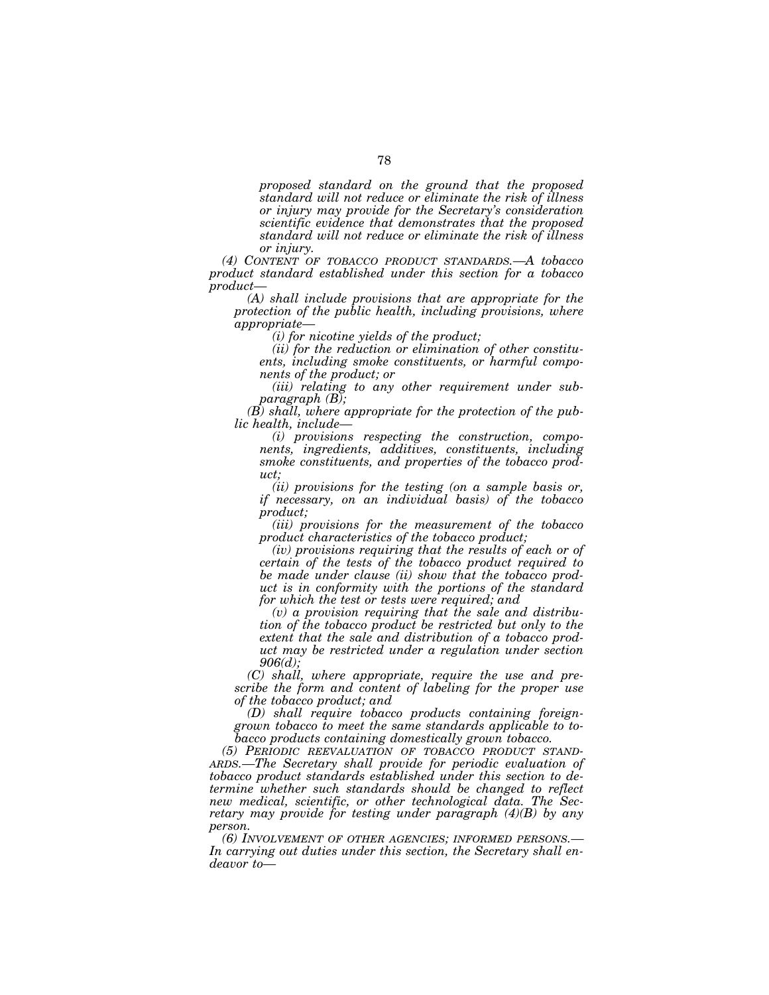*proposed standard on the ground that the proposed standard will not reduce or eliminate the risk of illness or injury may provide for the Secretary's consideration scientific evidence that demonstrates that the proposed standard will not reduce or eliminate the risk of illness or injury.* 

*(4) CONTENT OF TOBACCO PRODUCT STANDARDS.—A tobacco product standard established under this section for a tobacco product—* 

*(A) shall include provisions that are appropriate for the protection of the public health, including provisions, where appropriate—* 

*(i) for nicotine yields of the product;* 

*(ii) for the reduction or elimination of other constituents, including smoke constituents, or harmful components of the product; or* 

*(iii) relating to any other requirement under subparagraph (B);* 

*(B) shall, where appropriate for the protection of the public health, include—* 

*(i) provisions respecting the construction, components, ingredients, additives, constituents, including smoke constituents, and properties of the tobacco product;* 

*(ii) provisions for the testing (on a sample basis or, if necessary, on an individual basis) of the tobacco product;* 

*(iii) provisions for the measurement of the tobacco product characteristics of the tobacco product;* 

*(iv) provisions requiring that the results of each or of certain of the tests of the tobacco product required to be made under clause (ii) show that the tobacco product is in conformity with the portions of the standard for which the test or tests were required; and* 

*(v) a provision requiring that the sale and distribution of the tobacco product be restricted but only to the extent that the sale and distribution of a tobacco product may be restricted under a regulation under section 906(d);* 

*(C) shall, where appropriate, require the use and prescribe the form and content of labeling for the proper use of the tobacco product; and* 

*(D) shall require tobacco products containing foreigngrown tobacco to meet the same standards applicable to tobacco products containing domestically grown tobacco.* 

*(5) PERIODIC REEVALUATION OF TOBACCO PRODUCT STAND-ARDS.—The Secretary shall provide for periodic evaluation of tobacco product standards established under this section to determine whether such standards should be changed to reflect new medical, scientific, or other technological data. The Secretary may provide for testing under paragraph (4)(B) by any person.* 

*(6) INVOLVEMENT OF OTHER AGENCIES; INFORMED PERSONS.— In carrying out duties under this section, the Secretary shall endeavor to—*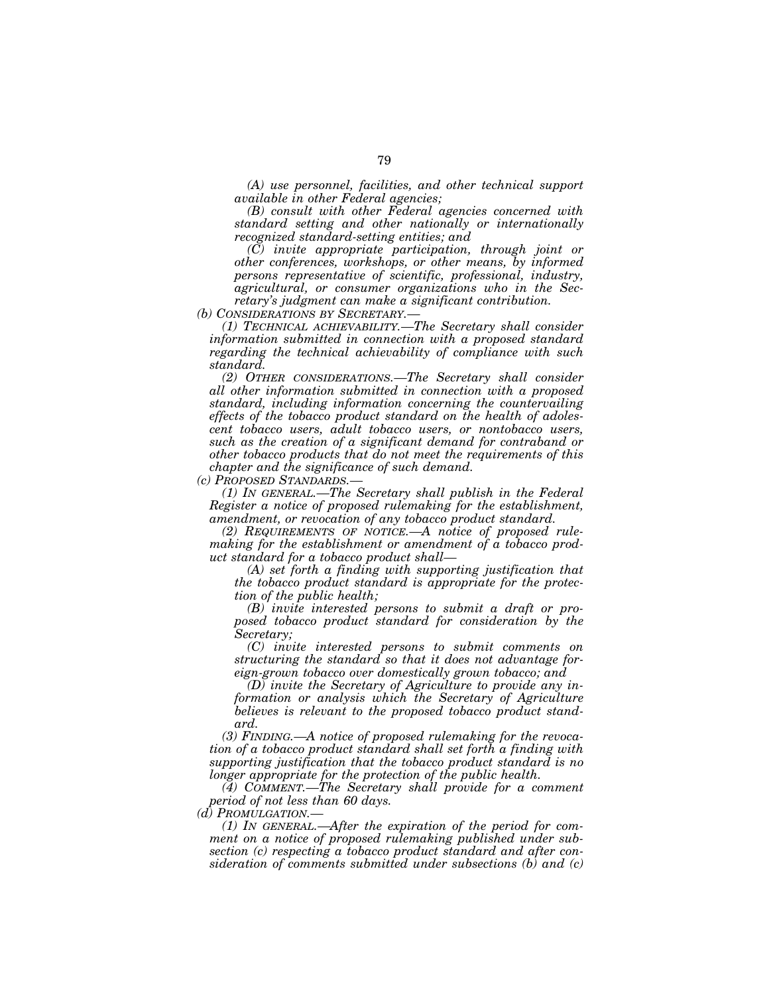*(A) use personnel, facilities, and other technical support available in other Federal agencies;* 

*(B) consult with other Federal agencies concerned with standard setting and other nationally or internationally recognized standard-setting entities; and* 

*(C) invite appropriate participation, through joint or other conferences, workshops, or other means, by informed persons representative of scientific, professional, industry, agricultural, or consumer organizations who in the Secretary's judgment can make a significant contribution.* 

*(b) CONSIDERATIONS BY SECRETARY.—* 

*(1) TECHNICAL ACHIEVABILITY.—The Secretary shall consider information submitted in connection with a proposed standard regarding the technical achievability of compliance with such standard.* 

*(2) OTHER CONSIDERATIONS.—The Secretary shall consider all other information submitted in connection with a proposed standard, including information concerning the countervailing effects of the tobacco product standard on the health of adolescent tobacco users, adult tobacco users, or nontobacco users, such as the creation of a significant demand for contraband or other tobacco products that do not meet the requirements of this chapter and the significance of such demand.* 

*(c) PROPOSED STANDARDS.—* 

*(1) IN GENERAL.—The Secretary shall publish in the Federal Register a notice of proposed rulemaking for the establishment, amendment, or revocation of any tobacco product standard.* 

*(2) REQUIREMENTS OF NOTICE.—A notice of proposed rulemaking for the establishment or amendment of a tobacco product standard for a tobacco product shall—* 

*(A) set forth a finding with supporting justification that the tobacco product standard is appropriate for the protection of the public health;* 

*(B) invite interested persons to submit a draft or proposed tobacco product standard for consideration by the Secretary;* 

*(C) invite interested persons to submit comments on structuring the standard so that it does not advantage foreign-grown tobacco over domestically grown tobacco; and* 

*(D) invite the Secretary of Agriculture to provide any information or analysis which the Secretary of Agriculture believes is relevant to the proposed tobacco product standard.* 

*(3) FINDING.—A notice of proposed rulemaking for the revocation of a tobacco product standard shall set forth a finding with supporting justification that the tobacco product standard is no longer appropriate for the protection of the public health.* 

*(4) COMMENT.—The Secretary shall provide for a comment period of not less than 60 days.* 

*(d) PROMULGATION.—* 

*(1) IN GENERAL.—After the expiration of the period for comment on a notice of proposed rulemaking published under subsection (c) respecting a tobacco product standard and after consideration of comments submitted under subsections (b) and (c)*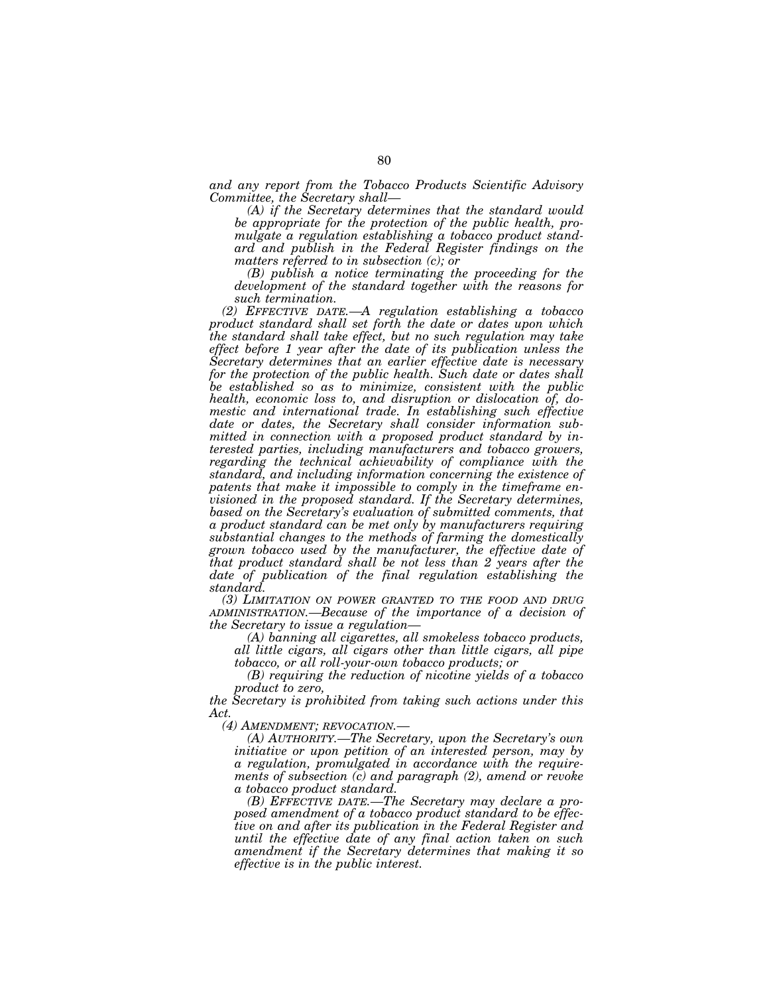*and any report from the Tobacco Products Scientific Advisory Committee, the Secretary shall—* 

*(A) if the Secretary determines that the standard would be appropriate for the protection of the public health, promulgate a regulation establishing a tobacco product standard and publish in the Federal Register findings on the matters referred to in subsection (c); or* 

*(B) publish a notice terminating the proceeding for the development of the standard together with the reasons for such termination.* 

*(2) EFFECTIVE DATE.—A regulation establishing a tobacco product standard shall set forth the date or dates upon which the standard shall take effect, but no such regulation may take effect before 1 year after the date of its publication unless the Secretary determines that an earlier effective date is necessary for the protection of the public health. Such date or dates shall be established so as to minimize, consistent with the public health, economic loss to, and disruption or dislocation of, domestic and international trade. In establishing such effective date or dates, the Secretary shall consider information submitted in connection with a proposed product standard by interested parties, including manufacturers and tobacco growers, regarding the technical achievability of compliance with the standard, and including information concerning the existence of patents that make it impossible to comply in the timeframe envisioned in the proposed standard. If the Secretary determines, based on the Secretary's evaluation of submitted comments, that a product standard can be met only by manufacturers requiring substantial changes to the methods of farming the domestically grown tobacco used by the manufacturer, the effective date of that product standard shall be not less than 2 years after the date of publication of the final regulation establishing the standard.* 

*(3) LIMITATION ON POWER GRANTED TO THE FOOD AND DRUG ADMINISTRATION.—Because of the importance of a decision of the Secretary to issue a regulation—* 

*(A) banning all cigarettes, all smokeless tobacco products, all little cigars, all cigars other than little cigars, all pipe tobacco, or all roll-your-own tobacco products; or* 

*(B) requiring the reduction of nicotine yields of a tobacco product to zero,* 

*the Secretary is prohibited from taking such actions under this Act.* 

*(4) AMENDMENT; REVOCATION.—* 

*(A) AUTHORITY.—The Secretary, upon the Secretary's own initiative or upon petition of an interested person, may by a regulation, promulgated in accordance with the requirements of subsection (c) and paragraph (2), amend or revoke a tobacco product standard.* 

*(B) EFFECTIVE DATE.—The Secretary may declare a proposed amendment of a tobacco product standard to be effective on and after its publication in the Federal Register and until the effective date of any final action taken on such amendment if the Secretary determines that making it so effective is in the public interest.*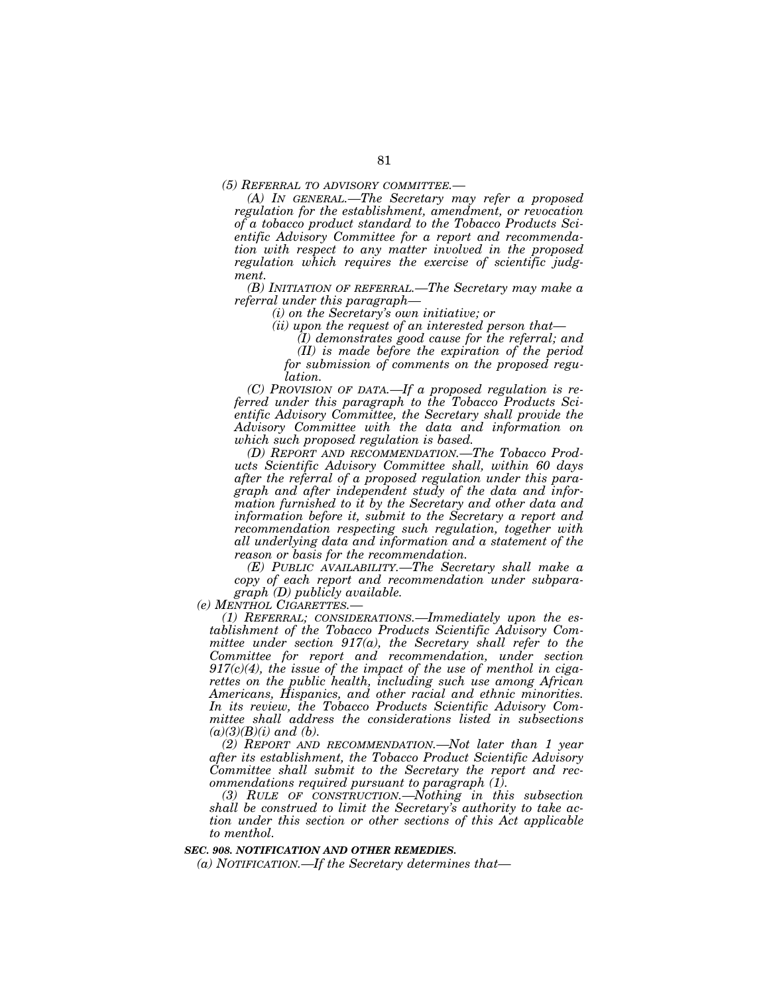*(A) IN GENERAL.—The Secretary may refer a proposed regulation for the establishment, amendment, or revocation of a tobacco product standard to the Tobacco Products Scientific Advisory Committee for a report and recommendation with respect to any matter involved in the proposed regulation which requires the exercise of scientific judgment.* 

*(B) INITIATION OF REFERRAL.—The Secretary may make a referral under this paragraph—* 

*(i) on the Secretary's own initiative; or* 

*(ii) upon the request of an interested person that—* 

*(I) demonstrates good cause for the referral; and* 

*(II) is made before the expiration of the period for submission of comments on the proposed regulation.* 

*(C) PROVISION OF DATA.—If a proposed regulation is referred under this paragraph to the Tobacco Products Scientific Advisory Committee, the Secretary shall provide the Advisory Committee with the data and information on which such proposed regulation is based.* 

*(D) REPORT AND RECOMMENDATION.—The Tobacco Products Scientific Advisory Committee shall, within 60 days after the referral of a proposed regulation under this paragraph and after independent study of the data and information furnished to it by the Secretary and other data and information before it, submit to the Secretary a report and recommendation respecting such regulation, together with all underlying data and information and a statement of the reason or basis for the recommendation.* 

*(E) PUBLIC AVAILABILITY.—The Secretary shall make a copy of each report and recommendation under subparagraph (D) publicly available.* 

*(e) MENTHOL CIGARETTES.—* 

*(1) REFERRAL; CONSIDERATIONS.—Immediately upon the establishment of the Tobacco Products Scientific Advisory Committee under section 917(a), the Secretary shall refer to the Committee for report and recommendation, under section 917(c)(4), the issue of the impact of the use of menthol in cigarettes on the public health, including such use among African Americans, Hispanics, and other racial and ethnic minorities. In its review, the Tobacco Products Scientific Advisory Committee shall address the considerations listed in subsections (a)(3)(B)(i) and (b).* 

*(2) REPORT AND RECOMMENDATION.—Not later than 1 year after its establishment, the Tobacco Product Scientific Advisory Committee shall submit to the Secretary the report and recommendations required pursuant to paragraph (1).* 

*(3) RULE OF CONSTRUCTION.—Nothing in this subsection shall be construed to limit the Secretary's authority to take action under this section or other sections of this Act applicable to menthol.* 

# *SEC. 908. NOTIFICATION AND OTHER REMEDIES.*

*(a) NOTIFICATION.—If the Secretary determines that—*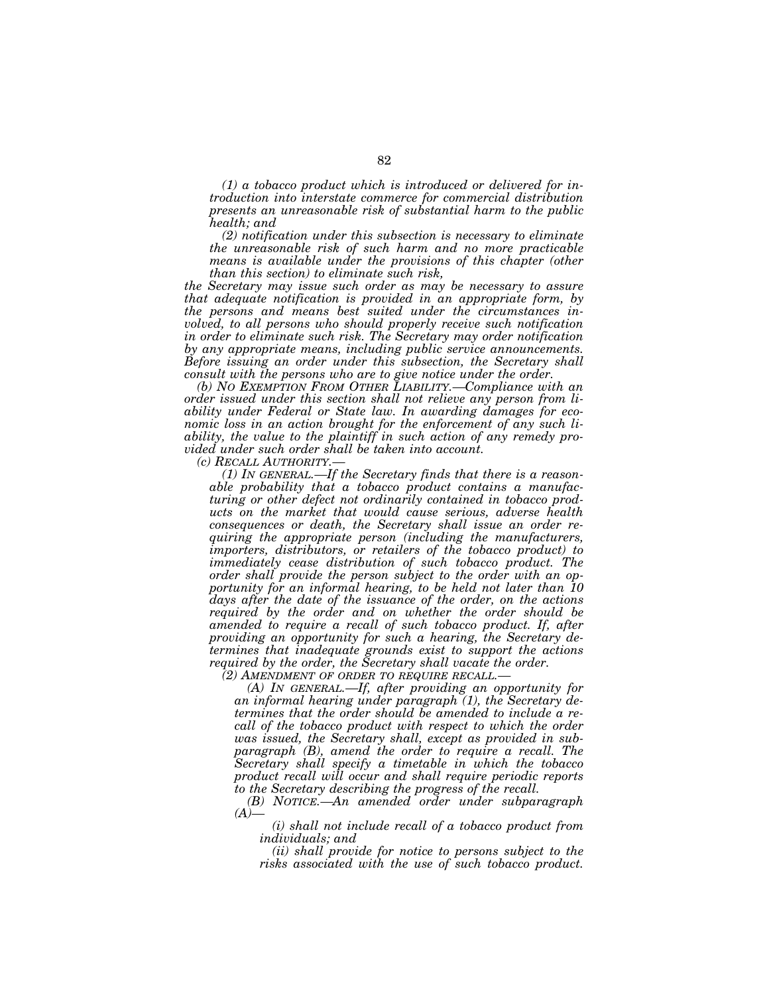*(1) a tobacco product which is introduced or delivered for introduction into interstate commerce for commercial distribution presents an unreasonable risk of substantial harm to the public health; and* 

*(2) notification under this subsection is necessary to eliminate the unreasonable risk of such harm and no more practicable means is available under the provisions of this chapter (other than this section) to eliminate such risk,* 

*the Secretary may issue such order as may be necessary to assure that adequate notification is provided in an appropriate form, by the persons and means best suited under the circumstances involved, to all persons who should properly receive such notification in order to eliminate such risk. The Secretary may order notification by any appropriate means, including public service announcements. Before issuing an order under this subsection, the Secretary shall consult with the persons who are to give notice under the order.* 

*(b) NO EXEMPTION FROM OTHER LIABILITY.—Compliance with an order issued under this section shall not relieve any person from liability under Federal or State law. In awarding damages for economic loss in an action brought for the enforcement of any such liability, the value to the plaintiff in such action of any remedy provided under such order shall be taken into account.* 

*(1) In GENERAL.—If the Secretary finds that there is a reasonable probability that a tobacco product contains a manufacturing or other defect not ordinarily contained in tobacco products on the market that would cause serious, adverse health consequences or death, the Secretary shall issue an order requiring the appropriate person (including the manufacturers, importers, distributors, or retailers of the tobacco product) to immediately cease distribution of such tobacco product. The order shall provide the person subject to the order with an opportunity for an informal hearing, to be held not later than 10 days after the date of the issuance of the order, on the actions required by the order and on whether the order should be amended to require a recall of such tobacco product. If, after providing an opportunity for such a hearing, the Secretary determines that inadequate grounds exist to support the actions required by the order, the Secretary shall vacate the order.* 

*(2) AMENDMENT OF ORDER TO REQUIRE RECALL.—* 

*(A) IN GENERAL.—If, after providing an opportunity for an informal hearing under paragraph (1), the Secretary determines that the order should be amended to include a recall of the tobacco product with respect to which the order was issued, the Secretary shall, except as provided in subparagraph (B), amend the order to require a recall. The Secretary shall specify a timetable in which the tobacco product recall will occur and shall require periodic reports to the Secretary describing the progress of the recall.* 

*(B) NOTICE.—An amended order under subparagraph*   $(A)$ 

*(i) shall not include recall of a tobacco product from individuals; and* 

*(ii) shall provide for notice to persons subject to the risks associated with the use of such tobacco product.*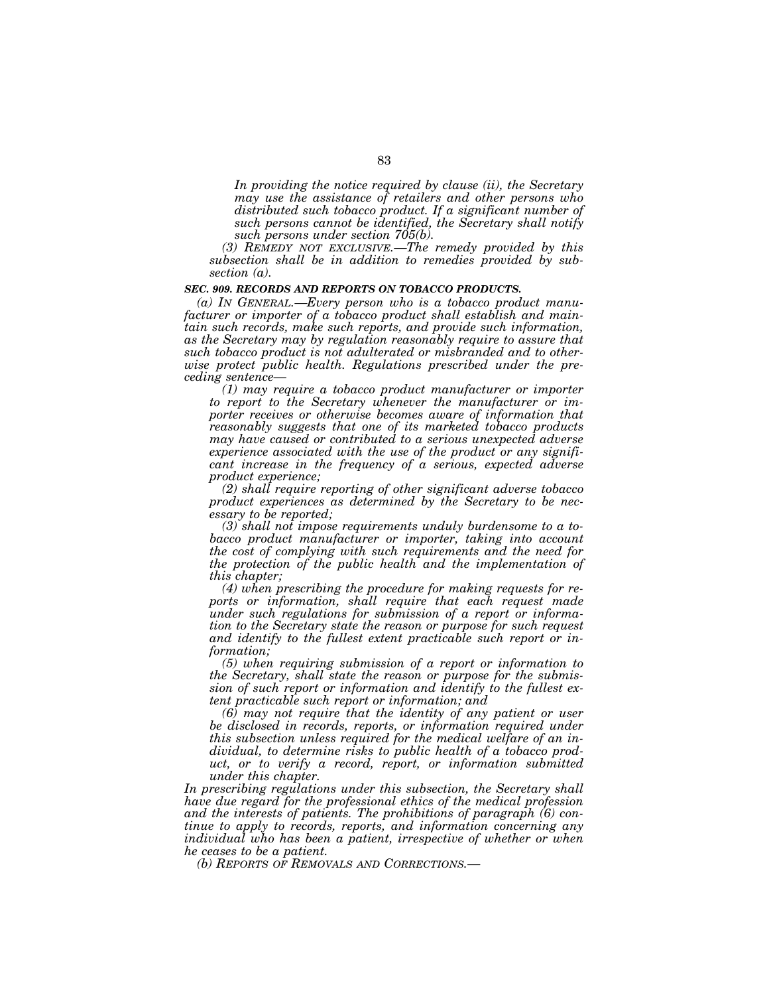*In providing the notice required by clause (ii), the Secretary may use the assistance of retailers and other persons who distributed such tobacco product. If a significant number of such persons cannot be identified, the Secretary shall notify such persons under section 705(b).* 

*(3) REMEDY NOT EXCLUSIVE.—The remedy provided by this subsection shall be in addition to remedies provided by subsection (a).* 

### *SEC. 909. RECORDS AND REPORTS ON TOBACCO PRODUCTS.*

*(a) IN GENERAL.—Every person who is a tobacco product manufacturer or importer of a tobacco product shall establish and maintain such records, make such reports, and provide such information, as the Secretary may by regulation reasonably require to assure that such tobacco product is not adulterated or misbranded and to otherwise protect public health. Regulations prescribed under the preceding sentence—* 

*(1) may require a tobacco product manufacturer or importer to report to the Secretary whenever the manufacturer or importer receives or otherwise becomes aware of information that reasonably suggests that one of its marketed tobacco products may have caused or contributed to a serious unexpected adverse experience associated with the use of the product or any significant increase in the frequency of a serious, expected adverse product experience;* 

*(2) shall require reporting of other significant adverse tobacco product experiences as determined by the Secretary to be necessary to be reported;* 

*(3) shall not impose requirements unduly burdensome to a tobacco product manufacturer or importer, taking into account the cost of complying with such requirements and the need for the protection of the public health and the implementation of this chapter;* 

*(4) when prescribing the procedure for making requests for reports or information, shall require that each request made under such regulations for submission of a report or information to the Secretary state the reason or purpose for such request and identify to the fullest extent practicable such report or information;* 

*(5) when requiring submission of a report or information to the Secretary, shall state the reason or purpose for the submission of such report or information and identify to the fullest extent practicable such report or information; and* 

*(6) may not require that the identity of any patient or user be disclosed in records, reports, or information required under this subsection unless required for the medical welfare of an individual, to determine risks to public health of a tobacco product, or to verify a record, report, or information submitted under this chapter.* 

*In prescribing regulations under this subsection, the Secretary shall have due regard for the professional ethics of the medical profession and the interests of patients. The prohibitions of paragraph (6) continue to apply to records, reports, and information concerning any individual who has been a patient, irrespective of whether or when he ceases to be a patient.* 

*(b) REPORTS OF REMOVALS AND CORRECTIONS.—*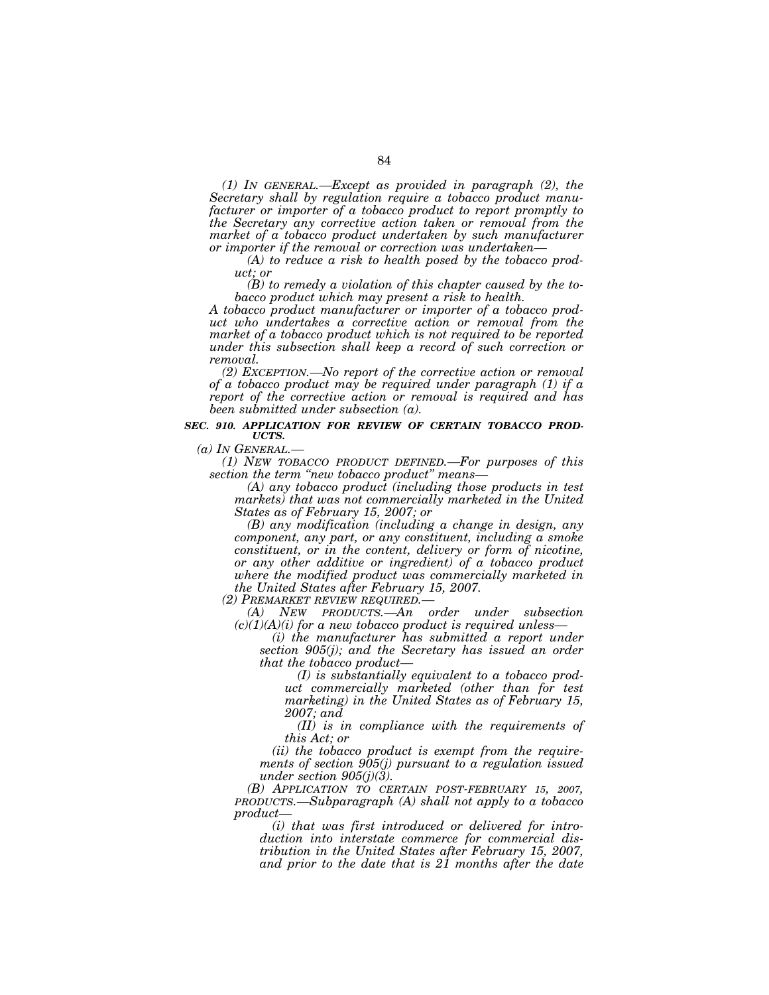*(1) IN GENERAL.—Except as provided in paragraph (2), the Secretary shall by regulation require a tobacco product manufacturer or importer of a tobacco product to report promptly to the Secretary any corrective action taken or removal from the market of a tobacco product undertaken by such manufacturer or importer if the removal or correction was undertaken—* 

*(A) to reduce a risk to health posed by the tobacco product; or* 

*(B) to remedy a violation of this chapter caused by the tobacco product which may present a risk to health.* 

*A tobacco product manufacturer or importer of a tobacco product who undertakes a corrective action or removal from the market of a tobacco product which is not required to be reported under this subsection shall keep a record of such correction or removal.* 

*(2) EXCEPTION.—No report of the corrective action or removal of a tobacco product may be required under paragraph (1) if a report of the corrective action or removal is required and has been submitted under subsection (a).* 

### *SEC. 910. APPLICATION FOR REVIEW OF CERTAIN TOBACCO PROD-UCTS.*

*(a) IN GENERAL.— (1) NEW TOBACCO PRODUCT DEFINED.—For purposes of this section the term ''new tobacco product'' means—* 

*(A) any tobacco product (including those products in test markets) that was not commercially marketed in the United States as of February 15, 2007; or* 

*(B) any modification (including a change in design, any component, any part, or any constituent, including a smoke constituent, or in the content, delivery or form of nicotine, or any other additive or ingredient) of a tobacco product where the modified product was commercially marketed in the United States after February 15, 2007.* 

*(2) PREMARKET REVIEW REQUIRED.—* 

*(A) NEW PRODUCTS.—An order under subsection (c)(1)(A)(i) for a new tobacco product is required unless—* 

*(i) the manufacturer has submitted a report under section 905(j); and the Secretary has issued an order that the tobacco product—* 

*(I) is substantially equivalent to a tobacco product commercially marketed (other than for test marketing) in the United States as of February 15, 2007; and* 

*(II) is in compliance with the requirements of this Act; or* 

*(ii) the tobacco product is exempt from the requirements of section 905(j) pursuant to a regulation issued under section 905(j)(3).* 

*(B) APPLICATION TO CERTAIN POST-FEBRUARY 15, 2007, PRODUCTS.—Subparagraph (A) shall not apply to a tobacco product—* 

*(i) that was first introduced or delivered for introduction into interstate commerce for commercial distribution in the United States after February 15, 2007, and prior to the date that is 21 months after the date*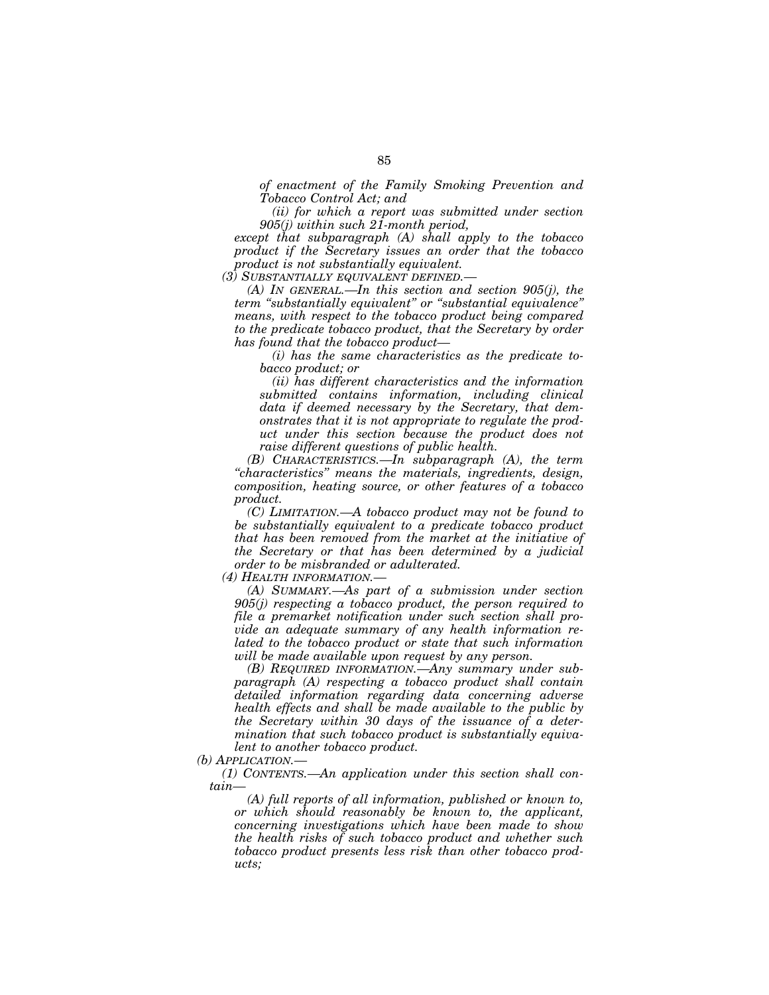*of enactment of the Family Smoking Prevention and Tobacco Control Act; and* 

*(ii) for which a report was submitted under section 905(j) within such 21-month period,* 

*except that subparagraph (A) shall apply to the tobacco product if the Secretary issues an order that the tobacco product is not substantially equivalent.* 

*(3) SUBSTANTIALLY EQUIVALENT DEFINED.—* 

*(A) IN GENERAL.—In this section and section 905(j), the term ''substantially equivalent'' or ''substantial equivalence'' means, with respect to the tobacco product being compared to the predicate tobacco product, that the Secretary by order has found that the tobacco product—* 

*(i) has the same characteristics as the predicate tobacco product; or* 

*(ii) has different characteristics and the information submitted contains information, including clinical data if deemed necessary by the Secretary, that demonstrates that it is not appropriate to regulate the product under this section because the product does not raise different questions of public health.* 

*(B) CHARACTERISTICS.—In subparagraph (A), the term ''characteristics'' means the materials, ingredients, design, composition, heating source, or other features of a tobacco product.* 

*(C) LIMITATION.—A tobacco product may not be found to be substantially equivalent to a predicate tobacco product that has been removed from the market at the initiative of the Secretary or that has been determined by a judicial order to be misbranded or adulterated.* 

*(4) HEALTH INFORMATION.—* 

*(A) SUMMARY.—As part of a submission under section 905(j) respecting a tobacco product, the person required to file a premarket notification under such section shall provide an adequate summary of any health information related to the tobacco product or state that such information will be made available upon request by any person.* 

*(B) REQUIRED INFORMATION.—Any summary under subparagraph (A) respecting a tobacco product shall contain detailed information regarding data concerning adverse health effects and shall be made available to the public by the Secretary within 30 days of the issuance of a determination that such tobacco product is substantially equivalent to another tobacco product.* 

*(b) APPLICATION.—* 

*(1) CONTENTS.—An application under this section shall contain—* 

*(A) full reports of all information, published or known to, or which should reasonably be known to, the applicant, concerning investigations which have been made to show the health risks of such tobacco product and whether such tobacco product presents less risk than other tobacco products;*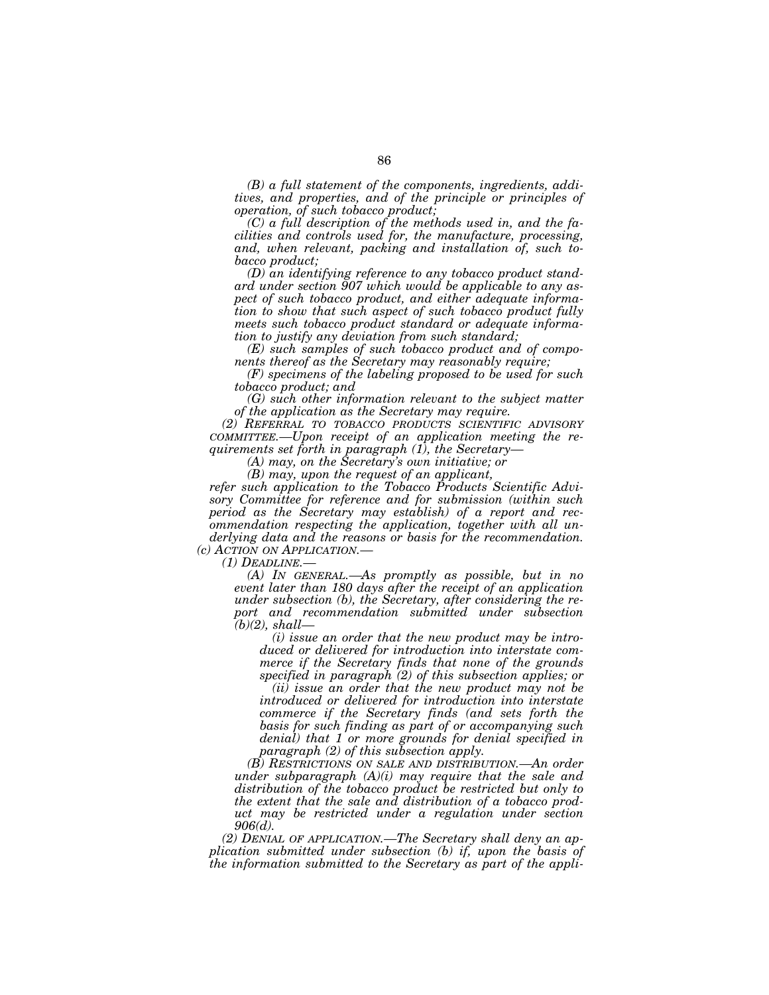*(B) a full statement of the components, ingredients, additives, and properties, and of the principle or principles of operation, of such tobacco product;* 

*(C) a full description of the methods used in, and the facilities and controls used for, the manufacture, processing, and, when relevant, packing and installation of, such tobacco product;* 

*(D) an identifying reference to any tobacco product standard under section 907 which would be applicable to any aspect of such tobacco product, and either adequate information to show that such aspect of such tobacco product fully meets such tobacco product standard or adequate information to justify any deviation from such standard;* 

*(E) such samples of such tobacco product and of components thereof as the Secretary may reasonably require;* 

*(F) specimens of the labeling proposed to be used for such tobacco product; and* 

*(G) such other information relevant to the subject matter of the application as the Secretary may require.* 

*(2) REFERRAL TO TOBACCO PRODUCTS SCIENTIFIC ADVISORY COMMITTEE.—Upon receipt of an application meeting the requirements set forth in paragraph (1), the Secretary—* 

*(A) may, on the Secretary's own initiative; or* 

*(B) may, upon the request of an applicant,* 

*refer such application to the Tobacco Products Scientific Advisory Committee for reference and for submission (within such period as the Secretary may establish) of a report and recommendation respecting the application, together with all underlying data and the reasons or basis for the recommendation.* 

*(c) ACTION ON APPLICATION.— (1) DEADLINE.— (A) IN GENERAL.—As promptly as possible, but in no event later than 180 days after the receipt of an application under subsection (b), the Secretary, after considering the report and recommendation submitted under subsection (b)(2), shall—* 

> *(i) issue an order that the new product may be introduced or delivered for introduction into interstate commerce if the Secretary finds that none of the grounds specified in paragraph (2) of this subsection applies; or*

> *(ii) issue an order that the new product may not be introduced or delivered for introduction into interstate commerce if the Secretary finds (and sets forth the basis for such finding as part of or accompanying such denial) that 1 or more grounds for denial specified in paragraph (2) of this subsection apply.*

*(B) RESTRICTIONS ON SALE AND DISTRIBUTION.—An order under subparagraph (A)(i) may require that the sale and distribution of the tobacco product be restricted but only to the extent that the sale and distribution of a tobacco product may be restricted under a regulation under section 906(d).* 

*(2) DENIAL OF APPLICATION.—The Secretary shall deny an application submitted under subsection (b) if, upon the basis of the information submitted to the Secretary as part of the appli-*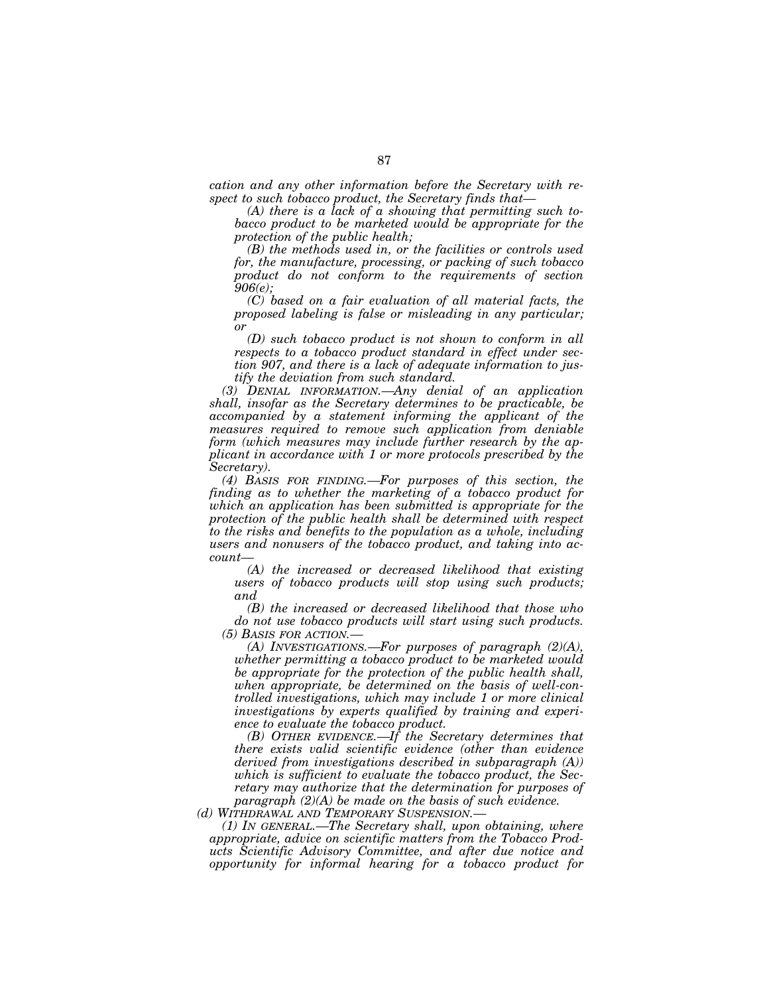*cation and any other information before the Secretary with respect to such tobacco product, the Secretary finds that—* 

*(A) there is a lack of a showing that permitting such tobacco product to be marketed would be appropriate for the protection of the public health;* 

*(B) the methods used in, or the facilities or controls used for, the manufacture, processing, or packing of such tobacco product do not conform to the requirements of section 906(e);* 

*(C) based on a fair evaluation of all material facts, the proposed labeling is false or misleading in any particular; or* 

*(D) such tobacco product is not shown to conform in all respects to a tobacco product standard in effect under section 907, and there is a lack of adequate information to justify the deviation from such standard.* 

*(3) DENIAL INFORMATION.—Any denial of an application shall, insofar as the Secretary determines to be practicable, be accompanied by a statement informing the applicant of the measures required to remove such application from deniable form (which measures may include further research by the applicant in accordance with 1 or more protocols prescribed by the Secretary).* 

*(4) BASIS FOR FINDING.—For purposes of this section, the finding as to whether the marketing of a tobacco product for which an application has been submitted is appropriate for the protection of the public health shall be determined with respect to the risks and benefits to the population as a whole, including users and nonusers of the tobacco product, and taking into account—* 

*(A) the increased or decreased likelihood that existing users of tobacco products will stop using such products; and* 

*(B) the increased or decreased likelihood that those who do not use tobacco products will start using such products. (5) BASIS FOR ACTION.—* 

*(A) INVESTIGATIONS.—For purposes of paragraph (2)(A), whether permitting a tobacco product to be marketed would be appropriate for the protection of the public health shall, when appropriate, be determined on the basis of well-controlled investigations, which may include 1 or more clinical investigations by experts qualified by training and experience to evaluate the tobacco product.* 

*(B) OTHER EVIDENCE.—If the Secretary determines that there exists valid scientific evidence (other than evidence derived from investigations described in subparagraph (A)) which is sufficient to evaluate the tobacco product, the Secretary may authorize that the determination for purposes of paragraph (2)(A) be made on the basis of such evidence.* 

*(d) WITHDRAWAL AND TEMPORARY SUSPENSION.—* 

*(1) IN GENERAL.—The Secretary shall, upon obtaining, where appropriate, advice on scientific matters from the Tobacco Products Scientific Advisory Committee, and after due notice and opportunity for informal hearing for a tobacco product for*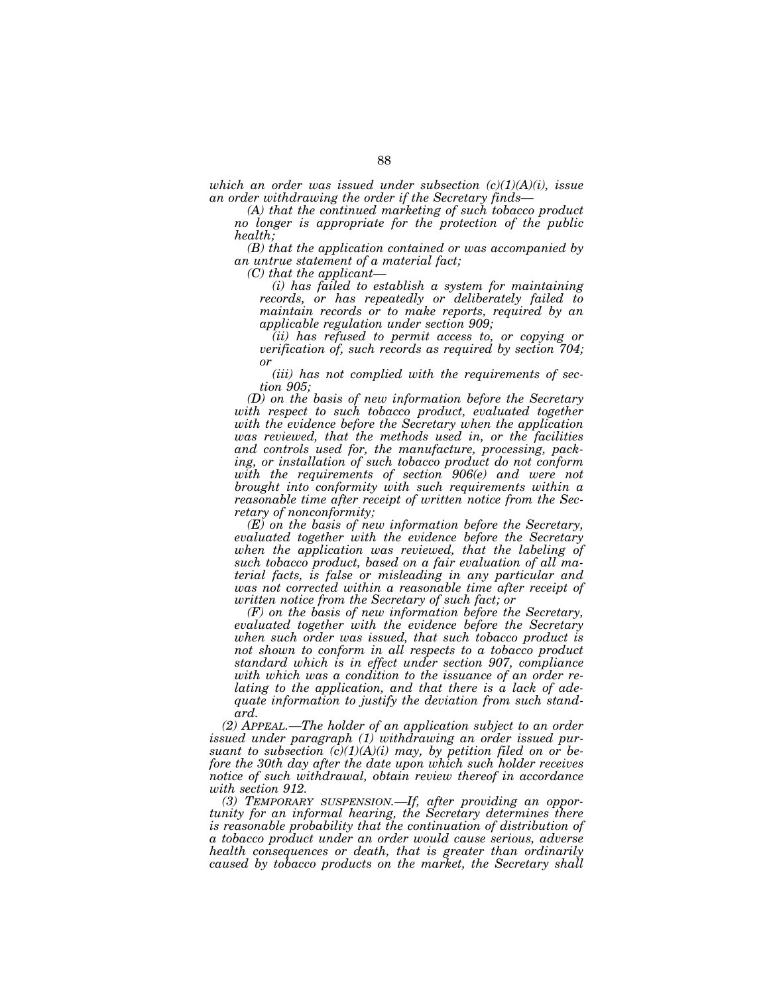*which an order was issued under subsection (c)(1)(A)(i), issue an order withdrawing the order if the Secretary finds—* 

*(A) that the continued marketing of such tobacco product no longer is appropriate for the protection of the public health;* 

*(B) that the application contained or was accompanied by an untrue statement of a material fact;* 

*(C) that the applicant—* 

*(i) has failed to establish a system for maintaining records, or has repeatedly or deliberately failed to maintain records or to make reports, required by an applicable regulation under section 909;* 

*(ii) has refused to permit access to, or copying or verification of, such records as required by section 704; or* 

*(iii) has not complied with the requirements of section 905;* 

*(D) on the basis of new information before the Secretary with respect to such tobacco product, evaluated together with the evidence before the Secretary when the application was reviewed, that the methods used in, or the facilities and controls used for, the manufacture, processing, packing, or installation of such tobacco product do not conform with the requirements of section 906(e) and were not brought into conformity with such requirements within a reasonable time after receipt of written notice from the Secretary of nonconformity;* 

*(E) on the basis of new information before the Secretary, evaluated together with the evidence before the Secretary when the application was reviewed, that the labeling of such tobacco product, based on a fair evaluation of all material facts, is false or misleading in any particular and was not corrected within a reasonable time after receipt of written notice from the Secretary of such fact; or* 

*(F) on the basis of new information before the Secretary, evaluated together with the evidence before the Secretary when such order was issued, that such tobacco product is not shown to conform in all respects to a tobacco product standard which is in effect under section 907, compliance with which was a condition to the issuance of an order relating to the application, and that there is a lack of adequate information to justify the deviation from such standard.* 

*(2) APPEAL.—The holder of an application subject to an order issued under paragraph (1) withdrawing an order issued pursuant to subsection (c)(1)(A)(i) may, by petition filed on or before the 30th day after the date upon which such holder receives notice of such withdrawal, obtain review thereof in accordance with section 912.* 

*(3) TEMPORARY SUSPENSION.—If, after providing an opportunity for an informal hearing, the Secretary determines there is reasonable probability that the continuation of distribution of a tobacco product under an order would cause serious, adverse health consequences or death, that is greater than ordinarily caused by tobacco products on the market, the Secretary shall*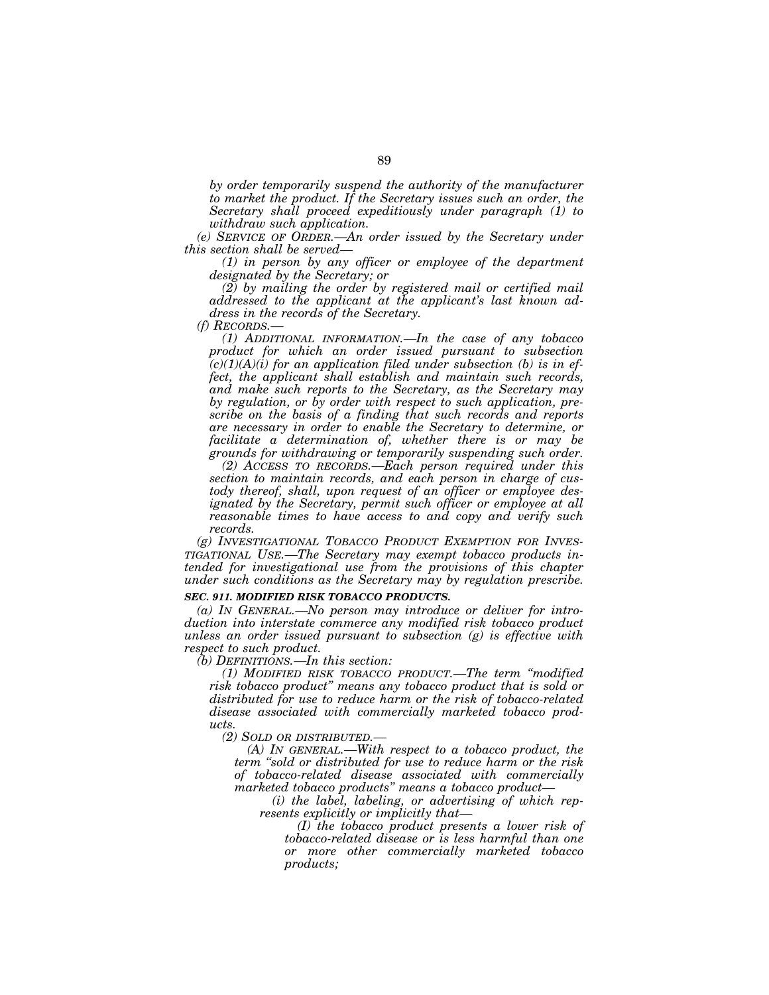*by order temporarily suspend the authority of the manufacturer*  to market the product. If the Secretary issues such an order, the *Secretary shall proceed expeditiously under paragraph (1) to withdraw such application.* 

*(e) SERVICE OF ORDER.—An order issued by the Secretary under this section shall be served—* 

*(1) in person by any officer or employee of the department designated by the Secretary; or* 

*(2) by mailing the order by registered mail or certified mail addressed to the applicant at the applicant's last known address in the records of the Secretary.* 

*(f) RECORDS.—* 

*(1) ADDITIONAL INFORMATION.—In the case of any tobacco product for which an order issued pursuant to subsection (c)(1)(A)(i) for an application filed under subsection (b) is in effect, the applicant shall establish and maintain such records, and make such reports to the Secretary, as the Secretary may by regulation, or by order with respect to such application, prescribe on the basis of a finding that such records and reports are necessary in order to enable the Secretary to determine, or facilitate a determination of, whether there is or may be grounds for withdrawing or temporarily suspending such order.* 

*(2) ACCESS TO RECORDS.—Each person required under this section to maintain records, and each person in charge of custody thereof, shall, upon request of an officer or employee designated by the Secretary, permit such officer or employee at all reasonable times to have access to and copy and verify such records.* 

*(g) INVESTIGATIONAL TOBACCO PRODUCT EXEMPTION FOR INVES-TIGATIONAL USE.—The Secretary may exempt tobacco products intended for investigational use from the provisions of this chapter under such conditions as the Secretary may by regulation prescribe.* 

## *SEC. 911. MODIFIED RISK TOBACCO PRODUCTS.*

*(a) IN GENERAL.—No person may introduce or deliver for introduction into interstate commerce any modified risk tobacco product unless an order issued pursuant to subsection (g) is effective with respect to such product.* 

*(b) DEFINITIONS.—In this section:* 

*(1) MODIFIED RISK TOBACCO PRODUCT.—The term ''modified risk tobacco product'' means any tobacco product that is sold or distributed for use to reduce harm or the risk of tobacco-related disease associated with commercially marketed tobacco products.* 

*(2) SOLD OR DISTRIBUTED.—* 

*(A) IN GENERAL.—With respect to a tobacco product, the term ''sold or distributed for use to reduce harm or the risk of tobacco-related disease associated with commercially marketed tobacco products'' means a tobacco product—* 

*(i) the label, labeling, or advertising of which represents explicitly or implicitly that—* 

*(I) the tobacco product presents a lower risk of tobacco-related disease or is less harmful than one or more other commercially marketed tobacco products;*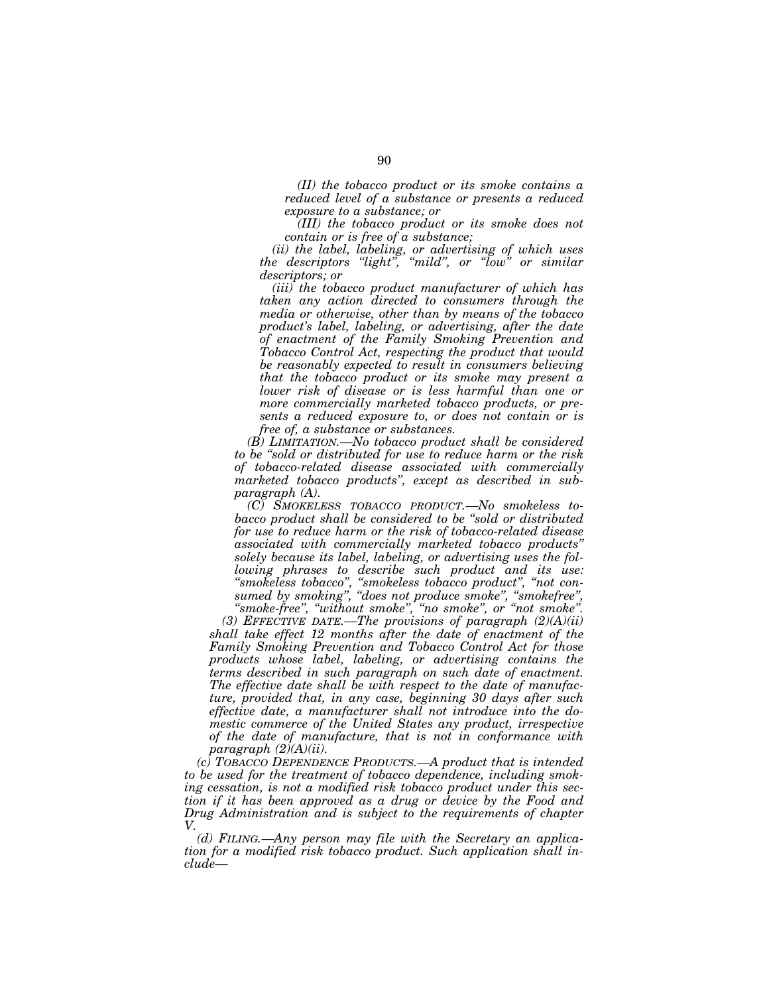*(II) the tobacco product or its smoke contains a reduced level of a substance or presents a reduced exposure to a substance; or* 

*(III) the tobacco product or its smoke does not contain or is free of a substance;* 

*(ii) the label, labeling, or advertising of which uses the descriptors ''light'', ''mild'', or ''low'' or similar descriptors; or* 

*(iii) the tobacco product manufacturer of which has taken any action directed to consumers through the media or otherwise, other than by means of the tobacco product's label, labeling, or advertising, after the date of enactment of the Family Smoking Prevention and Tobacco Control Act, respecting the product that would be reasonably expected to result in consumers believing that the tobacco product or its smoke may present a lower risk of disease or is less harmful than one or more commercially marketed tobacco products, or presents a reduced exposure to, or does not contain or is free of, a substance or substances.* 

*(B) LIMITATION.—No tobacco product shall be considered to be ''sold or distributed for use to reduce harm or the risk of tobacco-related disease associated with commercially marketed tobacco products'', except as described in subparagraph (A).* 

*(C) SMOKELESS TOBACCO PRODUCT.—No smokeless tobacco product shall be considered to be ''sold or distributed for use to reduce harm or the risk of tobacco-related disease associated with commercially marketed tobacco products'' solely because its label, labeling, or advertising uses the following phrases to describe such product and its use: ''smokeless tobacco'', ''smokeless tobacco product'', ''not consumed by smoking'', ''does not produce smoke'', ''smokefree'', ''smoke-free'', ''without smoke'', ''no smoke'', or ''not smoke''.* 

*(3) EFFECTIVE DATE.—The provisions of paragraph (2)(A)(ii) shall take effect 12 months after the date of enactment of the Family Smoking Prevention and Tobacco Control Act for those products whose label, labeling, or advertising contains the terms described in such paragraph on such date of enactment. The effective date shall be with respect to the date of manufacture, provided that, in any case, beginning 30 days after such effective date, a manufacturer shall not introduce into the domestic commerce of the United States any product, irrespective of the date of manufacture, that is not in conformance with paragraph (2)(A)(ii).* 

*(c) TOBACCO DEPENDENCE PRODUCTS.—A product that is intended to be used for the treatment of tobacco dependence, including smoking cessation, is not a modified risk tobacco product under this section if it has been approved as a drug or device by the Food and Drug Administration and is subject to the requirements of chapter V.* 

*(d) FILING.—Any person may file with the Secretary an application for a modified risk tobacco product. Such application shall include—*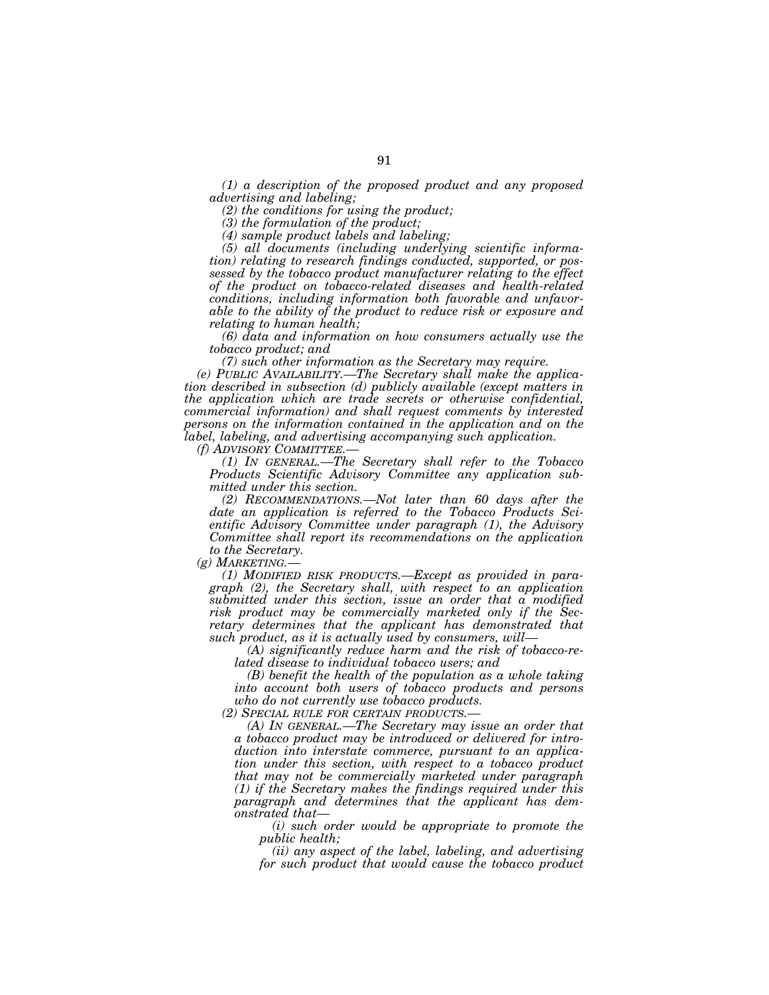*(1) a description of the proposed product and any proposed advertising and labeling;* 

*(2) the conditions for using the product;* 

*(3) the formulation of the product;* 

*(4) sample product labels and labeling;* 

*(5) all documents (including underlying scientific information) relating to research findings conducted, supported, or possessed by the tobacco product manufacturer relating to the effect of the product on tobacco-related diseases and health-related conditions, including information both favorable and unfavorable to the ability of the product to reduce risk or exposure and relating to human health;* 

*(6) data and information on how consumers actually use the tobacco product; and* 

*(7) such other information as the Secretary may require.* 

*(e) PUBLIC AVAILABILITY.—The Secretary shall make the application described in subsection (d) publicly available (except matters in the application which are trade secrets or otherwise confidential, commercial information) and shall request comments by interested persons on the information contained in the application and on the label, labeling, and advertising accompanying such application.* 

*(f) ADVISORY COMMITTEE.— (1) IN GENERAL.—The Secretary shall refer to the Tobacco Products Scientific Advisory Committee any application submitted under this section.* 

*(2) RECOMMENDATIONS.—Not later than 60 days after the date an application is referred to the Tobacco Products Scientific Advisory Committee under paragraph (1), the Advisory Committee shall report its recommendations on the application to the Secretary.* 

*(g) MARKETING.— (1) MODIFIED RISK PRODUCTS.—Except as provided in paragraph (2), the Secretary shall, with respect to an application submitted under this section, issue an order that a modified risk product may be commercially marketed only if the Secretary determines that the applicant has demonstrated that such product, as it is actually used by consumers, will—* 

*(A) significantly reduce harm and the risk of tobacco-related disease to individual tobacco users; and* 

*(B) benefit the health of the population as a whole taking into account both users of tobacco products and persons who do not currently use tobacco products.* 

*(2) SPECIAL RULE FOR CERTAIN PRODUCTS.—* 

*(A) IN GENERAL.—The Secretary may issue an order that a tobacco product may be introduced or delivered for introduction into interstate commerce, pursuant to an application under this section, with respect to a tobacco product that may not be commercially marketed under paragraph (1) if the Secretary makes the findings required under this paragraph and determines that the applicant has demonstrated that—* 

*(i) such order would be appropriate to promote the public health;* 

*(ii) any aspect of the label, labeling, and advertising for such product that would cause the tobacco product*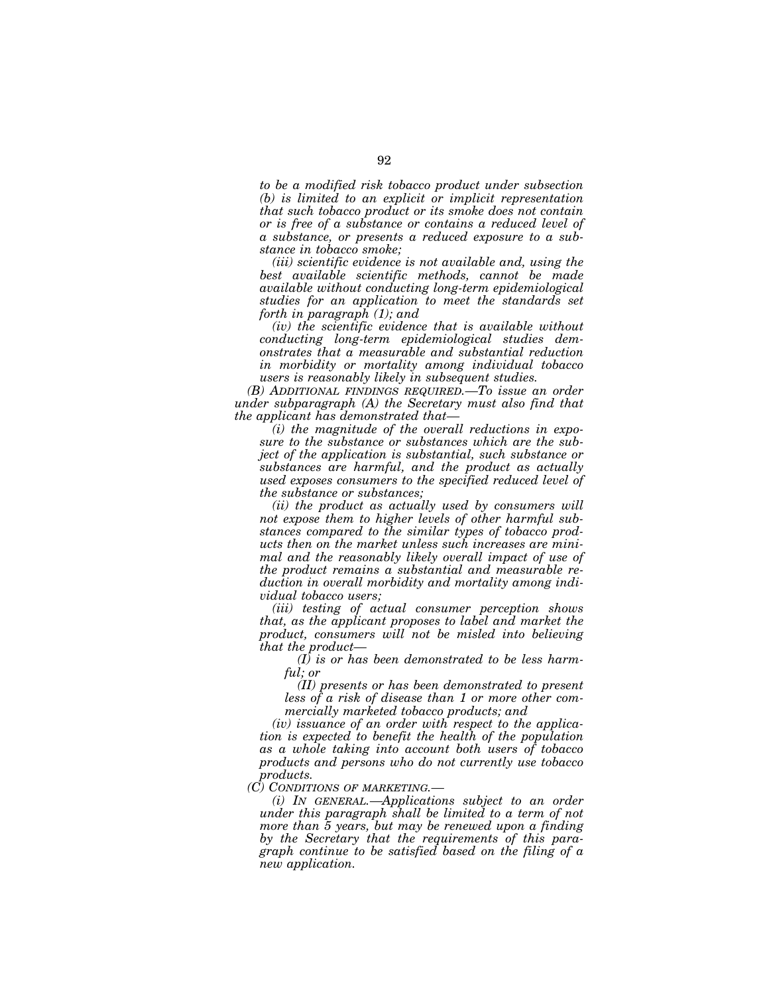*to be a modified risk tobacco product under subsection (b) is limited to an explicit or implicit representation that such tobacco product or its smoke does not contain or is free of a substance or contains a reduced level of a substance, or presents a reduced exposure to a substance in tobacco smoke;* 

*(iii) scientific evidence is not available and, using the best available scientific methods, cannot be made available without conducting long-term epidemiological studies for an application to meet the standards set forth in paragraph (1); and* 

*(iv) the scientific evidence that is available without conducting long-term epidemiological studies demonstrates that a measurable and substantial reduction in morbidity or mortality among individual tobacco users is reasonably likely in subsequent studies.* 

*(B) ADDITIONAL FINDINGS REQUIRED.—To issue an order under subparagraph (A) the Secretary must also find that the applicant has demonstrated that—* 

*(i) the magnitude of the overall reductions in exposure to the substance or substances which are the subject of the application is substantial, such substance or substances are harmful, and the product as actually used exposes consumers to the specified reduced level of the substance or substances;* 

*(ii) the product as actually used by consumers will not expose them to higher levels of other harmful substances compared to the similar types of tobacco products then on the market unless such increases are minimal and the reasonably likely overall impact of use of the product remains a substantial and measurable reduction in overall morbidity and mortality among individual tobacco users;* 

*(iii) testing of actual consumer perception shows that, as the applicant proposes to label and market the product, consumers will not be misled into believing that the product—* 

*(I) is or has been demonstrated to be less harmful; or* 

*(II) presents or has been demonstrated to present less of a risk of disease than 1 or more other commercially marketed tobacco products; and* 

*(iv) issuance of an order with respect to the application is expected to benefit the health of the population as a whole taking into account both users of tobacco products and persons who do not currently use tobacco products.* 

*(C) CONDITIONS OF MARKETING.—* 

*(i) IN GENERAL.—Applications subject to an order under this paragraph shall be limited to a term of not more than 5 years, but may be renewed upon a finding by the Secretary that the requirements of this paragraph continue to be satisfied based on the filing of a new application.*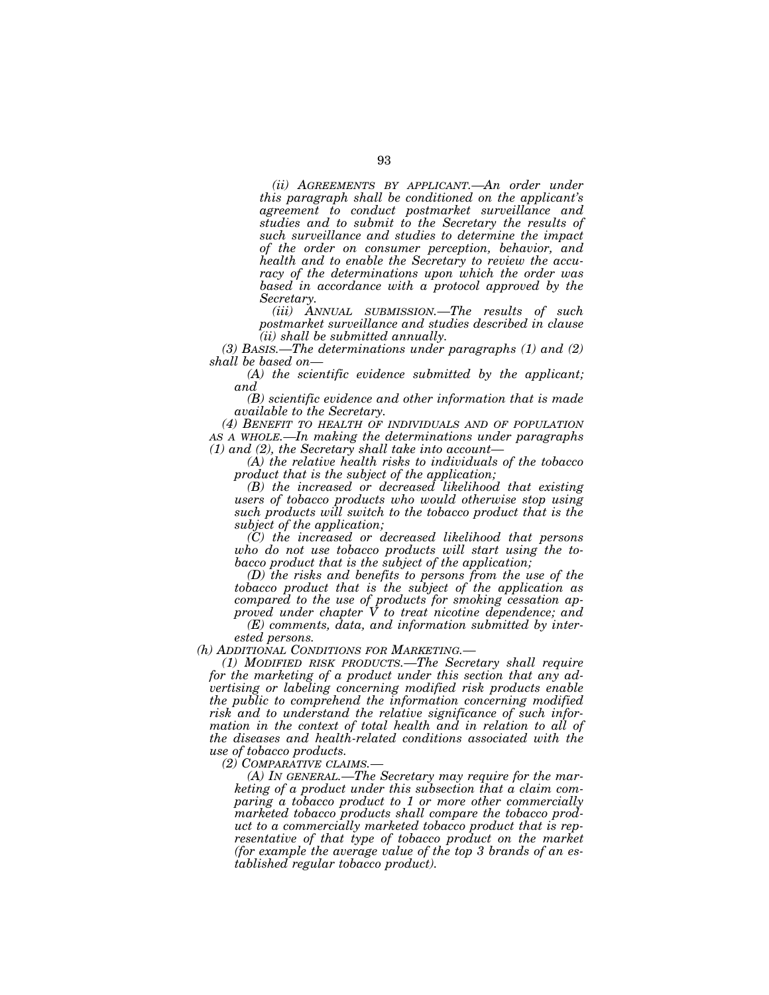*(ii) AGREEMENTS BY APPLICANT.—An order under this paragraph shall be conditioned on the applicant's agreement to conduct postmarket surveillance and studies and to submit to the Secretary the results of such surveillance and studies to determine the impact of the order on consumer perception, behavior, and health and to enable the Secretary to review the accuracy of the determinations upon which the order was based in accordance with a protocol approved by the Secretary.* 

*(iii) ANNUAL SUBMISSION.—The results of such postmarket surveillance and studies described in clause (ii) shall be submitted annually.* 

*(3) BASIS.—The determinations under paragraphs (1) and (2) shall be based on—* 

*(A) the scientific evidence submitted by the applicant; and* 

*(B) scientific evidence and other information that is made available to the Secretary.* 

*(4) BENEFIT TO HEALTH OF INDIVIDUALS AND OF POPULATION AS A WHOLE.—In making the determinations under paragraphs (1) and (2), the Secretary shall take into account—* 

*(A) the relative health risks to individuals of the tobacco product that is the subject of the application;* 

*(B) the increased or decreased likelihood that existing users of tobacco products who would otherwise stop using such products will switch to the tobacco product that is the subject of the application;* 

*(C) the increased or decreased likelihood that persons who do not use tobacco products will start using the tobacco product that is the subject of the application;* 

*(D) the risks and benefits to persons from the use of the tobacco product that is the subject of the application as compared to the use of products for smoking cessation approved under chapter V to treat nicotine dependence; and (E) comments, data, and information submitted by inter-*

*ested persons.*<br> *(h) ADDITIONAL CONDITIONS FOR MARKETING.* 

*(1) MODIFIED RISK PRODUCTS.—The Secretary shall require for the marketing of a product under this section that any advertising or labeling concerning modified risk products enable the public to comprehend the information concerning modified risk and to understand the relative significance of such information in the context of total health and in relation to all of the diseases and health-related conditions associated with the use of tobacco products.* 

*(2) COMPARATIVE CLAIMS.—* 

*(A) IN GENERAL.—The Secretary may require for the marketing of a product under this subsection that a claim comparing a tobacco product to 1 or more other commercially marketed tobacco products shall compare the tobacco product to a commercially marketed tobacco product that is representative of that type of tobacco product on the market (for example the average value of the top 3 brands of an established regular tobacco product).*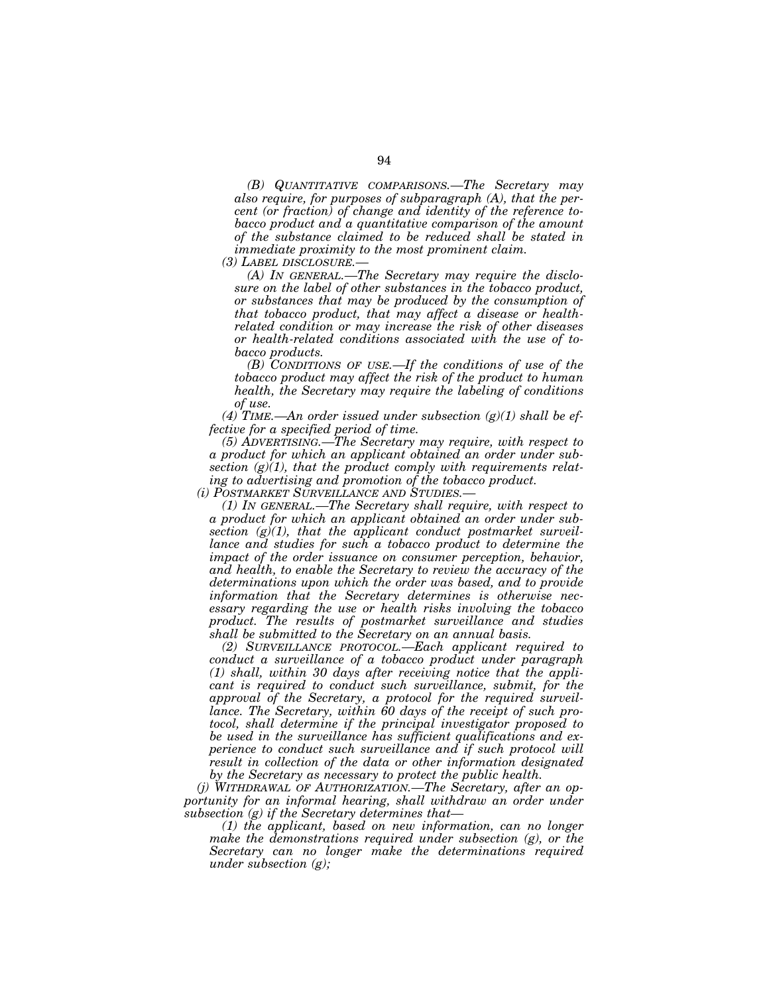*(B) QUANTITATIVE COMPARISONS.—The Secretary may also require, for purposes of subparagraph (A), that the percent (or fraction) of change and identity of the reference tobacco product and a quantitative comparison of the amount of the substance claimed to be reduced shall be stated in immediate proximity to the most prominent claim.* 

*(3) LABEL DISCLOSURE.—* 

*(A) IN GENERAL.—The Secretary may require the disclosure on the label of other substances in the tobacco product, or substances that may be produced by the consumption of that tobacco product, that may affect a disease or healthrelated condition or may increase the risk of other diseases or health-related conditions associated with the use of tobacco products.* 

*(B) CONDITIONS OF USE.—If the conditions of use of the tobacco product may affect the risk of the product to human health, the Secretary may require the labeling of conditions of use.* 

*(4) TIME.—An order issued under subsection (g)(1) shall be effective for a specified period of time.* 

*(5) ADVERTISING.—The Secretary may require, with respect to a product for which an applicant obtained an order under subsection (g)(1), that the product comply with requirements relating to advertising and promotion of the tobacco product.* 

*(i) POSTMARKET SURVEILLANCE AND STUDIES.—* 

*(1) IN GENERAL.—The Secretary shall require, with respect to a product for which an applicant obtained an order under subsection (g)(1), that the applicant conduct postmarket surveil*lance and studies for such a tobacco product to determine the *impact of the order issuance on consumer perception, behavior, and health, to enable the Secretary to review the accuracy of the determinations upon which the order was based, and to provide information that the Secretary determines is otherwise necessary regarding the use or health risks involving the tobacco product. The results of postmarket surveillance and studies shall be submitted to the Secretary on an annual basis.* 

*(2) SURVEILLANCE PROTOCOL.—Each applicant required to conduct a surveillance of a tobacco product under paragraph (1) shall, within 30 days after receiving notice that the applicant is required to conduct such surveillance, submit, for the approval of the Secretary, a protocol for the required surveillance. The Secretary, within 60 days of the receipt of such pro*tocol, shall determine if the principal investigator proposed to *be used in the surveillance has sufficient qualifications and experience to conduct such surveillance and if such protocol will result in collection of the data or other information designated by the Secretary as necessary to protect the public health.* 

*(j) WITHDRAWAL OF AUTHORIZATION.—The Secretary, after an op*portunity for an informal hearing, shall withdraw an order under *subsection (g) if the Secretary determines that—* 

*(1) the applicant, based on new information, can no longer make the demonstrations required under subsection (g), or the Secretary can no longer make the determinations required under subsection (g);*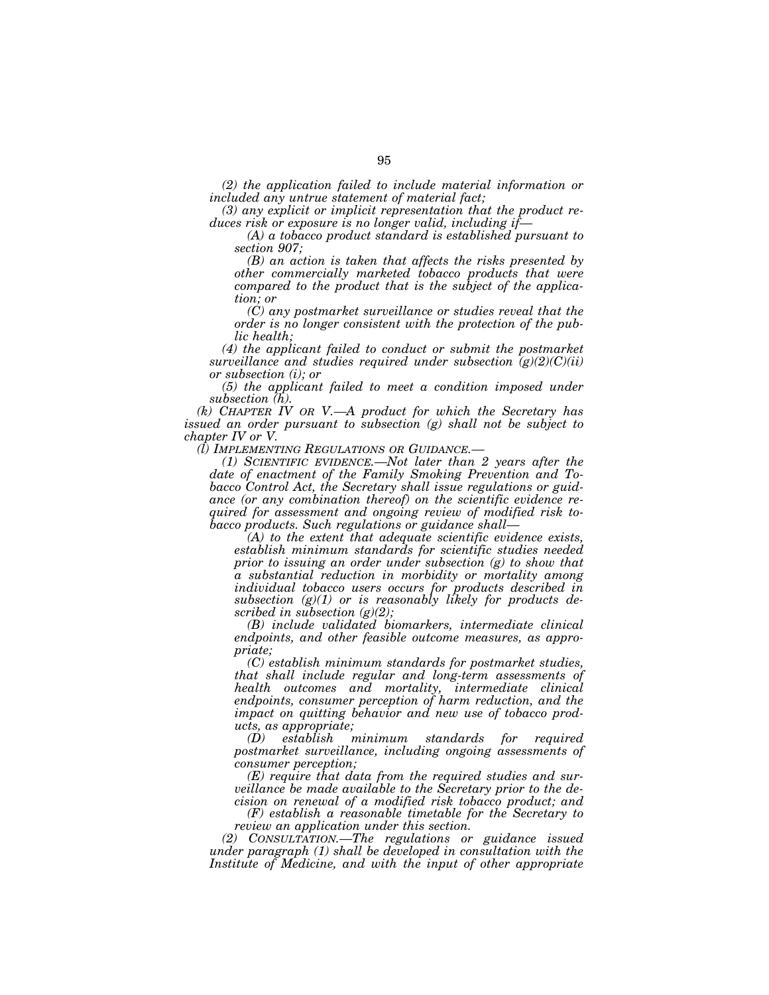*(2) the application failed to include material information or included any untrue statement of material fact;* 

*(3) any explicit or implicit representation that the product reduces risk or exposure is no longer valid, including if—* 

*(A) a tobacco product standard is established pursuant to section 907;* 

*(B) an action is taken that affects the risks presented by other commercially marketed tobacco products that were compared to the product that is the subject of the application; or* 

*(C) any postmarket surveillance or studies reveal that the order is no longer consistent with the protection of the public health;* 

*(4) the applicant failed to conduct or submit the postmarket surveillance and studies required under subsection (g)(2)(C)(ii) or subsection (i); or* 

*(5) the applicant failed to meet a condition imposed under subsection (h).* 

*(k) CHAPTER IV OR V.—A product for which the Secretary has issued an order pursuant to subsection (g) shall not be subject to chapter IV or V.*<br> *(I) IMPLEMENTING REGULATIONS OR GUIDANCE.* 

*(1) SCIENTIFIC EVIDENCE.—Not later than 2 years after the date of enactment of the Family Smoking Prevention and Tobacco Control Act, the Secretary shall issue regulations or guidance (or any combination thereof) on the scientific evidence required for assessment and ongoing review of modified risk tobacco products. Such regulations or guidance shall—* 

*(A) to the extent that adequate scientific evidence exists, establish minimum standards for scientific studies needed prior to issuing an order under subsection (g) to show that a substantial reduction in morbidity or mortality among individual tobacco users occurs for products described in subsection (g)(1) or is reasonably likely for products described in subsection (g)(2);* 

*(B) include validated biomarkers, intermediate clinical endpoints, and other feasible outcome measures, as appropriate;* 

*(C) establish minimum standards for postmarket studies, that shall include regular and long-term assessments of health outcomes and mortality, intermediate clinical endpoints, consumer perception of harm reduction, and the impact on quitting behavior and new use of tobacco products, as appropriate;* 

*(D) establish minimum standards for required postmarket surveillance, including ongoing assessments of consumer perception;* 

*(E) require that data from the required studies and surveillance be made available to the Secretary prior to the decision on renewal of a modified risk tobacco product; and* 

*(F) establish a reasonable timetable for the Secretary to review an application under this section.* 

*(2) CONSULTATION.—The regulations or guidance issued under paragraph (1) shall be developed in consultation with the Institute of Medicine, and with the input of other appropriate*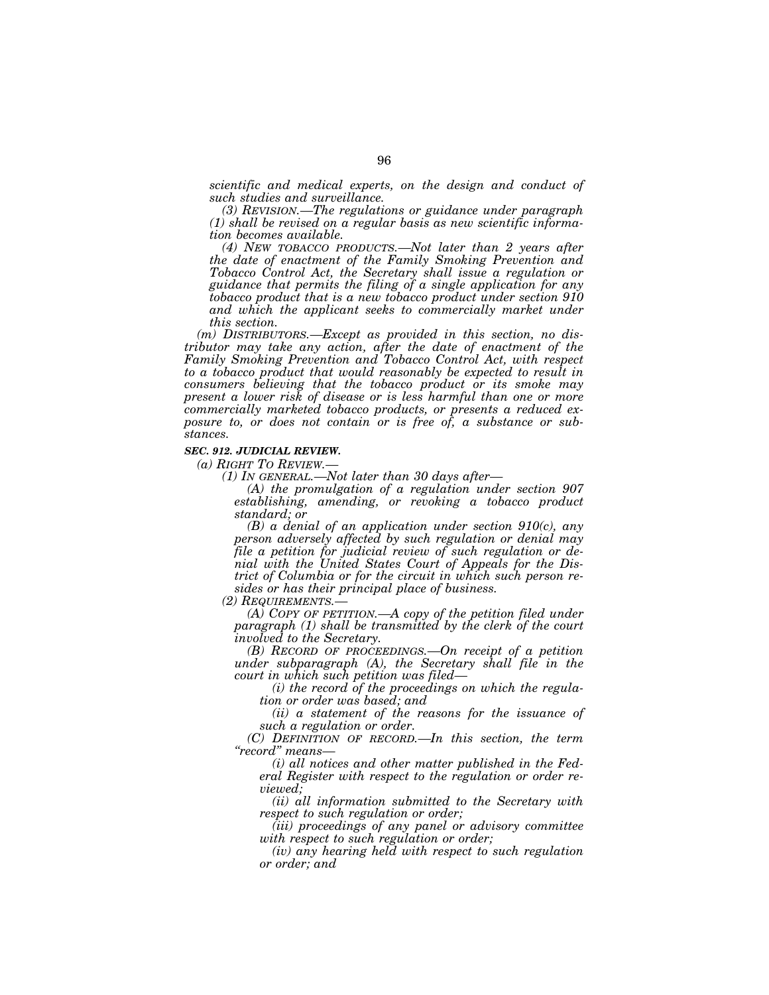*scientific and medical experts, on the design and conduct of such studies and surveillance.* 

*(3) REVISION.—The regulations or guidance under paragraph (1) shall be revised on a regular basis as new scientific information becomes available.* 

*(4) NEW TOBACCO PRODUCTS.—Not later than 2 years after the date of enactment of the Family Smoking Prevention and Tobacco Control Act, the Secretary shall issue a regulation or guidance that permits the filing of a single application for any tobacco product that is a new tobacco product under section 910*  and which the applicant seeks to commercially market under *this section.* 

*(m) DISTRIBUTORS.—Except as provided in this section, no distributor may take any action, after the date of enactment of the Family Smoking Prevention and Tobacco Control Act, with respect to a tobacco product that would reasonably be expected to result in consumers believing that the tobacco product or its smoke may present a lower risk of disease or is less harmful than one or more commercially marketed tobacco products, or presents a reduced exposure to, or does not contain or is free of, a substance or substances.* 

#### *SEC. 912. JUDICIAL REVIEW.*

*(a) RIGHT TO REVIEW.— (1) IN GENERAL.—Not later than 30 days after—* 

*(A) the promulgation of a regulation under section 907 establishing, amending, or revoking a tobacco product standard; or* 

*(B) a denial of an application under section 910(c), any person adversely affected by such regulation or denial may file a petition for judicial review of such regulation or denial with the United States Court of Appeals for the District of Columbia or for the circuit in which such person resides or has their principal place of business.* 

*(2) REQUIREMENTS.— (A) COPY OF PETITION.—A copy of the petition filed under paragraph (1) shall be transmitted by the clerk of the court involved to the Secretary.* 

*(B) RECORD OF PROCEEDINGS.—On receipt of a petition under subparagraph (A), the Secretary shall file in the court in which such petition was filed—* 

*(i) the record of the proceedings on which the regulation or order was based; and* 

*(ii) a statement of the reasons for the issuance of such a regulation or order.* 

*(C) DEFINITION OF RECORD.—In this section, the term ''record'' means—* 

*(i) all notices and other matter published in the Federal Register with respect to the regulation or order reviewed;* 

*(ii) all information submitted to the Secretary with respect to such regulation or order;* 

*(iii) proceedings of any panel or advisory committee with respect to such regulation or order;* 

*(iv) any hearing held with respect to such regulation or order; and*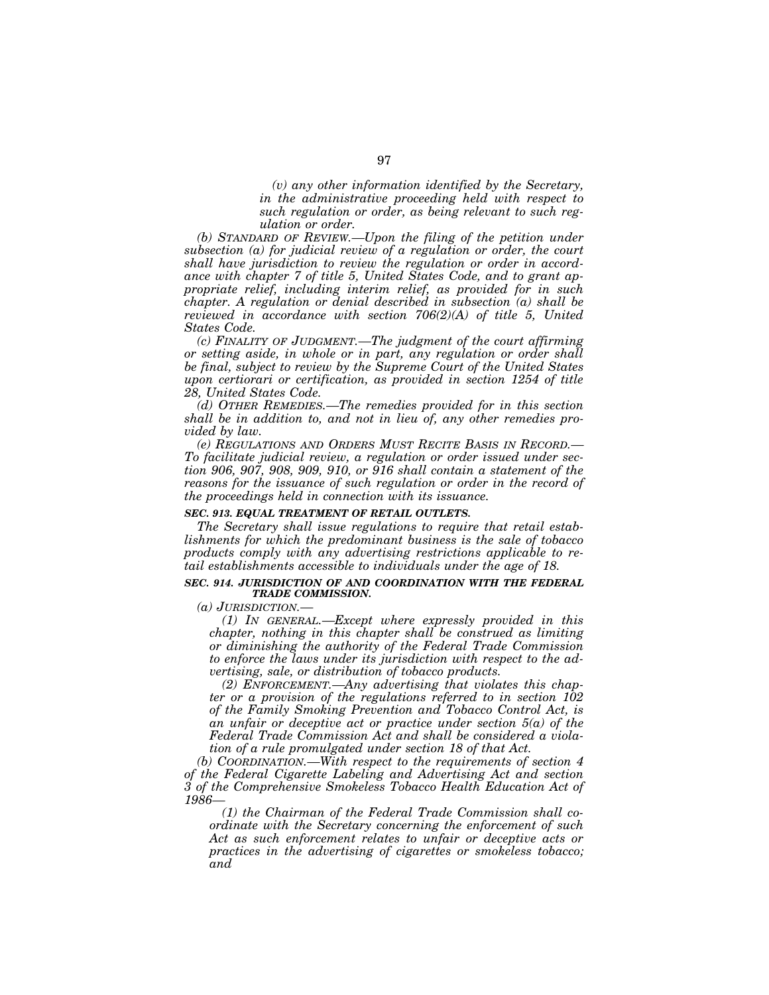*(v) any other information identified by the Secretary, in the administrative proceeding held with respect to such regulation or order, as being relevant to such regulation or order.* 

*(b) STANDARD OF REVIEW.—Upon the filing of the petition under subsection (a) for judicial review of a regulation or order, the court shall have jurisdiction to review the regulation or order in accordance with chapter 7 of title 5, United States Code, and to grant appropriate relief, including interim relief, as provided for in such chapter. A regulation or denial described in subsection (a) shall be reviewed in accordance with section 706(2)(A) of title 5, United States Code.* 

*(c) FINALITY OF JUDGMENT.—The judgment of the court affirming or setting aside, in whole or in part, any regulation or order shall be final, subject to review by the Supreme Court of the United States upon certiorari or certification, as provided in section 1254 of title 28, United States Code.* 

*(d) OTHER REMEDIES.—The remedies provided for in this section shall be in addition to, and not in lieu of, any other remedies provided by law.* 

*(e) REGULATIONS AND ORDERS MUST RECITE BASIS IN RECORD.— To facilitate judicial review, a regulation or order issued under section 906, 907, 908, 909, 910, or 916 shall contain a statement of the reasons for the issuance of such regulation or order in the record of the proceedings held in connection with its issuance.* 

### *SEC. 913. EQUAL TREATMENT OF RETAIL OUTLETS.*

*The Secretary shall issue regulations to require that retail establishments for which the predominant business is the sale of tobacco products comply with any advertising restrictions applicable to retail establishments accessible to individuals under the age of 18.* 

#### *SEC. 914. JURISDICTION OF AND COORDINATION WITH THE FEDERAL TRADE COMMISSION.*

*(a) JURISDICTION.—* 

*(1) IN GENERAL.—Except where expressly provided in this chapter, nothing in this chapter shall be construed as limiting or diminishing the authority of the Federal Trade Commission to enforce the laws under its jurisdiction with respect to the advertising, sale, or distribution of tobacco products.* 

*(2) ENFORCEMENT.—Any advertising that violates this chapter or a provision of the regulations referred to in section 102 of the Family Smoking Prevention and Tobacco Control Act, is an unfair or deceptive act or practice under section 5(a) of the Federal Trade Commission Act and shall be considered a violation of a rule promulgated under section 18 of that Act.* 

*(b) COORDINATION.—With respect to the requirements of section 4 of the Federal Cigarette Labeling and Advertising Act and section 3 of the Comprehensive Smokeless Tobacco Health Education Act of 1986—* 

*(1) the Chairman of the Federal Trade Commission shall coordinate with the Secretary concerning the enforcement of such Act as such enforcement relates to unfair or deceptive acts or practices in the advertising of cigarettes or smokeless tobacco; and*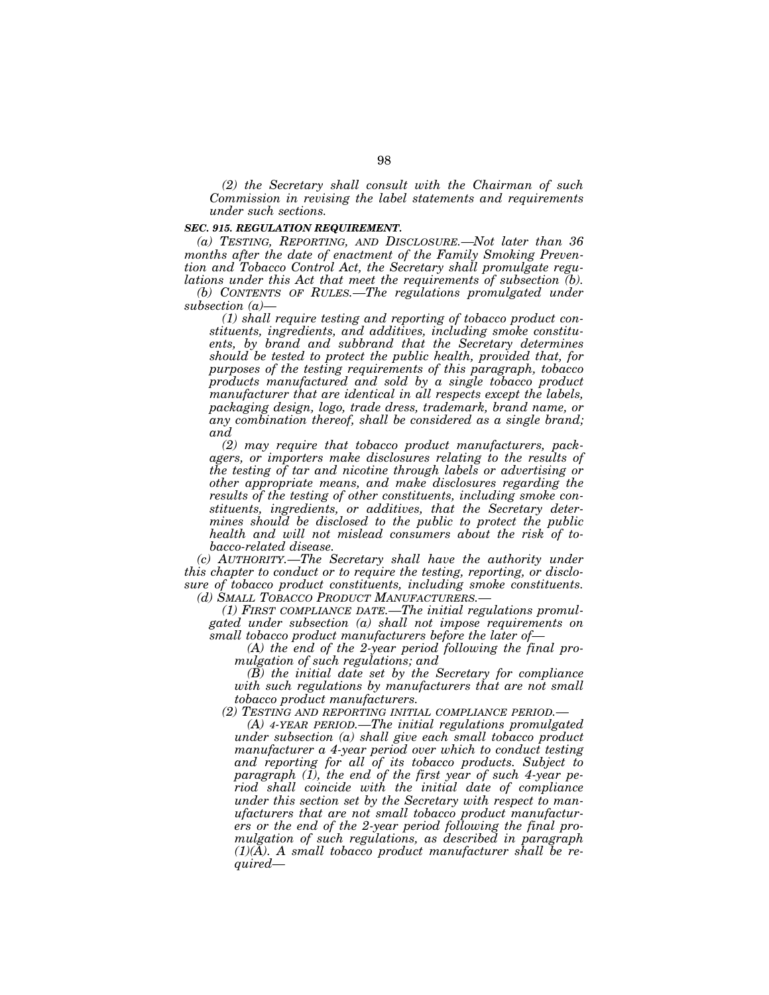*(2) the Secretary shall consult with the Chairman of such Commission in revising the label statements and requirements under such sections.* 

### *SEC. 915. REGULATION REQUIREMENT.*

*(a) TESTING, REPORTING, AND DISCLOSURE.—Not later than 36 months after the date of enactment of the Family Smoking Prevention and Tobacco Control Act, the Secretary shall promulgate regulations under this Act that meet the requirements of subsection (b). (b) CONTENTS OF RULES.—The regulations promulgated under* 

*subsection (a)—* 

*(1) shall require testing and reporting of tobacco product constituents, ingredients, and additives, including smoke constituents, by brand and subbrand that the Secretary determines should be tested to protect the public health, provided that, for purposes of the testing requirements of this paragraph, tobacco products manufactured and sold by a single tobacco product manufacturer that are identical in all respects except the labels, packaging design, logo, trade dress, trademark, brand name, or any combination thereof, shall be considered as a single brand; and* 

*(2) may require that tobacco product manufacturers, packagers, or importers make disclosures relating to the results of the testing of tar and nicotine through labels or advertising or other appropriate means, and make disclosures regarding the results of the testing of other constituents, including smoke constituents, ingredients, or additives, that the Secretary determines should be disclosed to the public to protect the public health and will not mislead consumers about the risk of tobacco-related disease.* 

*(c) AUTHORITY.—The Secretary shall have the authority under this chapter to conduct or to require the testing, reporting, or disclosure of tobacco product constituents, including smoke constituents. (d) SMALL TOBACCO PRODUCT MANUFACTURERS.—* 

*(1) FIRST COMPLIANCE DATE.—The initial regulations promulgated under subsection (a) shall not impose requirements on small tobacco product manufacturers before the later of—* 

*(A) the end of the 2-year period following the final promulgation of such regulations; and* 

*(B) the initial date set by the Secretary for compliance with such regulations by manufacturers that are not small tobacco product manufacturers.* 

*(2) TESTING AND REPORTING INITIAL COMPLIANCE PERIOD.—* 

*(A) 4-YEAR PERIOD.—The initial regulations promulgated under subsection (a) shall give each small tobacco product manufacturer a 4-year period over which to conduct testing and reporting for all of its tobacco products. Subject to paragraph (1), the end of the first year of such 4-year period shall coincide with the initial date of compliance under this section set by the Secretary with respect to manufacturers that are not small tobacco product manufacturers or the end of the 2-year period following the final promulgation of such regulations, as described in paragraph (1)(A). A small tobacco product manufacturer shall be required—*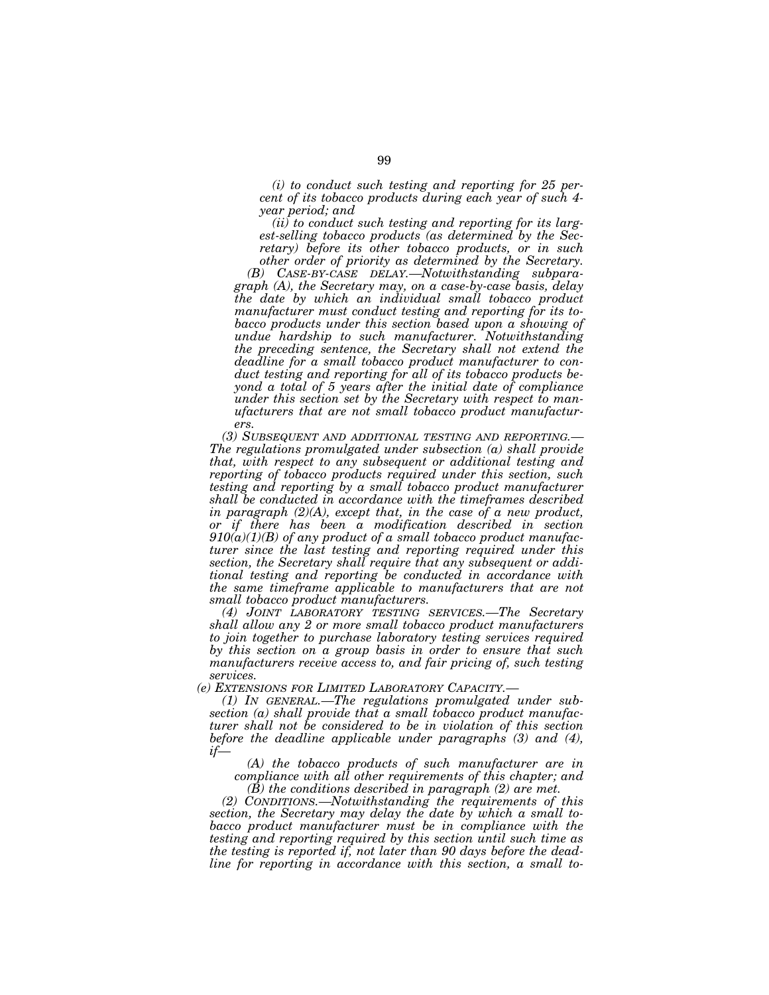*(i) to conduct such testing and reporting for 25 percent of its tobacco products during each year of such 4 year period; and* 

*(ii) to conduct such testing and reporting for its largest-selling tobacco products (as determined by the Secretary) before its other tobacco products, or in such other order of priority as determined by the Secretary.* 

*(B) CASE-BY-CASE DELAY.—Notwithstanding subparagraph (A), the Secretary may, on a case-by-case basis, delay the date by which an individual small tobacco product manufacturer must conduct testing and reporting for its tobacco products under this section based upon a showing of undue hardship to such manufacturer. Notwithstanding the preceding sentence, the Secretary shall not extend the deadline for a small tobacco product manufacturer to conduct testing and reporting for all of its tobacco products beyond a total of 5 years after the initial date of compliance under this section set by the Secretary with respect to manufacturers that are not small tobacco product manufactur-*

ers.<br>*(3) Subsequent and additional testing and reporting. The regulations promulgated under subsection (a) shall provide that, with respect to any subsequent or additional testing and reporting of tobacco products required under this section, such testing and reporting by a small tobacco product manufacturer shall be conducted in accordance with the timeframes described in paragraph (2)(A), except that, in the case of a new product, or if there has been a modification described in section 910(a)(1)(B) of any product of a small tobacco product manufacturer since the last testing and reporting required under this section, the Secretary shall require that any subsequent or additional testing and reporting be conducted in accordance with the same timeframe applicable to manufacturers that are not small tobacco product manufacturers.* 

*(4) JOINT LABORATORY TESTING SERVICES.—The Secretary shall allow any 2 or more small tobacco product manufacturers to join together to purchase laboratory testing services required by this section on a group basis in order to ensure that such manufacturers receive access to, and fair pricing of, such testing services.* 

*(e) EXTENSIONS FOR LIMITED LABORATORY CAPACITY.—* 

*(1) IN GENERAL.—The regulations promulgated under subsection (a) shall provide that a small tobacco product manufacturer shall not be considered to be in violation of this section before the deadline applicable under paragraphs (3) and (4), if—* 

*(A) the tobacco products of such manufacturer are in compliance with all other requirements of this chapter; and (B) the conditions described in paragraph (2) are met.* 

*(2) CONDITIONS.—Notwithstanding the requirements of this section, the Secretary may delay the date by which a small tobacco product manufacturer must be in compliance with the testing and reporting required by this section until such time as the testing is reported if, not later than 90 days before the deadline for reporting in accordance with this section, a small to-*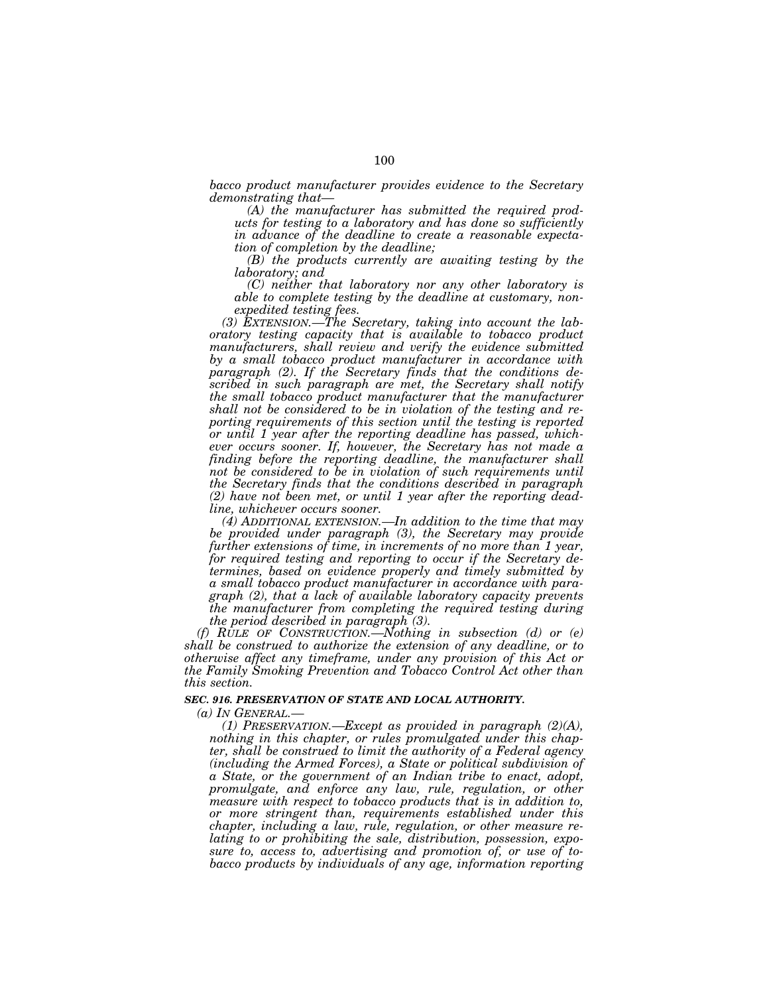*bacco product manufacturer provides evidence to the Secretary demonstrating that—* 

*(A) the manufacturer has submitted the required products for testing to a laboratory and has done so sufficiently in advance of the deadline to create a reasonable expectation of completion by the deadline;* 

*(B) the products currently are awaiting testing by the laboratory; and* 

*(C) neither that laboratory nor any other laboratory is able to complete testing by the deadline at customary, nonexpedited testing fees.* 

*(3) EXTENSION.—The Secretary, taking into account the laboratory testing capacity that is available to tobacco product manufacturers, shall review and verify the evidence submitted by a small tobacco product manufacturer in accordance with paragraph (2). If the Secretary finds that the conditions described in such paragraph are met, the Secretary shall notify the small tobacco product manufacturer that the manufacturer shall not be considered to be in violation of the testing and reporting requirements of this section until the testing is reported or until 1 year after the reporting deadline has passed, whichever occurs sooner. If, however, the Secretary has not made a finding before the reporting deadline, the manufacturer shall not be considered to be in violation of such requirements until the Secretary finds that the conditions described in paragraph (2) have not been met, or until 1 year after the reporting deadline, whichever occurs sooner.* 

*(4) ADDITIONAL EXTENSION.—In addition to the time that may be provided under paragraph (3), the Secretary may provide further extensions of time, in increments of no more than 1 year, for required testing and reporting to occur if the Secretary determines, based on evidence properly and timely submitted by a small tobacco product manufacturer in accordance with paragraph (2), that a lack of available laboratory capacity prevents the manufacturer from completing the required testing during the period described in paragraph (3).* 

*(f) RULE OF CONSTRUCTION.—Nothing in subsection (d) or (e) shall be construed to authorize the extension of any deadline, or to otherwise affect any timeframe, under any provision of this Act or the Family Smoking Prevention and Tobacco Control Act other than this section.* 

#### *SEC. 916. PRESERVATION OF STATE AND LOCAL AUTHORITY.*

*(a) IN GENERAL.—* 

*(1) PRESERVATION.—Except as provided in paragraph (2)(A), nothing in this chapter, or rules promulgated under this chapter, shall be construed to limit the authority of a Federal agency (including the Armed Forces), a State or political subdivision of a State, or the government of an Indian tribe to enact, adopt, promulgate, and enforce any law, rule, regulation, or other measure with respect to tobacco products that is in addition to, or more stringent than, requirements established under this chapter, including a law, rule, regulation, or other measure relating to or prohibiting the sale, distribution, possession, exposure to, access to, advertising and promotion of, or use of tobacco products by individuals of any age, information reporting*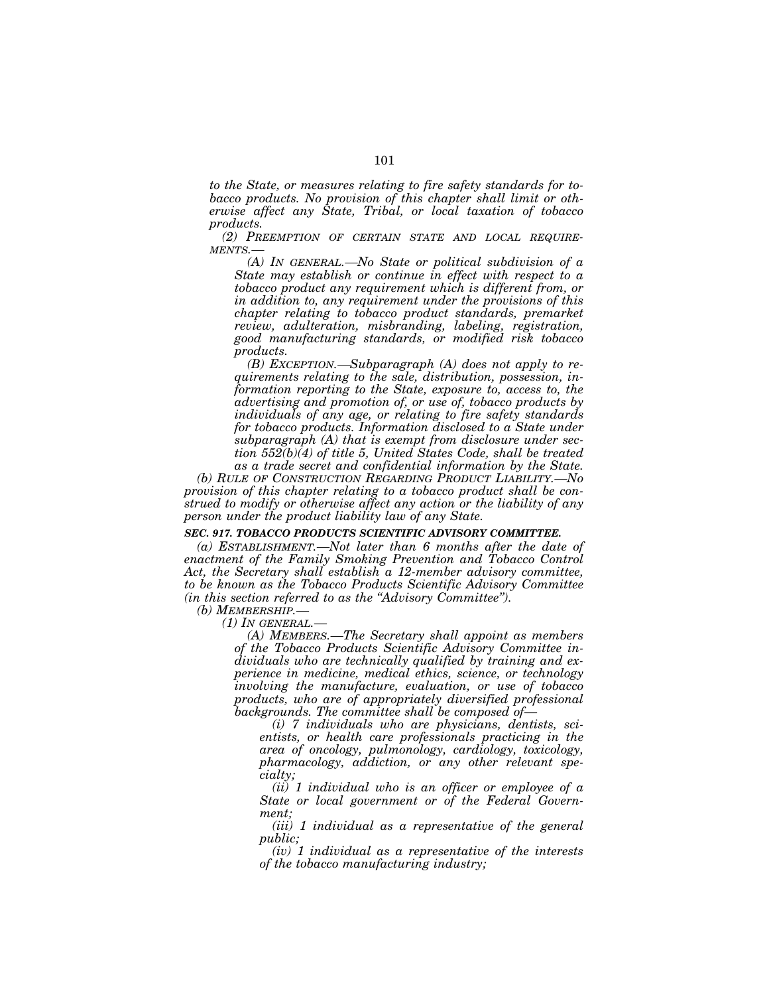*to the State, or measures relating to fire safety standards for tobacco products. No provision of this chapter shall limit or otherwise affect any State, Tribal, or local taxation of tobacco products.* 

*(2) PREEMPTION OF CERTAIN STATE AND LOCAL REQUIRE-MENTS.—* 

*(A) IN GENERAL.—No State or political subdivision of a State may establish or continue in effect with respect to a tobacco product any requirement which is different from, or in addition to, any requirement under the provisions of this chapter relating to tobacco product standards, premarket review, adulteration, misbranding, labeling, registration, good manufacturing standards, or modified risk tobacco products.* 

*(B) EXCEPTION.—Subparagraph (A) does not apply to requirements relating to the sale, distribution, possession, information reporting to the State, exposure to, access to, the advertising and promotion of, or use of, tobacco products by individuals of any age, or relating to fire safety standards for tobacco products. Information disclosed to a State under subparagraph (A) that is exempt from disclosure under section 552(b)(4) of title 5, United States Code, shall be treated* 

*as a trade secret and confidential information by the State. (b) RULE OF CONSTRUCTION REGARDING PRODUCT LIABILITY.—No provision of this chapter relating to a tobacco product shall be construed to modify or otherwise affect any action or the liability of any person under the product liability law of any State.* 

# *SEC. 917. TOBACCO PRODUCTS SCIENTIFIC ADVISORY COMMITTEE.*

*(a) ESTABLISHMENT.—Not later than 6 months after the date of enactment of the Family Smoking Prevention and Tobacco Control Act, the Secretary shall establish a 12-member advisory committee, to be known as the Tobacco Products Scientific Advisory Committee (in this section referred to as the ''Advisory Committee'').* 

*(b) MEMBERSHIP.—* 

*(1) IN GENERAL.—* 

*(A) MEMBERS.—The Secretary shall appoint as members of the Tobacco Products Scientific Advisory Committee individuals who are technically qualified by training and experience in medicine, medical ethics, science, or technology involving the manufacture, evaluation, or use of tobacco products, who are of appropriately diversified professional backgrounds. The committee shall be composed of—* 

*(i) 7 individuals who are physicians, dentists, scientists, or health care professionals practicing in the area of oncology, pulmonology, cardiology, toxicology, pharmacology, addiction, or any other relevant specialty;* 

*(ii) 1 individual who is an officer or employee of a State or local government or of the Federal Government;* 

*(iii) 1 individual as a representative of the general public;* 

*(iv) 1 individual as a representative of the interests of the tobacco manufacturing industry;*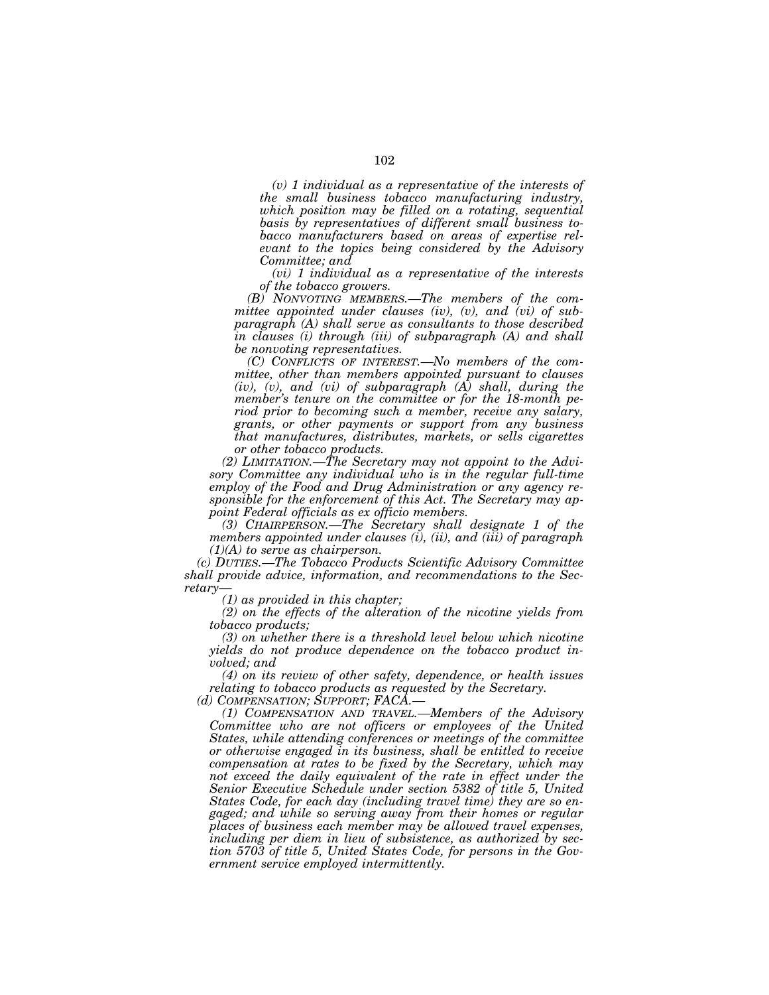*(v) 1 individual as a representative of the interests of the small business tobacco manufacturing industry, which position may be filled on a rotating, sequential basis by representatives of different small business tobacco manufacturers based on areas of expertise relevant to the topics being considered by the Advisory Committee; and* 

*(vi) 1 individual as a representative of the interests of the tobacco growers.* 

*(B) NONVOTING MEMBERS.—The members of the committee appointed under clauses (iv), (v), and (vi) of subparagraph (A) shall serve as consultants to those described in clauses (i) through (iii) of subparagraph (A) and shall be nonvoting representatives.* 

*(C) CONFLICTS OF INTEREST.—No members of the committee, other than members appointed pursuant to clauses (iv), (v), and (vi) of subparagraph (A) shall, during the member's tenure on the committee or for the 18-month period prior to becoming such a member, receive any salary, grants, or other payments or support from any business that manufactures, distributes, markets, or sells cigarettes or other tobacco products.* 

*(2) LIMITATION.—The Secretary may not appoint to the Advisory Committee any individual who is in the regular full-time employ of the Food and Drug Administration or any agency responsible for the enforcement of this Act. The Secretary may appoint Federal officials as ex officio members.* 

*(3) CHAIRPERSON.—The Secretary shall designate 1 of the members appointed under clauses (i), (ii), and (iii) of paragraph (1)(A) to serve as chairperson.* 

*(c) DUTIES.—The Tobacco Products Scientific Advisory Committee shall provide advice, information, and recommendations to the Secretary—* 

*(1) as provided in this chapter;* 

*(2) on the effects of the alteration of the nicotine yields from tobacco products;* 

*(3) on whether there is a threshold level below which nicotine yields do not produce dependence on the tobacco product involved; and* 

*(4) on its review of other safety, dependence, or health issues relating to tobacco products as requested by the Secretary.* 

*(d) COMPENSATION; SUPPORT; FACA.—* 

*(1) COMPENSATION AND TRAVEL.—Members of the Advisory Committee who are not officers or employees of the United States, while attending conferences or meetings of the committee or otherwise engaged in its business, shall be entitled to receive compensation at rates to be fixed by the Secretary, which may not exceed the daily equivalent of the rate in effect under the Senior Executive Schedule under section 5382 of title 5, United States Code, for each day (including travel time) they are so engaged; and while so serving away from their homes or regular places of business each member may be allowed travel expenses, including per diem in lieu of subsistence, as authorized by section 5703 of title 5, United States Code, for persons in the Government service employed intermittently.*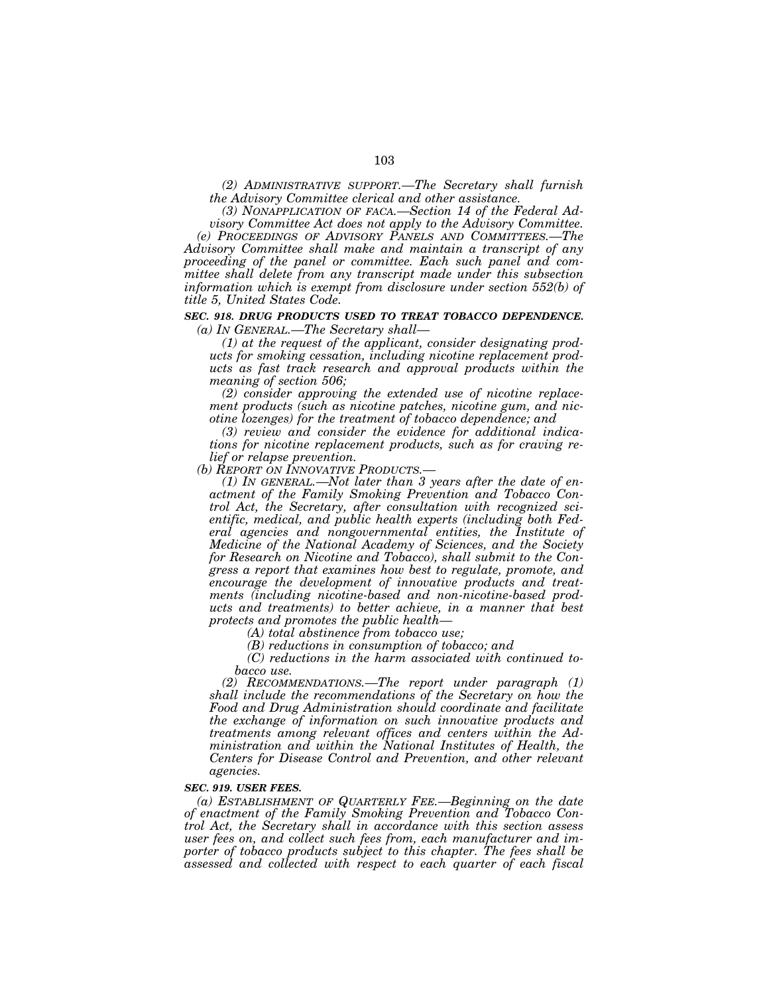*(2) ADMINISTRATIVE SUPPORT.—The Secretary shall furnish the Advisory Committee clerical and other assistance.* 

*(3) NONAPPLICATION OF FACA.—Section 14 of the Federal Advisory Committee Act does not apply to the Advisory Committee.* 

*(e) PROCEEDINGS OF ADVISORY PANELS AND COMMITTEES.—The Advisory Committee shall make and maintain a transcript of any proceeding of the panel or committee. Each such panel and committee shall delete from any transcript made under this subsection information which is exempt from disclosure under section 552(b) of title 5, United States Code.* 

# **SEC. 918. DRUG PRODUCTS USED TO TREAT TOBACCO DEPENDENCE.** *(a) IN GENERAL.—The Secretary shall—*

*(1) at the request of the applicant, consider designating prod-*

*ucts for smoking cessation, including nicotine replacement products as fast track research and approval products within the meaning of section 506;* 

*(2) consider approving the extended use of nicotine replacement products (such as nicotine patches, nicotine gum, and nicotine lozenges) for the treatment of tobacco dependence; and* 

*(3) review and consider the evidence for additional indications for nicotine replacement products, such as for craving relief or relapse prevention.* 

*(b) REPORT ON INNOVATIVE PRODUCTS.—* 

*(1) IN GENERAL.—Not later than 3 years after the date of enactment of the Family Smoking Prevention and Tobacco Control Act, the Secretary, after consultation with recognized scientific, medical, and public health experts (including both Federal agencies and nongovernmental entities, the Institute of Medicine of the National Academy of Sciences, and the Society for Research on Nicotine and Tobacco), shall submit to the Congress a report that examines how best to regulate, promote, and encourage the development of innovative products and treatments (including nicotine-based and non-nicotine-based products and treatments) to better achieve, in a manner that best protects and promotes the public health—* 

*(A) total abstinence from tobacco use;* 

*(B) reductions in consumption of tobacco; and* 

*(C) reductions in the harm associated with continued tobacco use.* 

*(2) RECOMMENDATIONS.—The report under paragraph (1) shall include the recommendations of the Secretary on how the Food and Drug Administration should coordinate and facilitate the exchange of information on such innovative products and treatments among relevant offices and centers within the Administration and within the National Institutes of Health, the Centers for Disease Control and Prevention, and other relevant agencies.* 

## *SEC. 919. USER FEES.*

*(a) ESTABLISHMENT OF QUARTERLY FEE.—Beginning on the date of enactment of the Family Smoking Prevention and Tobacco Control Act, the Secretary shall in accordance with this section assess user fees on, and collect such fees from, each manufacturer and importer of tobacco products subject to this chapter. The fees shall be assessed and collected with respect to each quarter of each fiscal*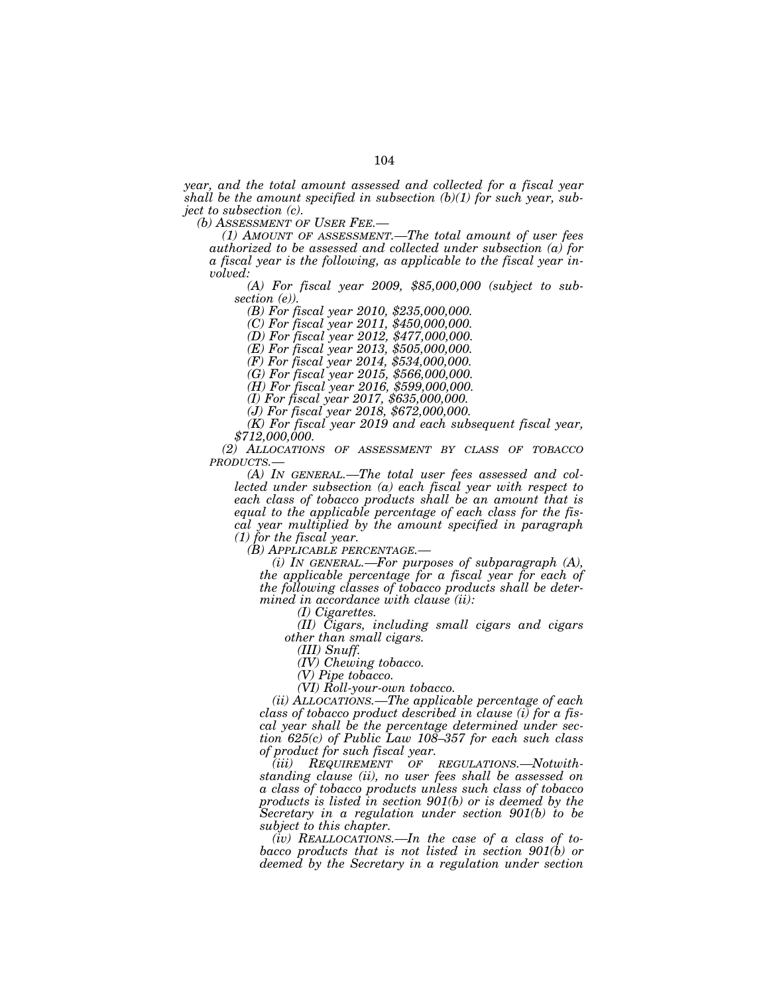*year, and the total amount assessed and collected for a fiscal year shall be the amount specified in subsection (b)(1) for such year, subject to subsection (c).* 

*(1) AMOUNT OF ASSESSMENT.—The total amount of user fees authorized to be assessed and collected under subsection (a) for a fiscal year is the following, as applicable to the fiscal year involved:* 

*(A) For fiscal year 2009, \$85,000,000 (subject to subsection (e)).* 

*(B) For fiscal year 2010, \$235,000,000.* 

*(C) For fiscal year 2011, \$450,000,000.* 

*(D) For fiscal year 2012, \$477,000,000.* 

*(E) For fiscal year 2013, \$505,000,000.* 

*(F) For fiscal year 2014, \$534,000,000.* 

*(G) For fiscal year 2015, \$566,000,000.* 

*(H) For fiscal year 2016, \$599,000,000.* 

*(I) For fiscal year 2017, \$635,000,000.* 

*(J) For fiscal year 2018, \$672,000,000.* 

*(K) For fiscal year 2019 and each subsequent fiscal year, \$712,000,000.* 

*(2) ALLOCATIONS OF ASSESSMENT BY CLASS OF TOBACCO*

*(A) IN GENERAL.—The total user fees assessed and collected under subsection (a) each fiscal year with respect to each class of tobacco products shall be an amount that is equal to the applicable percentage of each class for the fiscal year multiplied by the amount specified in paragraph (1) for the fiscal year.* 

*(B) APPLICABLE PERCENTAGE.— (i) IN GENERAL.—For purposes of subparagraph (A), the applicable percentage for a fiscal year for each of the following classes of tobacco products shall be determined in accordance with clause (ii):* 

*(I) Cigarettes.* 

*(II) Cigars, including small cigars and cigars other than small cigars.* 

*(III) Snuff.* 

*(IV) Chewing tobacco.* 

*(V) Pipe tobacco.* 

*(VI) Roll-your-own tobacco.* 

*(ii) ALLOCATIONS.—The applicable percentage of each class of tobacco product described in clause (i) for a fiscal year shall be the percentage determined under section 625(c) of Public Law 108–357 for each such class of product for such fiscal year.* 

*(iii) REQUIREMENT OF REGULATIONS.—Notwithstanding clause (ii), no user fees shall be assessed on a class of tobacco products unless such class of tobacco products is listed in section 901(b) or is deemed by the Secretary in a regulation under section 901(b) to be subject to this chapter.* 

*(iv) REALLOCATIONS.—In the case of a class of tobacco products that is not listed in section 901(b) or deemed by the Secretary in a regulation under section*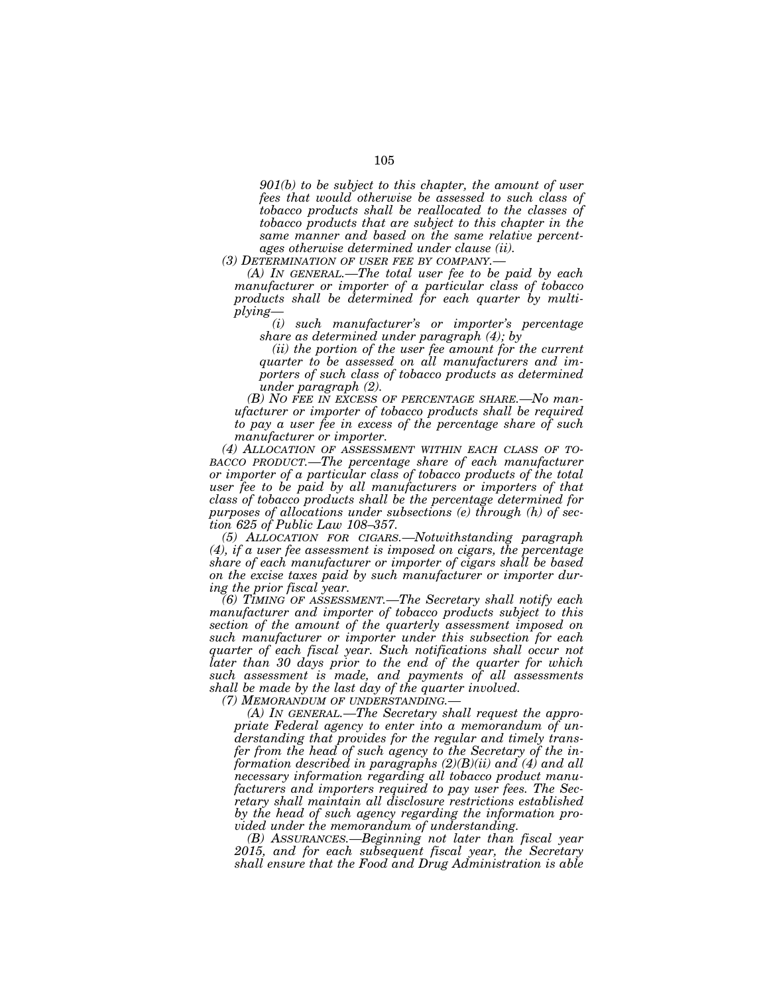*901(b) to be subject to this chapter, the amount of user fees that would otherwise be assessed to such class of tobacco products shall be reallocated to the classes of tobacco products that are subject to this chapter in the same manner and based on the same relative percent-*

*ages otherwise determined under clause (ii).* 

*(A) IN GENERAL.—The total user fee to be paid by each manufacturer or importer of a particular class of tobacco products shall be determined for each quarter by multiplying—* 

*(i) such manufacturer's or importer's percentage share as determined under paragraph (4); by* 

*(ii) the portion of the user fee amount for the current quarter to be assessed on all manufacturers and importers of such class of tobacco products as determined under paragraph (2).* 

*(B) NO FEE IN EXCESS OF PERCENTAGE SHARE.—No manufacturer or importer of tobacco products shall be required to pay a user fee in excess of the percentage share of such* 

*manufacturer or importer. (4) ALLOCATION OF ASSESSMENT WITHIN EACH CLASS OF TO- BACCO PRODUCT.—The percentage share of each manufacturer or importer of a particular class of tobacco products of the total user fee to be paid by all manufacturers or importers of that class of tobacco products shall be the percentage determined for purposes of allocations under subsections (e) through (h) of section 625 of Public Law 108–357.* 

*(5) ALLOCATION FOR CIGARS.—Notwithstanding paragraph (4), if a user fee assessment is imposed on cigars, the percentage share of each manufacturer or importer of cigars shall be based on the excise taxes paid by such manufacturer or importer during the prior fiscal year.* 

*(6) TIMING OF ASSESSMENT.—The Secretary shall notify each manufacturer and importer of tobacco products subject to this section of the amount of the quarterly assessment imposed on such manufacturer or importer under this subsection for each quarter of each fiscal year. Such notifications shall occur not later than 30 days prior to the end of the quarter for which such assessment is made, and payments of all assessments shall be made by the last day of the quarter involved.* 

*(7) MEMORANDUM OF UNDERSTANDING.—* 

*(A) IN GENERAL.—The Secretary shall request the appropriate Federal agency to enter into a memorandum of understanding that provides for the regular and timely transfer from the head of such agency to the Secretary of the information described in paragraphs (2)(B)(ii) and (4) and all necessary information regarding all tobacco product manufacturers and importers required to pay user fees. The Secretary shall maintain all disclosure restrictions established by the head of such agency regarding the information provided under the memorandum of understanding.* 

*(B) ASSURANCES.—Beginning not later than fiscal year 2015, and for each subsequent fiscal year, the Secretary shall ensure that the Food and Drug Administration is able*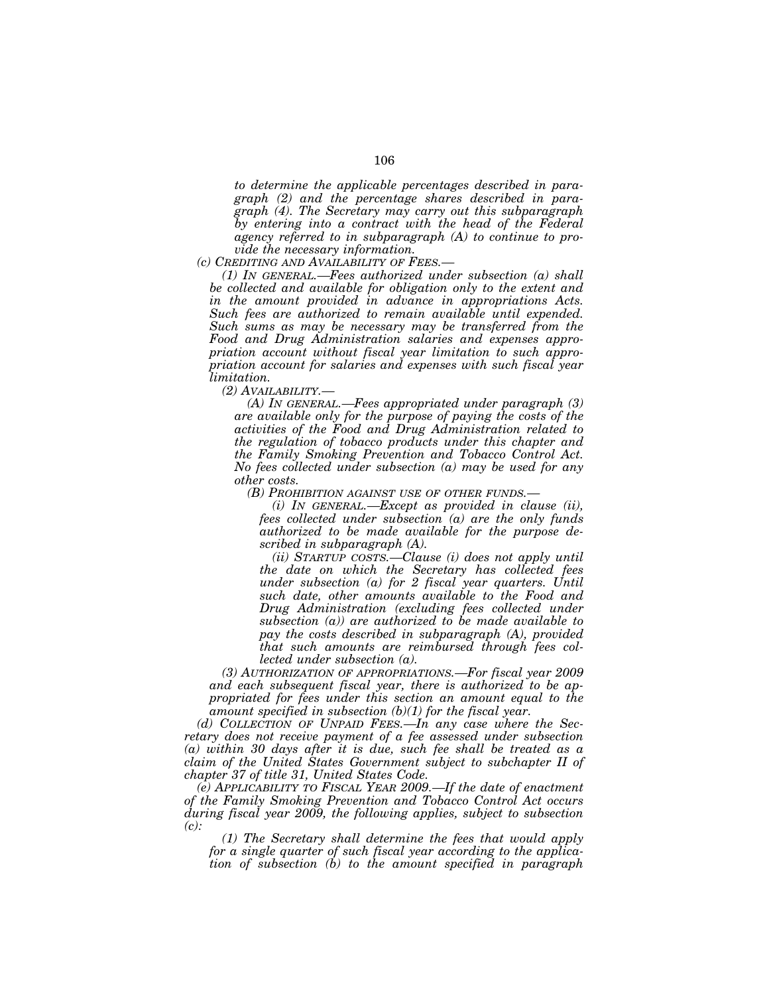*to determine the applicable percentages described in paragraph (2) and the percentage shares described in paragraph (4). The Secretary may carry out this subparagraph by entering into a contract with the head of the Federal agency referred to in subparagraph (A) to continue to provide the necessary information.* 

*(c) CREDITING AND AVAILABILITY OF FEES.—* 

*(1) IN GENERAL.—Fees authorized under subsection (a) shall be collected and available for obligation only to the extent and in the amount provided in advance in appropriations Acts. Such fees are authorized to remain available until expended. Such sums as may be necessary may be transferred from the Food and Drug Administration salaries and expenses appropriation account without fiscal year limitation to such appropriation account for salaries and expenses with such fiscal year limitation.* 

*(2) AVAILABILITY.—* 

*(A) IN GENERAL.—Fees appropriated under paragraph (3) are available only for the purpose of paying the costs of the activities of the Food and Drug Administration related to the regulation of tobacco products under this chapter and the Family Smoking Prevention and Tobacco Control Act. No fees collected under subsection (a) may be used for any other costs.* 

*(B) PROHIBITION AGAINST USE OF OTHER FUNDS.—* 

*(i) IN GENERAL.—Except as provided in clause (ii), fees collected under subsection (a) are the only funds authorized to be made available for the purpose described in subparagraph (A).* 

*(ii) STARTUP COSTS.—Clause (i) does not apply until the date on which the Secretary has collected fees under subsection (a) for 2 fiscal year quarters. Until such date, other amounts available to the Food and Drug Administration (excluding fees collected under subsection (a)) are authorized to be made available to pay the costs described in subparagraph (A), provided that such amounts are reimbursed through fees collected under subsection (a).* 

*(3) AUTHORIZATION OF APPROPRIATIONS.—For fiscal year 2009 and each subsequent fiscal year, there is authorized to be appropriated for fees under this section an amount equal to the amount specified in subsection (b)(1) for the fiscal year.* 

*(d) COLLECTION OF UNPAID FEES.—In any case where the Secretary does not receive payment of a fee assessed under subsection (a) within 30 days after it is due, such fee shall be treated as a claim of the United States Government subject to subchapter II of chapter 37 of title 31, United States Code.* 

*(e) APPLICABILITY TO FISCAL YEAR 2009.—If the date of enactment of the Family Smoking Prevention and Tobacco Control Act occurs during fiscal year 2009, the following applies, subject to subsection (c):* 

*(1) The Secretary shall determine the fees that would apply for a single quarter of such fiscal year according to the application of subsection (b) to the amount specified in paragraph*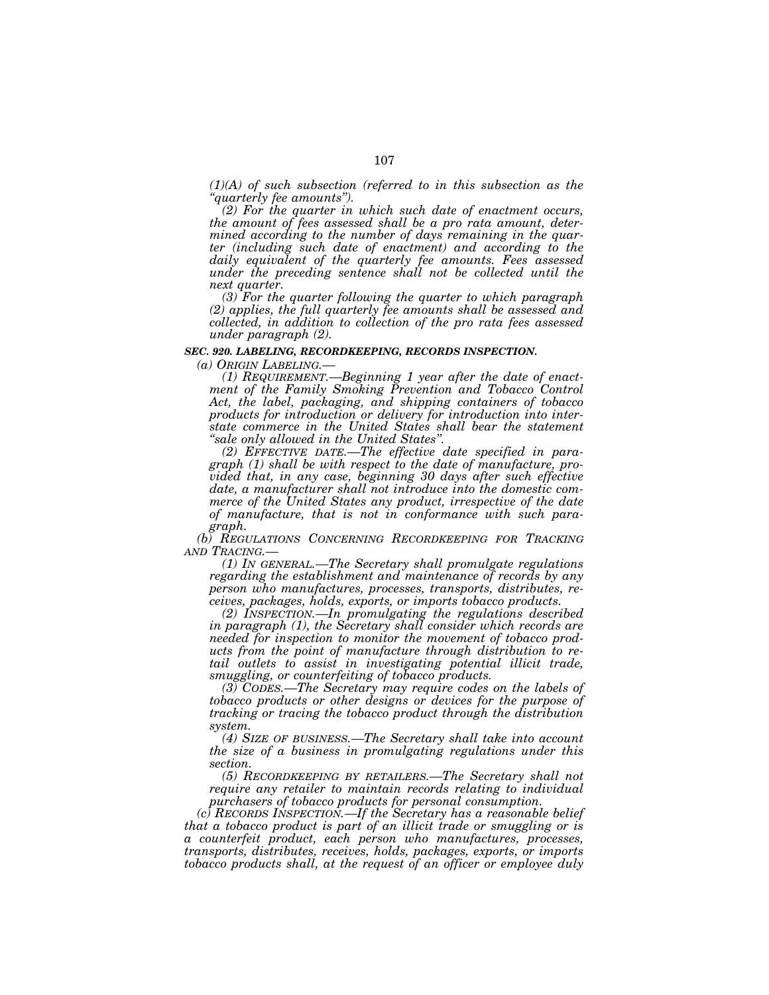*(1)(A) of such subsection (referred to in this subsection as the ''quarterly fee amounts'').* 

*(2) For the quarter in which such date of enactment occurs, the amount of fees assessed shall be a pro rata amount, determined according to the number of days remaining in the quarter (including such date of enactment) and according to the daily equivalent of the quarterly fee amounts. Fees assessed under the preceding sentence shall not be collected until the next quarter.* 

*(3) For the quarter following the quarter to which paragraph (2) applies, the full quarterly fee amounts shall be assessed and collected, in addition to collection of the pro rata fees assessed under paragraph (2).* 

## *SEC. 920. LABELING, RECORDKEEPING, RECORDS INSPECTION.*

*(a) ORIGIN LABELING.— (1) REQUIREMENT.—Beginning 1 year after the date of enactment of the Family Smoking Prevention and Tobacco Control Act, the label, packaging, and shipping containers of tobacco products for introduction or delivery for introduction into interstate commerce in the United States shall bear the statement ''sale only allowed in the United States''.* 

*(2) EFFECTIVE DATE.—The effective date specified in paragraph (1) shall be with respect to the date of manufacture, provided that, in any case, beginning 30 days after such effective date, a manufacturer shall not introduce into the domestic commerce of the United States any product, irrespective of the date of manufacture, that is not in conformance with such paragraph.* 

*(b) REGULATIONS CONCERNING RECORDKEEPING FOR TRACKING AND TRACING.— (1) IN GENERAL.—The Secretary shall promulgate regulations* 

*regarding the establishment and maintenance of records by any person who manufactures, processes, transports, distributes, receives, packages, holds, exports, or imports tobacco products.* 

*(2) INSPECTION.—In promulgating the regulations described in paragraph (1), the Secretary shall consider which records are needed for inspection to monitor the movement of tobacco products from the point of manufacture through distribution to retail outlets to assist in investigating potential illicit trade, smuggling, or counterfeiting of tobacco products.* 

*(3) CODES.—The Secretary may require codes on the labels of tobacco products or other designs or devices for the purpose of tracking or tracing the tobacco product through the distribution system.* 

*(4) SIZE OF BUSINESS.—The Secretary shall take into account the size of a business in promulgating regulations under this section.* 

*(5) RECORDKEEPING BY RETAILERS.—The Secretary shall not require any retailer to maintain records relating to individual purchasers of tobacco products for personal consumption.* 

*(c) RECORDS INSPECTION.—If the Secretary has a reasonable belief that a tobacco product is part of an illicit trade or smuggling or is a counterfeit product, each person who manufactures, processes, transports, distributes, receives, holds, packages, exports, or imports tobacco products shall, at the request of an officer or employee duly*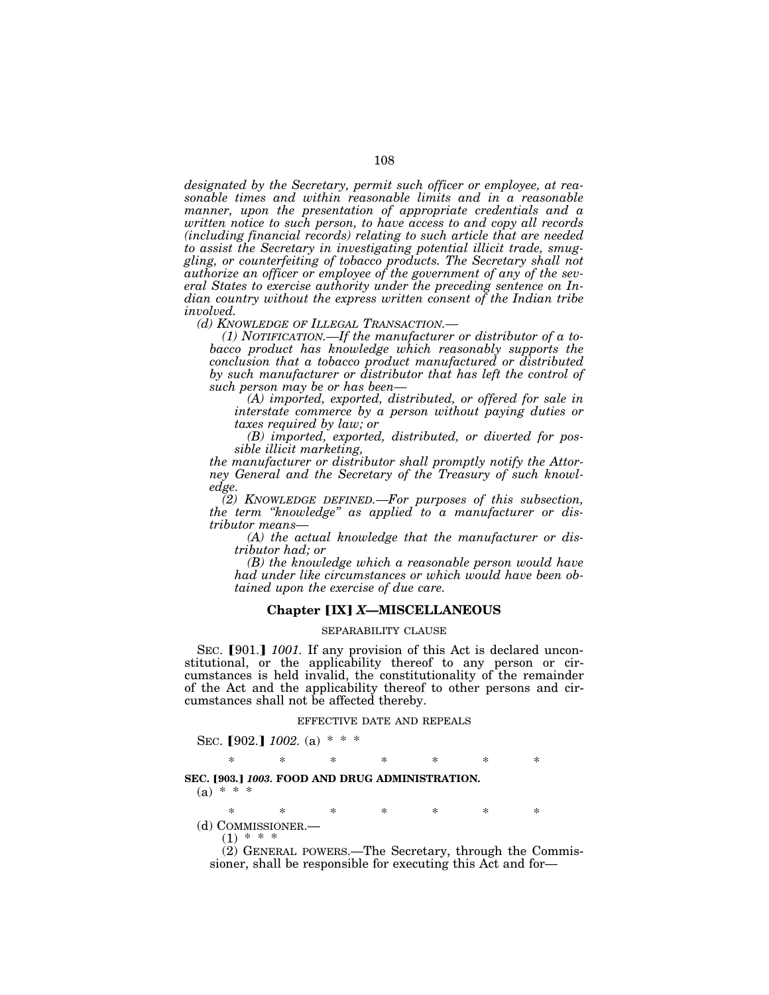*designated by the Secretary, permit such officer or employee, at reasonable times and within reasonable limits and in a reasonable manner, upon the presentation of appropriate credentials and a written notice to such person, to have access to and copy all records (including financial records) relating to such article that are needed to assist the Secretary in investigating potential illicit trade, smuggling, or counterfeiting of tobacco products. The Secretary shall not authorize an officer or employee of the government of any of the sev*eral States to exercise authority under the preceding sentence on In*dian country without the express written consent of the Indian tribe* 

*involved.* 

(1) NOTIFICATION.—If the manufacturer or distributor of a to*bacco product has knowledge which reasonably supports the conclusion that a tobacco product manufactured or distributed by such manufacturer or distributor that has left the control of such person may be or has been—* 

*(A) imported, exported, distributed, or offered for sale in interstate commerce by a person without paying duties or taxes required by law; or* 

*(B) imported, exported, distributed, or diverted for possible illicit marketing,* 

*the manufacturer or distributor shall promptly notify the Attorney General and the Secretary of the Treasury of such knowledge.* 

*(2) KNOWLEDGE DEFINED.—For purposes of this subsection, the term ''knowledge'' as applied to a manufacturer or distributor means—* 

*(A) the actual knowledge that the manufacturer or distributor had; or* 

*(B) the knowledge which a reasonable person would have had under like circumstances or which would have been obtained upon the exercise of due care.* 

## **Chapter [IX]** *X***—MISCELLANEOUS**

## SEPARABILITY CLAUSE

SEC. [901.] *1001*. If any provision of this Act is declared unconstitutional, or the applicability thereof to any person or circumstances is held invalid, the constitutionality of the remainder of the Act and the applicability thereof to other persons and circumstances shall not be affected thereby.

#### EFFECTIVE DATE AND REPEALS

SEC. **[902.]** 1002. (a) \* \* \*

\* \* \* \* \* \* \*

## SEC. [903.] 1003. FOOD AND DRUG ADMINISTRATION.  $(a) * * * *$

\* \* \* \* \* \* \*

(d) COMMISSIONER.—<br>(1)  $* * *$ 

(2) GENERAL POWERS.—The Secretary, through the Commissioner, shall be responsible for executing this Act and for—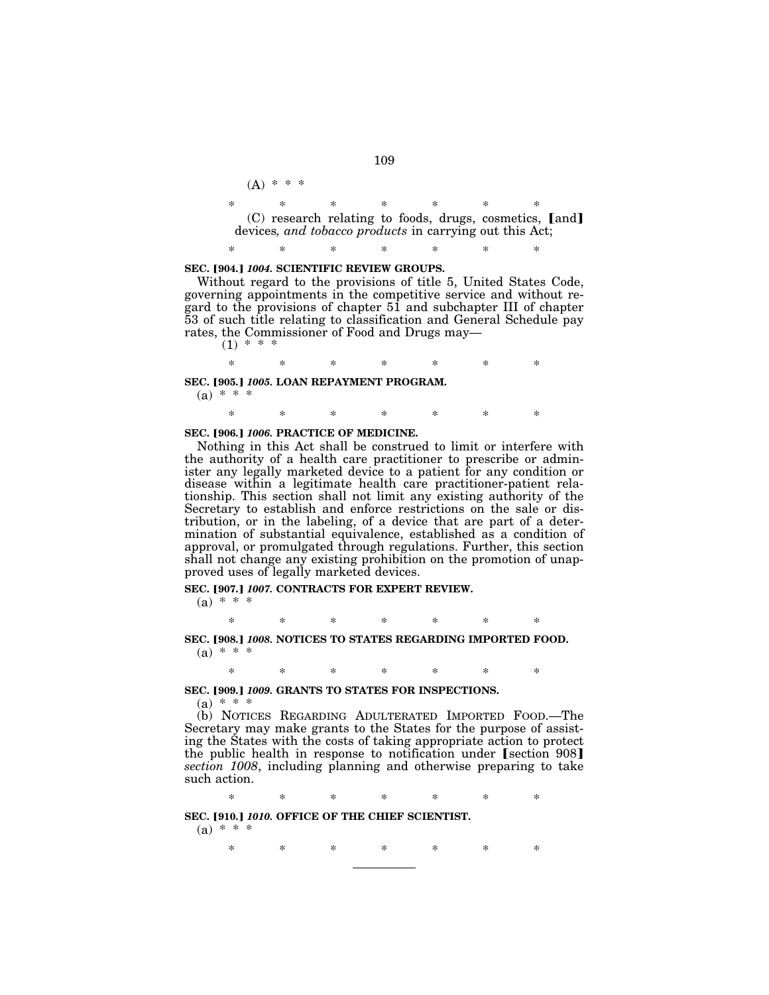# 109

\* \* \* \* \* \* \*  $(C)$  research relating to foods, drugs, cosmetics, [and] devices*, and tobacco products* in carrying out this Act;

\* \* \* \* \* \* \*

## **SEC. [904.]** *1004***. SCIENTIFIC REVIEW GROUPS.**

 $(A) * * * *$ 

Without regard to the provisions of title 5, United States Code, governing appointments in the competitive service and without regard to the provisions of chapter 51 and subchapter III of chapter 53 of such title relating to classification and General Schedule pay rates, the Commissioner of Food and Drugs may—  $(1)$  \*

\* \* \* \* \* \* \*

**SEC.** ø**905.**¿ *1005.* **LOAN REPAYMENT PROGRAM.**  (a) \* \* \*

\* \* \* \* \* \* \*

# **SEC. [906.]** *1006***. PRACTICE OF MEDICINE.**

Nothing in this Act shall be construed to limit or interfere with the authority of a health care practitioner to prescribe or administer any legally marketed device to a patient for any condition or disease within a legitimate health care practitioner-patient relationship. This section shall not limit any existing authority of the Secretary to establish and enforce restrictions on the sale or distribution, or in the labeling, of a device that are part of a determination of substantial equivalence, established as a condition of approval, or promulgated through regulations. Further, this section shall not change any existing prohibition on the promotion of unapproved uses of legally marketed devices.

## **SEC. [907.]** *1007.* **CONTRACTS FOR EXPERT REVIEW.**

 $(a) * * *$ 

\* \* \* \* \* \* \*

**SEC.** ø**908.**¿ *1008.* **NOTICES TO STATES REGARDING IMPORTED FOOD.**   $(a) * * * *$ 

\* \* \* \* \* \* \*

## SEC. [909.] 1009. GRANTS TO STATES FOR INSPECTIONS.  $(a) * * * *$

(b) NOTICES REGARDING ADULTERATED IMPORTED FOOD.—The Secretary may make grants to the States for the purpose of assisting the States with the costs of taking appropriate action to protect the public health in response to notification under [section 908] *section 1008*, including planning and otherwise preparing to take such action.

\* \* \* \* \* \* \*

**SEC. [910.]** *1010***. OFFICE OF THE CHIEF SCIENTIST.**  $(a) * * * *$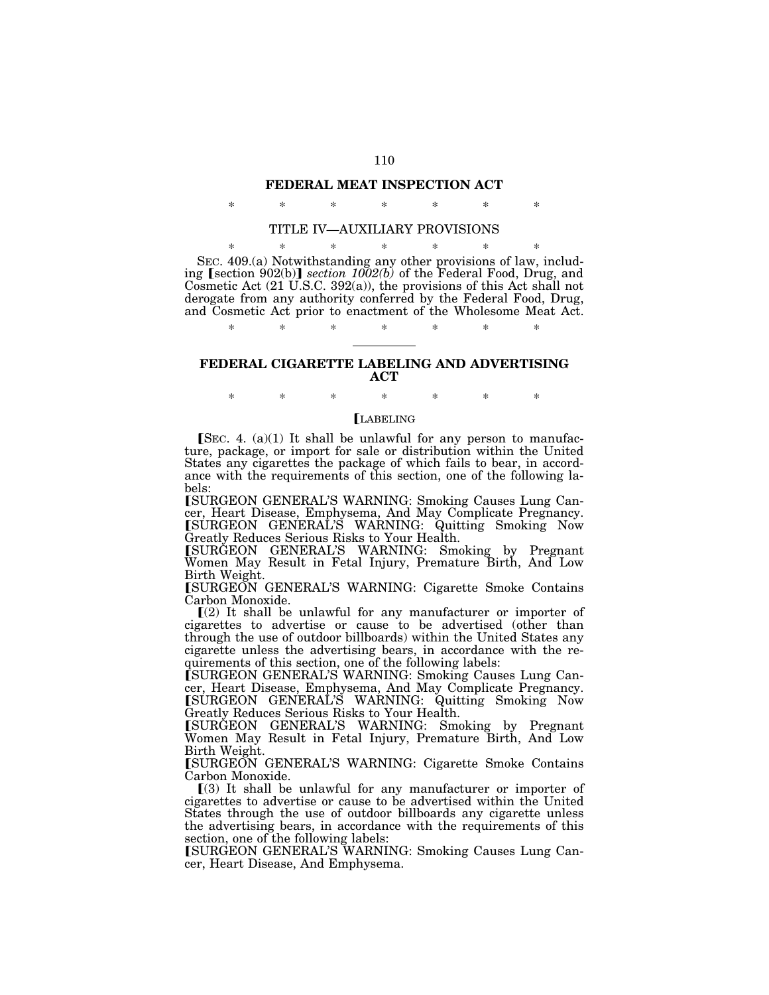# **FEDERAL MEAT INSPECTION ACT**

# \* \* \* \* \* \* \* TITLE IV—AUXILIARY PROVISIONS

\* \* \* \* \* \* \* SEC. 409.(a) Notwithstanding any other provisions of law, including [section  $902(b)$ ] *section*  $1002(b)$  of the Federal Food, Drug, and Cosmetic Act (21 U.S.C. 392(a)), the provisions of this Act shall not derogate from any authority conferred by the Federal Food, Drug, and Cosmetic Act prior to enactment of the Wholesome Meat Act.

## **FEDERAL CIGARETTE LABELING AND ADVERTISING ACT**

\* \* \* \* \* \* \*

\* \* \* \* \* \* \*

## øLABELING

[SEC. 4.  $(a)(1)$  It shall be unlawful for any person to manufacture, package, or import for sale or distribution within the United States any cigarettes the package of which fails to bear, in accordance with the requirements of this section, one of the following labels:

**[SURGEON GENERAL'S WARNING: Smoking Causes Lung Can**cer, Heart Disease, Emphysema, And May Complicate Pregnancy. øSURGEON GENERAL'S WARNING: Quitting Smoking Now Greatly Reduces Serious Risks to Your Health.

[SURGEON GENERAL'S WARNING: Smoking by Pregnant Women May Result in Fetal Injury, Premature Birth, And Low Birth Weight.

[SURGEON GENERAL'S WARNING: Cigarette Smoke Contains Carbon Monoxide.

 $(2)$  It shall be unlawful for any manufacturer or importer of cigarettes to advertise or cause to be advertised (other than through the use of outdoor billboards) within the United States any cigarette unless the advertising bears, in accordance with the re-

quirements of this section, one of the following labels:<br>[SURGEON GENERAL'S WARNING: Smoking Causes Lung Cancer, Heart Disease, Emphysema, And May Complicate Pregnancy. øSURGEON GENERAL'S WARNING: Quitting Smoking Now Greatly Reduces Serious Risks to Your Health.

[SURGEON GENERAL'S WARNING: Smoking by Pregnant Women May Result in Fetal Injury, Premature Birth, And Low Birth Weight.

**[SURGEON GENERAL'S WARNING: Cigarette Smoke Contains** Carbon Monoxide.

 $(3)$  It shall be unlawful for any manufacturer or importer of cigarettes to advertise or cause to be advertised within the United States through the use of outdoor billboards any cigarette unless the advertising bears, in accordance with the requirements of this section, one of the following labels:

**[SURGEON GENERAL'S WARNING: Smoking Causes Lung Can**cer, Heart Disease, And Emphysema.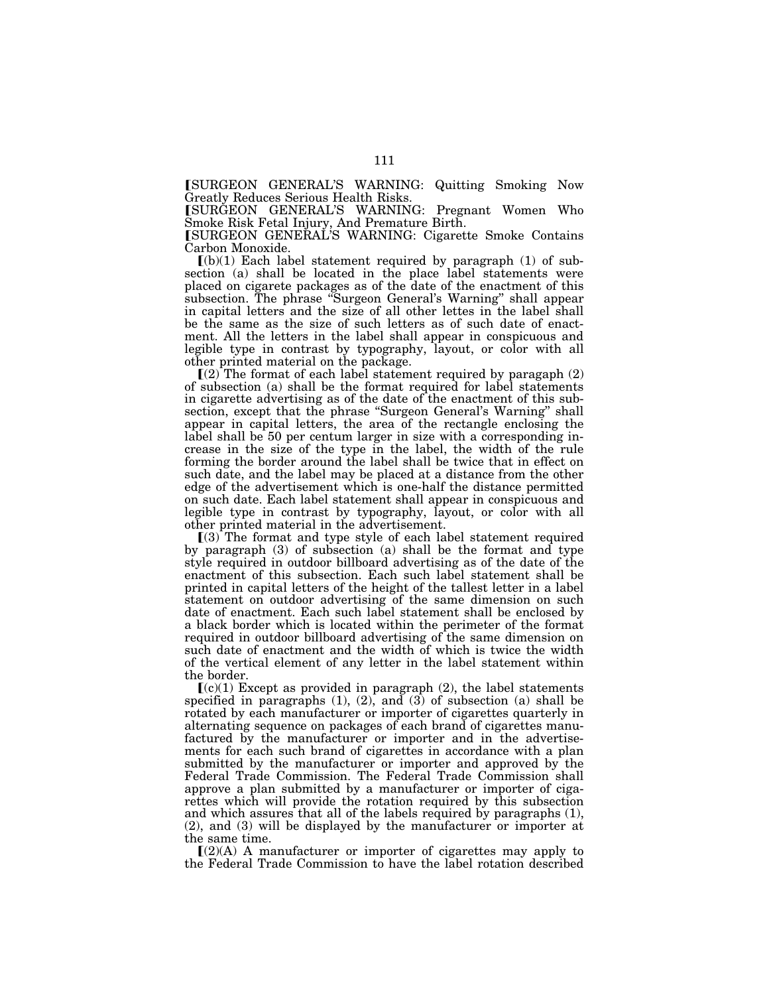**ISURGEON GENERAL'S WARNING: Quitting Smoking Now** Greatly Reduces Serious Health Risks.

[SURGEON GENERAL'S WARNING: Pregnant Women Who Smoke Risk Fetal Injury, And Premature Birth.

øSURGEON GENERAL'S WARNING: Cigarette Smoke Contains Carbon Monoxide.

 $(b)(1)$  Each label statement required by paragraph  $(1)$  of subsection (a) shall be located in the place label statements were placed on cigarete packages as of the date of the enactment of this subsection. The phrase ''Surgeon General's Warning'' shall appear in capital letters and the size of all other lettes in the label shall be the same as the size of such letters as of such date of enactment. All the letters in the label shall appear in conspicuous and legible type in contrast by typography, layout, or color with all other printed material on the package.

 $\Gamma(2)$  The format of each label statement required by paragaph  $(2)$ of subsection (a) shall be the format required for label statements in cigarette advertising as of the date of the enactment of this subsection, except that the phrase "Surgeon General's Warning" shall appear in capital letters, the area of the rectangle enclosing the label shall be 50 per centum larger in size with a corresponding increase in the size of the type in the label, the width of the rule forming the border around the label shall be twice that in effect on such date, and the label may be placed at a distance from the other edge of the advertisement which is one-half the distance permitted on such date. Each label statement shall appear in conspicuous and legible type in contrast by typography, layout, or color with all other printed material in the advertisement.

 $[(3)$ <sup>-</sup>The format and type style of each label statement required by paragraph (3) of subsection (a) shall be the format and type style required in outdoor billboard advertising as of the date of the enactment of this subsection. Each such label statement shall be printed in capital letters of the height of the tallest letter in a label statement on outdoor advertising of the same dimension on such date of enactment. Each such label statement shall be enclosed by a black border which is located within the perimeter of the format required in outdoor billboard advertising of the same dimension on such date of enactment and the width of which is twice the width of the vertical element of any letter in the label statement within the border.

 $(c)(1)$  Except as provided in paragraph  $(2)$ , the label statements specified in paragraphs  $(1)$ ,  $(2)$ , and  $(3)$  of subsection  $(a)$  shall be rotated by each manufacturer or importer of cigarettes quarterly in alternating sequence on packages of each brand of cigarettes manufactured by the manufacturer or importer and in the advertisements for each such brand of cigarettes in accordance with a plan submitted by the manufacturer or importer and approved by the Federal Trade Commission. The Federal Trade Commission shall approve a plan submitted by a manufacturer or importer of cigarettes which will provide the rotation required by this subsection and which assures that all of the labels required by paragraphs (1), (2), and (3) will be displayed by the manufacturer or importer at the same time.

 $(Q(A)$  A manufacturer or importer of cigarettes may apply to the Federal Trade Commission to have the label rotation described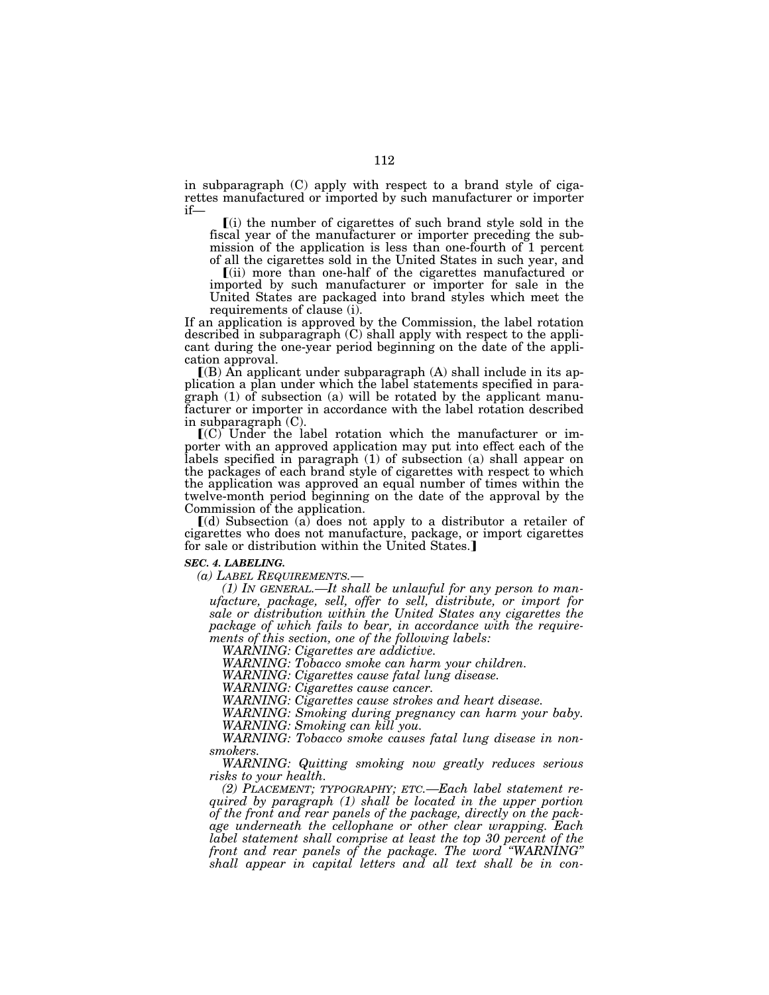in subparagraph (C) apply with respect to a brand style of cigarettes manufactured or imported by such manufacturer or importer if—

 $(i)$  the number of cigarettes of such brand style sold in the fiscal year of the manufacturer or importer preceding the submission of the application is less than one-fourth of 1 percent of all the cigarettes sold in the United States in such year, and

ø(ii) more than one-half of the cigarettes manufactured or imported by such manufacturer or importer for sale in the United States are packaged into brand styles which meet the requirements of clause (i).

If an application is approved by the Commission, the label rotation described in subparagraph (C) shall apply with respect to the applicant during the one-year period beginning on the date of the application approval.

 $($ B) An applicant under subparagraph  $(A)$  shall include in its application a plan under which the label statements specified in paragraph (1) of subsection (a) will be rotated by the applicant manufacturer or importer in accordance with the label rotation described in subparagraph (C).

 $\mathbf{C}(\mathbf{C})$  Under the label rotation which the manufacturer or importer with an approved application may put into effect each of the labels specified in paragraph (1) of subsection (a) shall appear on the packages of each brand style of cigarettes with respect to which the application was approved an equal number of times within the twelve-month period beginning on the date of the approval by the Commission of the application.

 $(d)$  Subsection (a) does not apply to a distributor a retailer of cigarettes who does not manufacture, package, or import cigarettes for sale or distribution within the United States.

### *SEC. 4. LABELING.*

*(a) LABEL REQUIREMENTS.— (1) IN GENERAL.—It shall be unlawful for any person to manufacture, package, sell, offer to sell, distribute, or import for sale or distribution within the United States any cigarettes the package of which fails to bear, in accordance with the requirements of this section, one of the following labels:* 

*WARNING: Cigarettes are addictive.* 

*WARNING: Tobacco smoke can harm your children.* 

*WARNING: Cigarettes cause fatal lung disease.* 

*WARNING: Cigarettes cause cancer.* 

*WARNING: Cigarettes cause strokes and heart disease.* 

*WARNING: Smoking during pregnancy can harm your baby.* 

*WARNING: Smoking can kill you.* 

*WARNING: Tobacco smoke causes fatal lung disease in nonsmokers.* 

*WARNING: Quitting smoking now greatly reduces serious risks to your health.* 

*(2) PLACEMENT; TYPOGRAPHY; ETC.—Each label statement required by paragraph (1) shall be located in the upper portion of the front and rear panels of the package, directly on the package underneath the cellophane or other clear wrapping. Each label statement shall comprise at least the top 30 percent of the front and rear panels of the package. The word ''WARNING'' shall appear in capital letters and all text shall be in con-*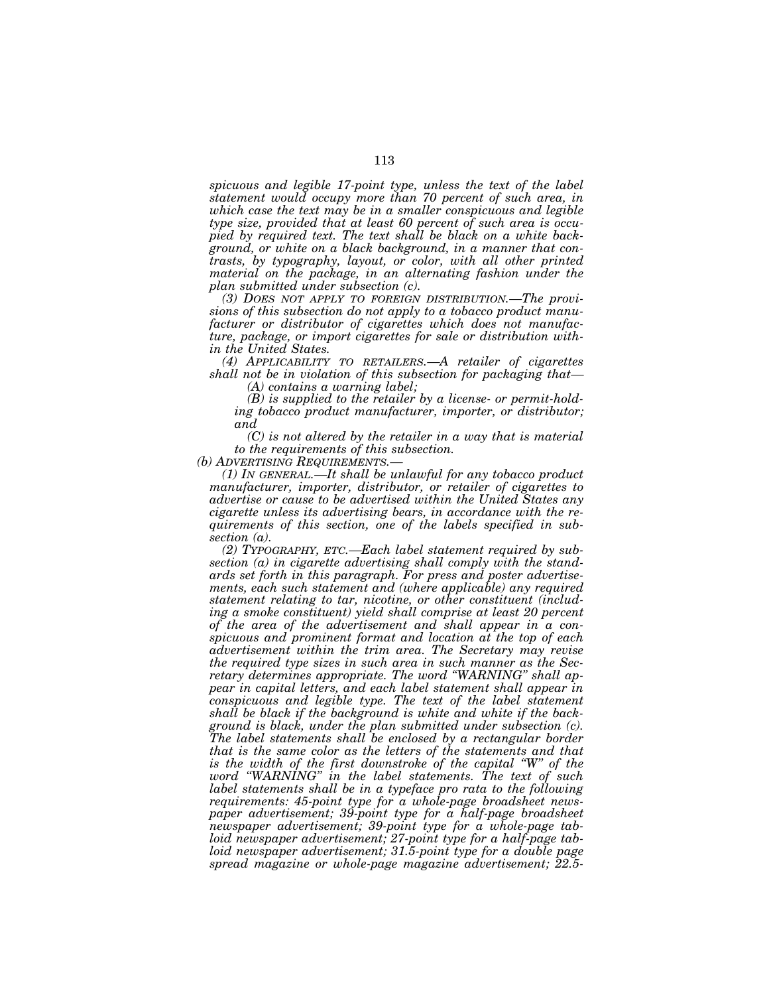*spicuous and legible 17-point type, unless the text of the label statement would occupy more than 70 percent of such area, in which case the text may be in a smaller conspicuous and legible type size, provided that at least 60 percent of such area is occupied by required text. The text shall be black on a white background, or white on a black background, in a manner that contrasts, by typography, layout, or color, with all other printed material on the package, in an alternating fashion under the plan submitted under subsection (c).* 

*(3) DOES NOT APPLY TO FOREIGN DISTRIBUTION.—The provisions of this subsection do not apply to a tobacco product manufacturer or distributor of cigarettes which does not manufacture, package, or import cigarettes for sale or distribution within the United States.* 

*(4) APPLICABILITY TO RETAILERS.—A retailer of cigarettes shall not be in violation of this subsection for packaging that—* 

*(A) contains a warning label;* 

*(B) is supplied to the retailer by a license- or permit-holding tobacco product manufacturer, importer, or distributor; and* 

*(C) is not altered by the retailer in a way that is material to the requirements of this subsection.* 

*(1) IN GENERAL.—It shall be unlawful for any tobacco product manufacturer, importer, distributor, or retailer of cigarettes to advertise or cause to be advertised within the United States any cigarette unless its advertising bears, in accordance with the requirements of this section, one of the labels specified in subsection (a).* 

*(2) TYPOGRAPHY, ETC.—Each label statement required by subsection (a) in cigarette advertising shall comply with the standards set forth in this paragraph. For press and poster advertisements, each such statement and (where applicable) any required statement relating to tar, nicotine, or other constituent (including a smoke constituent) yield shall comprise at least 20 percent of the area of the advertisement and shall appear in a conspicuous and prominent format and location at the top of each advertisement within the trim area. The Secretary may revise the required type sizes in such area in such manner as the Secretary determines appropriate. The word ''WARNING'' shall appear in capital letters, and each label statement shall appear in conspicuous and legible type. The text of the label statement shall be black if the background is white and white if the background is black, under the plan submitted under subsection (c). The label statements shall be enclosed by a rectangular border that is the same color as the letters of the statements and that is the width of the first downstroke of the capital ''W'' of the word ''WARNING'' in the label statements. The text of such label statements shall be in a typeface pro rata to the following requirements: 45-point type for a whole-page broadsheet newspaper advertisement; 39-point type for a half-page broadsheet newspaper advertisement; 39-point type for a whole-page tabloid newspaper advertisement; 27-point type for a half-page tabloid newspaper advertisement; 31.5-point type for a double page spread magazine or whole-page magazine advertisement; 22.5-*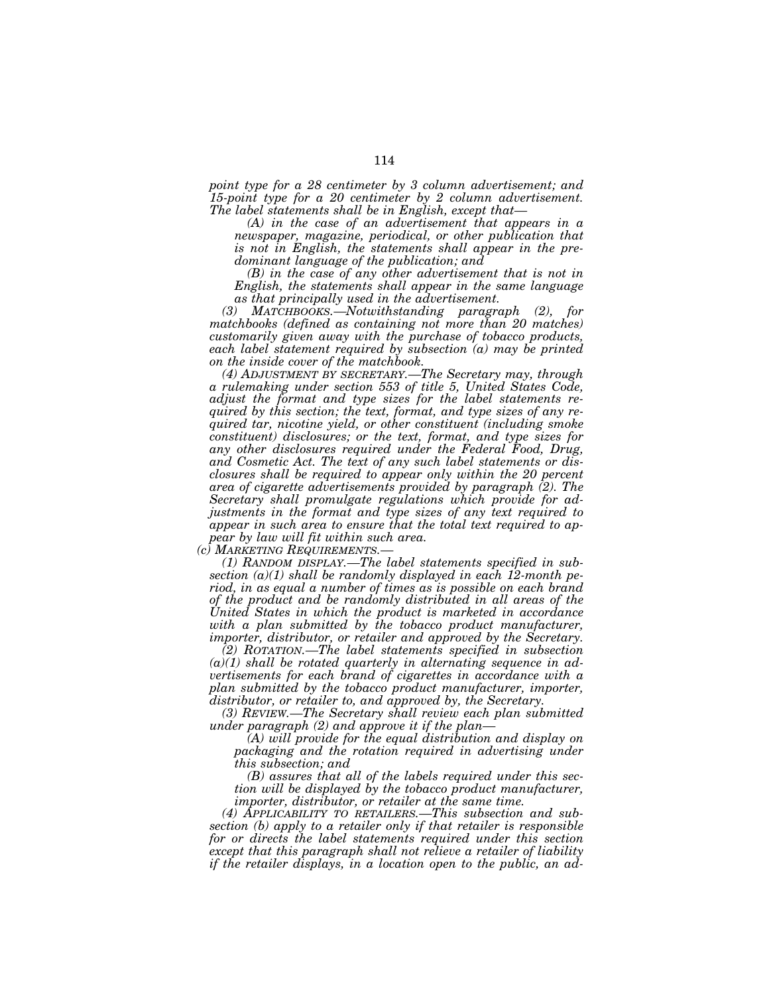*point type for a 28 centimeter by 3 column advertisement; and 15-point type for a 20 centimeter by 2 column advertisement. The label statements shall be in English, except that—* 

*(A) in the case of an advertisement that appears in a newspaper, magazine, periodical, or other publication that is not in English, the statements shall appear in the predominant language of the publication; and* 

*(B) in the case of any other advertisement that is not in English, the statements shall appear in the same language as that principally used in the advertisement.* 

*(3) MATCHBOOKS.—Notwithstanding paragraph (2), for matchbooks (defined as containing not more than 20 matches) customarily given away with the purchase of tobacco products, each label statement required by subsection (a) may be printed on the inside cover of the matchbook.* 

*(4) ADJUSTMENT BY SECRETARY.—The Secretary may, through a rulemaking under section 553 of title 5, United States Code, adjust the format and type sizes for the label statements required by this section; the text, format, and type sizes of any required tar, nicotine yield, or other constituent (including smoke constituent) disclosures; or the text, format, and type sizes for any other disclosures required under the Federal Food, Drug, and Cosmetic Act. The text of any such label statements or disclosures shall be required to appear only within the 20 percent area of cigarette advertisements provided by paragraph (2). The Secretary shall promulgate regulations which provide for adjustments in the format and type sizes of any text required to appear in such area to ensure that the total text required to appear by law will fit within such area.* 

*(c) MARKETING REQUIREMENTS.— (1) RANDOM DISPLAY.—The label statements specified in subsection (a)(1) shall be randomly displayed in each 12-month period, in as equal a number of times as is possible on each brand of the product and be randomly distributed in all areas of the United States in which the product is marketed in accordance with a plan submitted by the tobacco product manufacturer, importer, distributor, or retailer and approved by the Secretary.* 

*(2) ROTATION.—The label statements specified in subsection (a)(1) shall be rotated quarterly in alternating sequence in advertisements for each brand of cigarettes in accordance with a plan submitted by the tobacco product manufacturer, importer, distributor, or retailer to, and approved by, the Secretary.* 

*(3) REVIEW.—The Secretary shall review each plan submitted under paragraph (2) and approve it if the plan—* 

*(A) will provide for the equal distribution and display on packaging and the rotation required in advertising under this subsection; and* 

*(B) assures that all of the labels required under this section will be displayed by the tobacco product manufacturer, importer, distributor, or retailer at the same time.* 

*(4) APPLICABILITY TO RETAILERS.—This subsection and subsection (b) apply to a retailer only if that retailer is responsible for or directs the label statements required under this section except that this paragraph shall not relieve a retailer of liability if the retailer displays, in a location open to the public, an ad-*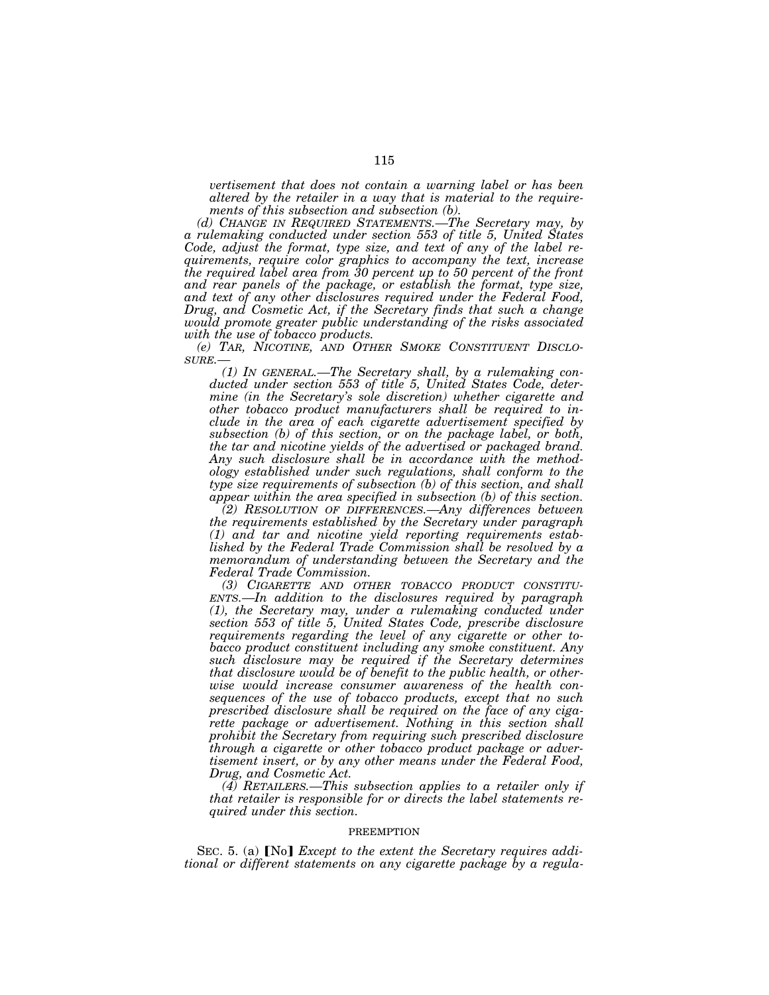*vertisement that does not contain a warning label or has been altered by the retailer in a way that is material to the requirements of this subsection and subsection (b).* 

*(d) CHANGE IN REQUIRED STATEMENTS.—The Secretary may, by a rulemaking conducted under section 553 of title 5, United States Code, adjust the format, type size, and text of any of the label requirements, require color graphics to accompany the text, increase the required label area from 30 percent up to 50 percent of the front and rear panels of the package, or establish the format, type size, and text of any other disclosures required under the Federal Food, Drug, and Cosmetic Act, if the Secretary finds that such a change would promote greater public understanding of the risks associated with the use of tobacco products.* 

*(e) TAR, NICOTINE, AND OTHER SMOKE CONSTITUENT DISCLO- SURE.—* 

*(1) IN GENERAL.—The Secretary shall, by a rulemaking conducted under section 553 of title 5, United States Code, determine (in the Secretary's sole discretion) whether cigarette and other tobacco product manufacturers shall be required to include in the area of each cigarette advertisement specified by subsection (b) of this section, or on the package label, or both, the tar and nicotine yields of the advertised or packaged brand. Any such disclosure shall be in accordance with the methodology established under such regulations, shall conform to the type size requirements of subsection (b) of this section, and shall appear within the area specified in subsection (b) of this section.* 

*(2) RESOLUTION OF DIFFERENCES.—Any differences between the requirements established by the Secretary under paragraph (1) and tar and nicotine yield reporting requirements established by the Federal Trade Commission shall be resolved by a memorandum of understanding between the Secretary and the Federal Trade Commission.* 

*(3) CIGARETTE AND OTHER TOBACCO PRODUCT CONSTITU- ENTS.—In addition to the disclosures required by paragraph (1), the Secretary may, under a rulemaking conducted under section 553 of title 5, United States Code, prescribe disclosure requirements regarding the level of any cigarette or other tobacco product constituent including any smoke constituent. Any such disclosure may be required if the Secretary determines that disclosure would be of benefit to the public health, or otherwise would increase consumer awareness of the health consequences of the use of tobacco products, except that no such prescribed disclosure shall be required on the face of any cigarette package or advertisement. Nothing in this section shall prohibit the Secretary from requiring such prescribed disclosure through a cigarette or other tobacco product package or advertisement insert, or by any other means under the Federal Food, Drug, and Cosmetic Act.* 

*(4) RETAILERS.—This subsection applies to a retailer only if that retailer is responsible for or directs the label statements required under this section.* 

#### PREEMPTION

SEC. 5. (a) **[No]** *Except to the extent the Secretary requires additional or different statements on any cigarette package by a regula-*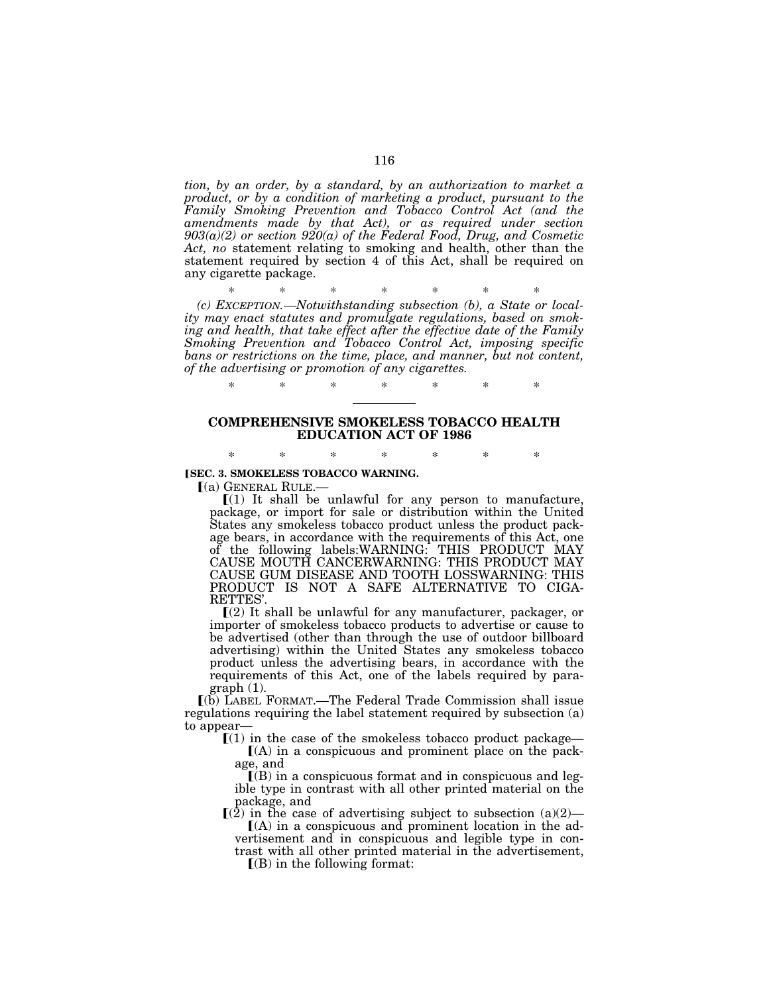*tion, by an order, by a standard, by an authorization to market a product, or by a condition of marketing a product, pursuant to the Family Smoking Prevention and Tobacco Control Act (and the amendments made by that Act), or as required under section*   $903(a)(2)$  or section  $920(a)$  of the Federal Food, Drug, and Cosmetic *Act, no* statement relating to smoking and health, other than the statement required by section 4 of this Act, shall be required on any cigarette package.

\* \* \* \* \* \* \*

*(c) EXCEPTION.—Notwithstanding subsection (b), a State or locality may enact statutes and promulgate regulations, based on smoking and health, that take effect after the effective date of the Family Smoking Prevention and Tobacco Control Act, imposing specific bans or restrictions on the time, place, and manner, but not content, of the advertising or promotion of any cigarettes.* 

\* \* \* \* \* \* \*

# **COMPREHENSIVE SMOKELESS TOBACCO HEALTH EDUCATION ACT OF 1986**

\* \* \* \* \* \* \*

**[SEC. 3. SMOKELESS TOBACCO WARNING.** 

 $(a)$  GENERAL RULE.—<br> $(1)$  It shall be unlawful for any person to manufacture, package, or import for sale or distribution within the United States any smokeless tobacco product unless the product package bears, in accordance with the requirements of this Act, one of the following labels:WARNING: THIS PRODUCT MAY CAUSE MOUTH CANCERWARNING: THIS PRODUCT MAY CAUSE GUM DISEASE AND TOOTH LOSSWARNING: THIS PRODUCT IS NOT A SAFE ALTERNATIVE TO CIGA-RETTES'.

 $(2)$  It shall be unlawful for any manufacturer, packager, or importer of smokeless tobacco products to advertise or cause to be advertised (other than through the use of outdoor billboard advertising) within the United States any smokeless tobacco product unless the advertising bears, in accordance with the requirements of this Act, one of the labels required by paragraph (1).

 $\lceil$ (b) LABEL FORMAT.—The Federal Trade Commission shall issue regulations requiring the label statement required by subsection (a) to appear—

 $(1)$  in the case of the smokeless tobacco product package—  $(A)$  in a conspicuous and prominent place on the package, and

 $\Gamma(B)$  in a conspicuous format and in conspicuous and legible type in contrast with all other printed material on the package, and

 $\mathbb{I}(\hat{2})$  in the case of advertising subject to subsection (a)(2)—  $(A)$  in a conspicuous and prominent location in the advertisement and in conspicuous and legible type in con-

trast with all other printed material in the advertisement,  $[(B)$  in the following format: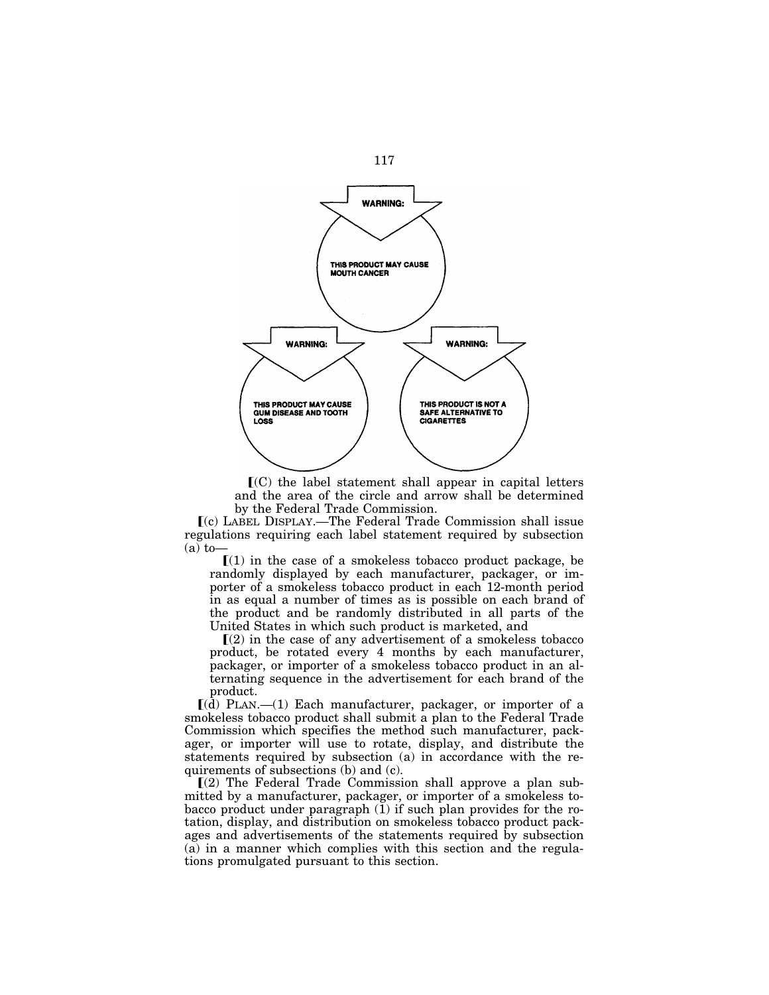

 $(C)$  the label statement shall appear in capital letters and the area of the circle and arrow shall be determined by the Federal Trade Commission.

ø(c) LABEL DISPLAY.—The Federal Trade Commission shall issue regulations requiring each label statement required by subsection  $(a)$  to-

 $[(1)$  in the case of a smokeless tobacco product package, be randomly displayed by each manufacturer, packager, or importer of a smokeless tobacco product in each 12-month period in as equal a number of times as is possible on each brand of the product and be randomly distributed in all parts of the United States in which such product is marketed, and

 $\Gamma(2)$  in the case of any advertisement of a smokeless tobacco product, be rotated every 4 months by each manufacturer, packager, or importer of a smokeless tobacco product in an alternating sequence in the advertisement for each brand of the product.

 $[(d)$  PLAN.— $(1)$  Each manufacturer, packager, or importer of a smokeless tobacco product shall submit a plan to the Federal Trade Commission which specifies the method such manufacturer, packager, or importer will use to rotate, display, and distribute the statements required by subsection (a) in accordance with the requirements of subsections (b) and (c).

 $(2)$  The Federal Trade Commission shall approve a plan submitted by a manufacturer, packager, or importer of a smokeless tobacco product under paragraph  $(1)$  if such plan provides for the rotation, display, and distribution on smokeless tobacco product packages and advertisements of the statements required by subsection (a) in a manner which complies with this section and the regulations promulgated pursuant to this section.

117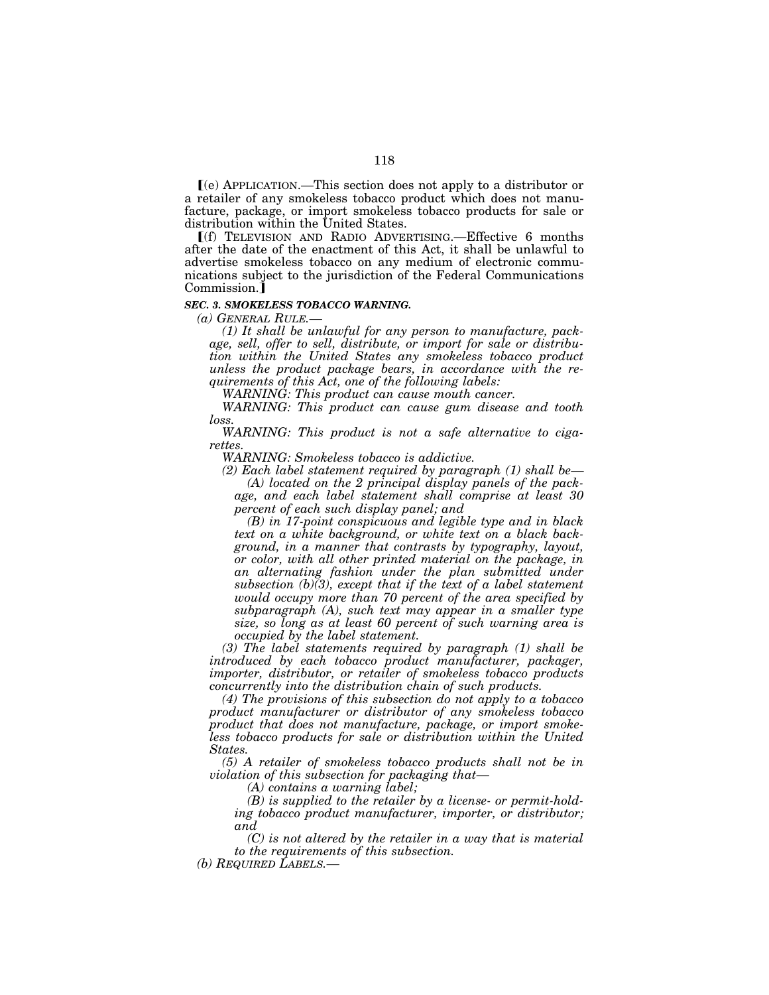ø(e) APPLICATION.—This section does not apply to a distributor or a retailer of any smokeless tobacco product which does not manufacture, package, or import smokeless tobacco products for sale or distribution within the United States.

ø(f) TELEVISION AND RADIO ADVERTISING.—Effective 6 months after the date of the enactment of this Act, it shall be unlawful to advertise smokeless tobacco on any medium of electronic communications subject to the jurisdiction of the Federal Communications Commission.

### *SEC. 3. SMOKELESS TOBACCO WARNING.*

*(a) GENERAL RULE.—* 

*(1) It shall be unlawful for any person to manufacture, package, sell, offer to sell, distribute, or import for sale or distribution within the United States any smokeless tobacco product unless the product package bears, in accordance with the requirements of this Act, one of the following labels:* 

*WARNING: This product can cause mouth cancer.* 

*WARNING: This product can cause gum disease and tooth loss.* 

*WARNING: This product is not a safe alternative to cigarettes.* 

*WARNING: Smokeless tobacco is addictive.* 

*(2) Each label statement required by paragraph (1) shall be— (A) located on the 2 principal display panels of the package, and each label statement shall comprise at least 30 percent of each such display panel; and* 

*(B) in 17-point conspicuous and legible type and in black text on a white background, or white text on a black background, in a manner that contrasts by typography, layout, or color, with all other printed material on the package, in an alternating fashion under the plan submitted under subsection (b)(3), except that if the text of a label statement would occupy more than 70 percent of the area specified by subparagraph (A), such text may appear in a smaller type size, so long as at least 60 percent of such warning area is occupied by the label statement.* 

*(3) The label statements required by paragraph (1) shall be introduced by each tobacco product manufacturer, packager, importer, distributor, or retailer of smokeless tobacco products concurrently into the distribution chain of such products.* 

*(4) The provisions of this subsection do not apply to a tobacco product manufacturer or distributor of any smokeless tobacco product that does not manufacture, package, or import smoke*less tobacco products for sale or distribution within the United *States.* 

*(5) A retailer of smokeless tobacco products shall not be in violation of this subsection for packaging that—* 

*(A) contains a warning label;* 

*(B) is supplied to the retailer by a license- or permit-holding tobacco product manufacturer, importer, or distributor; and* 

*(C) is not altered by the retailer in a way that is material to the requirements of this subsection.* 

*(b) REQUIRED LABELS.—*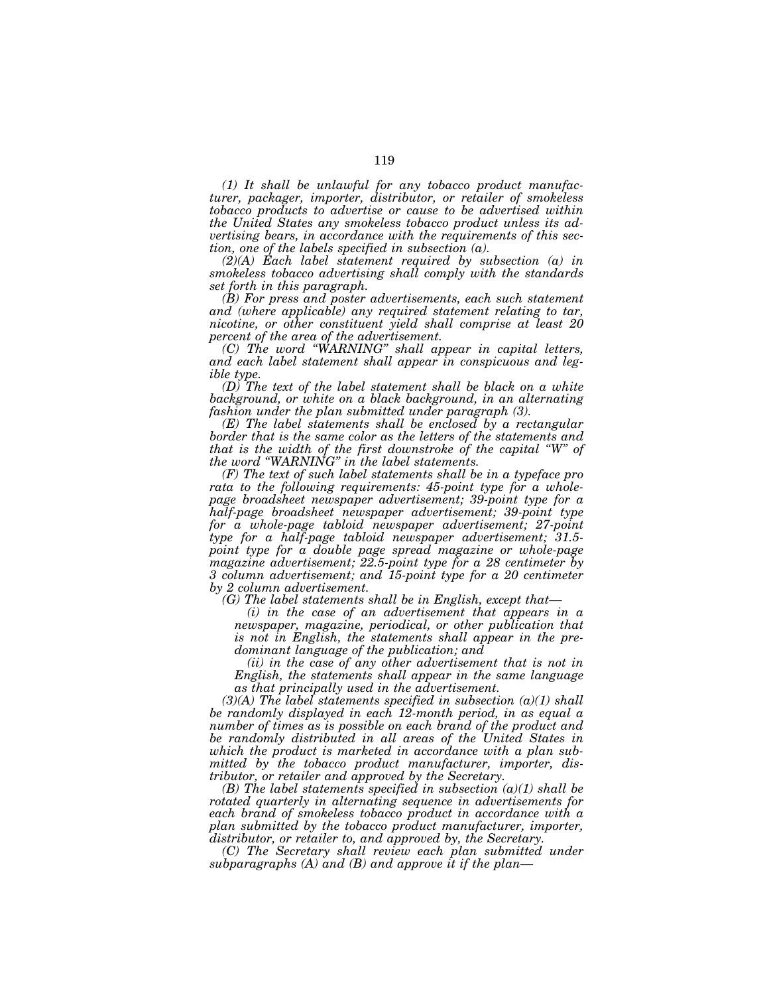*(1) It shall be unlawful for any tobacco product manufacturer, packager, importer, distributor, or retailer of smokeless tobacco products to advertise or cause to be advertised within the United States any smokeless tobacco product unless its advertising bears, in accordance with the requirements of this section, one of the labels specified in subsection (a).* 

*(2)(A) Each label statement required by subsection (a) in smokeless tobacco advertising shall comply with the standards set forth in this paragraph.* 

*(B) For press and poster advertisements, each such statement and (where applicable) any required statement relating to tar, nicotine, or other constituent yield shall comprise at least 20 percent of the area of the advertisement.* 

*(C) The word ''WARNING'' shall appear in capital letters, and each label statement shall appear in conspicuous and legible type.* 

*(D)* The text of the label statement shall be black on a white *background, or white on a black background, in an alternating fashion under the plan submitted under paragraph (3).* 

*(E) The label statements shall be enclosed by a rectangular border that is the same color as the letters of the statements and that is the width of the first downstroke of the capital ''W'' of the word ''WARNING'' in the label statements.* 

*(F) The text of such label statements shall be in a typeface pro rata to the following requirements: 45-point type for a wholepage broadsheet newspaper advertisement; 39-point type for a half-page broadsheet newspaper advertisement; 39-point type for a whole-page tabloid newspaper advertisement; 27-point type for a half-page tabloid newspaper advertisement; 31.5 point type for a double page spread magazine or whole-page magazine advertisement; 22.5-point type for a 28 centimeter by 3 column advertisement; and 15-point type for a 20 centimeter by 2 column advertisement.* 

*(G) The label statements shall be in English, except that—* 

*(i) in the case of an advertisement that appears in a newspaper, magazine, periodical, or other publication that is not in English, the statements shall appear in the predominant language of the publication; and* 

*(ii) in the case of any other advertisement that is not in English, the statements shall appear in the same language as that principally used in the advertisement.* 

*(3)(A) The label statements specified in subsection (a)(1) shall be randomly displayed in each 12-month period, in as equal a number of times as is possible on each brand of the product and be randomly distributed in all areas of the United States in which the product is marketed in accordance with a plan submitted by the tobacco product manufacturer, importer, distributor, or retailer and approved by the Secretary.* 

*(B) The label statements specified in subsection (a)(1) shall be rotated quarterly in alternating sequence in advertisements for each brand of smokeless tobacco product in accordance with a plan submitted by the tobacco product manufacturer, importer, distributor, or retailer to, and approved by, the Secretary.* 

*(C) The Secretary shall review each plan submitted under subparagraphs (A) and (B) and approve it if the plan—*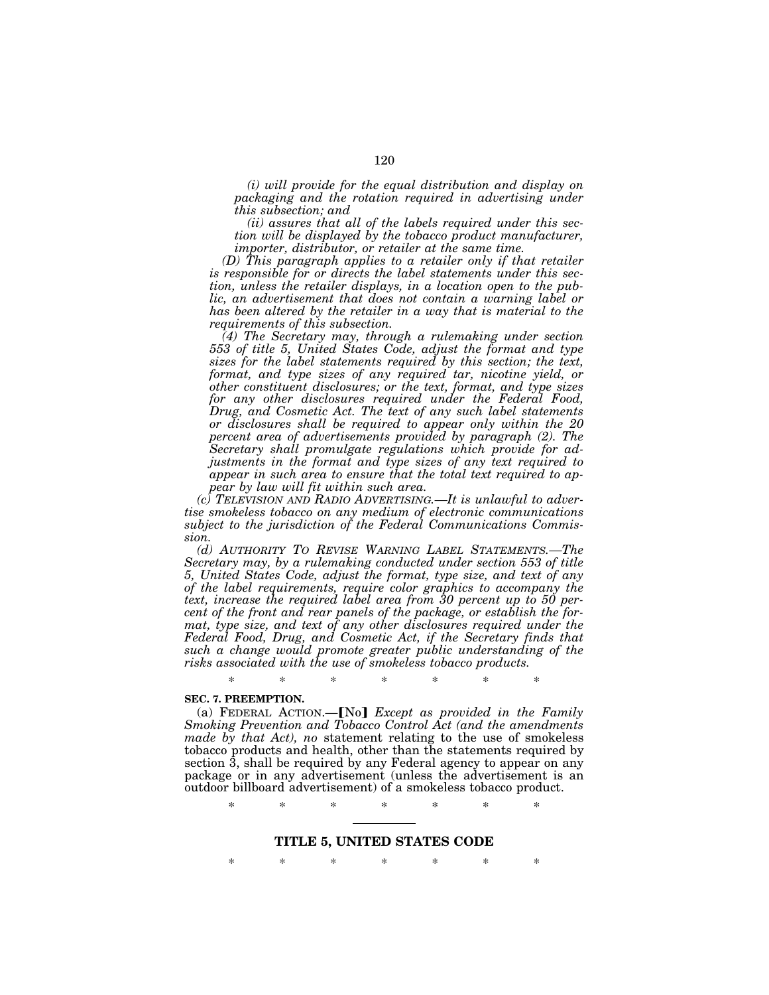*(i) will provide for the equal distribution and display on packaging and the rotation required in advertising under this subsection; and* 

*(ii) assures that all of the labels required under this section will be displayed by the tobacco product manufacturer, importer, distributor, or retailer at the same time.* 

*(D) This paragraph applies to a retailer only if that retailer is responsible for or directs the label statements under this section, unless the retailer displays, in a location open to the public, an advertisement that does not contain a warning label or has been altered by the retailer in a way that is material to the requirements of this subsection.* 

*(4) The Secretary may, through a rulemaking under section 553 of title 5, United States Code, adjust the format and type sizes for the label statements required by this section; the text, format, and type sizes of any required tar, nicotine yield, or other constituent disclosures; or the text, format, and type sizes for any other disclosures required under the Federal Food, Drug, and Cosmetic Act. The text of any such label statements or disclosures shall be required to appear only within the 20 percent area of advertisements provided by paragraph (2). The Secretary shall promulgate regulations which provide for adjustments in the format and type sizes of any text required to appear in such area to ensure that the total text required to appear by law will fit within such area.* 

*(c) TELEVISION AND RADIO ADVERTISING.—It is unlawful to advertise smokeless tobacco on any medium of electronic communications subject to the jurisdiction of the Federal Communications Commission.* 

*(d) AUTHORITY TO REVISE WARNING LABEL STATEMENTS.—The Secretary may, by a rulemaking conducted under section 553 of title 5, United States Code, adjust the format, type size, and text of any of the label requirements, require color graphics to accompany the text, increase the required label area from 30 percent up to 50 percent of the front and rear panels of the package, or establish the format, type size, and text of any other disclosures required under the Federal Food, Drug, and Cosmetic Act, if the Secretary finds that such a change would promote greater public understanding of the risks associated with the use of smokeless tobacco products.* 

\* \* \* \* \* \* \*

#### **SEC. 7. PREEMPTION.**

(a) FEDERAL ACTION.— $[N_0]$  *Except as provided in the Family Smoking Prevention and Tobacco Control Act (and the amendments made by that Act), no* statement relating to the use of smokeless tobacco products and health, other than the statements required by section 3, shall be required by any Federal agency to appear on any package or in any advertisement (unless the advertisement is an outdoor billboard advertisement) of a smokeless tobacco product.

\* \* \* \* \* \* \*

### **TITLE 5, UNITED STATES CODE**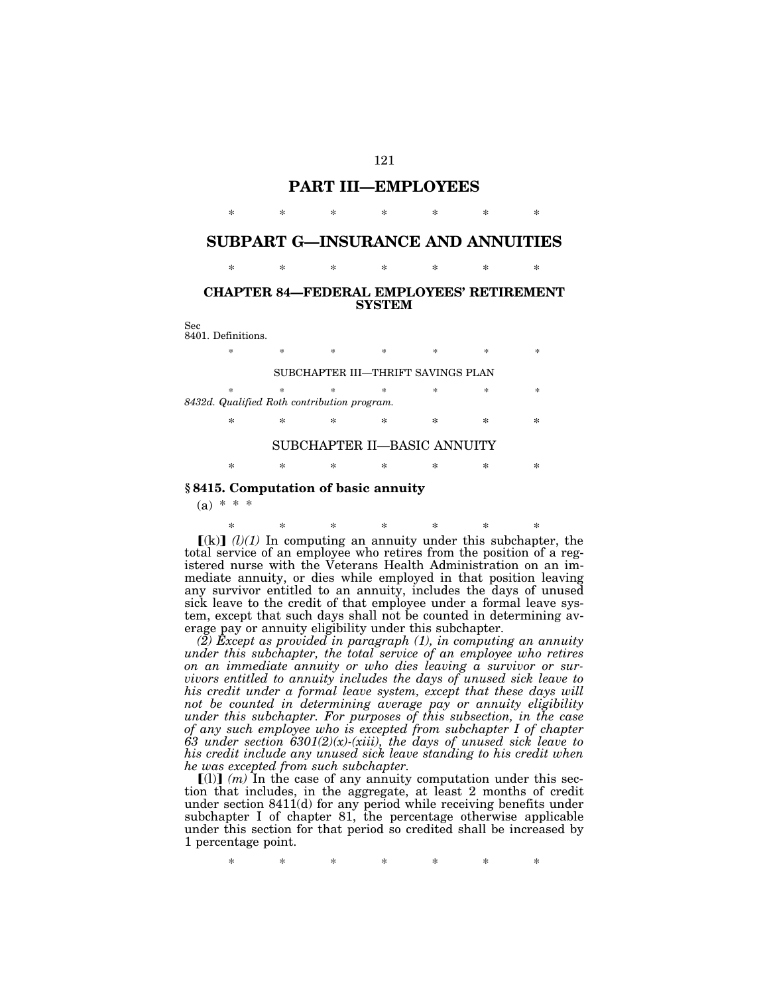# **PART III—EMPLOYEES**

# \* \* \* \* \* \* \* **SUBPART G—INSURANCE AND ANNUITIES**

# \* \* \* \* \* \* \*

# **CHAPTER 84—FEDERAL EMPLOYEES' RETIREMENT SYSTEM**

Sec

#### 8401. Definitions.

\* \* \* \* \* \* \* \* SUBCHAPTER III—THRIFT SAVINGS PLAN

\* \* \* \* \* \* \* \* *8432d. Qualified Roth contribution program.*  \* \* \* \* \* \* \*

### SUBCHAPTER II—BASIC ANNUITY

\* \* \* \* \* \* \*

# **§ 8415. Computation of basic annuity**

 $(a) * * * *$ 

\* \* \* \* \* \* \*  $(k)$  (l)(1) In computing an annuity under this subchapter, the total service of an employee who retires from the position of a registered nurse with the Veterans Health Administration on an immediate annuity, or dies while employed in that position leaving any survivor entitled to an annuity, includes the days of unused sick leave to the credit of that employee under a formal leave system, except that such days shall not be counted in determining average pay or annuity eligibility under this subchapter.

*(2) Except as provided in paragraph (1), in computing an annuity under this subchapter, the total service of an employee who retires on an immediate annuity or who dies leaving a survivor or survivors entitled to annuity includes the days of unused sick leave to his credit under a formal leave system, except that these days will not be counted in determining average pay or annuity eligibility under this subchapter. For purposes of this subsection, in the case of any such employee who is excepted from subchapter I of chapter*   $63$  under section  $6301(2)(x)$ -(xiii), the days of unused sick leave to *his credit include any unused sick leave standing to his credit when he was excepted from such subchapter.* 

 $\lbrack$ (l) $\rbrack$  (*m*) In the case of any annuity computation under this section that includes, in the aggregate, at least 2 months of credit under section 8411(d) for any period while receiving benefits under subchapter I of chapter 81, the percentage otherwise applicable under this section for that period so credited shall be increased by 1 percentage point.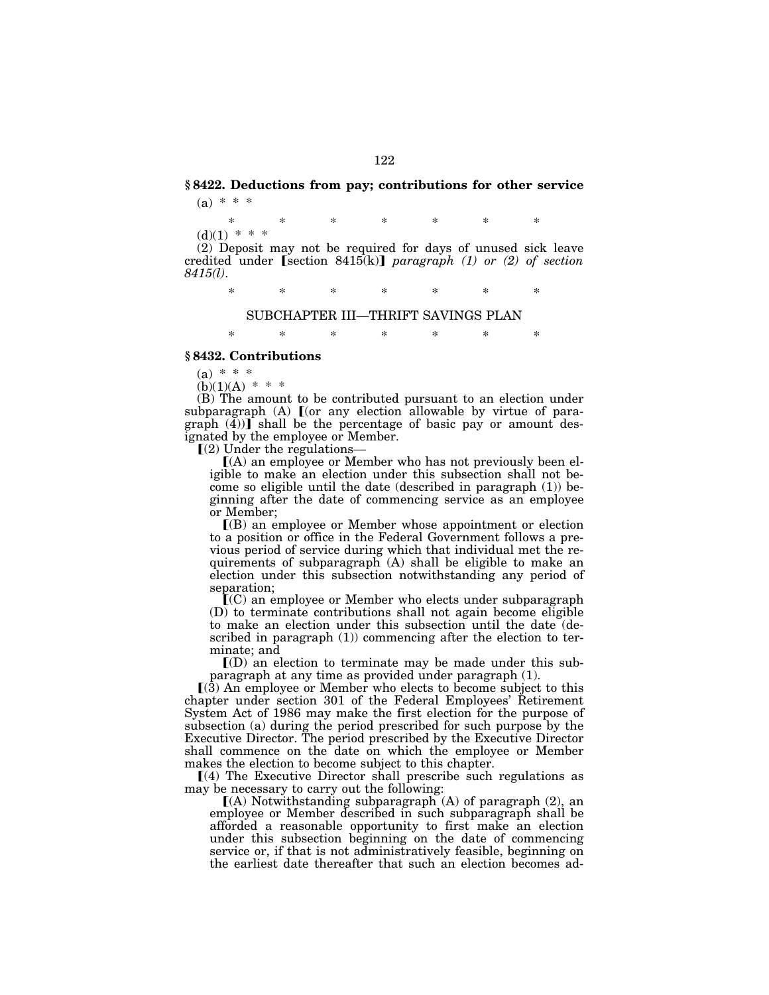# **§ 8422. Deductions from pay; contributions for other service**   $(a) * * *$

\* \* \* \* \* \* \*

 $(d)(1) * * * *$ 

(2) Deposit may not be required for days of unused sick leave credited under [section 8415(k)] *paragraph* (1) or (2) of section *8415(l)*.

\* \* \* \* \* \* \*

## SUBCHAPTER III—THRIFT SAVINGS PLAN

\* \* \* \* \* \* \*

### **§ 8432. Contributions**

 $(a) * * *$ 

 $(b)(1)(A)$  \* \* \*

(B) The amount to be contributed pursuant to an election under subparagraph (A) [(or any election allowable by virtue of para $graph (4)$  shall be the percentage of basic pay or amount designated by the employee or Member.

 $(2)$  Under the regulations-

ø(A) an employee or Member who has not previously been eligible to make an election under this subsection shall not become so eligible until the date (described in paragraph (1)) beginning after the date of commencing service as an employee or Member;

ø(B) an employee or Member whose appointment or election to a position or office in the Federal Government follows a previous period of service during which that individual met the requirements of subparagraph (A) shall be eligible to make an election under this subsection notwithstanding any period of separation;

 $\tilde{J}(C)$  an employee or Member who elects under subparagraph (D) to terminate contributions shall not again become eligible to make an election under this subsection until the date (described in paragraph (1)) commencing after the election to terminate; and

 $I(D)$  an election to terminate may be made under this subparagraph at any time as provided under paragraph (1).

 $(3)$  An employee or Member who elects to become subject to this chapter under section 301 of the Federal Employees' Retirement System Act of 1986 may make the first election for the purpose of subsection (a) during the period prescribed for such purpose by the Executive Director. The period prescribed by the Executive Director shall commence on the date on which the employee or Member makes the election to become subject to this chapter.

 $(a)$  The Executive Director shall prescribe such regulations as may be necessary to carry out the following:

 $[(A)$  Notwithstanding subparagraph  $(A)$  of paragraph  $(2)$ , an employee or Member described in such subparagraph shall be afforded a reasonable opportunity to first make an election under this subsection beginning on the date of commencing service or, if that is not administratively feasible, beginning on the earliest date thereafter that such an election becomes ad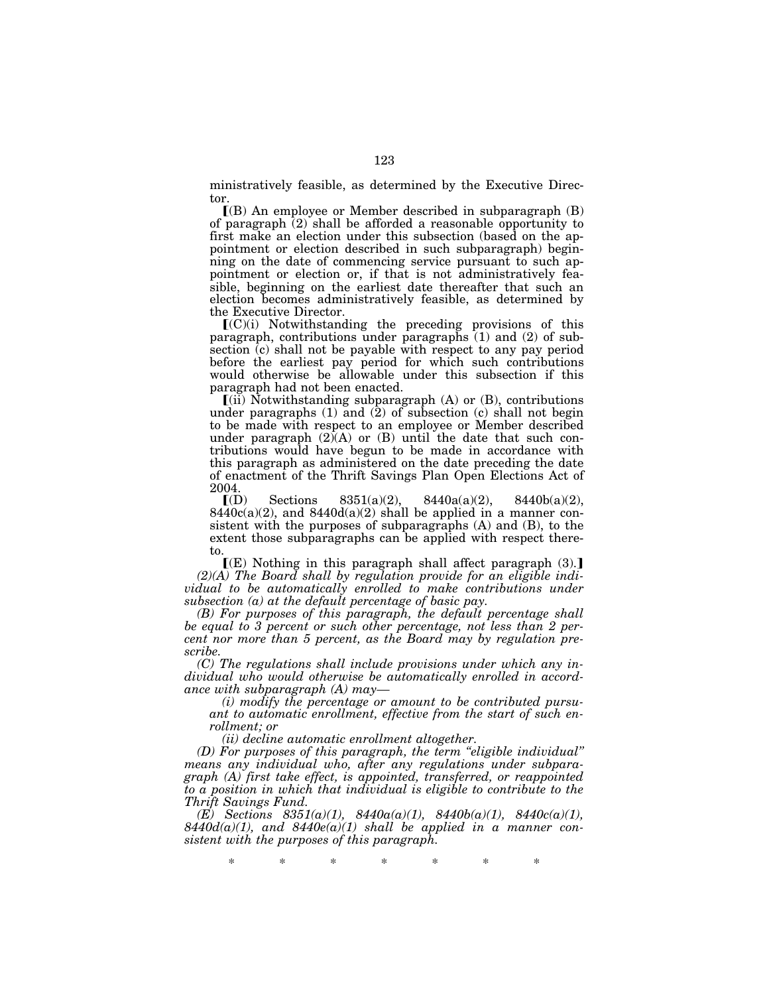ministratively feasible, as determined by the Executive Director.

 $($ B) An employee or Member described in subparagraph  $($ B) of paragraph (2) shall be afforded a reasonable opportunity to first make an election under this subsection (based on the appointment or election described in such subparagraph) beginning on the date of commencing service pursuant to such appointment or election or, if that is not administratively feasible, beginning on the earliest date thereafter that such an election becomes administratively feasible, as determined by the Executive Director.

 $(C)(i)$  Notwithstanding the preceding provisions of this paragraph, contributions under paragraphs  $(1)$  and  $(2)$  of subsection (c) shall not be payable with respect to any pay period before the earliest pay period for which such contributions would otherwise be allowable under this subsection if this paragraph had not been enacted.

 $(iii)$  Notwithstanding subparagraph  $(A)$  or  $(B)$ , contributions under paragraphs  $(1)$  and  $(2)$  of subsection  $(c)$  shall not begin to be made with respect to an employee or Member described under paragraph  $(2)$  $(A)$  or  $(B)$  until the date that such contributions would have begun to be made in accordance with this paragraph as administered on the date preceding the date of enactment of the Thrift Savings Plan Open Elections Act of 2004.

 $\mathbf{F}(D)$  Sections 8351(a)(2), 8440a(a)(2), 8440b(a)(2),  $8440c(a)(2)$ , and  $8440d(a)(2)$  shall be applied in a manner consistent with the purposes of subparagraphs (A) and (B), to the extent those subparagraphs can be applied with respect thereto.

 $\mathbb{R}(\mathbb{E})$  Nothing in this paragraph shall affect paragraph (3). *(2)(A) The Board shall by regulation provide for an eligible indi*vidual to be automatically enrolled to make contributions under *subsection (a) at the default percentage of basic pay.* 

*(B) For purposes of this paragraph, the default percentage shall be equal to 3 percent or such other percentage, not less than 2 percent nor more than 5 percent, as the Board may by regulation prescribe.* 

*(C) The regulations shall include provisions under which any individual who would otherwise be automatically enrolled in accordance with subparagraph (A) may—* 

*(i) modify the percentage or amount to be contributed pursuant to automatic enrollment, effective from the start of such enrollment; or* 

*(ii) decline automatic enrollment altogether.* 

*(D) For purposes of this paragraph, the term ''eligible individual'' means any individual who, after any regulations under subparagraph (A) first take effect, is appointed, transferred, or reappointed to a position in which that individual is eligible to contribute to the Thrift Savings Fund.* 

 $(E)$  Sections 8351(a)(1), 8440a(a)(1), 8440b(a)(1), 8440c(a)(1), *8440d(a)(1), and 8440e(a)(1) shall be applied in a manner consistent with the purposes of this paragraph.*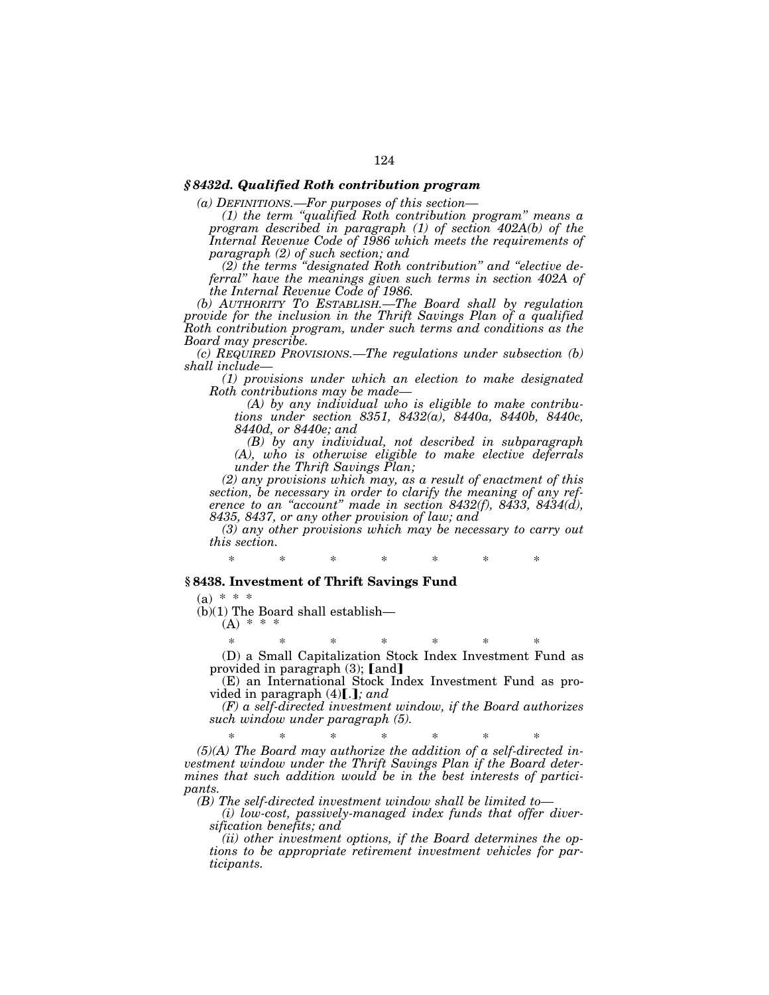## *§ 8432d. Qualified Roth contribution program*

*(a) DEFINITIONS.—For purposes of this section—* 

*(1) the term ''qualified Roth contribution program'' means a program described in paragraph (1) of section 402A(b) of the Internal Revenue Code of 1986 which meets the requirements of paragraph (2) of such section; and* 

*(2) the terms ''designated Roth contribution'' and ''elective deferral'' have the meanings given such terms in section 402A of the Internal Revenue Code of 1986.* 

*(b) AUTHORITY TO ESTABLISH.—The Board shall by regulation provide for the inclusion in the Thrift Savings Plan of a qualified Roth contribution program, under such terms and conditions as the Board may prescribe.* 

*(c) REQUIRED PROVISIONS.—The regulations under subsection (b) shall include—* 

*(1) provisions under which an election to make designated Roth contributions may be made—* 

*(A) by any individual who is eligible to make contributions under section 8351, 8432(a), 8440a, 8440b, 8440c, 8440d, or 8440e; and* 

*(B) by any individual, not described in subparagraph (A), who is otherwise eligible to make elective deferrals under the Thrift Savings Plan;* 

*(2) any provisions which may, as a result of enactment of this section, be necessary in order to clarify the meaning of any reference to an ''account'' made in section 8432(f), 8433, 8434(d), 8435, 8437, or any other provision of law; and* 

*(3) any other provisions which may be necessary to carry out this section.* 

\* \* \* \* \* \* \*

## **§ 8438. Investment of Thrift Savings Fund**

 $(a) * * *$ 

 $(b)(1)$  The Board shall establish—

 $(A) * *$ 

\* \* \* \* \* \* \* (D) a Small Capitalization Stock Index Investment Fund as provided in paragraph  $(3)$ ; [and]

(E) an International Stock Index Investment Fund as provided in paragraph  $(4)$ [.]; and

*(F) a self-directed investment window, if the Board authorizes such window under paragraph (5).* 

\* \* \* \* \* \* \* *(5)(A) The Board may authorize the addition of a self-directed investment window under the Thrift Savings Plan if the Board determines that such addition would be in the best interests of participants.* 

*(B) The self-directed investment window shall be limited to—* 

*(i) low-cost, passively-managed index funds that offer diversification benefits; and* 

*(ii) other investment options, if the Board determines the options to be appropriate retirement investment vehicles for participants.*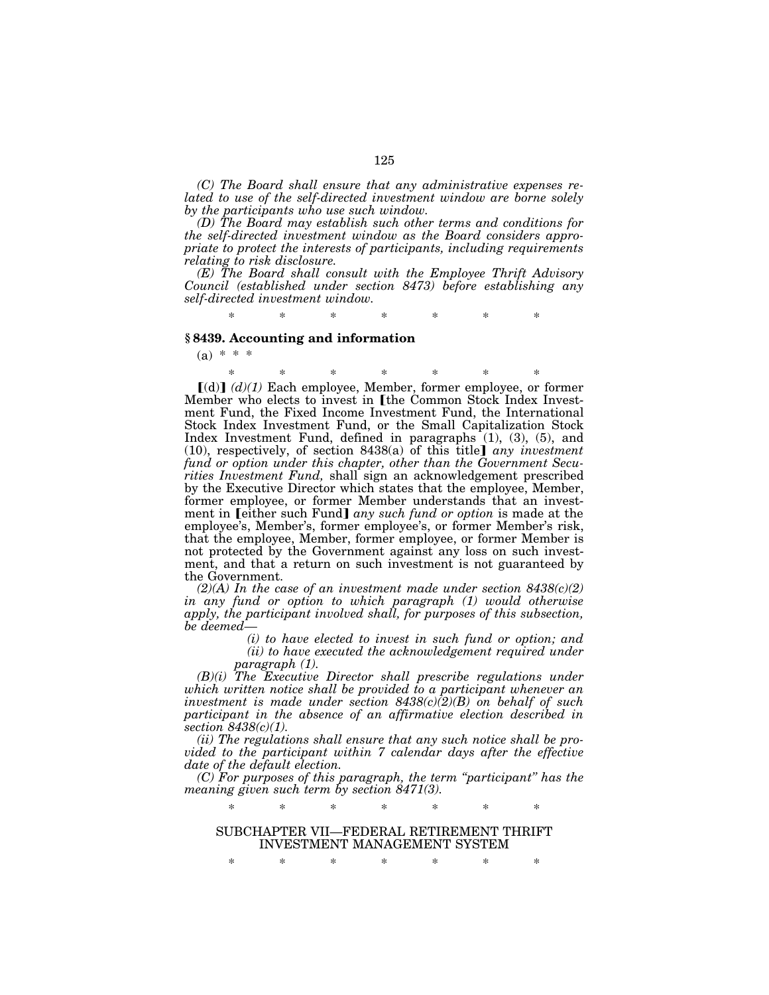*(C) The Board shall ensure that any administrative expenses related to use of the self-directed investment window are borne solely by the participants who use such window.* 

*(D) The Board may establish such other terms and conditions for the self-directed investment window as the Board considers appropriate to protect the interests of participants, including requirements relating to risk disclosure.* 

*(E) The Board shall consult with the Employee Thrift Advisory Council (established under section 8473) before establishing any self-directed investment window.* 

\* \* \* \* \* \* \*

## **§ 8439. Accounting and information**

 $(a) * * * *$ 

\* \* \* \* \* \* \*  $\llbracket d \rrbracket$  *(d)*(1) Each employee, Member, former employee, or former Member who elects to invest in [the Common Stock Index Investment Fund, the Fixed Income Investment Fund, the International Stock Index Investment Fund, or the Small Capitalization Stock Index Investment Fund, defined in paragraphs (1), (3), (5), and  $(10)$ , respectively, of section  $8438(a)$  of this title] *any investment fund or option under this chapter, other than the Government Securities Investment Fund,* shall sign an acknowledgement prescribed by the Executive Director which states that the employee, Member, former employee, or former Member understands that an investment in **Feither such Fund** any such fund or option is made at the employee's, Member's, former employee's, or former Member's risk, that the employee, Member, former employee, or former Member is not protected by the Government against any loss on such investment, and that a return on such investment is not guaranteed by the Government.

*(2)(A) In the case of an investment made under section 8438(c)(2) in any fund or option to which paragraph (1) would otherwise apply, the participant involved shall, for purposes of this subsection, be deemed—* 

> *(i) to have elected to invest in such fund or option; and (ii) to have executed the acknowledgement required under paragraph (1).*

*(B)(i) The Executive Director shall prescribe regulations under which written notice shall be provided to a participant whenever an investment is made under section 8438(c)(2)(B) on behalf of such participant in the absence of an affirmative election described in section 8438(c)(1).* 

*(ii) The regulations shall ensure that any such notice shall be provided to the participant within 7 calendar days after the effective date of the default election.* 

*(C) For purposes of this paragraph, the term ''participant'' has the meaning given such term by section 8471(3).* 

\* \* \* \* \* \* \*

## SUBCHAPTER VII—FEDERAL RETIREMENT THRIFT INVESTMENT MANAGEMENT SYSTEM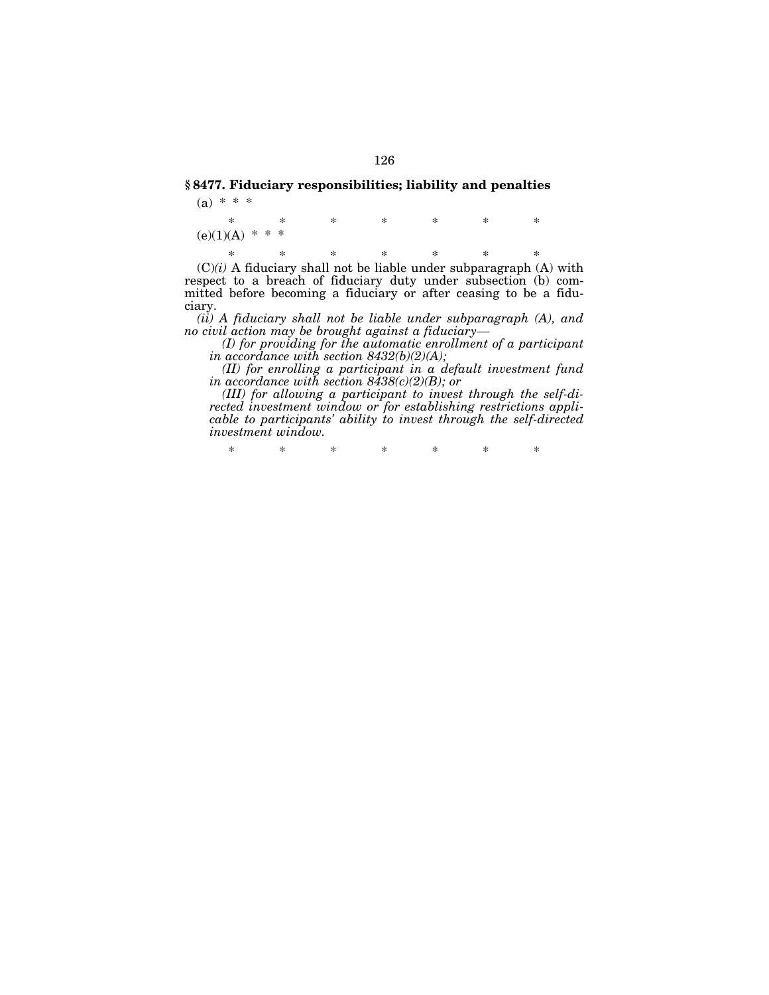**§ 8477. Fiduciary responsibilities; liability and penalties**   $(a) * * *$ 

\* \* \* \* \* \* \*  $(e)(1)(A)$  \* \* \* \* \* \* \* \* \* \*

(C)*(i)* A fiduciary shall not be liable under subparagraph (A) with respect to a breach of fiduciary duty under subsection (b) committed before becoming a fiduciary or after ceasing to be a fiduciary.

*(ii) A fiduciary shall not be liable under subparagraph (A), and no civil action may be brought against a fiduciary—* 

*(I) for providing for the automatic enrollment of a participant in accordance with section 8432(b)(2)(A);* 

*(II) for enrolling a participant in a default investment fund in accordance with section 8438(c)(2)(B); or* 

*(III) for allowing a participant to invest through the self-directed investment window or for establishing restrictions applicable to participants' ability to invest through the self-directed investment window.*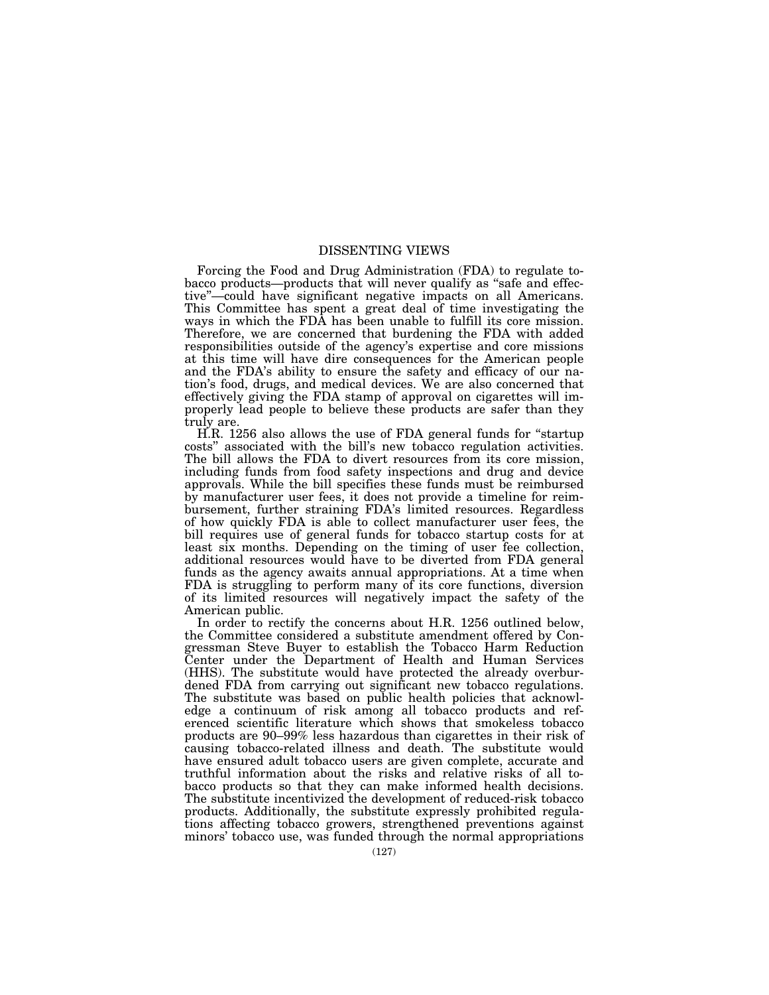# DISSENTING VIEWS

Forcing the Food and Drug Administration (FDA) to regulate tobacco products—products that will never qualify as ''safe and effective''—could have significant negative impacts on all Americans. This Committee has spent a great deal of time investigating the ways in which the FDA has been unable to fulfill its core mission. Therefore, we are concerned that burdening the FDA with added responsibilities outside of the agency's expertise and core missions at this time will have dire consequences for the American people and the FDA's ability to ensure the safety and efficacy of our nation's food, drugs, and medical devices. We are also concerned that effectively giving the FDA stamp of approval on cigarettes will improperly lead people to believe these products are safer than they truly are.

H.R. 1256 also allows the use of FDA general funds for ''startup costs'' associated with the bill's new tobacco regulation activities. The bill allows the FDA to divert resources from its core mission, including funds from food safety inspections and drug and device approvals. While the bill specifies these funds must be reimbursed by manufacturer user fees, it does not provide a timeline for reimbursement, further straining FDA's limited resources. Regardless of how quickly FDA is able to collect manufacturer user fees, the bill requires use of general funds for tobacco startup costs for at least six months. Depending on the timing of user fee collection, additional resources would have to be diverted from FDA general funds as the agency awaits annual appropriations. At a time when FDA is struggling to perform many of its core functions, diversion of its limited resources will negatively impact the safety of the American public.

In order to rectify the concerns about H.R. 1256 outlined below, the Committee considered a substitute amendment offered by Congressman Steve Buyer to establish the Tobacco Harm Reduction Center under the Department of Health and Human Services (HHS). The substitute would have protected the already overburdened FDA from carrying out significant new tobacco regulations. The substitute was based on public health policies that acknowledge a continuum of risk among all tobacco products and referenced scientific literature which shows that smokeless tobacco products are 90–99% less hazardous than cigarettes in their risk of causing tobacco-related illness and death. The substitute would have ensured adult tobacco users are given complete, accurate and truthful information about the risks and relative risks of all tobacco products so that they can make informed health decisions. The substitute incentivized the development of reduced-risk tobacco products. Additionally, the substitute expressly prohibited regulations affecting tobacco growers, strengthened preventions against minors' tobacco use, was funded through the normal appropriations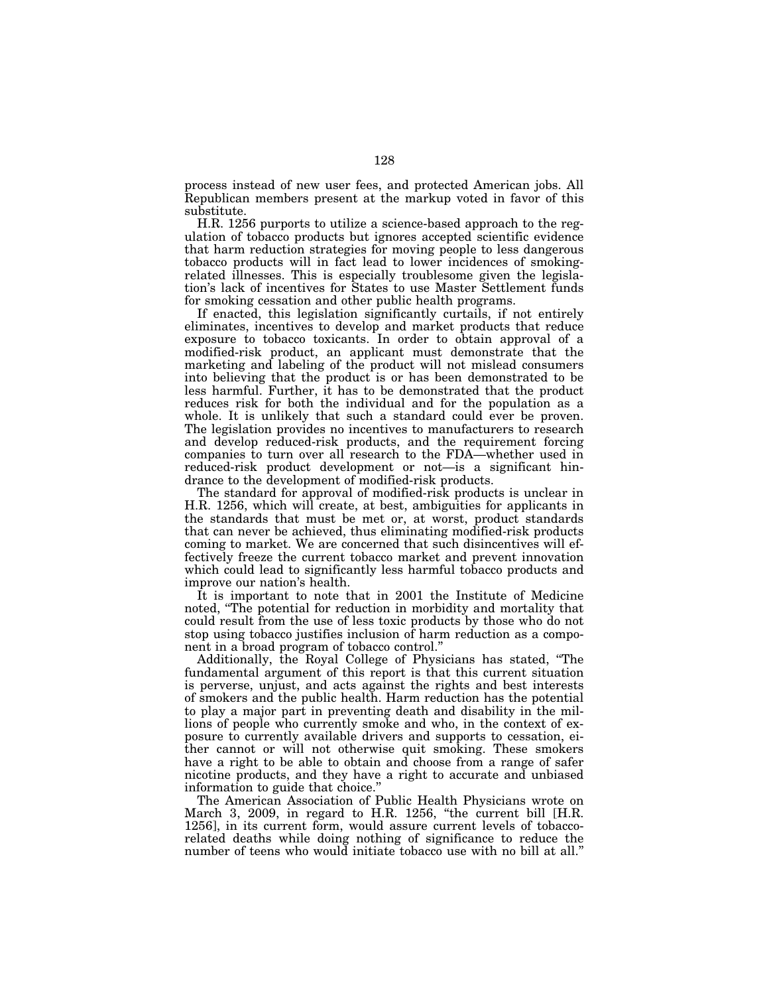process instead of new user fees, and protected American jobs. All Republican members present at the markup voted in favor of this substitute.

H.R. 1256 purports to utilize a science-based approach to the regulation of tobacco products but ignores accepted scientific evidence that harm reduction strategies for moving people to less dangerous tobacco products will in fact lead to lower incidences of smokingrelated illnesses. This is especially troublesome given the legislation's lack of incentives for States to use Master Settlement funds for smoking cessation and other public health programs.

If enacted, this legislation significantly curtails, if not entirely eliminates, incentives to develop and market products that reduce exposure to tobacco toxicants. In order to obtain approval of a modified-risk product, an applicant must demonstrate that the marketing and labeling of the product will not mislead consumers into believing that the product is or has been demonstrated to be less harmful. Further, it has to be demonstrated that the product reduces risk for both the individual and for the population as a whole. It is unlikely that such a standard could ever be proven. The legislation provides no incentives to manufacturers to research and develop reduced-risk products, and the requirement forcing companies to turn over all research to the FDA—whether used in reduced-risk product development or not—is a significant hindrance to the development of modified-risk products.

The standard for approval of modified-risk products is unclear in H.R. 1256, which will create, at best, ambiguities for applicants in the standards that must be met or, at worst, product standards that can never be achieved, thus eliminating modified-risk products coming to market. We are concerned that such disincentives will effectively freeze the current tobacco market and prevent innovation which could lead to significantly less harmful tobacco products and improve our nation's health.

It is important to note that in 2001 the Institute of Medicine noted, ''The potential for reduction in morbidity and mortality that could result from the use of less toxic products by those who do not stop using tobacco justifies inclusion of harm reduction as a component in a broad program of tobacco control.''

Additionally, the Royal College of Physicians has stated, ''The fundamental argument of this report is that this current situation is perverse, unjust, and acts against the rights and best interests of smokers and the public health. Harm reduction has the potential to play a major part in preventing death and disability in the millions of people who currently smoke and who, in the context of exposure to currently available drivers and supports to cessation, either cannot or will not otherwise quit smoking. These smokers have a right to be able to obtain and choose from a range of safer nicotine products, and they have a right to accurate and unbiased information to guide that choice.''

The American Association of Public Health Physicians wrote on March 3, 2009, in regard to H.R. 1256, "the current bill [H.R. 1256], in its current form, would assure current levels of tobaccorelated deaths while doing nothing of significance to reduce the number of teens who would initiate tobacco use with no bill at all.''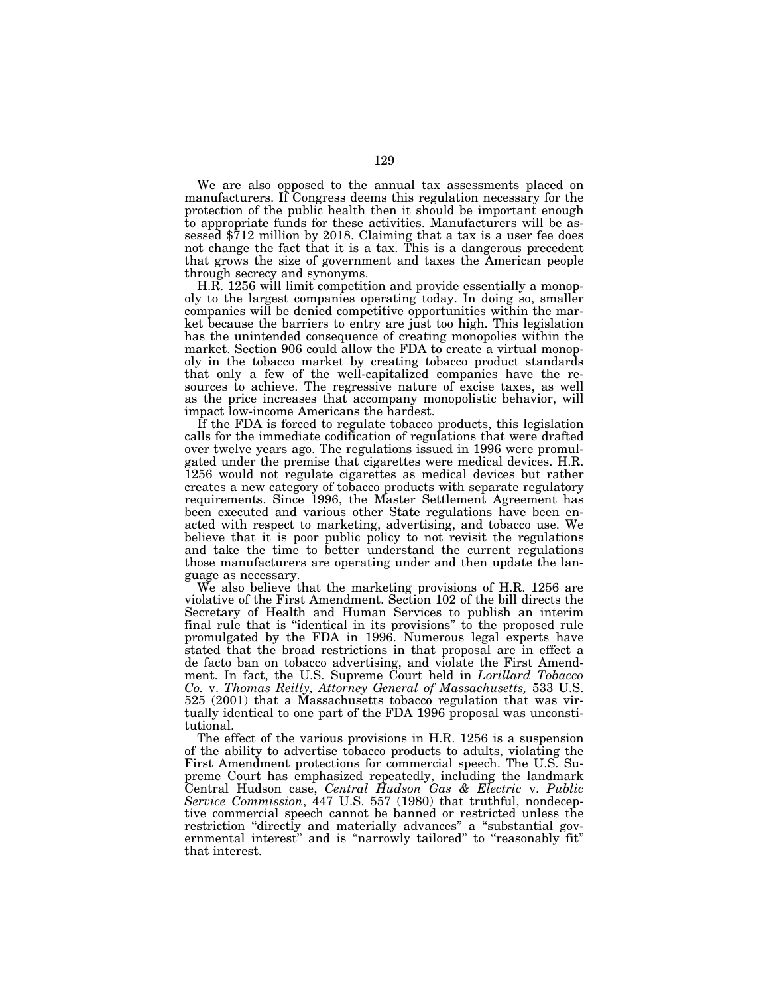We are also opposed to the annual tax assessments placed on manufacturers. If Congress deems this regulation necessary for the protection of the public health then it should be important enough to appropriate funds for these activities. Manufacturers will be assessed \$712 million by 2018. Claiming that a tax is a user fee does not change the fact that it is a tax. This is a dangerous precedent that grows the size of government and taxes the American people through secrecy and synonyms.

H.R. 1256 will limit competition and provide essentially a monopoly to the largest companies operating today. In doing so, smaller companies will be denied competitive opportunities within the market because the barriers to entry are just too high. This legislation has the unintended consequence of creating monopolies within the market. Section 906 could allow the FDA to create a virtual monopoly in the tobacco market by creating tobacco product standards that only a few of the well-capitalized companies have the resources to achieve. The regressive nature of excise taxes, as well as the price increases that accompany monopolistic behavior, will impact low-income Americans the hardest.

If the FDA is forced to regulate tobacco products, this legislation calls for the immediate codification of regulations that were drafted over twelve years ago. The regulations issued in 1996 were promulgated under the premise that cigarettes were medical devices. H.R. 1256 would not regulate cigarettes as medical devices but rather creates a new category of tobacco products with separate regulatory requirements. Since 1996, the Master Settlement Agreement has been executed and various other State regulations have been enacted with respect to marketing, advertising, and tobacco use. We believe that it is poor public policy to not revisit the regulations and take the time to better understand the current regulations those manufacturers are operating under and then update the language as necessary.

We also believe that the marketing provisions of H.R. 1256 are violative of the First Amendment. Section 102 of the bill directs the Secretary of Health and Human Services to publish an interim final rule that is ''identical in its provisions'' to the proposed rule promulgated by the FDA in 1996. Numerous legal experts have stated that the broad restrictions in that proposal are in effect a de facto ban on tobacco advertising, and violate the First Amendment. In fact, the U.S. Supreme Court held in *Lorillard Tobacco Co.* v. *Thomas Reilly, Attorney General of Massachusetts,* 533 U.S. 525 (2001) that a Massachusetts tobacco regulation that was virtually identical to one part of the FDA 1996 proposal was unconstitutional.

The effect of the various provisions in H.R. 1256 is a suspension of the ability to advertise tobacco products to adults, violating the First Amendment protections for commercial speech. The U.S. Supreme Court has emphasized repeatedly, including the landmark Central Hudson case, *Central Hudson Gas & Electric* v. *Public Service Commission*, 447 U.S. 557 (1980) that truthful, nondeceptive commercial speech cannot be banned or restricted unless the restriction "directly and materially advances" a "substantial governmental interest" and is "narrowly tailored" to "reasonably fit" that interest.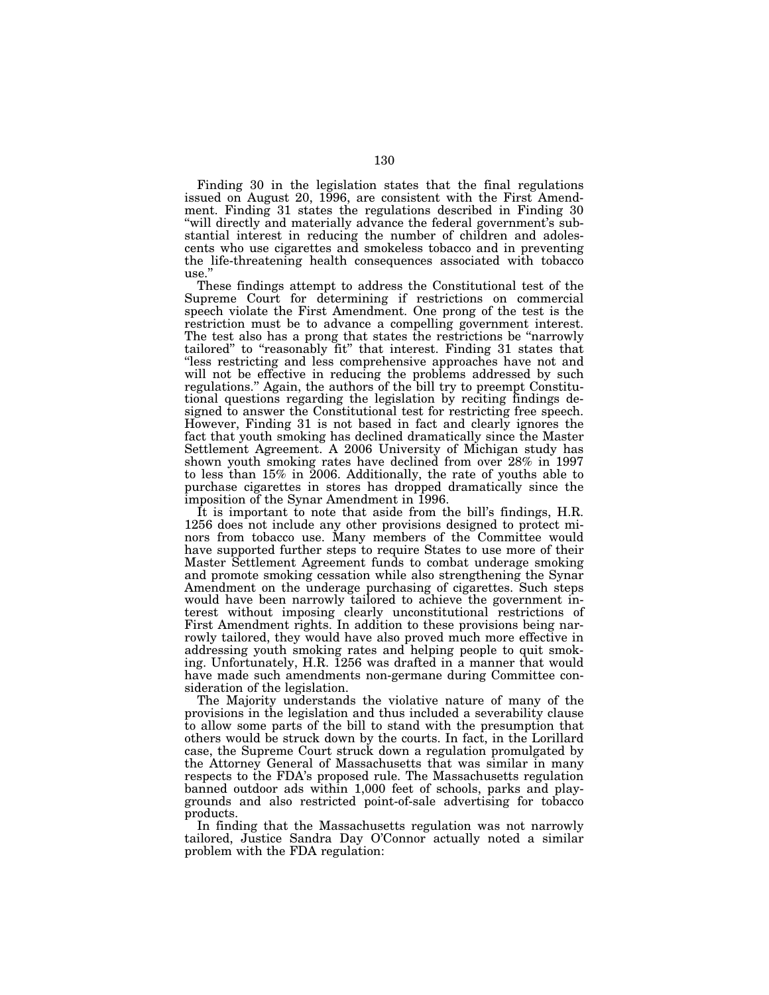Finding 30 in the legislation states that the final regulations issued on August 20, 1996, are consistent with the First Amendment. Finding 31 states the regulations described in Finding 30 "will directly and materially advance the federal government's substantial interest in reducing the number of children and adolescents who use cigarettes and smokeless tobacco and in preventing the life-threatening health consequences associated with tobacco use.''

These findings attempt to address the Constitutional test of the Supreme Court for determining if restrictions on commercial speech violate the First Amendment. One prong of the test is the restriction must be to advance a compelling government interest. The test also has a prong that states the restrictions be "narrowly tailored" to "reasonably fit" that interest. Finding 31 states that ''less restricting and less comprehensive approaches have not and will not be effective in reducing the problems addressed by such regulations.'' Again, the authors of the bill try to preempt Constitutional questions regarding the legislation by reciting findings designed to answer the Constitutional test for restricting free speech. However, Finding 31 is not based in fact and clearly ignores the fact that youth smoking has declined dramatically since the Master Settlement Agreement. A 2006 University of Michigan study has shown youth smoking rates have declined from over 28% in 1997 to less than 15% in 2006. Additionally, the rate of youths able to purchase cigarettes in stores has dropped dramatically since the imposition of the Synar Amendment in 1996.

It is important to note that aside from the bill's findings, H.R. 1256 does not include any other provisions designed to protect minors from tobacco use. Many members of the Committee would have supported further steps to require States to use more of their Master Settlement Agreement funds to combat underage smoking and promote smoking cessation while also strengthening the Synar Amendment on the underage purchasing of cigarettes. Such steps would have been narrowly tailored to achieve the government interest without imposing clearly unconstitutional restrictions of First Amendment rights. In addition to these provisions being narrowly tailored, they would have also proved much more effective in addressing youth smoking rates and helping people to quit smoking. Unfortunately, H.R. 1256 was drafted in a manner that would have made such amendments non-germane during Committee consideration of the legislation.

The Majority understands the violative nature of many of the provisions in the legislation and thus included a severability clause to allow some parts of the bill to stand with the presumption that others would be struck down by the courts. In fact, in the Lorillard case, the Supreme Court struck down a regulation promulgated by the Attorney General of Massachusetts that was similar in many respects to the FDA's proposed rule. The Massachusetts regulation banned outdoor ads within 1,000 feet of schools, parks and playgrounds and also restricted point-of-sale advertising for tobacco products.

In finding that the Massachusetts regulation was not narrowly tailored, Justice Sandra Day O'Connor actually noted a similar problem with the FDA regulation: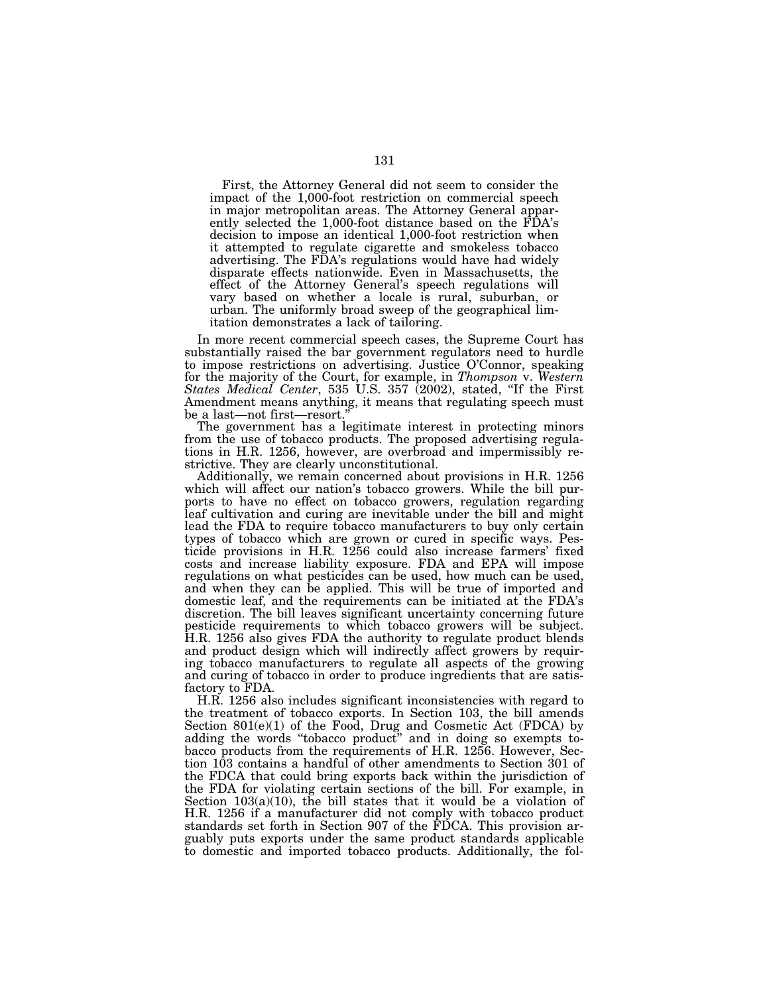First, the Attorney General did not seem to consider the impact of the 1,000-foot restriction on commercial speech in major metropolitan areas. The Attorney General apparently selected the 1,000-foot distance based on the FDA's decision to impose an identical 1,000-foot restriction when it attempted to regulate cigarette and smokeless tobacco advertising. The FDA's regulations would have had widely disparate effects nationwide. Even in Massachusetts, the effect of the Attorney General's speech regulations will vary based on whether a locale is rural, suburban, or urban. The uniformly broad sweep of the geographical limitation demonstrates a lack of tailoring.

In more recent commercial speech cases, the Supreme Court has substantially raised the bar government regulators need to hurdle to impose restrictions on advertising. Justice O'Connor, speaking for the majority of the Court, for example, in *Thompson* v. *Western States Medical Center*, 535 U.S. 357 (2002), stated, ''If the First Amendment means anything, it means that regulating speech must be a last—not first—resort.'

The government has a legitimate interest in protecting minors from the use of tobacco products. The proposed advertising regulations in H.R. 1256, however, are overbroad and impermissibly restrictive. They are clearly unconstitutional.

Additionally, we remain concerned about provisions in H.R. 1256 which will affect our nation's tobacco growers. While the bill purports to have no effect on tobacco growers, regulation regarding leaf cultivation and curing are inevitable under the bill and might lead the FDA to require tobacco manufacturers to buy only certain types of tobacco which are grown or cured in specific ways. Pesticide provisions in H.R. 1256 could also increase farmers' fixed costs and increase liability exposure. FDA and EPA will impose regulations on what pesticides can be used, how much can be used, and when they can be applied. This will be true of imported and domestic leaf, and the requirements can be initiated at the FDA's discretion. The bill leaves significant uncertainty concerning future pesticide requirements to which tobacco growers will be subject. H.R. 1256 also gives FDA the authority to regulate product blends and product design which will indirectly affect growers by requiring tobacco manufacturers to regulate all aspects of the growing and curing of tobacco in order to produce ingredients that are satisfactory to FDA.

H.R. 1256 also includes significant inconsistencies with regard to the treatment of tobacco exports. In Section 103, the bill amends Section 801(e)(1) of the Food, Drug and Cosmetic Act (FDCA) by adding the words ''tobacco product'' and in doing so exempts tobacco products from the requirements of H.R. 1256. However, Section 103 contains a handful of other amendments to Section 301 of the FDCA that could bring exports back within the jurisdiction of the FDA for violating certain sections of the bill. For example, in Section 103(a)(10), the bill states that it would be a violation of H.R. 1256 if a manufacturer did not comply with tobacco product standards set forth in Section 907 of the FDCA. This provision arguably puts exports under the same product standards applicable to domestic and imported tobacco products. Additionally, the fol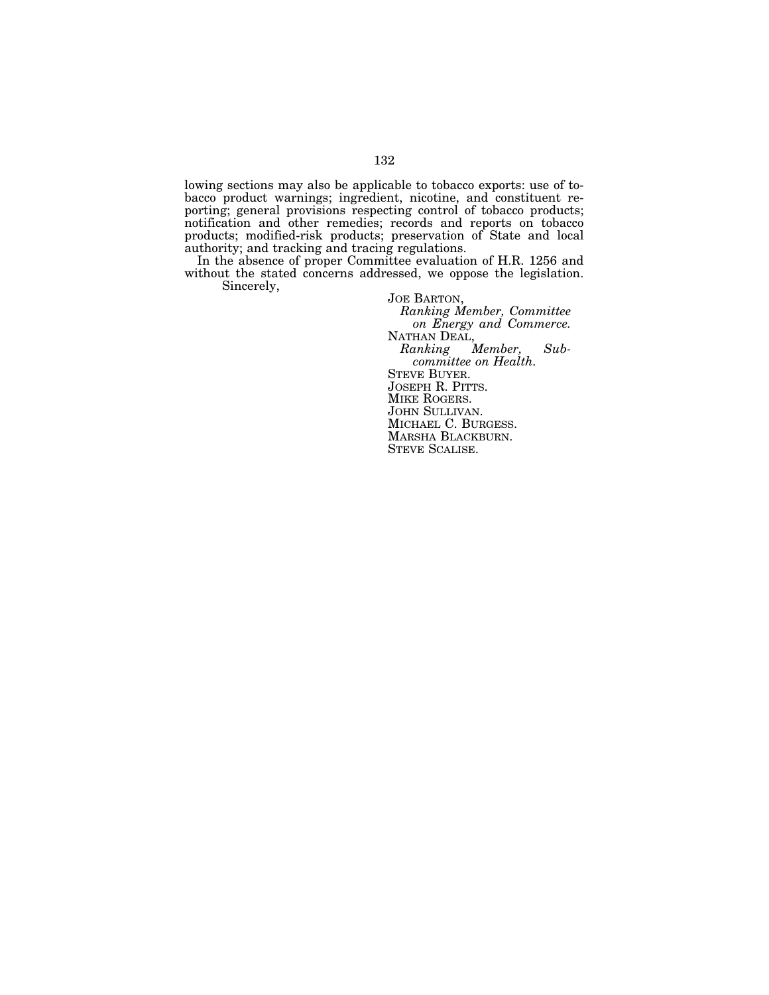lowing sections may also be applicable to tobacco exports: use of tobacco product warnings; ingredient, nicotine, and constituent reporting; general provisions respecting control of tobacco products; notification and other remedies; records and reports on tobacco products; modified-risk products; preservation of State and local authority; and tracking and tracing regulations.

In the absence of proper Committee evaluation of H.R. 1256 and without the stated concerns addressed, we oppose the legislation. Sincerely,

> JOE BARTON, *Ranking Member, Committee on Energy and Commerce.*  NATHAN DEAL, *Ranking Member, Subcommittee on Health.*  JOSEPH R. PITTS.<br>MIKE ROGERS.<br>JOHN SULLIVAN.<br>MICHAEL C. BURGESS.<br>MARSHA BLACKBURN.<br>STEVE SCALISE.